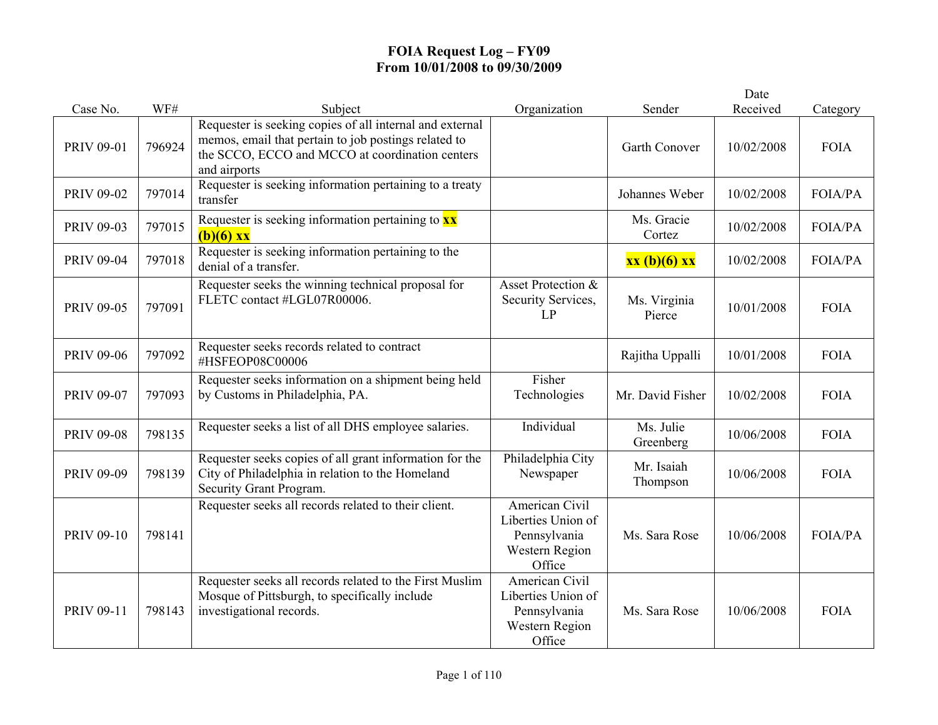|                   |        |                                                                                                                                                                                     |                                                                                  |                        | Date       |             |
|-------------------|--------|-------------------------------------------------------------------------------------------------------------------------------------------------------------------------------------|----------------------------------------------------------------------------------|------------------------|------------|-------------|
| Case No.          | WF#    | Subject                                                                                                                                                                             | Organization                                                                     | Sender                 | Received   | Category    |
| <b>PRIV 09-01</b> | 796924 | Requester is seeking copies of all internal and external<br>memos, email that pertain to job postings related to<br>the SCCO, ECCO and MCCO at coordination centers<br>and airports |                                                                                  | Garth Conover          | 10/02/2008 | <b>FOIA</b> |
| <b>PRIV 09-02</b> | 797014 | Requester is seeking information pertaining to a treaty<br>transfer                                                                                                                 |                                                                                  | Johannes Weber         | 10/02/2008 | FOIA/PA     |
| <b>PRIV 09-03</b> | 797015 | Requester is seeking information pertaining to $\mathbf{x}\mathbf{x}$<br>$(b)(6)$ xx                                                                                                |                                                                                  | Ms. Gracie<br>Cortez   | 10/02/2008 | FOIA/PA     |
| <b>PRIV 09-04</b> | 797018 | Requester is seeking information pertaining to the<br>denial of a transfer.                                                                                                         |                                                                                  | xx (b)(6) xx           | 10/02/2008 | FOIA/PA     |
| <b>PRIV 09-05</b> | 797091 | Requester seeks the winning technical proposal for<br>FLETC contact #LGL07R00006.                                                                                                   | Asset Protection &<br>Security Services,<br>LP                                   | Ms. Virginia<br>Pierce | 10/01/2008 | <b>FOIA</b> |
| <b>PRIV 09-06</b> | 797092 | Requester seeks records related to contract<br>#HSFEOP08C00006                                                                                                                      |                                                                                  | Rajitha Uppalli        | 10/01/2008 | <b>FOIA</b> |
| <b>PRIV 09-07</b> | 797093 | Requester seeks information on a shipment being held<br>by Customs in Philadelphia, PA.                                                                                             | Fisher<br>Technologies                                                           | Mr. David Fisher       | 10/02/2008 | <b>FOIA</b> |
| <b>PRIV 09-08</b> | 798135 | Requester seeks a list of all DHS employee salaries.                                                                                                                                | Individual                                                                       | Ms. Julie<br>Greenberg | 10/06/2008 | <b>FOIA</b> |
| <b>PRIV 09-09</b> | 798139 | Requester seeks copies of all grant information for the<br>City of Philadelphia in relation to the Homeland<br>Security Grant Program.                                              | Philadelphia City<br>Newspaper                                                   | Mr. Isaiah<br>Thompson | 10/06/2008 | <b>FOIA</b> |
| <b>PRIV 09-10</b> | 798141 | Requester seeks all records related to their client.                                                                                                                                | American Civil<br>Liberties Union of<br>Pennsylvania<br>Western Region<br>Office | Ms. Sara Rose          | 10/06/2008 | FOIA/PA     |
| <b>PRIV 09-11</b> | 798143 | Requester seeks all records related to the First Muslim<br>Mosque of Pittsburgh, to specifically include<br>investigational records.                                                | American Civil<br>Liberties Union of<br>Pennsylvania<br>Western Region<br>Office | Ms. Sara Rose          | 10/06/2008 | <b>FOIA</b> |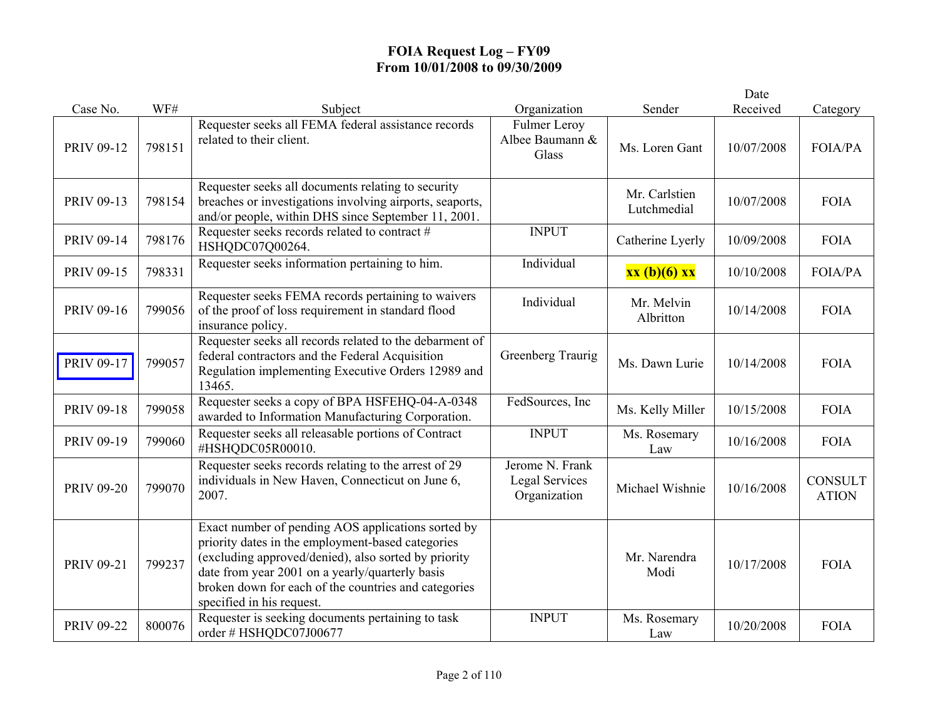|                   |        |                                                                                                                                                                                                                                                                                                         |                                                          |                              | Date       |                                |
|-------------------|--------|---------------------------------------------------------------------------------------------------------------------------------------------------------------------------------------------------------------------------------------------------------------------------------------------------------|----------------------------------------------------------|------------------------------|------------|--------------------------------|
| Case No.          | WF#    | Subject                                                                                                                                                                                                                                                                                                 | Organization                                             | Sender                       | Received   | Category                       |
| PRIV 09-12        | 798151 | Requester seeks all FEMA federal assistance records<br>related to their client.                                                                                                                                                                                                                         | <b>Fulmer Leroy</b><br>Albee Baumann &<br>Glass          | Ms. Loren Gant               | 10/07/2008 | FOIA/PA                        |
| PRIV 09-13        | 798154 | Requester seeks all documents relating to security<br>breaches or investigations involving airports, seaports,<br>and/or people, within DHS since September 11, 2001.                                                                                                                                   |                                                          | Mr. Carlstien<br>Lutchmedial | 10/07/2008 | <b>FOIA</b>                    |
| <b>PRIV 09-14</b> | 798176 | Requester seeks records related to contract #<br>HSHQDC07Q00264.                                                                                                                                                                                                                                        | <b>INPUT</b>                                             | Catherine Lyerly             | 10/09/2008 | <b>FOIA</b>                    |
| <b>PRIV 09-15</b> | 798331 | Requester seeks information pertaining to him.                                                                                                                                                                                                                                                          | Individual                                               | xx (b)(6) xx                 | 10/10/2008 | <b>FOIA/PA</b>                 |
| PRIV 09-16        | 799056 | Requester seeks FEMA records pertaining to waivers<br>of the proof of loss requirement in standard flood<br>insurance policy.                                                                                                                                                                           | Individual                                               | Mr. Melvin<br>Albritton      | 10/14/2008 | <b>FOIA</b>                    |
| PRIV 09-17        | 799057 | Requester seeks all records related to the debarment of<br>federal contractors and the Federal Acquisition<br>Regulation implementing Executive Orders 12989 and<br>13465.                                                                                                                              | Greenberg Traurig                                        | Ms. Dawn Lurie               | 10/14/2008 | <b>FOIA</b>                    |
| PRIV 09-18        | 799058 | Requester seeks a copy of BPA HSFEHQ-04-A-0348<br>awarded to Information Manufacturing Corporation.                                                                                                                                                                                                     | FedSources, Inc.                                         | Ms. Kelly Miller             | 10/15/2008 | <b>FOIA</b>                    |
| PRIV 09-19        | 799060 | Requester seeks all releasable portions of Contract<br>#HSHQDC05R00010.                                                                                                                                                                                                                                 | <b>INPUT</b>                                             | Ms. Rosemary<br>Law          | 10/16/2008 | <b>FOIA</b>                    |
| <b>PRIV 09-20</b> | 799070 | Requester seeks records relating to the arrest of 29<br>individuals in New Haven, Connecticut on June 6,<br>2007.                                                                                                                                                                                       | Jerome N. Frank<br><b>Legal Services</b><br>Organization | Michael Wishnie              | 10/16/2008 | <b>CONSULT</b><br><b>ATION</b> |
| <b>PRIV 09-21</b> | 799237 | Exact number of pending AOS applications sorted by<br>priority dates in the employment-based categories<br>(excluding approved/denied), also sorted by priority<br>date from year 2001 on a yearly/quarterly basis<br>broken down for each of the countries and categories<br>specified in his request. |                                                          | Mr. Narendra<br>Modi         | 10/17/2008 | <b>FOIA</b>                    |
| <b>PRIV 09-22</b> | 800076 | Requester is seeking documents pertaining to task<br>order # HSHQDC07J00677                                                                                                                                                                                                                             | <b>INPUT</b>                                             | Ms. Rosemary<br>Law          | 10/20/2008 | <b>FOIA</b>                    |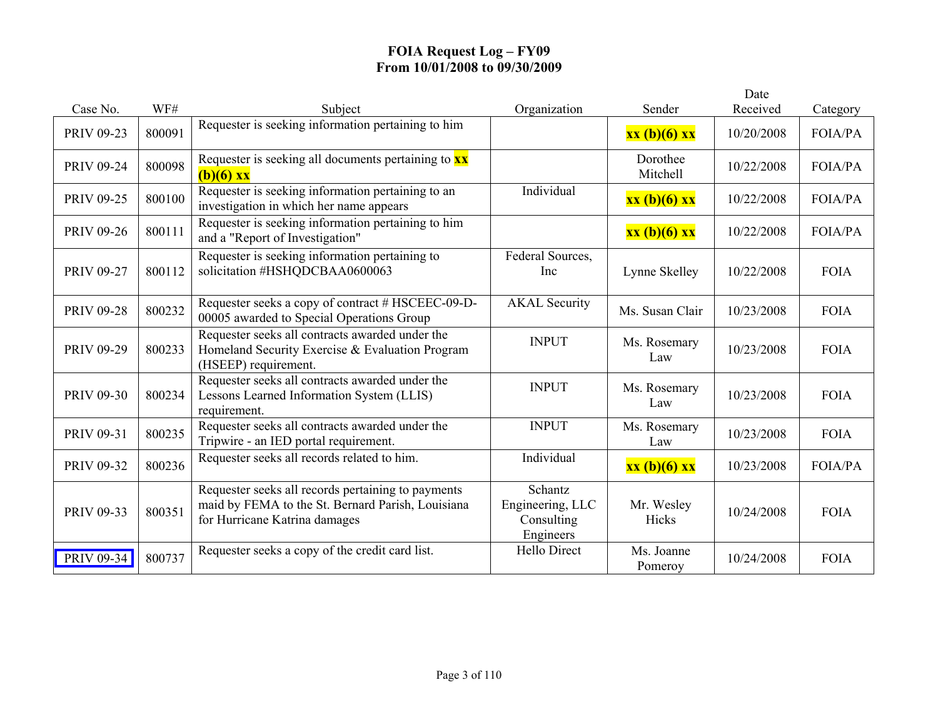|                   |        |                                                                                                                                          |                                                        |                       | Date       |                |
|-------------------|--------|------------------------------------------------------------------------------------------------------------------------------------------|--------------------------------------------------------|-----------------------|------------|----------------|
| Case No.          | WF#    | Subject                                                                                                                                  | Organization                                           | Sender                | Received   | Category       |
| <b>PRIV 09-23</b> | 800091 | Requester is seeking information pertaining to him                                                                                       |                                                        | xx (b)(6) xx          | 10/20/2008 | <b>FOIA/PA</b> |
| <b>PRIV 09-24</b> | 800098 | Requester is seeking all documents pertaining to $\mathbf{x}\mathbf{x}$<br>$(b)(6)$ xx                                                   |                                                        | Dorothee<br>Mitchell  | 10/22/2008 | <b>FOIA/PA</b> |
| <b>PRIV 09-25</b> | 800100 | Requester is seeking information pertaining to an<br>investigation in which her name appears                                             | Individual                                             | xx (b)(6) xx          | 10/22/2008 | <b>FOIA/PA</b> |
| <b>PRIV 09-26</b> | 800111 | Requester is seeking information pertaining to him<br>and a "Report of Investigation"                                                    |                                                        | xx (b)(6) xx          | 10/22/2008 | FOIA/PA        |
| <b>PRIV 09-27</b> | 800112 | Requester is seeking information pertaining to<br>solicitation #HSHQDCBAA0600063                                                         | Federal Sources,<br>Inc                                | Lynne Skelley         | 10/22/2008 | <b>FOIA</b>    |
| <b>PRIV 09-28</b> | 800232 | Requester seeks a copy of contract # HSCEEC-09-D-<br>00005 awarded to Special Operations Group                                           | <b>AKAL</b> Security                                   | Ms. Susan Clair       | 10/23/2008 | <b>FOIA</b>    |
| <b>PRIV 09-29</b> | 800233 | Requester seeks all contracts awarded under the<br>Homeland Security Exercise & Evaluation Program<br>(HSEEP) requirement.               | <b>INPUT</b>                                           | Ms. Rosemary<br>Law   | 10/23/2008 | <b>FOIA</b>    |
| <b>PRIV 09-30</b> | 800234 | Requester seeks all contracts awarded under the<br>Lessons Learned Information System (LLIS)<br>requirement.                             | <b>INPUT</b>                                           | Ms. Rosemary<br>Law   | 10/23/2008 | <b>FOIA</b>    |
| <b>PRIV 09-31</b> | 800235 | Requester seeks all contracts awarded under the<br>Tripwire - an IED portal requirement.                                                 | <b>INPUT</b>                                           | Ms. Rosemary<br>Law   | 10/23/2008 | <b>FOIA</b>    |
| <b>PRIV 09-32</b> | 800236 | Requester seeks all records related to him.                                                                                              | Individual                                             | xx (b)(6) xx          | 10/23/2008 | <b>FOIA/PA</b> |
| PRIV 09-33        | 800351 | Requester seeks all records pertaining to payments<br>maid by FEMA to the St. Bernard Parish, Louisiana<br>for Hurricane Katrina damages | Schantz<br>Engineering, LLC<br>Consulting<br>Engineers | Mr. Wesley<br>Hicks   | 10/24/2008 | <b>FOIA</b>    |
| PRIV 09-34        | 800737 | Requester seeks a copy of the credit card list.                                                                                          | <b>Hello Direct</b>                                    | Ms. Joanne<br>Pomeroy | 10/24/2008 | <b>FOIA</b>    |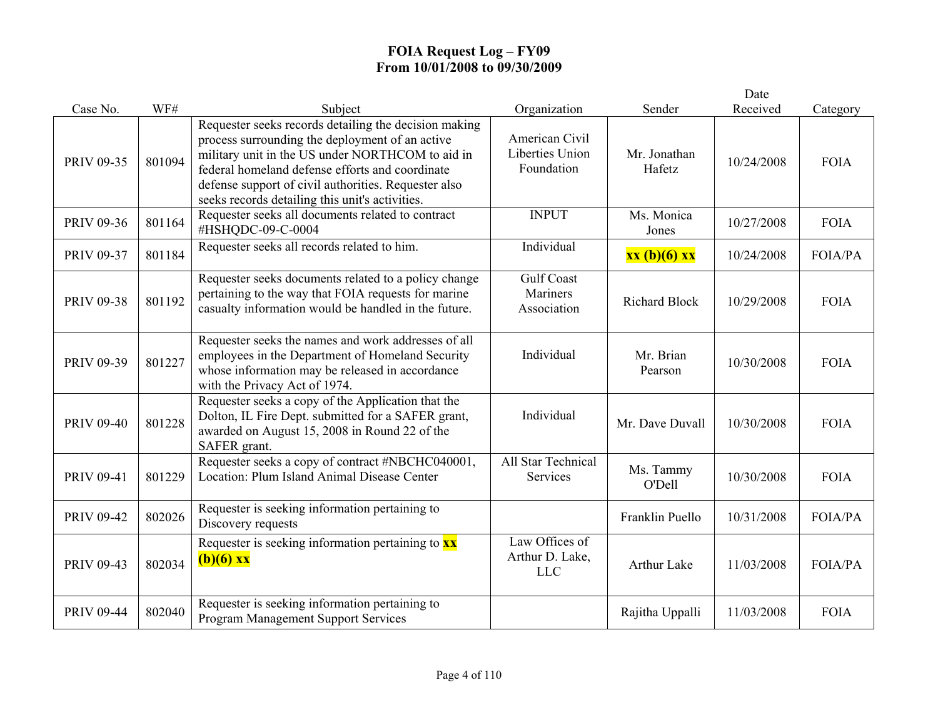|                   |        |                                                                                                                                                                                                                                                                                                                            |                                                        |                        | Date       |                |
|-------------------|--------|----------------------------------------------------------------------------------------------------------------------------------------------------------------------------------------------------------------------------------------------------------------------------------------------------------------------------|--------------------------------------------------------|------------------------|------------|----------------|
| Case No.          | WF#    | Subject                                                                                                                                                                                                                                                                                                                    | Organization                                           | Sender                 | Received   | Category       |
| <b>PRIV 09-35</b> | 801094 | Requester seeks records detailing the decision making<br>process surrounding the deployment of an active<br>military unit in the US under NORTHCOM to aid in<br>federal homeland defense efforts and coordinate<br>defense support of civil authorities. Requester also<br>seeks records detailing this unit's activities. | American Civil<br><b>Liberties Union</b><br>Foundation | Mr. Jonathan<br>Hafetz | 10/24/2008 | <b>FOIA</b>    |
| PRIV 09-36        | 801164 | Requester seeks all documents related to contract<br>#HSHQDC-09-C-0004                                                                                                                                                                                                                                                     | <b>INPUT</b>                                           | Ms. Monica<br>Jones    | 10/27/2008 | <b>FOIA</b>    |
| <b>PRIV 09-37</b> | 801184 | Requester seeks all records related to him.                                                                                                                                                                                                                                                                                | Individual                                             | xx (b)(6) xx           | 10/24/2008 | FOIA/PA        |
| <b>PRIV 09-38</b> | 801192 | Requester seeks documents related to a policy change<br>pertaining to the way that FOIA requests for marine<br>casualty information would be handled in the future.                                                                                                                                                        | <b>Gulf Coast</b><br><b>Mariners</b><br>Association    | <b>Richard Block</b>   | 10/29/2008 | <b>FOIA</b>    |
| PRIV 09-39        | 801227 | Requester seeks the names and work addresses of all<br>employees in the Department of Homeland Security<br>whose information may be released in accordance<br>with the Privacy Act of 1974.                                                                                                                                | Individual                                             | Mr. Brian<br>Pearson   | 10/30/2008 | <b>FOIA</b>    |
| <b>PRIV 09-40</b> | 801228 | Requester seeks a copy of the Application that the<br>Dolton, IL Fire Dept. submitted for a SAFER grant,<br>awarded on August 15, 2008 in Round 22 of the<br>SAFER grant.                                                                                                                                                  | Individual                                             | Mr. Dave Duvall        | 10/30/2008 | <b>FOIA</b>    |
| <b>PRIV 09-41</b> | 801229 | Requester seeks a copy of contract #NBCHC040001,<br>Location: Plum Island Animal Disease Center                                                                                                                                                                                                                            | All Star Technical<br>Services                         | Ms. Tammy<br>O'Dell    | 10/30/2008 | <b>FOIA</b>    |
| <b>PRIV 09-42</b> | 802026 | Requester is seeking information pertaining to<br>Discovery requests                                                                                                                                                                                                                                                       |                                                        | Franklin Puello        | 10/31/2008 | <b>FOIA/PA</b> |
| PRIV 09-43        | 802034 | Requester is seeking information pertaining to $\frac{xx}{ }$<br>$(b)(6)$ xx                                                                                                                                                                                                                                               | Law Offices of<br>Arthur D. Lake,<br><b>LLC</b>        | <b>Arthur Lake</b>     | 11/03/2008 | <b>FOIA/PA</b> |
| <b>PRIV 09-44</b> | 802040 | Requester is seeking information pertaining to<br>Program Management Support Services                                                                                                                                                                                                                                      |                                                        | Rajitha Uppalli        | 11/03/2008 | <b>FOIA</b>    |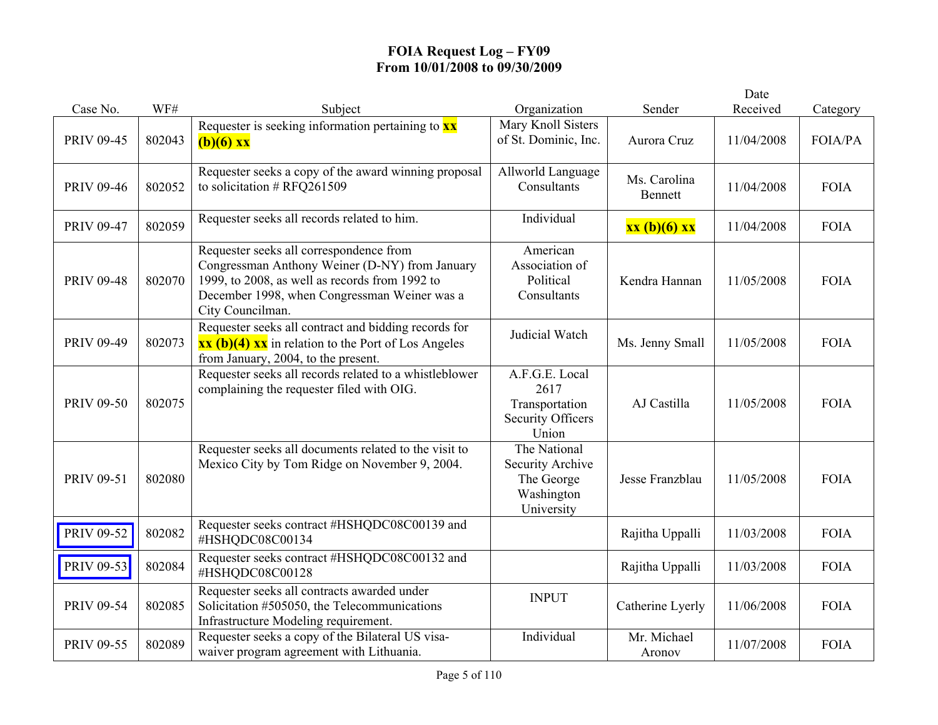|                   |        |                                                                                                                                                                                                                 |                                                                               |                         | Date       |             |
|-------------------|--------|-----------------------------------------------------------------------------------------------------------------------------------------------------------------------------------------------------------------|-------------------------------------------------------------------------------|-------------------------|------------|-------------|
| Case No.          | WF#    | Subject                                                                                                                                                                                                         | Organization                                                                  | Sender                  | Received   | Category    |
| <b>PRIV 09-45</b> | 802043 | Requester is seeking information pertaining to $\mathbf{x}\mathbf{x}$<br>$(b)(6)$ xx                                                                                                                            | Mary Knoll Sisters<br>of St. Dominic, Inc.                                    | Aurora Cruz             | 11/04/2008 | FOIA/PA     |
| <b>PRIV 09-46</b> | 802052 | Requester seeks a copy of the award winning proposal<br>to solicitation $#$ RFQ261509                                                                                                                           | Allworld Language<br>Consultants                                              | Ms. Carolina<br>Bennett | 11/04/2008 | <b>FOIA</b> |
| <b>PRIV 09-47</b> | 802059 | Requester seeks all records related to him.                                                                                                                                                                     | Individual                                                                    | xx (b)(6) xx            | 11/04/2008 | <b>FOIA</b> |
| <b>PRIV 09-48</b> | 802070 | Requester seeks all correspondence from<br>Congressman Anthony Weiner (D-NY) from January<br>1999, to 2008, as well as records from 1992 to<br>December 1998, when Congressman Weiner was a<br>City Councilman. | American<br>Association of<br>Political<br>Consultants                        | Kendra Hannan           | 11/05/2008 | <b>FOIA</b> |
| PRIV 09-49        | 802073 | Requester seeks all contract and bidding records for<br>$\overline{\text{xx (b)(4) xx}}$ in relation to the Port of Los Angeles<br>from January, 2004, to the present.                                          | Judicial Watch                                                                | Ms. Jenny Small         | 11/05/2008 | <b>FOIA</b> |
| <b>PRIV 09-50</b> | 802075 | Requester seeks all records related to a whistleblower<br>complaining the requester filed with OIG.                                                                                                             | A.F.G.E. Local<br>2617<br>Transportation<br><b>Security Officers</b><br>Union | AJ Castilla             | 11/05/2008 | <b>FOIA</b> |
| PRIV 09-51        | 802080 | Requester seeks all documents related to the visit to<br>Mexico City by Tom Ridge on November 9, 2004.                                                                                                          | The National<br>Security Archive<br>The George<br>Washington<br>University    | Jesse Franzblau         | 11/05/2008 | <b>FOIA</b> |
| PRIV 09-52        | 802082 | Requester seeks contract #HSHQDC08C00139 and<br>#HSHQDC08C00134                                                                                                                                                 |                                                                               | Rajitha Uppalli         | 11/03/2008 | <b>FOIA</b> |
| PRIV 09-53        | 802084 | Requester seeks contract #HSHQDC08C00132 and<br>#HSHQDC08C00128                                                                                                                                                 |                                                                               | Rajitha Uppalli         | 11/03/2008 | <b>FOIA</b> |
| <b>PRIV 09-54</b> | 802085 | Requester seeks all contracts awarded under<br>Solicitation #505050, the Telecommunications<br>Infrastructure Modeling requirement.                                                                             | <b>INPUT</b>                                                                  | Catherine Lyerly        | 11/06/2008 | <b>FOIA</b> |
| PRIV 09-55        | 802089 | Requester seeks a copy of the Bilateral US visa-<br>waiver program agreement with Lithuania.                                                                                                                    | Individual                                                                    | Mr. Michael<br>Aronov   | 11/07/2008 | <b>FOIA</b> |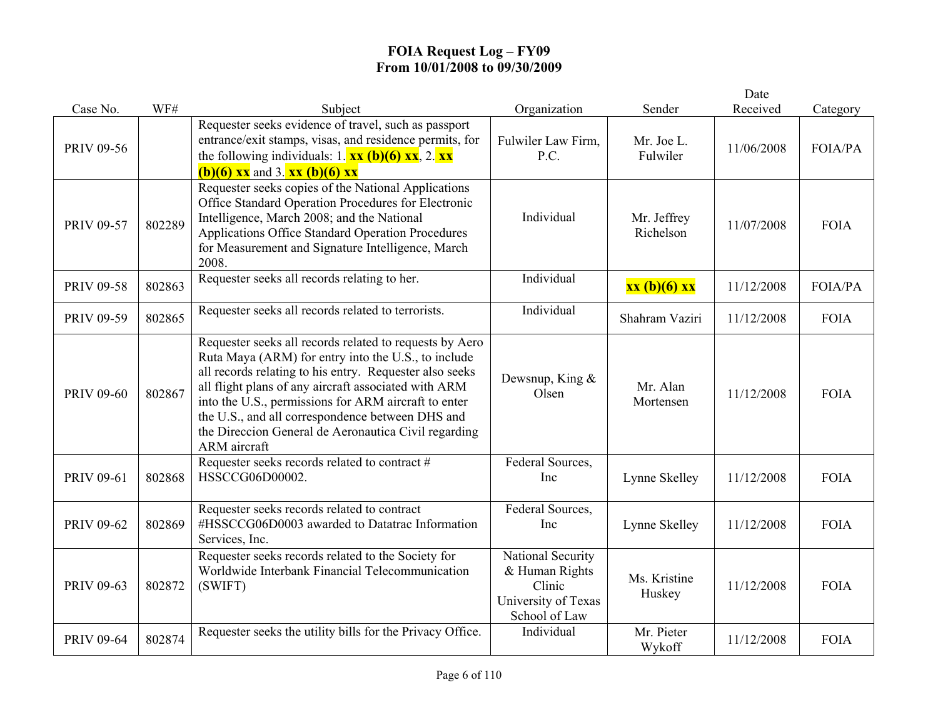|                   |        |                                                                                                                                                                                                                                                                                                                                                                                                                       |                                                                                       |                          | Date       |                |
|-------------------|--------|-----------------------------------------------------------------------------------------------------------------------------------------------------------------------------------------------------------------------------------------------------------------------------------------------------------------------------------------------------------------------------------------------------------------------|---------------------------------------------------------------------------------------|--------------------------|------------|----------------|
| Case No.          | WF#    | Subject                                                                                                                                                                                                                                                                                                                                                                                                               | Organization                                                                          | Sender                   | Received   | Category       |
| <b>PRIV 09-56</b> |        | Requester seeks evidence of travel, such as passport<br>entrance/exit stamps, visas, and residence permits, for<br>the following individuals: 1. $\mathbf{xx}$ (b)(6) $\mathbf{xx}$ , 2. $\mathbf{xx}$<br><b>(b)(6)</b> xx and 3. xx (b)(6) xx                                                                                                                                                                        | Fulwiler Law Firm,<br>P.C.                                                            | Mr. Joe L.<br>Fulwiler   | 11/06/2008 | FOIA/PA        |
| <b>PRIV 09-57</b> | 802289 | Requester seeks copies of the National Applications<br>Office Standard Operation Procedures for Electronic<br>Intelligence, March 2008; and the National<br>Applications Office Standard Operation Procedures<br>for Measurement and Signature Intelligence, March<br>2008.                                                                                                                                           | Individual                                                                            | Mr. Jeffrey<br>Richelson | 11/07/2008 | <b>FOIA</b>    |
| <b>PRIV 09-58</b> | 802863 | Requester seeks all records relating to her.                                                                                                                                                                                                                                                                                                                                                                          | Individual                                                                            | xx (b)(6) xx             | 11/12/2008 | <b>FOIA/PA</b> |
| <b>PRIV 09-59</b> | 802865 | Requester seeks all records related to terrorists.                                                                                                                                                                                                                                                                                                                                                                    | Individual                                                                            | Shahram Vaziri           | 11/12/2008 | <b>FOIA</b>    |
| <b>PRIV 09-60</b> | 802867 | Requester seeks all records related to requests by Aero<br>Ruta Maya (ARM) for entry into the U.S., to include<br>all records relating to his entry. Requester also seeks<br>all flight plans of any aircraft associated with ARM<br>into the U.S., permissions for ARM aircraft to enter<br>the U.S., and all correspondence between DHS and<br>the Direccion General de Aeronautica Civil regarding<br>ARM aircraft | Dewsnup, King &<br>Olsen                                                              | Mr. Alan<br>Mortensen    | 11/12/2008 | <b>FOIA</b>    |
| <b>PRIV 09-61</b> | 802868 | Requester seeks records related to contract #<br>HSSCCG06D00002.                                                                                                                                                                                                                                                                                                                                                      | Federal Sources,<br>Inc                                                               | Lynne Skelley            | 11/12/2008 | <b>FOIA</b>    |
| <b>PRIV 09-62</b> | 802869 | Requester seeks records related to contract<br>#HSSCCG06D0003 awarded to Datatrac Information<br>Services, Inc.                                                                                                                                                                                                                                                                                                       | Federal Sources,<br>Inc                                                               | Lynne Skelley            | 11/12/2008 | <b>FOIA</b>    |
| <b>PRIV 09-63</b> | 802872 | Requester seeks records related to the Society for<br>Worldwide Interbank Financial Telecommunication<br>(SWIFT)                                                                                                                                                                                                                                                                                                      | National Security<br>& Human Rights<br>Clinic<br>University of Texas<br>School of Law | Ms. Kristine<br>Huskey   | 11/12/2008 | <b>FOIA</b>    |
| <b>PRIV 09-64</b> | 802874 | Requester seeks the utility bills for the Privacy Office.                                                                                                                                                                                                                                                                                                                                                             | Individual                                                                            | Mr. Pieter<br>Wykoff     | 11/12/2008 | <b>FOIA</b>    |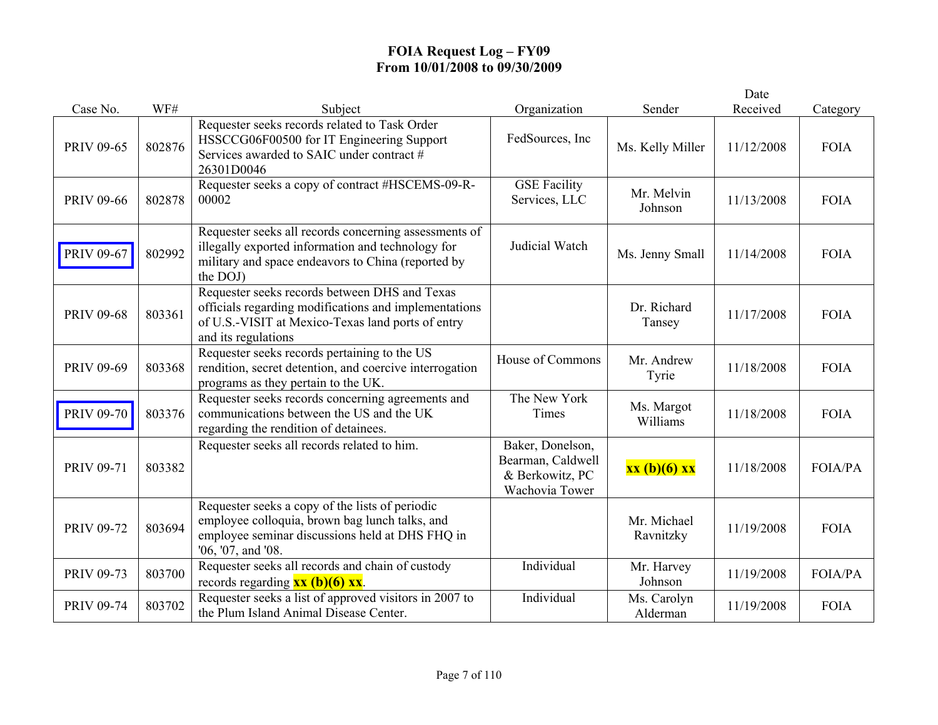|                   |        |                                                                                                                                                                                    |                                                                            |                          | Date       |                |
|-------------------|--------|------------------------------------------------------------------------------------------------------------------------------------------------------------------------------------|----------------------------------------------------------------------------|--------------------------|------------|----------------|
| Case No.          | WF#    | Subject                                                                                                                                                                            | Organization                                                               | Sender                   | Received   | Category       |
| <b>PRIV 09-65</b> | 802876 | Requester seeks records related to Task Order<br>HSSCCG06F00500 for IT Engineering Support<br>Services awarded to SAIC under contract #<br>26301D0046                              | FedSources, Inc.                                                           | Ms. Kelly Miller         | 11/12/2008 | <b>FOIA</b>    |
| <b>PRIV 09-66</b> | 802878 | Requester seeks a copy of contract #HSCEMS-09-R-<br>00002                                                                                                                          | <b>GSE Facility</b><br>Services, LLC                                       | Mr. Melvin<br>Johnson    | 11/13/2008 | <b>FOIA</b>    |
| <b>PRIV 09-67</b> | 802992 | Requester seeks all records concerning assessments of<br>illegally exported information and technology for<br>military and space endeavors to China (reported by<br>the DOJ)       | Judicial Watch                                                             | Ms. Jenny Small          | 11/14/2008 | <b>FOIA</b>    |
| <b>PRIV 09-68</b> | 803361 | Requester seeks records between DHS and Texas<br>officials regarding modifications and implementations<br>of U.S.-VISIT at Mexico-Texas land ports of entry<br>and its regulations |                                                                            | Dr. Richard<br>Tansey    | 11/17/2008 | <b>FOIA</b>    |
| PRIV 09-69        | 803368 | Requester seeks records pertaining to the US<br>rendition, secret detention, and coercive interrogation<br>programs as they pertain to the UK.                                     | House of Commons                                                           | Mr. Andrew<br>Tyrie      | 11/18/2008 | <b>FOIA</b>    |
| <b>PRIV 09-70</b> | 803376 | Requester seeks records concerning agreements and<br>communications between the US and the UK<br>regarding the rendition of detainees.                                             | The New York<br>Times                                                      | Ms. Margot<br>Williams   | 11/18/2008 | <b>FOIA</b>    |
| <b>PRIV 09-71</b> | 803382 | Requester seeks all records related to him.                                                                                                                                        | Baker, Donelson,<br>Bearman, Caldwell<br>& Berkowitz, PC<br>Wachovia Tower | xx (b)(6) xx             | 11/18/2008 | <b>FOIA/PA</b> |
| <b>PRIV 09-72</b> | 803694 | Requester seeks a copy of the lists of periodic<br>employee colloquia, brown bag lunch talks, and<br>employee seminar discussions held at DHS FHQ in<br>'06, '07, and '08.         |                                                                            | Mr. Michael<br>Ravnitzky | 11/19/2008 | <b>FOIA</b>    |
| <b>PRIV 09-73</b> | 803700 | Requester seeks all records and chain of custody<br>records regarding $xx (b)(6) xx$ .                                                                                             | Individual                                                                 | Mr. Harvey<br>Johnson    | 11/19/2008 | <b>FOIA/PA</b> |
| <b>PRIV 09-74</b> | 803702 | Requester seeks a list of approved visitors in 2007 to<br>the Plum Island Animal Disease Center.                                                                                   | Individual                                                                 | Ms. Carolyn<br>Alderman  | 11/19/2008 | <b>FOIA</b>    |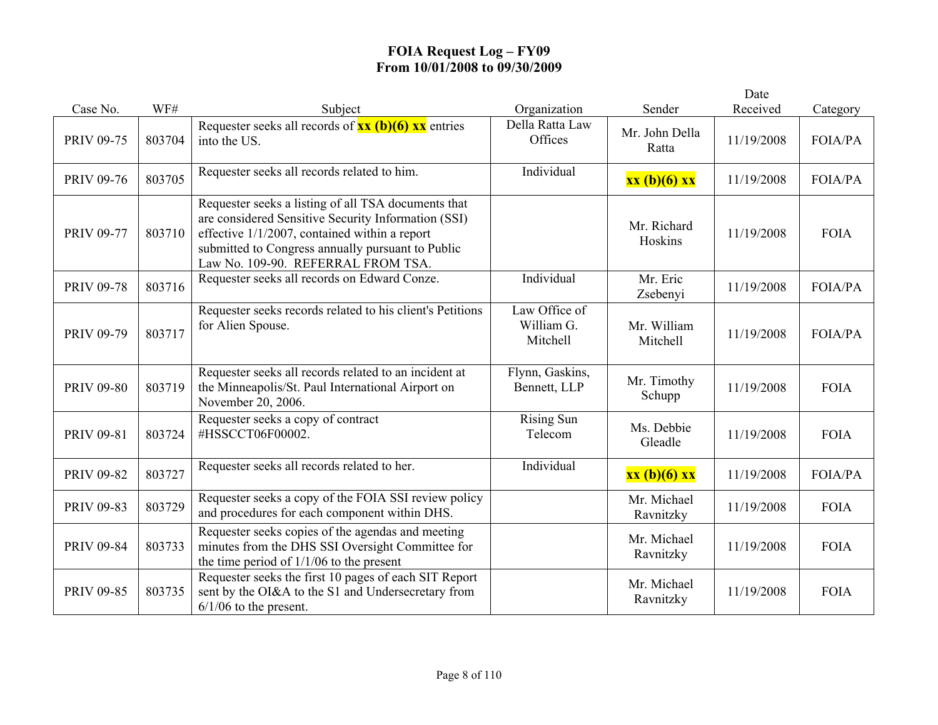|                   |        |                                                                                                                                                                                                                                                           |                                         |                          | Date       |                |
|-------------------|--------|-----------------------------------------------------------------------------------------------------------------------------------------------------------------------------------------------------------------------------------------------------------|-----------------------------------------|--------------------------|------------|----------------|
| Case No.          | WF#    | Subject                                                                                                                                                                                                                                                   | Organization                            | Sender                   | Received   | Category       |
| <b>PRIV 09-75</b> | 803704 | Requester seeks all records of $\frac{xx}{(b)(6)}$ $\frac{xx}{(b)(6)}$<br>into the US.                                                                                                                                                                    | Della Ratta Law<br>Offices              | Mr. John Della<br>Ratta  | 11/19/2008 | FOIA/PA        |
| <b>PRIV 09-76</b> | 803705 | Requester seeks all records related to him.                                                                                                                                                                                                               | Individual                              | xx (b)(6) xx             | 11/19/2008 | <b>FOIA/PA</b> |
| <b>PRIV 09-77</b> | 803710 | Requester seeks a listing of all TSA documents that<br>are considered Sensitive Security Information (SSI)<br>effective $1/1/2007$ , contained within a report<br>submitted to Congress annually pursuant to Public<br>Law No. 109-90. REFERRAL FROM TSA. |                                         | Mr. Richard<br>Hoskins   | 11/19/2008 | <b>FOIA</b>    |
| <b>PRIV 09-78</b> | 803716 | Requester seeks all records on Edward Conze.                                                                                                                                                                                                              | Individual                              | Mr. Eric<br>Zsebenyi     | 11/19/2008 | <b>FOIA/PA</b> |
| <b>PRIV 09-79</b> | 803717 | Requester seeks records related to his client's Petitions<br>for Alien Spouse.                                                                                                                                                                            | Law Office of<br>William G.<br>Mitchell | Mr. William<br>Mitchell  | 11/19/2008 | FOIA/PA        |
| <b>PRIV 09-80</b> | 803719 | Requester seeks all records related to an incident at<br>the Minneapolis/St. Paul International Airport on<br>November 20, 2006.                                                                                                                          | Flynn, Gaskins,<br>Bennett, LLP         | Mr. Timothy<br>Schupp    | 11/19/2008 | <b>FOIA</b>    |
| <b>PRIV 09-81</b> | 803724 | Requester seeks a copy of contract<br>#HSSCCT06F00002.                                                                                                                                                                                                    | <b>Rising Sun</b><br>Telecom            | Ms. Debbie<br>Gleadle    | 11/19/2008 | <b>FOIA</b>    |
| <b>PRIV 09-82</b> | 803727 | Requester seeks all records related to her.                                                                                                                                                                                                               | Individual                              | $xx(b)(6)$ $xx$          | 11/19/2008 | FOIA/PA        |
| <b>PRIV 09-83</b> | 803729 | Requester seeks a copy of the FOIA SSI review policy<br>and procedures for each component within DHS.                                                                                                                                                     |                                         | Mr. Michael<br>Ravnitzky | 11/19/2008 | <b>FOIA</b>    |
| <b>PRIV 09-84</b> | 803733 | Requester seeks copies of the agendas and meeting<br>minutes from the DHS SSI Oversight Committee for<br>the time period of $1/1/06$ to the present                                                                                                       |                                         | Mr. Michael<br>Ravnitzky | 11/19/2008 | <b>FOIA</b>    |
| <b>PRIV 09-85</b> | 803735 | Requester seeks the first 10 pages of each SIT Report<br>sent by the OI&A to the S1 and Undersecretary from<br>$6/1/06$ to the present.                                                                                                                   |                                         | Mr. Michael<br>Ravnitzky | 11/19/2008 | <b>FOIA</b>    |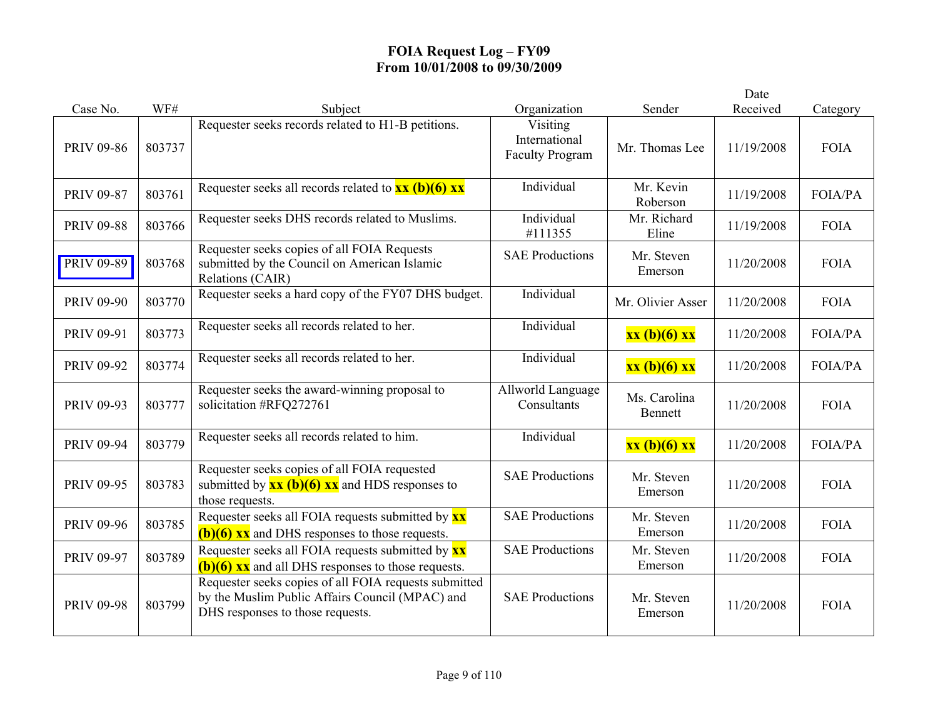|                   |        |                                                                                                                                              |                                                     |                         | Date       |                |
|-------------------|--------|----------------------------------------------------------------------------------------------------------------------------------------------|-----------------------------------------------------|-------------------------|------------|----------------|
| Case No.          | WF#    | Subject                                                                                                                                      | Organization                                        | Sender                  | Received   | Category       |
| <b>PRIV 09-86</b> | 803737 | Requester seeks records related to H1-B petitions.                                                                                           | Visiting<br>International<br><b>Faculty Program</b> | Mr. Thomas Lee          | 11/19/2008 | <b>FOIA</b>    |
| <b>PRIV 09-87</b> | 803761 | Requester seeks all records related to $xx (b)(6) xx$                                                                                        | Individual                                          | Mr. Kevin<br>Roberson   | 11/19/2008 | <b>FOIA/PA</b> |
| <b>PRIV 09-88</b> | 803766 | Requester seeks DHS records related to Muslims.                                                                                              | Individual<br>#111355                               | Mr. Richard<br>Eline    | 11/19/2008 | <b>FOIA</b>    |
| PRIV 09-89        | 803768 | Requester seeks copies of all FOIA Requests<br>submitted by the Council on American Islamic<br>Relations (CAIR)                              | <b>SAE Productions</b>                              | Mr. Steven<br>Emerson   | 11/20/2008 | <b>FOIA</b>    |
| <b>PRIV 09-90</b> | 803770 | Requester seeks a hard copy of the FY07 DHS budget.                                                                                          | Individual                                          | Mr. Olivier Asser       | 11/20/2008 | <b>FOIA</b>    |
| PRIV 09-91        | 803773 | Requester seeks all records related to her.                                                                                                  | Individual                                          | xx (b)(6) xx            | 11/20/2008 | <b>FOIA/PA</b> |
| <b>PRIV 09-92</b> | 803774 | Requester seeks all records related to her.                                                                                                  | Individual                                          | xx (b)(6) xx            | 11/20/2008 | FOIA/PA        |
| PRIV 09-93        | 803777 | Requester seeks the award-winning proposal to<br>solicitation #RFQ272761                                                                     | Allworld Language<br>Consultants                    | Ms. Carolina<br>Bennett | 11/20/2008 | <b>FOIA</b>    |
| <b>PRIV 09-94</b> | 803779 | Requester seeks all records related to him.                                                                                                  | Individual                                          | xx (b)(6) xx            | 11/20/2008 | <b>FOIA/PA</b> |
| <b>PRIV 09-95</b> | 803783 | Requester seeks copies of all FOIA requested<br>submitted by $\frac{xx(b)(6)}{x}xx$ and HDS responses to<br>those requests.                  | <b>SAE Productions</b>                              | Mr. Steven<br>Emerson   | 11/20/2008 | <b>FOIA</b>    |
| <b>PRIV 09-96</b> | 803785 | Requester seeks all FOIA requests submitted by <b>xx</b><br>$(b)(6)$ xx and DHS responses to those requests.                                 | <b>SAE Productions</b>                              | Mr. Steven<br>Emerson   | 11/20/2008 | <b>FOIA</b>    |
| <b>PRIV 09-97</b> | 803789 | Requester seeks all FOIA requests submitted by <b>xx</b><br>$(b)(6)$ xx and all DHS responses to those requests.                             | <b>SAE Productions</b>                              | Mr. Steven<br>Emerson   | 11/20/2008 | <b>FOIA</b>    |
| <b>PRIV 09-98</b> | 803799 | Requester seeks copies of all FOIA requests submitted<br>by the Muslim Public Affairs Council (MPAC) and<br>DHS responses to those requests. | <b>SAE Productions</b>                              | Mr. Steven<br>Emerson   | 11/20/2008 | <b>FOIA</b>    |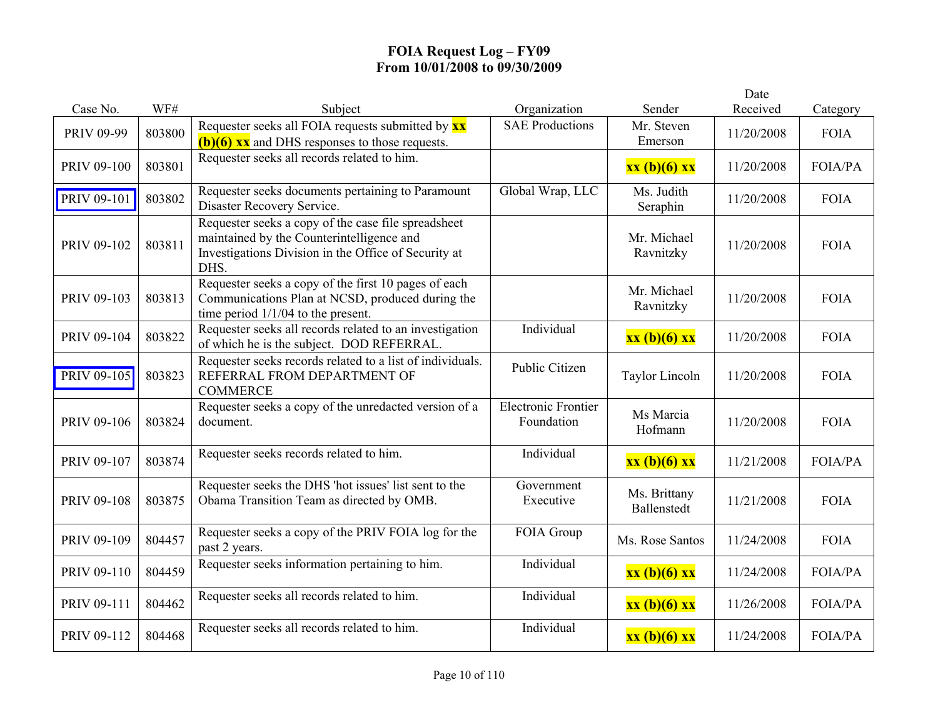|                   |        |                                                                                                                                                                  |                                          |                             | Date       |                |
|-------------------|--------|------------------------------------------------------------------------------------------------------------------------------------------------------------------|------------------------------------------|-----------------------------|------------|----------------|
| Case No.          | WF#    | Subject                                                                                                                                                          | Organization                             | Sender                      | Received   | Category       |
| <b>PRIV 09-99</b> | 803800 | Requester seeks all FOIA requests submitted by <b>xx</b><br>$(b)(6)$ xx and DHS responses to those requests.                                                     | <b>SAE Productions</b>                   | Mr. Steven<br>Emerson       | 11/20/2008 | <b>FOIA</b>    |
| PRIV 09-100       | 803801 | Requester seeks all records related to him.                                                                                                                      |                                          | xx (b)(6) xx                | 11/20/2008 | <b>FOIA/PA</b> |
| PRIV 09-101       | 803802 | Requester seeks documents pertaining to Paramount<br>Disaster Recovery Service.                                                                                  | Global Wrap, LLC                         | Ms. Judith<br>Seraphin      | 11/20/2008 | <b>FOIA</b>    |
| PRIV 09-102       | 803811 | Requester seeks a copy of the case file spreadsheet<br>maintained by the Counterintelligence and<br>Investigations Division in the Office of Security at<br>DHS. |                                          | Mr. Michael<br>Ravnitzky    | 11/20/2008 | <b>FOIA</b>    |
| PRIV 09-103       | 803813 | Requester seeks a copy of the first 10 pages of each<br>Communications Plan at NCSD, produced during the<br>time period $1/1/04$ to the present.                 |                                          | Mr. Michael<br>Ravnitzky    | 11/20/2008 | <b>FOIA</b>    |
| PRIV 09-104       | 803822 | Requester seeks all records related to an investigation<br>of which he is the subject. DOD REFERRAL.                                                             | Individual                               | $xx(b)(6)$ $xx$             | 11/20/2008 | <b>FOIA</b>    |
| PRIV 09-105       | 803823 | Requester seeks records related to a list of individuals.<br>REFERRAL FROM DEPARTMENT OF<br><b>COMMERCE</b>                                                      | Public Citizen                           | <b>Taylor Lincoln</b>       | 11/20/2008 | <b>FOIA</b>    |
| PRIV 09-106       | 803824 | Requester seeks a copy of the unredacted version of a<br>document.                                                                                               | <b>Electronic Frontier</b><br>Foundation | Ms Marcia<br>Hofmann        | 11/20/2008 | <b>FOIA</b>    |
| PRIV 09-107       | 803874 | Requester seeks records related to him.                                                                                                                          | Individual                               | xx (b)(6) xx                | 11/21/2008 | <b>FOIA/PA</b> |
| PRIV 09-108       | 803875 | Requester seeks the DHS 'hot issues' list sent to the<br>Obama Transition Team as directed by OMB.                                                               | Government<br>Executive                  | Ms. Brittany<br>Ballenstedt | 11/21/2008 | <b>FOIA</b>    |
| PRIV 09-109       | 804457 | Requester seeks a copy of the PRIV FOIA log for the<br>past 2 years.                                                                                             | FOIA Group                               | Ms. Rose Santos             | 11/24/2008 | <b>FOIA</b>    |
| PRIV 09-110       | 804459 | Requester seeks information pertaining to him.                                                                                                                   | Individual                               | xx (b)(6) xx                | 11/24/2008 | <b>FOIA/PA</b> |
| PRIV 09-111       | 804462 | Requester seeks all records related to him.                                                                                                                      | Individual                               | xx (b)(6) xx                | 11/26/2008 | <b>FOIA/PA</b> |
| PRIV 09-112       | 804468 | Requester seeks all records related to him.                                                                                                                      | Individual                               | xx (b)(6) xx                | 11/24/2008 | <b>FOIA/PA</b> |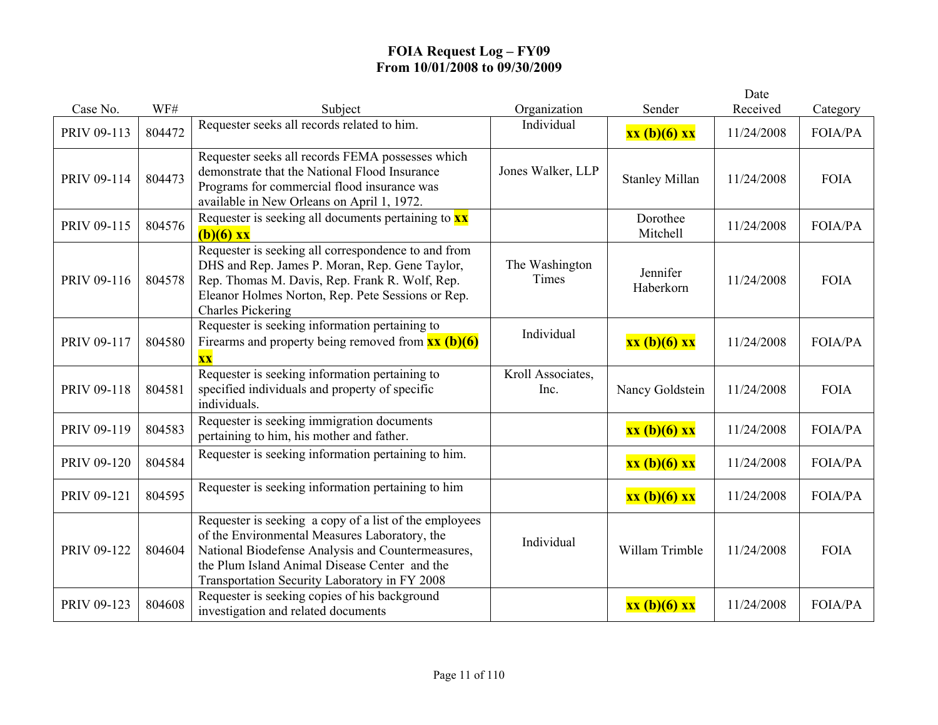|             |        |                                                                                                                                                                                                                                                                |                           |                       | Date       |                |
|-------------|--------|----------------------------------------------------------------------------------------------------------------------------------------------------------------------------------------------------------------------------------------------------------------|---------------------------|-----------------------|------------|----------------|
| Case No.    | WF#    | Subject                                                                                                                                                                                                                                                        | Organization              | Sender                | Received   | Category       |
| PRIV 09-113 | 804472 | Requester seeks all records related to him.                                                                                                                                                                                                                    | Individual                | xx (b)(6) xx          | 11/24/2008 | FOIA/PA        |
| PRIV 09-114 | 804473 | Requester seeks all records FEMA possesses which<br>demonstrate that the National Flood Insurance<br>Programs for commercial flood insurance was<br>available in New Orleans on April 1, 1972.                                                                 | Jones Walker, LLP         | <b>Stanley Millan</b> | 11/24/2008 | <b>FOIA</b>    |
| PRIV 09-115 | 804576 | Requester is seeking all documents pertaining to $\mathbf{x}\mathbf{x}$<br>$(b)(6)$ xx                                                                                                                                                                         |                           | Dorothee<br>Mitchell  | 11/24/2008 | <b>FOIA/PA</b> |
| PRIV 09-116 | 804578 | Requester is seeking all correspondence to and from<br>DHS and Rep. James P. Moran, Rep. Gene Taylor,<br>Rep. Thomas M. Davis, Rep. Frank R. Wolf, Rep.<br>Eleanor Holmes Norton, Rep. Pete Sessions or Rep.<br><b>Charles Pickering</b>                       | The Washington<br>Times   | Jennifer<br>Haberkorn | 11/24/2008 | <b>FOIA</b>    |
| PRIV 09-117 | 804580 | Requester is seeking information pertaining to<br>Firearms and property being removed from $\frac{xx}{(b)(6)}$<br>$\overline{\mathbf{XX}}$                                                                                                                     | Individual                | xx (b)(6) xx          | 11/24/2008 | <b>FOIA/PA</b> |
| PRIV 09-118 | 804581 | Requester is seeking information pertaining to<br>specified individuals and property of specific<br>individuals.                                                                                                                                               | Kroll Associates,<br>Inc. | Nancy Goldstein       | 11/24/2008 | <b>FOIA</b>    |
| PRIV 09-119 | 804583 | Requester is seeking immigration documents<br>pertaining to him, his mother and father.                                                                                                                                                                        |                           | xx (b)(6) xx          | 11/24/2008 | <b>FOIA/PA</b> |
| PRIV 09-120 | 804584 | Requester is seeking information pertaining to him.                                                                                                                                                                                                            |                           | xx (b)(6) xx          | 11/24/2008 | <b>FOIA/PA</b> |
| PRIV 09-121 | 804595 | Requester is seeking information pertaining to him                                                                                                                                                                                                             |                           | xx (b)(6) xx          | 11/24/2008 | <b>FOIA/PA</b> |
| PRIV 09-122 | 804604 | Requester is seeking a copy of a list of the employees<br>of the Environmental Measures Laboratory, the<br>National Biodefense Analysis and Countermeasures,<br>the Plum Island Animal Disease Center and the<br>Transportation Security Laboratory in FY 2008 | Individual                | Willam Trimble        | 11/24/2008 | <b>FOIA</b>    |
| PRIV 09-123 | 804608 | Requester is seeking copies of his background<br>investigation and related documents                                                                                                                                                                           |                           | xx (b)(6) xx          | 11/24/2008 | <b>FOIA/PA</b> |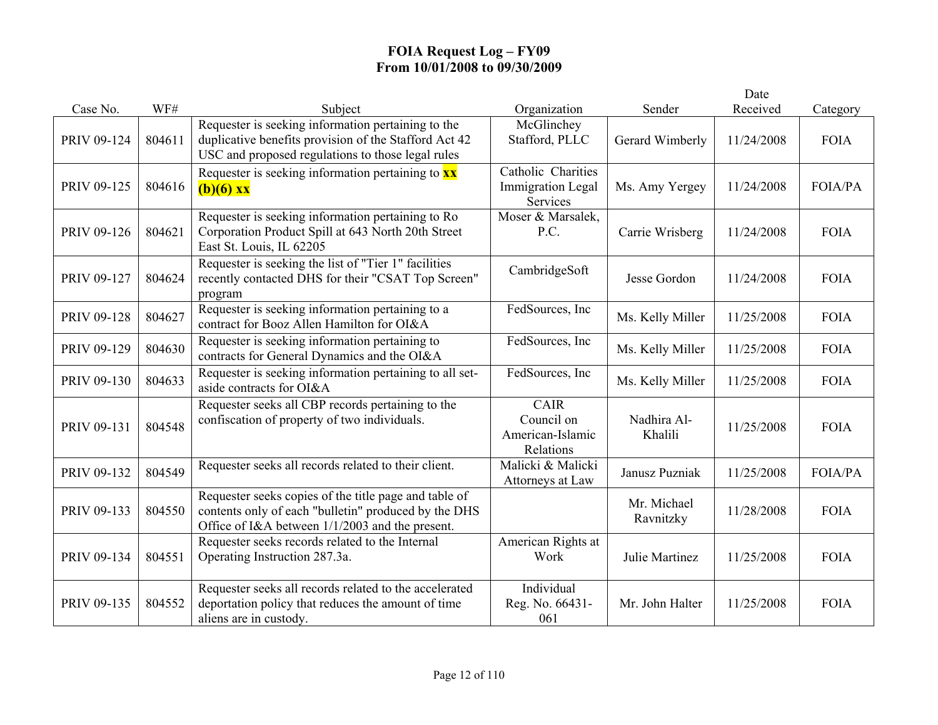|             |        |                                                                                                                                                                  |                                                            |                          | Date       |                |
|-------------|--------|------------------------------------------------------------------------------------------------------------------------------------------------------------------|------------------------------------------------------------|--------------------------|------------|----------------|
| Case No.    | WF#    | Subject                                                                                                                                                          | Organization                                               | Sender                   | Received   | Category       |
| PRIV 09-124 | 804611 | Requester is seeking information pertaining to the<br>duplicative benefits provision of the Stafford Act 42<br>USC and proposed regulations to those legal rules | McGlinchey<br>Stafford, PLLC                               | Gerard Wimberly          | 11/24/2008 | <b>FOIA</b>    |
| PRIV 09-125 | 804616 | Requester is seeking information pertaining to $\mathbf{x}\mathbf{x}$<br>$(b)(6)$ xx                                                                             | Catholic Charities<br><b>Immigration Legal</b><br>Services | Ms. Amy Yergey           | 11/24/2008 | <b>FOIA/PA</b> |
| PRIV 09-126 | 804621 | Requester is seeking information pertaining to Ro<br>Corporation Product Spill at 643 North 20th Street<br>East St. Louis, IL 62205                              | Moser & Marsalek,<br>P.C.                                  | Carrie Wrisberg          | 11/24/2008 | <b>FOIA</b>    |
| PRIV 09-127 | 804624 | Requester is seeking the list of "Tier 1" facilities<br>recently contacted DHS for their "CSAT Top Screen"<br>program                                            | CambridgeSoft                                              | Jesse Gordon             | 11/24/2008 | <b>FOIA</b>    |
| PRIV 09-128 | 804627 | Requester is seeking information pertaining to a<br>contract for Booz Allen Hamilton for OI&A                                                                    | FedSources, Inc.                                           | Ms. Kelly Miller         | 11/25/2008 | <b>FOIA</b>    |
| PRIV 09-129 | 804630 | Requester is seeking information pertaining to<br>contracts for General Dynamics and the OI&A                                                                    | FedSources, Inc                                            | Ms. Kelly Miller         | 11/25/2008 | <b>FOIA</b>    |
| PRIV 09-130 | 804633 | Requester is seeking information pertaining to all set-<br>aside contracts for OI&A                                                                              | FedSources, Inc                                            | Ms. Kelly Miller         | 11/25/2008 | <b>FOIA</b>    |
| PRIV 09-131 | 804548 | Requester seeks all CBP records pertaining to the<br>confiscation of property of two individuals.                                                                | <b>CAIR</b><br>Council on<br>American-Islamic<br>Relations | Nadhira Al-<br>Khalili   | 11/25/2008 | <b>FOIA</b>    |
| PRIV 09-132 | 804549 | Requester seeks all records related to their client.                                                                                                             | Malicki & Malicki<br>Attorneys at Law                      | Janusz Puzniak           | 11/25/2008 | <b>FOIA/PA</b> |
| PRIV 09-133 | 804550 | Requester seeks copies of the title page and table of<br>contents only of each "bulletin" produced by the DHS<br>Office of I&A between 1/1/2003 and the present. |                                                            | Mr. Michael<br>Ravnitzky | 11/28/2008 | <b>FOIA</b>    |
| PRIV 09-134 | 804551 | Requester seeks records related to the Internal<br>Operating Instruction 287.3a.                                                                                 | American Rights at<br>Work                                 | Julie Martinez           | 11/25/2008 | <b>FOIA</b>    |
| PRIV 09-135 | 804552 | Requester seeks all records related to the accelerated<br>deportation policy that reduces the amount of time<br>aliens are in custody.                           | Individual<br>Reg. No. 66431-<br>061                       | Mr. John Halter          | 11/25/2008 | <b>FOIA</b>    |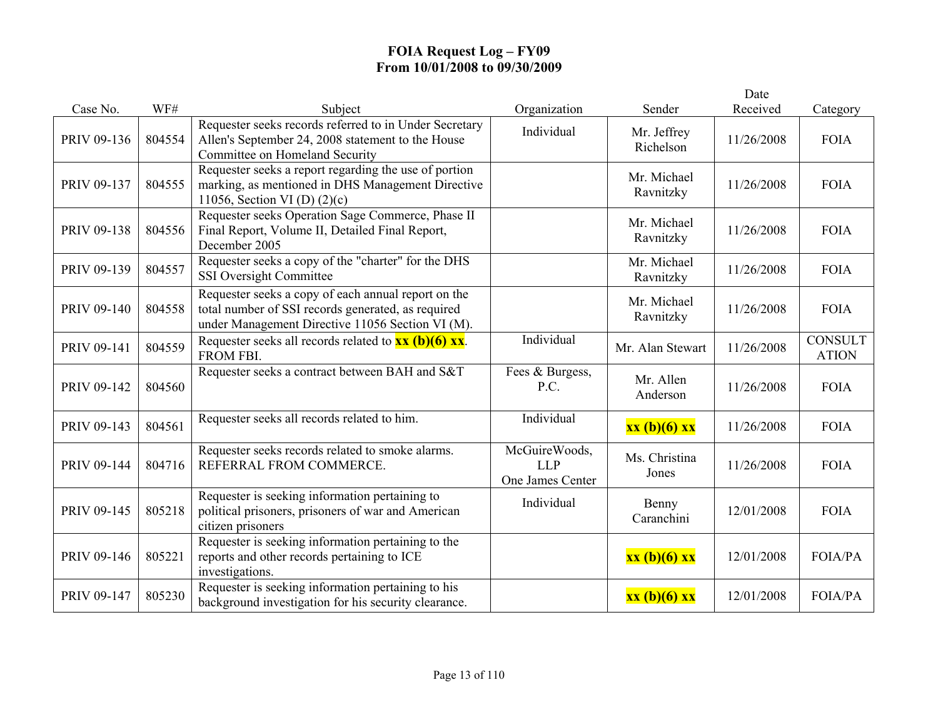|             |        |                                                                                                                                                               |                                                 |                          | Date       |                                |
|-------------|--------|---------------------------------------------------------------------------------------------------------------------------------------------------------------|-------------------------------------------------|--------------------------|------------|--------------------------------|
| Case No.    | WF#    | Subject                                                                                                                                                       | Organization                                    | Sender                   | Received   | Category                       |
| PRIV 09-136 | 804554 | Requester seeks records referred to in Under Secretary<br>Allen's September 24, 2008 statement to the House<br>Committee on Homeland Security                 | Individual                                      | Mr. Jeffrey<br>Richelson | 11/26/2008 | <b>FOIA</b>                    |
| PRIV 09-137 | 804555 | Requester seeks a report regarding the use of portion<br>marking, as mentioned in DHS Management Directive<br>11056, Section VI (D) $(2)(c)$                  |                                                 | Mr. Michael<br>Ravnitzky | 11/26/2008 | <b>FOIA</b>                    |
| PRIV 09-138 | 804556 | Requester seeks Operation Sage Commerce, Phase II<br>Final Report, Volume II, Detailed Final Report,<br>December 2005                                         |                                                 | Mr. Michael<br>Ravnitzky | 11/26/2008 | <b>FOIA</b>                    |
| PRIV 09-139 | 804557 | Requester seeks a copy of the "charter" for the DHS<br><b>SSI Oversight Committee</b>                                                                         |                                                 | Mr. Michael<br>Ravnitzky | 11/26/2008 | <b>FOIA</b>                    |
| PRIV 09-140 | 804558 | Requester seeks a copy of each annual report on the<br>total number of SSI records generated, as required<br>under Management Directive 11056 Section VI (M). |                                                 | Mr. Michael<br>Ravnitzky | 11/26/2008 | <b>FOIA</b>                    |
| PRIV 09-141 | 804559 | Requester seeks all records related to $\overline{\mathbf{xx}}$ (b)(6) $\overline{\mathbf{xx}}$ .<br>FROM FBI.                                                | Individual                                      | Mr. Alan Stewart         | 11/26/2008 | <b>CONSULT</b><br><b>ATION</b> |
| PRIV 09-142 | 804560 | Requester seeks a contract between BAH and S&T                                                                                                                | Fees & Burgess,<br>P.C.                         | Mr. Allen<br>Anderson    | 11/26/2008 | <b>FOIA</b>                    |
| PRIV 09-143 | 804561 | Requester seeks all records related to him.                                                                                                                   | Individual                                      | xx (b)(6) xx             | 11/26/2008 | <b>FOIA</b>                    |
| PRIV 09-144 | 804716 | Requester seeks records related to smoke alarms.<br>REFERRAL FROM COMMERCE.                                                                                   | McGuireWoods,<br><b>LLP</b><br>One James Center | Ms. Christina<br>Jones   | 11/26/2008 | <b>FOIA</b>                    |
| PRIV 09-145 | 805218 | Requester is seeking information pertaining to<br>political prisoners, prisoners of war and American<br>citizen prisoners                                     | Individual                                      | Benny<br>Caranchini      | 12/01/2008 | <b>FOIA</b>                    |
| PRIV 09-146 | 805221 | Requester is seeking information pertaining to the<br>reports and other records pertaining to ICE<br>investigations.                                          |                                                 | xx (b)(6) xx             | 12/01/2008 | <b>FOIA/PA</b>                 |
| PRIV 09-147 | 805230 | Requester is seeking information pertaining to his<br>background investigation for his security clearance.                                                    |                                                 | $xx(b)(6)$ $xx$          | 12/01/2008 | <b>FOIA/PA</b>                 |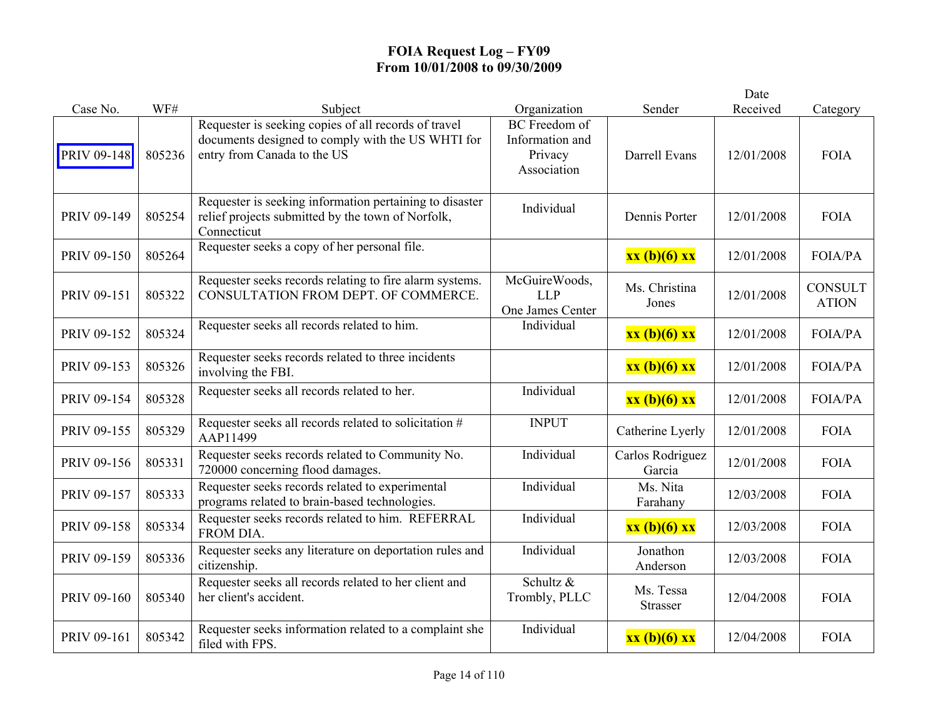|             |        |                                                                                                                                          |                                                                   |                              | Date       |                                |
|-------------|--------|------------------------------------------------------------------------------------------------------------------------------------------|-------------------------------------------------------------------|------------------------------|------------|--------------------------------|
| Case No.    | WF#    | Subject                                                                                                                                  | Organization                                                      | Sender                       | Received   | Category                       |
| PRIV 09-148 | 805236 | Requester is seeking copies of all records of travel<br>documents designed to comply with the US WHTI for<br>entry from Canada to the US | <b>BC</b> Freedom of<br>Information and<br>Privacy<br>Association | Darrell Evans                | 12/01/2008 | <b>FOIA</b>                    |
| PRIV 09-149 | 805254 | Requester is seeking information pertaining to disaster<br>relief projects submitted by the town of Norfolk,<br>Connecticut              | Individual                                                        | Dennis Porter                | 12/01/2008 | <b>FOIA</b>                    |
| PRIV 09-150 | 805264 | Requester seeks a copy of her personal file.                                                                                             |                                                                   | xx (b)(6) xx                 | 12/01/2008 | <b>FOIA/PA</b>                 |
| PRIV 09-151 | 805322 | Requester seeks records relating to fire alarm systems.<br>CONSULTATION FROM DEPT. OF COMMERCE.                                          | McGuireWoods,<br><b>LLP</b><br>One James Center                   | Ms. Christina<br>Jones       | 12/01/2008 | <b>CONSULT</b><br><b>ATION</b> |
| PRIV 09-152 | 805324 | Requester seeks all records related to him.                                                                                              | Individual                                                        | xx (b)(6) xx                 | 12/01/2008 | FOIA/PA                        |
| PRIV 09-153 | 805326 | Requester seeks records related to three incidents<br>involving the FBI.                                                                 |                                                                   | xx (b)(6) xx                 | 12/01/2008 | FOIA/PA                        |
| PRIV 09-154 | 805328 | Requester seeks all records related to her.                                                                                              | Individual                                                        | xx (b)(6) xx                 | 12/01/2008 | FOIA/PA                        |
| PRIV 09-155 | 805329 | Requester seeks all records related to solicitation #<br>AAP11499                                                                        | <b>INPUT</b>                                                      | Catherine Lyerly             | 12/01/2008 | <b>FOIA</b>                    |
| PRIV 09-156 | 805331 | Requester seeks records related to Community No.<br>720000 concerning flood damages.                                                     | Individual                                                        | Carlos Rodriguez<br>Garcia   | 12/01/2008 | <b>FOIA</b>                    |
| PRIV 09-157 | 805333 | Requester seeks records related to experimental<br>programs related to brain-based technologies.                                         | Individual                                                        | Ms. Nita<br>Farahany         | 12/03/2008 | <b>FOIA</b>                    |
| PRIV 09-158 | 805334 | Requester seeks records related to him. REFERRAL<br>FROM DIA.                                                                            | Individual                                                        | xx (b)(6) xx                 | 12/03/2008 | <b>FOIA</b>                    |
| PRIV 09-159 | 805336 | Requester seeks any literature on deportation rules and<br>citizenship.                                                                  | Individual                                                        | Jonathon<br>Anderson         | 12/03/2008 | <b>FOIA</b>                    |
| PRIV 09-160 | 805340 | Requester seeks all records related to her client and<br>her client's accident.                                                          | Schultz &<br>Trombly, PLLC                                        | Ms. Tessa<br><b>Strasser</b> | 12/04/2008 | <b>FOIA</b>                    |
| PRIV 09-161 | 805342 | Requester seeks information related to a complaint she<br>filed with FPS.                                                                | Individual                                                        | xx (b)(6) xx                 | 12/04/2008 | <b>FOIA</b>                    |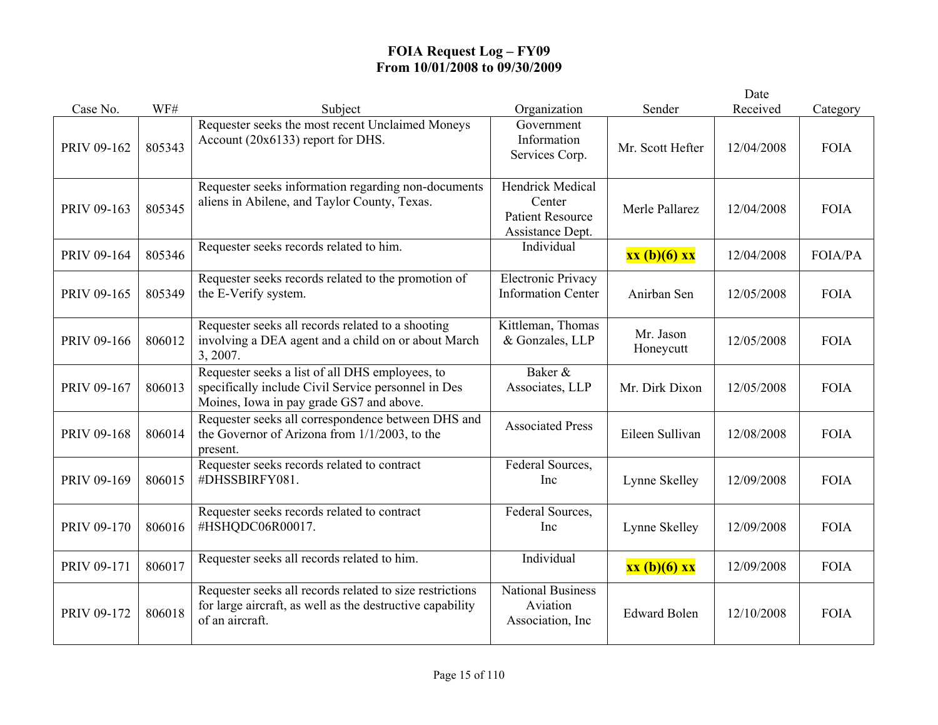|             |        |                                                                                                                                                    |                                                                                  |                        | Date       |                |
|-------------|--------|----------------------------------------------------------------------------------------------------------------------------------------------------|----------------------------------------------------------------------------------|------------------------|------------|----------------|
| Case No.    | WF#    | Subject                                                                                                                                            | Organization                                                                     | Sender                 | Received   | Category       |
| PRIV 09-162 | 805343 | Requester seeks the most recent Unclaimed Moneys<br>Account (20x6133) report for DHS.                                                              | Government<br>Information<br>Services Corp.                                      | Mr. Scott Hefter       | 12/04/2008 | <b>FOIA</b>    |
| PRIV 09-163 | 805345 | Requester seeks information regarding non-documents<br>aliens in Abilene, and Taylor County, Texas.                                                | <b>Hendrick Medical</b><br>Center<br><b>Patient Resource</b><br>Assistance Dept. | Merle Pallarez         | 12/04/2008 | <b>FOIA</b>    |
| PRIV 09-164 | 805346 | Requester seeks records related to him.                                                                                                            | Individual                                                                       | xx (b)(6) xx           | 12/04/2008 | <b>FOIA/PA</b> |
| PRIV 09-165 | 805349 | Requester seeks records related to the promotion of<br>the E-Verify system.                                                                        | <b>Electronic Privacy</b><br><b>Information Center</b>                           | Anirban Sen            | 12/05/2008 | <b>FOIA</b>    |
| PRIV 09-166 | 806012 | Requester seeks all records related to a shooting<br>involving a DEA agent and a child on or about March<br>3, 2007.                               | Kittleman, Thomas<br>& Gonzales, LLP                                             | Mr. Jason<br>Honeycutt | 12/05/2008 | <b>FOIA</b>    |
| PRIV 09-167 | 806013 | Requester seeks a list of all DHS employees, to<br>specifically include Civil Service personnel in Des<br>Moines, Iowa in pay grade GS7 and above. | Baker &<br>Associates, LLP                                                       | Mr. Dirk Dixon         | 12/05/2008 | <b>FOIA</b>    |
| PRIV 09-168 | 806014 | Requester seeks all correspondence between DHS and<br>the Governor of Arizona from 1/1/2003, to the<br>present.                                    | <b>Associated Press</b>                                                          | Eileen Sullivan        | 12/08/2008 | <b>FOIA</b>    |
| PRIV 09-169 | 806015 | Requester seeks records related to contract<br>#DHSSBIRFY081.                                                                                      | Federal Sources,<br>Inc                                                          | Lynne Skelley          | 12/09/2008 | <b>FOIA</b>    |
| PRIV 09-170 | 806016 | Requester seeks records related to contract<br>#HSHQDC06R00017.                                                                                    | Federal Sources,<br>Inc                                                          | Lynne Skelley          | 12/09/2008 | <b>FOIA</b>    |
| PRIV 09-171 | 806017 | Requester seeks all records related to him.                                                                                                        | Individual                                                                       | xx (b)(6) xx           | 12/09/2008 | <b>FOIA</b>    |
| PRIV 09-172 | 806018 | Requester seeks all records related to size restrictions<br>for large aircraft, as well as the destructive capability<br>of an aircraft.           | <b>National Business</b><br>Aviation<br>Association, Inc.                        | <b>Edward Bolen</b>    | 12/10/2008 | <b>FOIA</b>    |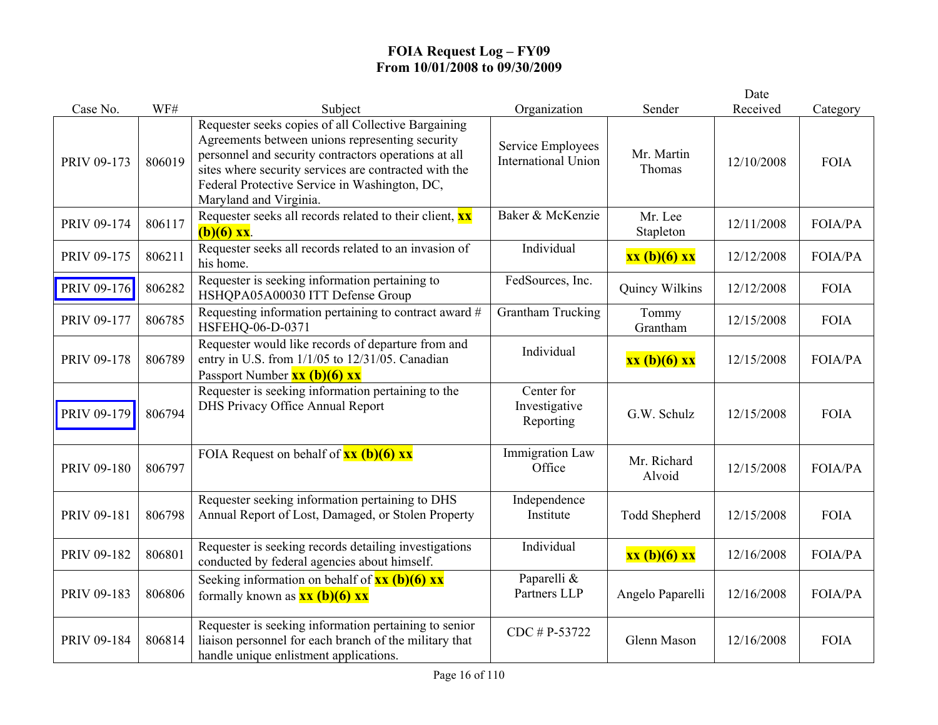|             |        |                                                                                                                                                                                                                                                                                                    |                                                 |                       | Date       |                |
|-------------|--------|----------------------------------------------------------------------------------------------------------------------------------------------------------------------------------------------------------------------------------------------------------------------------------------------------|-------------------------------------------------|-----------------------|------------|----------------|
| Case No.    | WF#    | Subject                                                                                                                                                                                                                                                                                            | Organization                                    | Sender                | Received   | Category       |
| PRIV 09-173 | 806019 | Requester seeks copies of all Collective Bargaining<br>Agreements between unions representing security<br>personnel and security contractors operations at all<br>sites where security services are contracted with the<br>Federal Protective Service in Washington, DC,<br>Maryland and Virginia. | Service Employees<br><b>International Union</b> | Mr. Martin<br>Thomas  | 12/10/2008 | <b>FOIA</b>    |
| PRIV 09-174 | 806117 | Requester seeks all records related to their client, $\mathbf{x} \mathbf{x}$<br>$(b)(6)$ xx.                                                                                                                                                                                                       | Baker & McKenzie                                | Mr. Lee<br>Stapleton  | 12/11/2008 | FOIA/PA        |
| PRIV 09-175 | 806211 | Requester seeks all records related to an invasion of<br>his home.                                                                                                                                                                                                                                 | Individual                                      | xx (b)(6) xx          | 12/12/2008 | <b>FOIA/PA</b> |
| PRIV 09-176 | 806282 | Requester is seeking information pertaining to<br>HSHQPA05A00030 ITT Defense Group                                                                                                                                                                                                                 | FedSources, Inc.                                | Quincy Wilkins        | 12/12/2008 | <b>FOIA</b>    |
| PRIV 09-177 | 806785 | Requesting information pertaining to contract award #<br>HSFEHQ-06-D-0371                                                                                                                                                                                                                          | <b>Grantham Trucking</b>                        | Tommy<br>Grantham     | 12/15/2008 | <b>FOIA</b>    |
| PRIV 09-178 | 806789 | Requester would like records of departure from and<br>entry in U.S. from 1/1/05 to 12/31/05. Canadian<br>Passport Number $\overline{\mathbf{xx}(\mathbf{b})(6) \mathbf{xx}}$                                                                                                                       | Individual                                      | xx (b)(6) xx          | 12/15/2008 | FOIA/PA        |
| PRIV 09-179 | 806794 | Requester is seeking information pertaining to the<br>DHS Privacy Office Annual Report                                                                                                                                                                                                             | Center for<br>Investigative<br>Reporting        | G.W. Schulz           | 12/15/2008 | <b>FOIA</b>    |
| PRIV 09-180 | 806797 | FOIA Request on behalf of $xx$ (b)(6) $xx$                                                                                                                                                                                                                                                         | <b>Immigration Law</b><br>Office                | Mr. Richard<br>Alvoid | 12/15/2008 | <b>FOIA/PA</b> |
| PRIV 09-181 | 806798 | Requester seeking information pertaining to DHS<br>Annual Report of Lost, Damaged, or Stolen Property                                                                                                                                                                                              | Independence<br>Institute                       | Todd Shepherd         | 12/15/2008 | <b>FOIA</b>    |
| PRIV 09-182 | 806801 | Requester is seeking records detailing investigations<br>conducted by federal agencies about himself.                                                                                                                                                                                              | Individual                                      | xx (b)(6) xx          | 12/16/2008 | <b>FOIA/PA</b> |
| PRIV 09-183 | 806806 | Seeking information on behalf of $xx (b)(6) xx$<br>formally known as $\frac{\mathbf{x} \times (\mathbf{b})(6) \mathbf{x} \times (\mathbf{b})(7)}{2 \mathbf{x} \times (\mathbf{b})(7)}$                                                                                                             | Paparelli &<br>Partners LLP                     | Angelo Paparelli      | 12/16/2008 | FOIA/PA        |
| PRIV 09-184 | 806814 | Requester is seeking information pertaining to senior<br>liaison personnel for each branch of the military that<br>handle unique enlistment applications.                                                                                                                                          | CDC # P-53722                                   | Glenn Mason           | 12/16/2008 | <b>FOIA</b>    |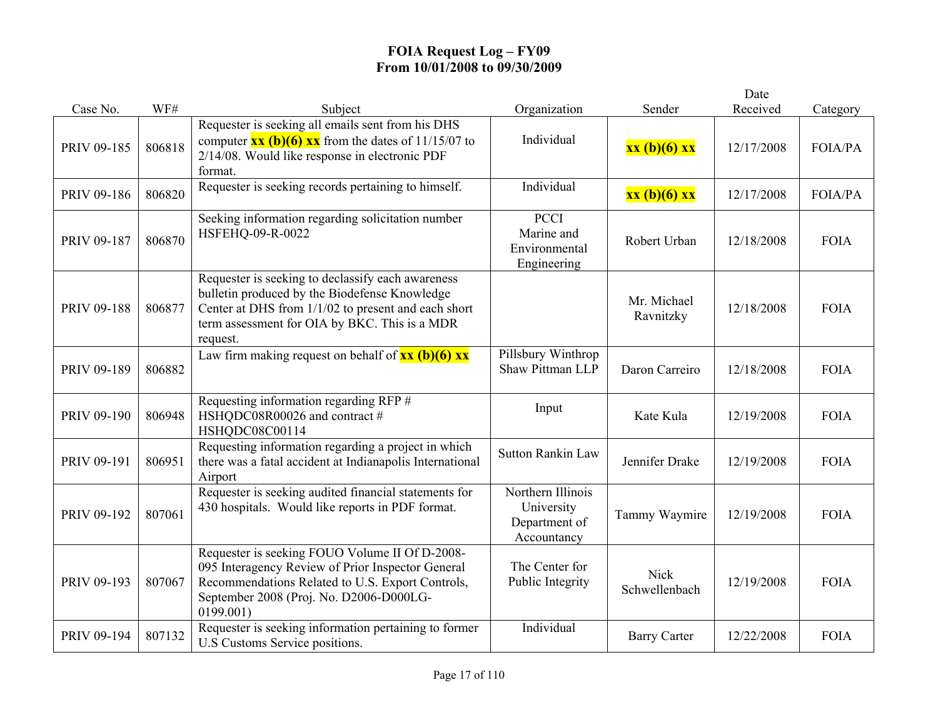|             |        |                                                                                                                                                                                                                        |                                                                 |                              | Date       |                |
|-------------|--------|------------------------------------------------------------------------------------------------------------------------------------------------------------------------------------------------------------------------|-----------------------------------------------------------------|------------------------------|------------|----------------|
| Case No.    | WF#    | Subject                                                                                                                                                                                                                | Organization                                                    | Sender                       | Received   | Category       |
| PRIV 09-185 | 806818 | Requester is seeking all emails sent from his DHS<br>computer $\frac{xx(b)(6)xx}{x}$ from the dates of 11/15/07 to<br>2/14/08. Would like response in electronic PDF<br>format.                                        | Individual                                                      | xx (b)(6) xx                 | 12/17/2008 | FOIA/PA        |
| PRIV 09-186 | 806820 | Requester is seeking records pertaining to himself.                                                                                                                                                                    | Individual                                                      | xx (b)(6) xx                 | 12/17/2008 | <b>FOIA/PA</b> |
| PRIV 09-187 | 806870 | Seeking information regarding solicitation number<br>HSFEHQ-09-R-0022                                                                                                                                                  | PCCI<br>Marine and<br>Environmental<br>Engineering              | Robert Urban                 | 12/18/2008 | <b>FOIA</b>    |
| PRIV 09-188 | 806877 | Requester is seeking to declassify each awareness<br>bulletin produced by the Biodefense Knowledge<br>Center at DHS from 1/1/02 to present and each short<br>term assessment for OIA by BKC. This is a MDR<br>request. |                                                                 | Mr. Michael<br>Ravnitzky     | 12/18/2008 | <b>FOIA</b>    |
| PRIV 09-189 | 806882 | Law firm making request on behalf of $\frac{xx}{(b)(6)}$ $\frac{xx}{(b)}$                                                                                                                                              | Pillsbury Winthrop<br>Shaw Pittman LLP                          | Daron Carreiro               | 12/18/2008 | <b>FOIA</b>    |
| PRIV 09-190 | 806948 | Requesting information regarding RFP #<br>HSHQDC08R00026 and contract #<br>HSHQDC08C00114                                                                                                                              | Input                                                           | Kate Kula                    | 12/19/2008 | <b>FOIA</b>    |
| PRIV 09-191 | 806951 | Requesting information regarding a project in which<br>there was a fatal accident at Indianapolis International<br>Airport                                                                                             | <b>Sutton Rankin Law</b>                                        | Jennifer Drake               | 12/19/2008 | <b>FOIA</b>    |
| PRIV 09-192 | 807061 | Requester is seeking audited financial statements for<br>430 hospitals. Would like reports in PDF format.                                                                                                              | Northern Illinois<br>University<br>Department of<br>Accountancy | Tammy Waymire                | 12/19/2008 | <b>FOIA</b>    |
| PRIV 09-193 | 807067 | Requester is seeking FOUO Volume II Of D-2008-<br>095 Interagency Review of Prior Inspector General<br>Recommendations Related to U.S. Export Controls,<br>September 2008 (Proj. No. D2006-D000LG-<br>0199.001)        | The Center for<br>Public Integrity                              | <b>Nick</b><br>Schwellenbach | 12/19/2008 | <b>FOIA</b>    |
| PRIV 09-194 | 807132 | Requester is seeking information pertaining to former<br>U.S Customs Service positions.                                                                                                                                | Individual                                                      | <b>Barry Carter</b>          | 12/22/2008 | <b>FOIA</b>    |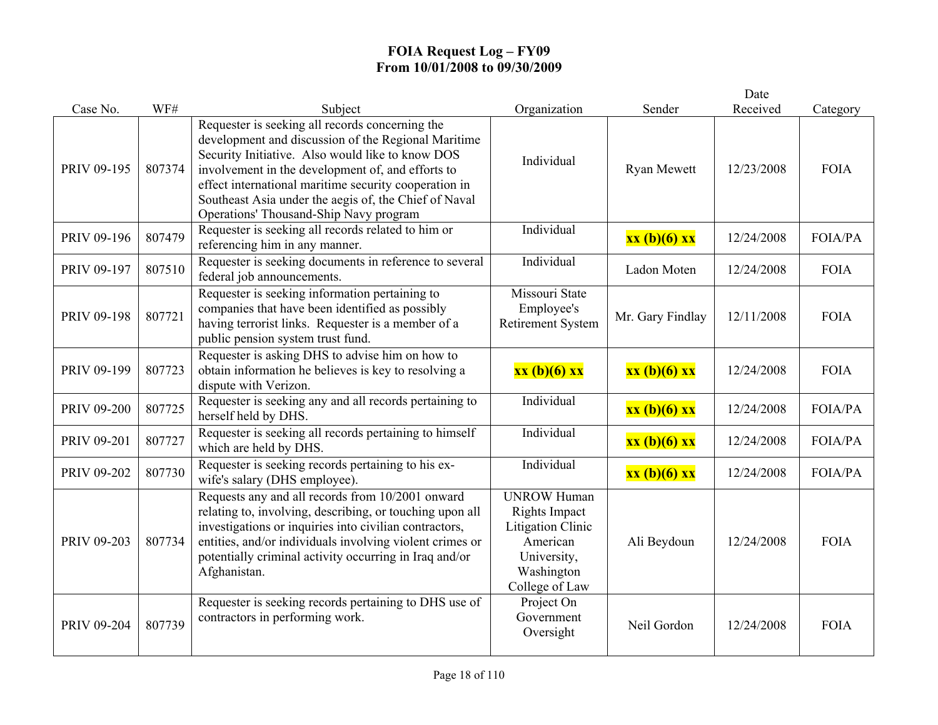|             |        |                                                                                                                                                                                                                                                                                                                                                                             |                                                                                                                            |                  | Date       |             |
|-------------|--------|-----------------------------------------------------------------------------------------------------------------------------------------------------------------------------------------------------------------------------------------------------------------------------------------------------------------------------------------------------------------------------|----------------------------------------------------------------------------------------------------------------------------|------------------|------------|-------------|
| Case No.    | WF#    | Subject                                                                                                                                                                                                                                                                                                                                                                     | Organization                                                                                                               | Sender           | Received   | Category    |
| PRIV 09-195 | 807374 | Requester is seeking all records concerning the<br>development and discussion of the Regional Maritime<br>Security Initiative. Also would like to know DOS<br>involvement in the development of, and efforts to<br>effect international maritime security cooperation in<br>Southeast Asia under the aegis of, the Chief of Naval<br>Operations' Thousand-Ship Navy program | Individual                                                                                                                 | Ryan Mewett      | 12/23/2008 | <b>FOIA</b> |
| PRIV 09-196 | 807479 | Requester is seeking all records related to him or<br>referencing him in any manner.                                                                                                                                                                                                                                                                                        | Individual                                                                                                                 | xx (b)(6) xx     | 12/24/2008 | FOIA/PA     |
| PRIV 09-197 | 807510 | Requester is seeking documents in reference to several<br>federal job announcements.                                                                                                                                                                                                                                                                                        | Individual                                                                                                                 | Ladon Moten      | 12/24/2008 | <b>FOIA</b> |
| PRIV 09-198 | 807721 | Requester is seeking information pertaining to<br>companies that have been identified as possibly<br>having terrorist links. Requester is a member of a<br>public pension system trust fund.                                                                                                                                                                                | Missouri State<br>Employee's<br>Retirement System                                                                          | Mr. Gary Findlay | 12/11/2008 | <b>FOIA</b> |
| PRIV 09-199 | 807723 | Requester is asking DHS to advise him on how to<br>obtain information he believes is key to resolving a<br>dispute with Verizon.                                                                                                                                                                                                                                            | xx (b)(6) xx                                                                                                               | xx (b)(6) xx     | 12/24/2008 | <b>FOIA</b> |
| PRIV 09-200 | 807725 | Requester is seeking any and all records pertaining to<br>herself held by DHS.                                                                                                                                                                                                                                                                                              | Individual                                                                                                                 | xx (b)(6) xx     | 12/24/2008 | FOIA/PA     |
| PRIV 09-201 | 807727 | Requester is seeking all records pertaining to himself<br>which are held by DHS.                                                                                                                                                                                                                                                                                            | Individual                                                                                                                 | xx (b)(6) xx     | 12/24/2008 | FOIA/PA     |
| PRIV 09-202 | 807730 | Requester is seeking records pertaining to his ex-<br>wife's salary (DHS employee).                                                                                                                                                                                                                                                                                         | Individual                                                                                                                 | xx (b)(6) xx     | 12/24/2008 | FOIA/PA     |
| PRIV 09-203 | 807734 | Requests any and all records from 10/2001 onward<br>relating to, involving, describing, or touching upon all<br>investigations or inquiries into civilian contractors,<br>entities, and/or individuals involving violent crimes or<br>potentially criminal activity occurring in Iraq and/or<br>Afghanistan.                                                                | <b>UNROW Human</b><br>Rights Impact<br><b>Litigation Clinic</b><br>American<br>University,<br>Washington<br>College of Law | Ali Beydoun      | 12/24/2008 | <b>FOIA</b> |
| PRIV 09-204 | 807739 | Requester is seeking records pertaining to DHS use of<br>contractors in performing work.                                                                                                                                                                                                                                                                                    | Project On<br>Government<br>Oversight                                                                                      | Neil Gordon      | 12/24/2008 | <b>FOIA</b> |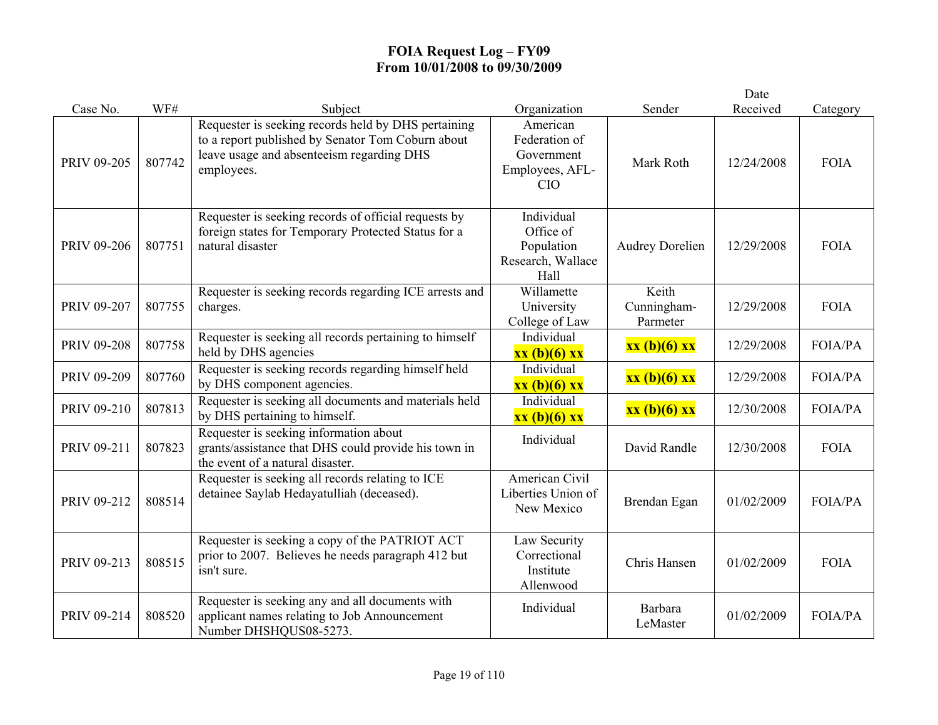|             |        |                                                                                                                                                                     |                                                                          |                                  | Date       |                |
|-------------|--------|---------------------------------------------------------------------------------------------------------------------------------------------------------------------|--------------------------------------------------------------------------|----------------------------------|------------|----------------|
| Case No.    | WF#    | Subject                                                                                                                                                             | Organization                                                             | Sender                           | Received   | Category       |
| PRIV 09-205 | 807742 | Requester is seeking records held by DHS pertaining<br>to a report published by Senator Tom Coburn about<br>leave usage and absenteeism regarding DHS<br>employees. | American<br>Federation of<br>Government<br>Employees, AFL-<br><b>CIO</b> | Mark Roth                        | 12/24/2008 | <b>FOIA</b>    |
| PRIV 09-206 | 807751 | Requester is seeking records of official requests by<br>foreign states for Temporary Protected Status for a<br>natural disaster                                     | Individual<br>Office of<br>Population<br>Research, Wallace<br>Hall       | <b>Audrey Dorelien</b>           | 12/29/2008 | <b>FOIA</b>    |
| PRIV 09-207 | 807755 | Requester is seeking records regarding ICE arrests and<br>charges.                                                                                                  | Willamette<br>University<br>College of Law                               | Keith<br>Cunningham-<br>Parmeter | 12/29/2008 | <b>FOIA</b>    |
| PRIV 09-208 | 807758 | Requester is seeking all records pertaining to himself<br>held by DHS agencies                                                                                      | Individual<br>$xx(b)(6)$ $xx$                                            | xx (b)(6) xx                     | 12/29/2008 | FOIA/PA        |
| PRIV 09-209 | 807760 | Requester is seeking records regarding himself held<br>by DHS component agencies.                                                                                   | Individual<br>xx (b)(6) xx                                               | xx (b)(6) xx                     | 12/29/2008 | <b>FOIA/PA</b> |
| PRIV 09-210 | 807813 | Requester is seeking all documents and materials held<br>by DHS pertaining to himself.                                                                              | Individual<br>xx (b)(6) xx                                               | xx (b)(6) xx                     | 12/30/2008 | <b>FOIA/PA</b> |
| PRIV 09-211 | 807823 | Requester is seeking information about<br>grants/assistance that DHS could provide his town in<br>the event of a natural disaster.                                  | Individual                                                               | David Randle                     | 12/30/2008 | <b>FOIA</b>    |
| PRIV 09-212 | 808514 | Requester is seeking all records relating to ICE<br>detainee Saylab Hedayatulliah (deceased).                                                                       | American Civil<br>Liberties Union of<br>New Mexico                       | Brendan Egan                     | 01/02/2009 | FOIA/PA        |
| PRIV 09-213 | 808515 | Requester is seeking a copy of the PATRIOT ACT<br>prior to 2007. Believes he needs paragraph 412 but<br>isn't sure.                                                 | Law Security<br>Correctional<br>Institute<br>Allenwood                   | Chris Hansen                     | 01/02/2009 | <b>FOIA</b>    |
| PRIV 09-214 | 808520 | Requester is seeking any and all documents with<br>applicant names relating to Job Announcement<br>Number DHSHQUS08-5273.                                           | Individual                                                               | Barbara<br>LeMaster              | 01/02/2009 | <b>FOIA/PA</b> |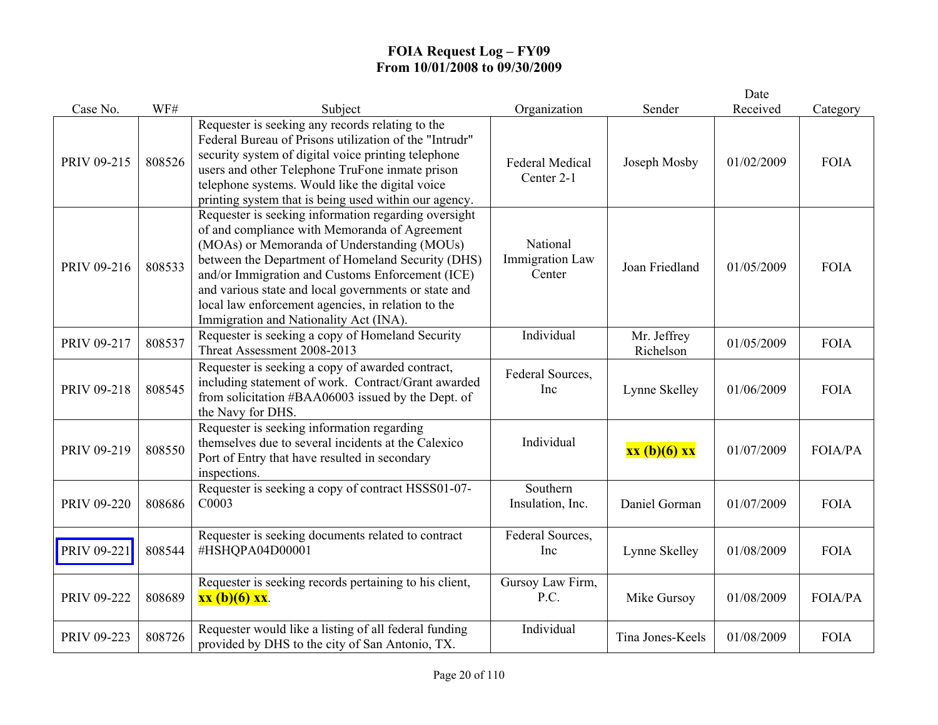|             |        |                                                                                                                                                                                                                                                                                                                                                                                                                       |                                              |                          | Date       |                |
|-------------|--------|-----------------------------------------------------------------------------------------------------------------------------------------------------------------------------------------------------------------------------------------------------------------------------------------------------------------------------------------------------------------------------------------------------------------------|----------------------------------------------|--------------------------|------------|----------------|
| Case No.    | WF#    | Subject                                                                                                                                                                                                                                                                                                                                                                                                               | Organization                                 | Sender                   | Received   | Category       |
| PRIV 09-215 | 808526 | Requester is seeking any records relating to the<br>Federal Bureau of Prisons utilization of the "Intrudr"<br>security system of digital voice printing telephone<br>users and other Telephone TruFone inmate prison<br>telephone systems. Would like the digital voice<br>printing system that is being used within our agency.                                                                                      | <b>Federal Medical</b><br>Center 2-1         | Joseph Mosby             | 01/02/2009 | <b>FOIA</b>    |
| PRIV 09-216 | 808533 | Requester is seeking information regarding oversight<br>of and compliance with Memoranda of Agreement<br>(MOAs) or Memoranda of Understanding (MOUs)<br>between the Department of Homeland Security (DHS)<br>and/or Immigration and Customs Enforcement (ICE)<br>and various state and local governments or state and<br>local law enforcement agencies, in relation to the<br>Immigration and Nationality Act (INA). | National<br><b>Immigration Law</b><br>Center | Joan Friedland           | 01/05/2009 | <b>FOIA</b>    |
| PRIV 09-217 | 808537 | Requester is seeking a copy of Homeland Security<br>Threat Assessment 2008-2013                                                                                                                                                                                                                                                                                                                                       | Individual                                   | Mr. Jeffrey<br>Richelson | 01/05/2009 | <b>FOIA</b>    |
| PRIV 09-218 | 808545 | Requester is seeking a copy of awarded contract,<br>including statement of work. Contract/Grant awarded<br>from solicitation #BAA06003 issued by the Dept. of<br>the Navy for DHS.                                                                                                                                                                                                                                    | Federal Sources,<br>Inc                      | Lynne Skelley            | 01/06/2009 | <b>FOIA</b>    |
| PRIV 09-219 | 808550 | Requester is seeking information regarding<br>themselves due to several incidents at the Calexico<br>Port of Entry that have resulted in secondary<br>inspections.                                                                                                                                                                                                                                                    | Individual                                   | xx (b)(6) xx             | 01/07/2009 | <b>FOIA/PA</b> |
| PRIV 09-220 | 808686 | Requester is seeking a copy of contract HSSS01-07-<br>C0003                                                                                                                                                                                                                                                                                                                                                           | Southern<br>Insulation, Inc.                 | Daniel Gorman            | 01/07/2009 | <b>FOIA</b>    |
| PRIV 09-221 | 808544 | Requester is seeking documents related to contract<br>#HSHQPA04D00001                                                                                                                                                                                                                                                                                                                                                 | Federal Sources,<br>Inc                      | Lynne Skelley            | 01/08/2009 | <b>FOIA</b>    |
| PRIV 09-222 | 808689 | Requester is seeking records pertaining to his client,<br>$\mathbf{X} \mathbf{X}$ (b)(6) $\mathbf{X} \mathbf{X}$ .                                                                                                                                                                                                                                                                                                    | Gursoy Law Firm,<br>P.C.                     | Mike Gursoy              | 01/08/2009 | FOIA/PA        |
| PRIV 09-223 | 808726 | Requester would like a listing of all federal funding<br>provided by DHS to the city of San Antonio, TX.                                                                                                                                                                                                                                                                                                              | Individual                                   | Tina Jones-Keels         | 01/08/2009 | <b>FOIA</b>    |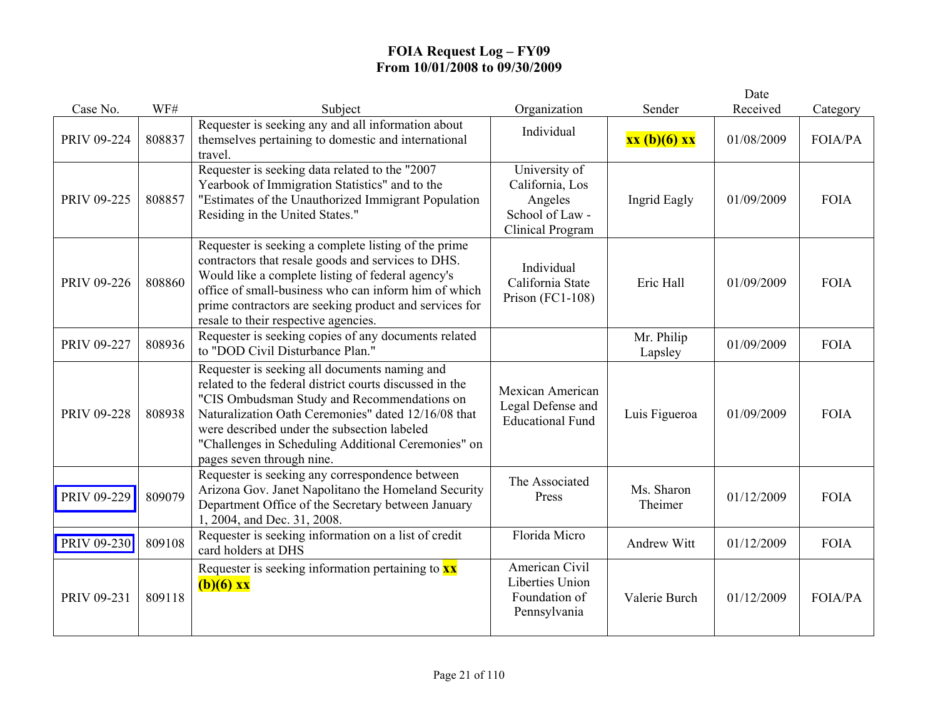|             |        |                                                                                                                                                                                                                                                                                                                                                   |                                                                                    |                       | Date       |                |
|-------------|--------|---------------------------------------------------------------------------------------------------------------------------------------------------------------------------------------------------------------------------------------------------------------------------------------------------------------------------------------------------|------------------------------------------------------------------------------------|-----------------------|------------|----------------|
| Case No.    | WF#    | Subject                                                                                                                                                                                                                                                                                                                                           | Organization                                                                       | Sender                | Received   | Category       |
| PRIV 09-224 | 808837 | Requester is seeking any and all information about<br>themselves pertaining to domestic and international<br>travel.                                                                                                                                                                                                                              | Individual                                                                         | xx (b)(6) xx          | 01/08/2009 | FOIA/PA        |
| PRIV 09-225 | 808857 | Requester is seeking data related to the "2007<br>Yearbook of Immigration Statistics" and to the<br>"Estimates of the Unauthorized Immigrant Population<br>Residing in the United States."                                                                                                                                                        | University of<br>California, Los<br>Angeles<br>School of Law -<br>Clinical Program | <b>Ingrid Eagly</b>   | 01/09/2009 | <b>FOIA</b>    |
| PRIV 09-226 | 808860 | Requester is seeking a complete listing of the prime<br>contractors that resale goods and services to DHS.<br>Would like a complete listing of federal agency's<br>office of small-business who can inform him of which<br>prime contractors are seeking product and services for<br>resale to their respective agencies.                         | Individual<br>California State<br>Prison (FC1-108)                                 | Eric Hall             | 01/09/2009 | <b>FOIA</b>    |
| PRIV 09-227 | 808936 | Requester is seeking copies of any documents related<br>to "DOD Civil Disturbance Plan."                                                                                                                                                                                                                                                          |                                                                                    | Mr. Philip<br>Lapsley | 01/09/2009 | <b>FOIA</b>    |
| PRIV 09-228 | 808938 | Requester is seeking all documents naming and<br>related to the federal district courts discussed in the<br>"CIS Ombudsman Study and Recommendations on<br>Naturalization Oath Ceremonies" dated 12/16/08 that<br>were described under the subsection labeled<br>"Challenges in Scheduling Additional Ceremonies" on<br>pages seven through nine. | Mexican American<br>Legal Defense and<br><b>Educational Fund</b>                   | Luis Figueroa         | 01/09/2009 | <b>FOIA</b>    |
| PRIV 09-229 | 809079 | Requester is seeking any correspondence between<br>Arizona Gov. Janet Napolitano the Homeland Security<br>Department Office of the Secretary between January<br>1, 2004, and Dec. 31, 2008.                                                                                                                                                       | The Associated<br>Press                                                            | Ms. Sharon<br>Theimer | 01/12/2009 | <b>FOIA</b>    |
| PRIV 09-230 | 809108 | Requester is seeking information on a list of credit<br>card holders at DHS                                                                                                                                                                                                                                                                       | Florida Micro                                                                      | Andrew Witt           | 01/12/2009 | <b>FOIA</b>    |
| PRIV 09-231 | 809118 | Requester is seeking information pertaining to $\frac{\mathbf{x} \times \mathbf{x}}{\mathbf{x}}$<br>$(b)(6)$ xx                                                                                                                                                                                                                                   | American Civil<br>Liberties Union<br>Foundation of<br>Pennsylvania                 | Valerie Burch         | 01/12/2009 | <b>FOIA/PA</b> |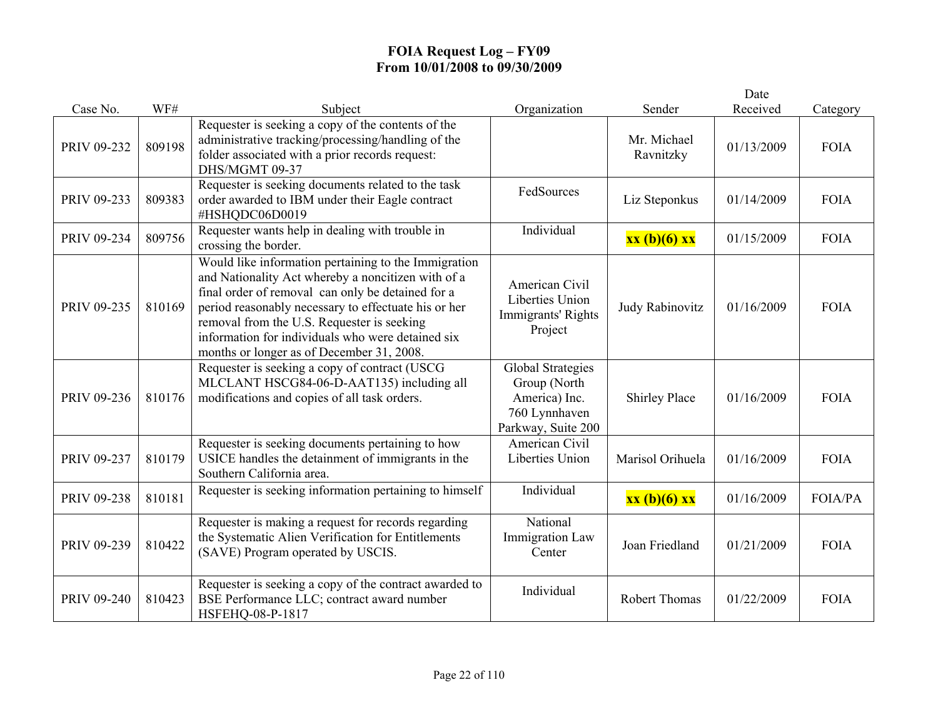|             |        |                                                                                                                                                                                                                                                                                                                                                                         |                                                                                                  |                          | Date       |                |
|-------------|--------|-------------------------------------------------------------------------------------------------------------------------------------------------------------------------------------------------------------------------------------------------------------------------------------------------------------------------------------------------------------------------|--------------------------------------------------------------------------------------------------|--------------------------|------------|----------------|
| Case No.    | WF#    | Subject                                                                                                                                                                                                                                                                                                                                                                 | Organization                                                                                     | Sender                   | Received   | Category       |
| PRIV 09-232 | 809198 | Requester is seeking a copy of the contents of the<br>administrative tracking/processing/handling of the<br>folder associated with a prior records request:<br>DHS/MGMT 09-37                                                                                                                                                                                           |                                                                                                  | Mr. Michael<br>Ravnitzky | 01/13/2009 | <b>FOIA</b>    |
| PRIV 09-233 | 809383 | Requester is seeking documents related to the task<br>order awarded to IBM under their Eagle contract<br>#HSHQDC06D0019                                                                                                                                                                                                                                                 | FedSources                                                                                       | Liz Steponkus            | 01/14/2009 | <b>FOIA</b>    |
| PRIV 09-234 | 809756 | Requester wants help in dealing with trouble in<br>crossing the border.                                                                                                                                                                                                                                                                                                 | Individual                                                                                       | xx (b)(6) xx             | 01/15/2009 | <b>FOIA</b>    |
| PRIV 09-235 | 810169 | Would like information pertaining to the Immigration<br>and Nationality Act whereby a noncitizen with of a<br>final order of removal can only be detained for a<br>period reasonably necessary to effectuate his or her<br>removal from the U.S. Requester is seeking<br>information for individuals who were detained six<br>months or longer as of December 31, 2008. | American Civil<br>Liberties Union<br>Immigrants' Rights<br>Project                               | Judy Rabinovitz          | 01/16/2009 | <b>FOIA</b>    |
| PRIV 09-236 | 810176 | Requester is seeking a copy of contract (USCG<br>MLCLANT HSCG84-06-D-AAT135) including all<br>modifications and copies of all task orders.                                                                                                                                                                                                                              | <b>Global Strategies</b><br>Group (North<br>America) Inc.<br>760 Lynnhaven<br>Parkway, Suite 200 | <b>Shirley Place</b>     | 01/16/2009 | <b>FOIA</b>    |
| PRIV 09-237 | 810179 | Requester is seeking documents pertaining to how<br>USICE handles the detainment of immigrants in the<br>Southern California area.                                                                                                                                                                                                                                      | American Civil<br>Liberties Union                                                                | Marisol Orihuela         | 01/16/2009 | <b>FOIA</b>    |
| PRIV 09-238 | 810181 | Requester is seeking information pertaining to himself                                                                                                                                                                                                                                                                                                                  | Individual                                                                                       | xx (b)(6) xx             | 01/16/2009 | <b>FOIA/PA</b> |
| PRIV 09-239 | 810422 | Requester is making a request for records regarding<br>the Systematic Alien Verification for Entitlements<br>(SAVE) Program operated by USCIS.                                                                                                                                                                                                                          | National<br><b>Immigration Law</b><br>Center                                                     | Joan Friedland           | 01/21/2009 | <b>FOIA</b>    |
| PRIV 09-240 | 810423 | Requester is seeking a copy of the contract awarded to<br>BSE Performance LLC; contract award number<br>HSFEHQ-08-P-1817                                                                                                                                                                                                                                                | Individual                                                                                       | <b>Robert Thomas</b>     | 01/22/2009 | <b>FOIA</b>    |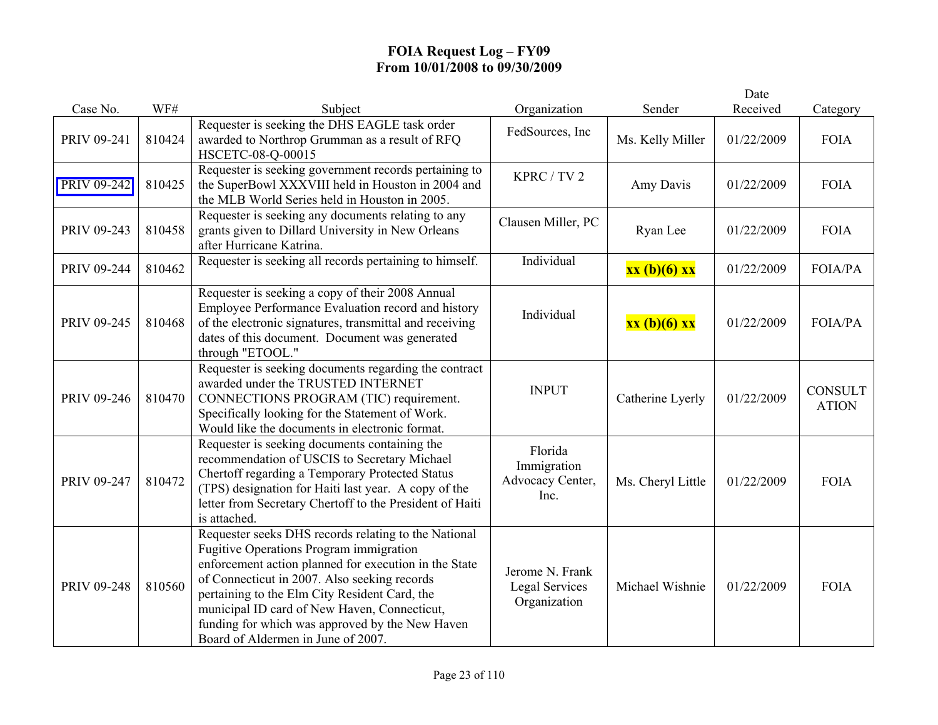|             |        |                                                                                                                                                                                                                                                                                                                                                                                                    |                                                          |                   | Date       |                                |
|-------------|--------|----------------------------------------------------------------------------------------------------------------------------------------------------------------------------------------------------------------------------------------------------------------------------------------------------------------------------------------------------------------------------------------------------|----------------------------------------------------------|-------------------|------------|--------------------------------|
| Case No.    | WF#    | Subject                                                                                                                                                                                                                                                                                                                                                                                            | Organization                                             | Sender            | Received   | Category                       |
| PRIV 09-241 | 810424 | Requester is seeking the DHS EAGLE task order<br>awarded to Northrop Grumman as a result of RFQ<br>HSCETC-08-Q-00015                                                                                                                                                                                                                                                                               | FedSources, Inc                                          | Ms. Kelly Miller  | 01/22/2009 | <b>FOIA</b>                    |
| PRIV 09-242 | 810425 | Requester is seeking government records pertaining to<br>the SuperBowl XXXVIII held in Houston in 2004 and<br>the MLB World Series held in Houston in 2005.                                                                                                                                                                                                                                        | KPRC / TV 2                                              | Amy Davis         | 01/22/2009 | <b>FOIA</b>                    |
| PRIV 09-243 | 810458 | Requester is seeking any documents relating to any<br>grants given to Dillard University in New Orleans<br>after Hurricane Katrina.                                                                                                                                                                                                                                                                | Clausen Miller, PC                                       | Ryan Lee          | 01/22/2009 | <b>FOIA</b>                    |
| PRIV 09-244 | 810462 | Requester is seeking all records pertaining to himself.                                                                                                                                                                                                                                                                                                                                            | Individual                                               | xx (b)(6) xx      | 01/22/2009 | FOIA/PA                        |
| PRIV 09-245 | 810468 | Requester is seeking a copy of their 2008 Annual<br>Employee Performance Evaluation record and history<br>of the electronic signatures, transmittal and receiving<br>dates of this document. Document was generated<br>through "ETOOL."                                                                                                                                                            | Individual                                               | xx (b)(6) xx      | 01/22/2009 | <b>FOIA/PA</b>                 |
| PRIV 09-246 | 810470 | Requester is seeking documents regarding the contract<br>awarded under the TRUSTED INTERNET<br>CONNECTIONS PROGRAM (TIC) requirement.<br>Specifically looking for the Statement of Work.<br>Would like the documents in electronic format.                                                                                                                                                         | <b>INPUT</b>                                             | Catherine Lyerly  | 01/22/2009 | <b>CONSULT</b><br><b>ATION</b> |
| PRIV 09-247 | 810472 | Requester is seeking documents containing the<br>recommendation of USCIS to Secretary Michael<br>Chertoff regarding a Temporary Protected Status<br>(TPS) designation for Haiti last year. A copy of the<br>letter from Secretary Chertoff to the President of Haiti<br>is attached.                                                                                                               | Florida<br>Immigration<br>Advocacy Center,<br>Inc.       | Ms. Cheryl Little | 01/22/2009 | <b>FOIA</b>                    |
| PRIV 09-248 | 810560 | Requester seeks DHS records relating to the National<br>Fugitive Operations Program immigration<br>enforcement action planned for execution in the State<br>of Connecticut in 2007. Also seeking records<br>pertaining to the Elm City Resident Card, the<br>municipal ID card of New Haven, Connecticut,<br>funding for which was approved by the New Haven<br>Board of Aldermen in June of 2007. | Jerome N. Frank<br><b>Legal Services</b><br>Organization | Michael Wishnie   | 01/22/2009 | <b>FOIA</b>                    |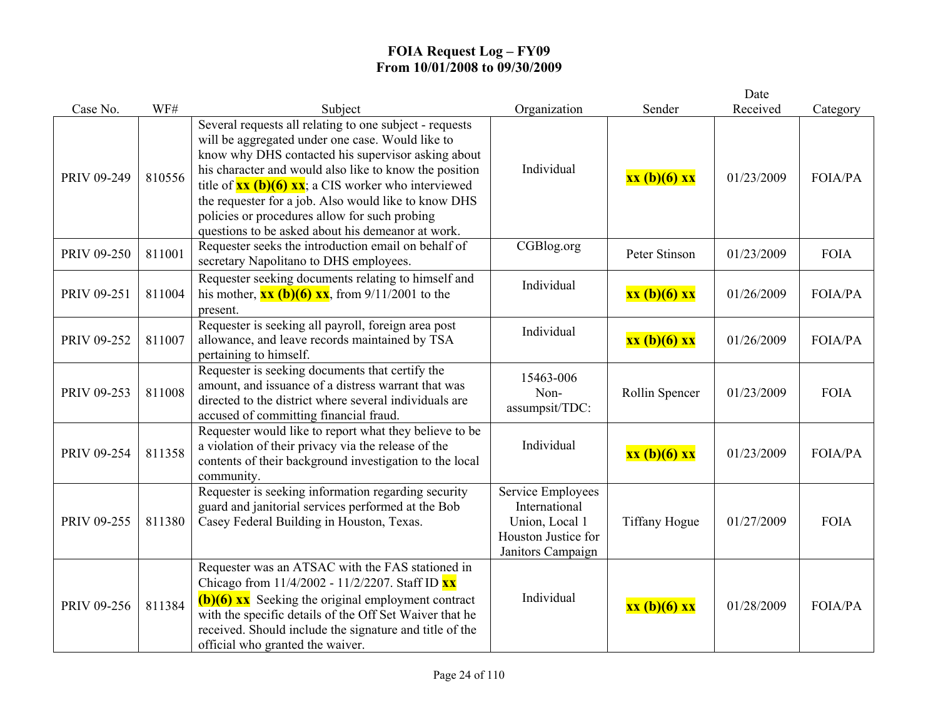|             |        |                                                                                                                                                                                                                                                                                                                                                                                                                                                                                          |                                                                                                  |                      | Date       |                |
|-------------|--------|------------------------------------------------------------------------------------------------------------------------------------------------------------------------------------------------------------------------------------------------------------------------------------------------------------------------------------------------------------------------------------------------------------------------------------------------------------------------------------------|--------------------------------------------------------------------------------------------------|----------------------|------------|----------------|
| Case No.    | WF#    | Subject                                                                                                                                                                                                                                                                                                                                                                                                                                                                                  | Organization                                                                                     | Sender               | Received   | Category       |
| PRIV 09-249 | 810556 | Several requests all relating to one subject - requests<br>will be aggregated under one case. Would like to<br>know why DHS contacted his supervisor asking about<br>his character and would also like to know the position<br>title of $\overline{\mathbf{xx}(\mathbf{b})(6) \mathbf{xx}}$ ; a CIS worker who interviewed<br>the requester for a job. Also would like to know DHS<br>policies or procedures allow for such probing<br>questions to be asked about his demeanor at work. | Individual                                                                                       | xx (b)(6) xx         | 01/23/2009 | FOIA/PA        |
| PRIV 09-250 | 811001 | Requester seeks the introduction email on behalf of<br>secretary Napolitano to DHS employees.                                                                                                                                                                                                                                                                                                                                                                                            | CGBlog.org                                                                                       | Peter Stinson        | 01/23/2009 | <b>FOIA</b>    |
| PRIV 09-251 | 811004 | Requester seeking documents relating to himself and<br>his mother, $\frac{\mathbf{x} \cdot \mathbf{x}}{(\mathbf{b})(6) \cdot \mathbf{x} \cdot \mathbf{x}}$ , from 9/11/2001 to the<br>present.                                                                                                                                                                                                                                                                                           | Individual                                                                                       | xx (b)(6) xx         | 01/26/2009 | <b>FOIA/PA</b> |
| PRIV 09-252 | 811007 | Requester is seeking all payroll, foreign area post<br>allowance, and leave records maintained by TSA<br>pertaining to himself.                                                                                                                                                                                                                                                                                                                                                          | Individual                                                                                       | xx (b)(6) xx         | 01/26/2009 | <b>FOIA/PA</b> |
| PRIV 09-253 | 811008 | Requester is seeking documents that certify the<br>amount, and issuance of a distress warrant that was<br>directed to the district where several individuals are<br>accused of committing financial fraud.                                                                                                                                                                                                                                                                               | 15463-006<br>Non-<br>assumpsit/TDC:                                                              | Rollin Spencer       | 01/23/2009 | <b>FOIA</b>    |
| PRIV 09-254 | 811358 | Requester would like to report what they believe to be<br>a violation of their privacy via the release of the<br>contents of their background investigation to the local<br>community.                                                                                                                                                                                                                                                                                                   | Individual                                                                                       | xx (b)(6) xx         | 01/23/2009 | <b>FOIA/PA</b> |
| PRIV 09-255 | 811380 | Requester is seeking information regarding security<br>guard and janitorial services performed at the Bob<br>Casey Federal Building in Houston, Texas.                                                                                                                                                                                                                                                                                                                                   | Service Employees<br>International<br>Union, Local 1<br>Houston Justice for<br>Janitors Campaign | <b>Tiffany Hogue</b> | 01/27/2009 | <b>FOIA</b>    |
| PRIV 09-256 | 811384 | Requester was an ATSAC with the FAS stationed in<br>Chicago from 11/4/2002 - 11/2/2207. Staff ID XX<br>$(b)(6)$ xx Seeking the original employment contract<br>with the specific details of the Off Set Waiver that he<br>received. Should include the signature and title of the<br>official who granted the waiver.                                                                                                                                                                    | Individual                                                                                       | xx (b)(6) xx         | 01/28/2009 | <b>FOIA/PA</b> |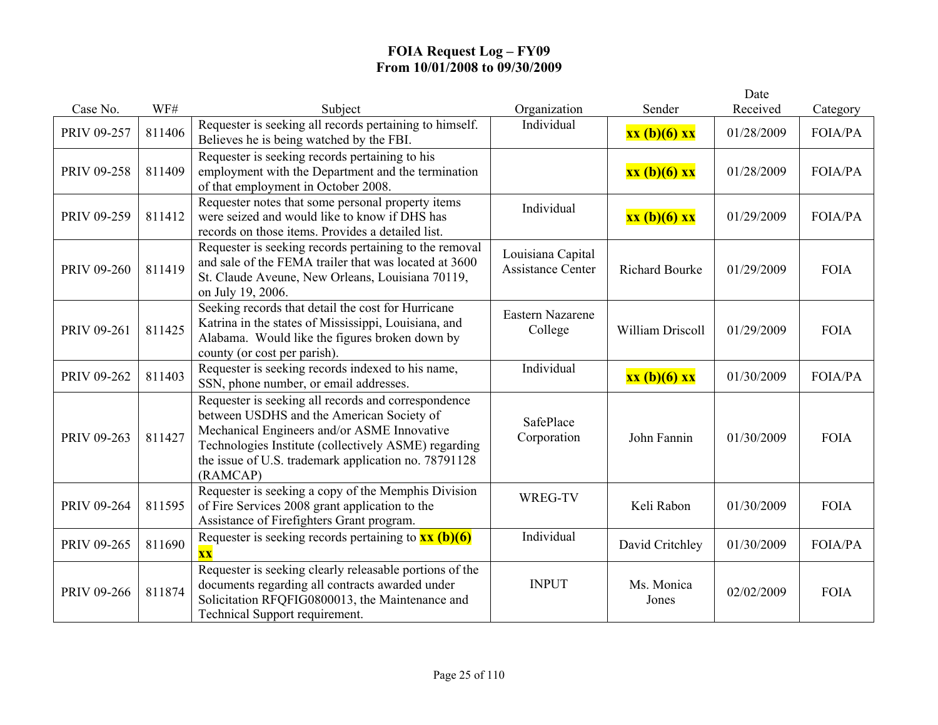|             |        |                                                                                                                                                                                                                                                                             |                                               |                       | Date       |                |
|-------------|--------|-----------------------------------------------------------------------------------------------------------------------------------------------------------------------------------------------------------------------------------------------------------------------------|-----------------------------------------------|-----------------------|------------|----------------|
| Case No.    | WF#    | Subject                                                                                                                                                                                                                                                                     | Organization                                  | Sender                | Received   | Category       |
| PRIV 09-257 | 811406 | Requester is seeking all records pertaining to himself.<br>Believes he is being watched by the FBI.                                                                                                                                                                         | Individual                                    | xx (b)(6) xx          | 01/28/2009 | <b>FOIA/PA</b> |
| PRIV 09-258 | 811409 | Requester is seeking records pertaining to his<br>employment with the Department and the termination<br>of that employment in October 2008.                                                                                                                                 |                                               | xx (b)(6) xx          | 01/28/2009 | <b>FOIA/PA</b> |
| PRIV 09-259 | 811412 | Requester notes that some personal property items<br>were seized and would like to know if DHS has<br>records on those items. Provides a detailed list.                                                                                                                     | Individual                                    | xx (b)(6) xx          | 01/29/2009 | <b>FOIA/PA</b> |
| PRIV 09-260 | 811419 | Requester is seeking records pertaining to the removal<br>and sale of the FEMA trailer that was located at 3600<br>St. Claude Aveune, New Orleans, Louisiana 70119,<br>on July 19, 2006.                                                                                    | Louisiana Capital<br><b>Assistance Center</b> | <b>Richard Bourke</b> | 01/29/2009 | <b>FOIA</b>    |
| PRIV 09-261 | 811425 | Seeking records that detail the cost for Hurricane<br>Katrina in the states of Mississippi, Louisiana, and<br>Alabama. Would like the figures broken down by<br>county (or cost per parish).                                                                                | Eastern Nazarene<br>College                   | William Driscoll      | 01/29/2009 | <b>FOIA</b>    |
| PRIV 09-262 | 811403 | Requester is seeking records indexed to his name,<br>SSN, phone number, or email addresses.                                                                                                                                                                                 | Individual                                    | xx (b)(6) xx          | 01/30/2009 | <b>FOIA/PA</b> |
| PRIV 09-263 | 811427 | Requester is seeking all records and correspondence<br>between USDHS and the American Society of<br>Mechanical Engineers and/or ASME Innovative<br>Technologies Institute (collectively ASME) regarding<br>the issue of U.S. trademark application no. 78791128<br>(RAMCAP) | SafePlace<br>Corporation                      | John Fannin           | 01/30/2009 | <b>FOIA</b>    |
| PRIV 09-264 | 811595 | Requester is seeking a copy of the Memphis Division<br>of Fire Services 2008 grant application to the<br>Assistance of Firefighters Grant program.                                                                                                                          | WREG-TV                                       | Keli Rabon            | 01/30/2009 | <b>FOIA</b>    |
| PRIV 09-265 | 811690 | Requester is seeking records pertaining to $\frac{xx}{(b)(6)}$<br><b>XX</b>                                                                                                                                                                                                 | Individual                                    | David Critchley       | 01/30/2009 | <b>FOIA/PA</b> |
| PRIV 09-266 | 811874 | Requester is seeking clearly releasable portions of the<br>documents regarding all contracts awarded under<br>Solicitation RFQFIG0800013, the Maintenance and<br>Technical Support requirement.                                                                             | <b>INPUT</b>                                  | Ms. Monica<br>Jones   | 02/02/2009 | <b>FOIA</b>    |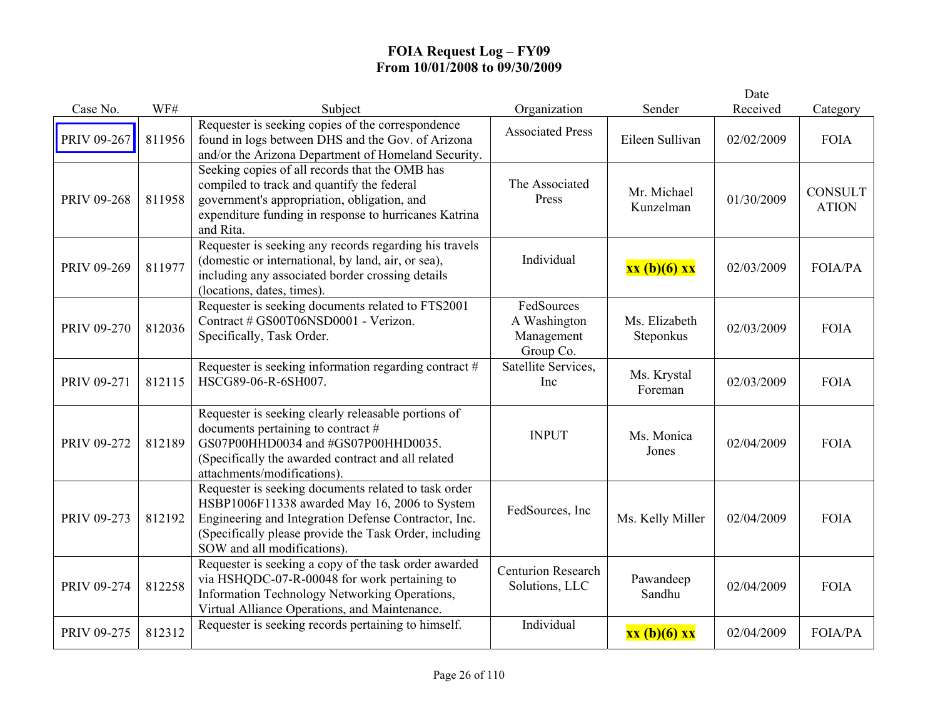|             |        |                                                                                                                                                                                                                                                        |                                                       |                            | Date       |                                |
|-------------|--------|--------------------------------------------------------------------------------------------------------------------------------------------------------------------------------------------------------------------------------------------------------|-------------------------------------------------------|----------------------------|------------|--------------------------------|
| Case No.    | WF#    | Subject                                                                                                                                                                                                                                                | Organization                                          | Sender                     | Received   | Category                       |
| PRIV 09-267 | 811956 | Requester is seeking copies of the correspondence<br>found in logs between DHS and the Gov. of Arizona<br>and/or the Arizona Department of Homeland Security.                                                                                          | <b>Associated Press</b>                               | Eileen Sullivan            | 02/02/2009 | <b>FOIA</b>                    |
| PRIV 09-268 | 811958 | Seeking copies of all records that the OMB has<br>compiled to track and quantify the federal<br>government's appropriation, obligation, and<br>expenditure funding in response to hurricanes Katrina<br>and Rita.                                      | The Associated<br>Press                               | Mr. Michael<br>Kunzelman   | 01/30/2009 | <b>CONSULT</b><br><b>ATION</b> |
| PRIV 09-269 | 811977 | Requester is seeking any records regarding his travels<br>(domestic or international, by land, air, or sea),<br>including any associated border crossing details<br>(locations, dates, times).                                                         | Individual                                            | xx (b)(6) xx               | 02/03/2009 | <b>FOIA/PA</b>                 |
| PRIV 09-270 | 812036 | Requester is seeking documents related to FTS2001<br>Contract # GS00T06NSD0001 - Verizon.<br>Specifically, Task Order.                                                                                                                                 | FedSources<br>A Washington<br>Management<br>Group Co. | Ms. Elizabeth<br>Steponkus | 02/03/2009 | <b>FOIA</b>                    |
| PRIV 09-271 | 812115 | Requester is seeking information regarding contract $#$<br>HSCG89-06-R-6SH007.                                                                                                                                                                         | Satellite Services,<br>Inc                            | Ms. Krystal<br>Foreman     | 02/03/2009 | <b>FOIA</b>                    |
| PRIV 09-272 | 812189 | Requester is seeking clearly releasable portions of<br>documents pertaining to contract #<br>GS07P00HHD0034 and #GS07P00HHD0035.<br>(Specifically the awarded contract and all related<br>attachments/modifications).                                  | <b>INPUT</b>                                          | Ms. Monica<br>Jones        | 02/04/2009 | <b>FOIA</b>                    |
| PRIV 09-273 | 812192 | Requester is seeking documents related to task order<br>HSBP1006F11338 awarded May 16, 2006 to System<br>Engineering and Integration Defense Contractor, Inc.<br>(Specifically please provide the Task Order, including<br>SOW and all modifications). | FedSources, Inc                                       | Ms. Kelly Miller           | 02/04/2009 | <b>FOIA</b>                    |
| PRIV 09-274 | 812258 | Requester is seeking a copy of the task order awarded<br>via HSHQDC-07-R-00048 for work pertaining to<br>Information Technology Networking Operations,<br>Virtual Alliance Operations, and Maintenance.                                                | <b>Centurion Research</b><br>Solutions, LLC           | Pawandeep<br>Sandhu        | 02/04/2009 | <b>FOIA</b>                    |
| PRIV 09-275 | 812312 | Requester is seeking records pertaining to himself.                                                                                                                                                                                                    | Individual                                            | xx (b)(6) xx               | 02/04/2009 | <b>FOIA/PA</b>                 |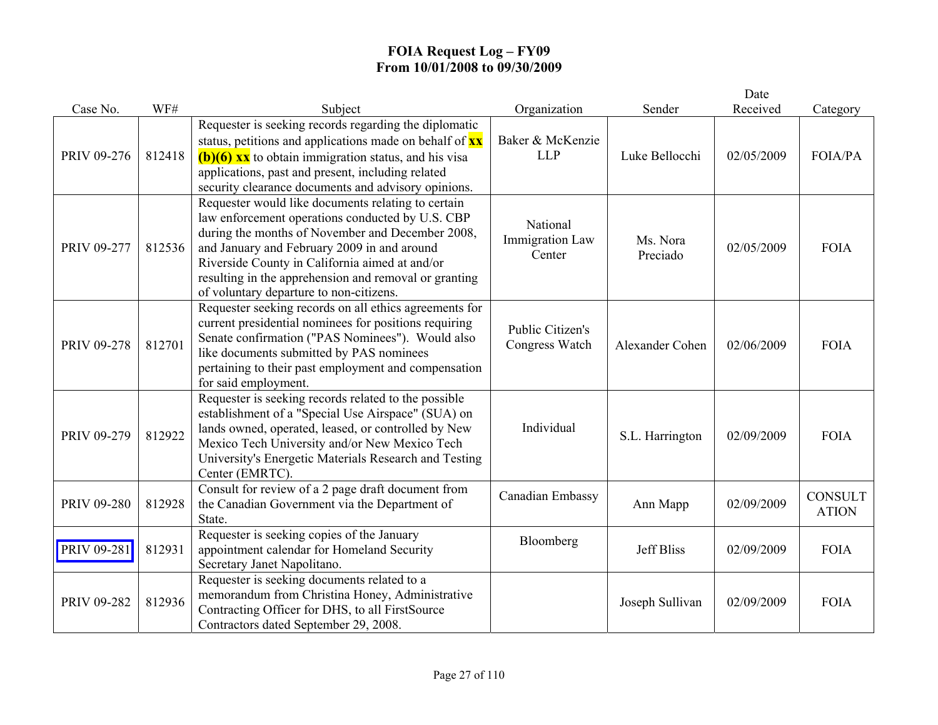|             |        |                                                                                                                                                                                                                                                                                                                                                                 |                                           |                      | Date       |                                |
|-------------|--------|-----------------------------------------------------------------------------------------------------------------------------------------------------------------------------------------------------------------------------------------------------------------------------------------------------------------------------------------------------------------|-------------------------------------------|----------------------|------------|--------------------------------|
| Case No.    | WF#    | Subject                                                                                                                                                                                                                                                                                                                                                         | Organization                              | Sender               | Received   | Category                       |
| PRIV 09-276 | 812418 | Requester is seeking records regarding the diplomatic<br>status, petitions and applications made on behalf of $\frac{xx}{xx}$<br>$(b)(6)$ xx to obtain immigration status, and his visa<br>applications, past and present, including related<br>security clearance documents and advisory opinions.                                                             | Baker & McKenzie<br><b>LLP</b>            | Luke Bellocchi       | 02/05/2009 | FOIA/PA                        |
| PRIV 09-277 | 812536 | Requester would like documents relating to certain<br>law enforcement operations conducted by U.S. CBP<br>during the months of November and December 2008,<br>and January and February 2009 in and around<br>Riverside County in California aimed at and/or<br>resulting in the apprehension and removal or granting<br>of voluntary departure to non-citizens. | National<br>Immigration Law<br>Center     | Ms. Nora<br>Preciado | 02/05/2009 | <b>FOIA</b>                    |
| PRIV 09-278 | 812701 | Requester seeking records on all ethics agreements for<br>current presidential nominees for positions requiring<br>Senate confirmation ("PAS Nominees"). Would also<br>like documents submitted by PAS nominees<br>pertaining to their past employment and compensation<br>for said employment.                                                                 | <b>Public Citizen's</b><br>Congress Watch | Alexander Cohen      | 02/06/2009 | <b>FOIA</b>                    |
| PRIV 09-279 | 812922 | Requester is seeking records related to the possible<br>establishment of a "Special Use Airspace" (SUA) on<br>lands owned, operated, leased, or controlled by New<br>Mexico Tech University and/or New Mexico Tech<br>University's Energetic Materials Research and Testing<br>Center (EMRTC).                                                                  | Individual                                | S.L. Harrington      | 02/09/2009 | <b>FOIA</b>                    |
| PRIV 09-280 | 812928 | Consult for review of a 2 page draft document from<br>the Canadian Government via the Department of<br>State.                                                                                                                                                                                                                                                   | Canadian Embassy                          | Ann Mapp             | 02/09/2009 | <b>CONSULT</b><br><b>ATION</b> |
| PRIV 09-281 | 812931 | Requester is seeking copies of the January<br>appointment calendar for Homeland Security<br>Secretary Janet Napolitano.                                                                                                                                                                                                                                         | Bloomberg                                 | <b>Jeff Bliss</b>    | 02/09/2009 | <b>FOIA</b>                    |
| PRIV 09-282 | 812936 | Requester is seeking documents related to a<br>memorandum from Christina Honey, Administrative<br>Contracting Officer for DHS, to all FirstSource<br>Contractors dated September 29, 2008.                                                                                                                                                                      |                                           | Joseph Sullivan      | 02/09/2009 | <b>FOIA</b>                    |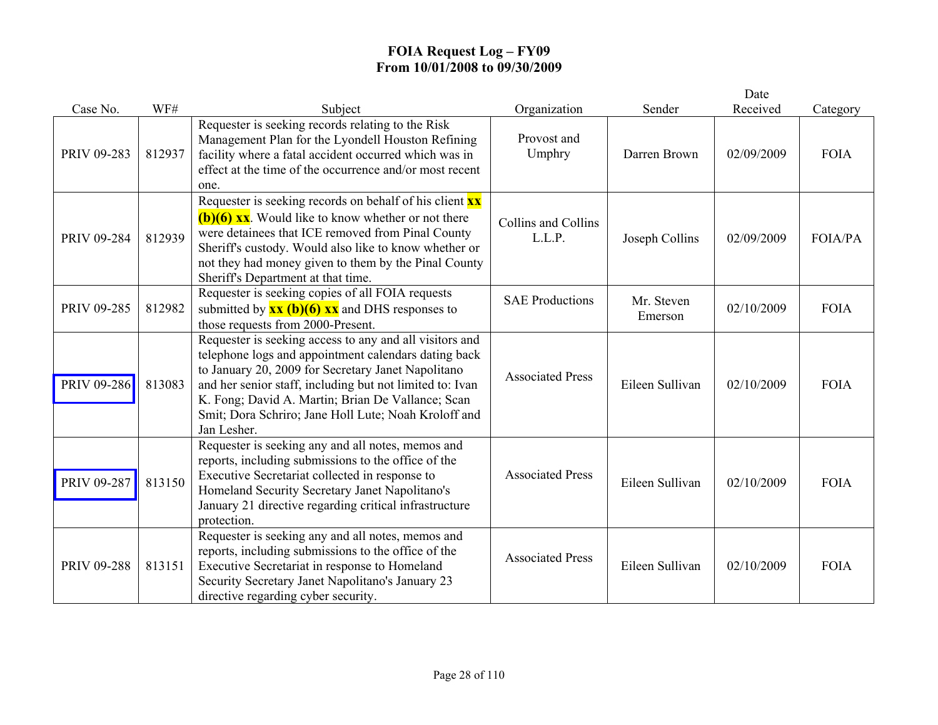|             |        |                                                                                                                                                                                                                                                                                                                                                               |                               |                       | Date       |             |
|-------------|--------|---------------------------------------------------------------------------------------------------------------------------------------------------------------------------------------------------------------------------------------------------------------------------------------------------------------------------------------------------------------|-------------------------------|-----------------------|------------|-------------|
| Case No.    | WF#    | Subject                                                                                                                                                                                                                                                                                                                                                       | Organization                  | Sender                | Received   | Category    |
| PRIV 09-283 | 812937 | Requester is seeking records relating to the Risk<br>Management Plan for the Lyondell Houston Refining<br>facility where a fatal accident occurred which was in<br>effect at the time of the occurrence and/or most recent<br>one.                                                                                                                            | Provost and<br>Umphry         | Darren Brown          | 02/09/2009 | <b>FOIA</b> |
| PRIV 09-284 | 812939 | Requester is seeking records on behalf of his client $\mathbf{x} \mathbf{x}$<br>$(b)(6)$ xx. Would like to know whether or not there<br>were detainees that ICE removed from Pinal County<br>Sheriff's custody. Would also like to know whether or<br>not they had money given to them by the Pinal County<br>Sheriff's Department at that time.              | Collins and Collins<br>L.L.P. | Joseph Collins        | 02/09/2009 | FOIA/PA     |
| PRIV 09-285 | 812982 | Requester is seeking copies of all FOIA requests<br>submitted by $\frac{xx(b)(6)xx}{xx}$ and DHS responses to<br>those requests from 2000-Present.                                                                                                                                                                                                            | <b>SAE Productions</b>        | Mr. Steven<br>Emerson | 02/10/2009 | <b>FOIA</b> |
| PRIV 09-286 | 813083 | Requester is seeking access to any and all visitors and<br>telephone logs and appointment calendars dating back<br>to January 20, 2009 for Secretary Janet Napolitano<br>and her senior staff, including but not limited to: Ivan<br>K. Fong; David A. Martin; Brian De Vallance; Scan<br>Smit; Dora Schriro; Jane Holl Lute; Noah Kroloff and<br>Jan Lesher. | <b>Associated Press</b>       | Eileen Sullivan       | 02/10/2009 | <b>FOIA</b> |
| PRIV 09-287 | 813150 | Requester is seeking any and all notes, memos and<br>reports, including submissions to the office of the<br>Executive Secretariat collected in response to<br>Homeland Security Secretary Janet Napolitano's<br>January 21 directive regarding critical infrastructure<br>protection.                                                                         | <b>Associated Press</b>       | Eileen Sullivan       | 02/10/2009 | <b>FOIA</b> |
| PRIV 09-288 | 813151 | Requester is seeking any and all notes, memos and<br>reports, including submissions to the office of the<br>Executive Secretariat in response to Homeland<br>Security Secretary Janet Napolitano's January 23<br>directive regarding cyber security.                                                                                                          | <b>Associated Press</b>       | Eileen Sullivan       | 02/10/2009 | <b>FOIA</b> |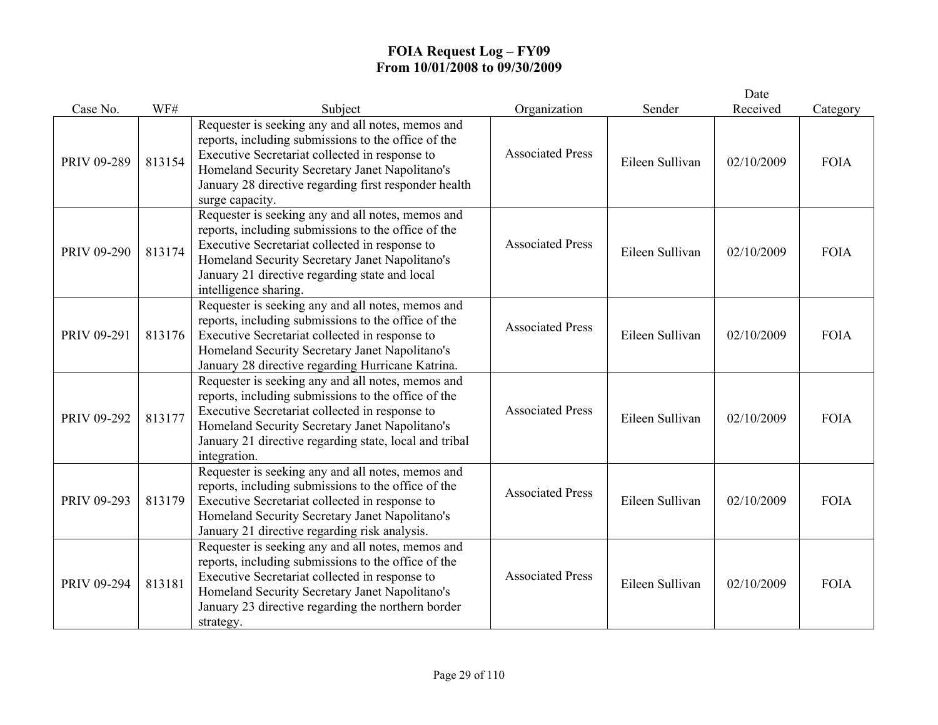|             |        |                                                                                                                                                                                                                                                                                          |                         |                 | Date       |             |
|-------------|--------|------------------------------------------------------------------------------------------------------------------------------------------------------------------------------------------------------------------------------------------------------------------------------------------|-------------------------|-----------------|------------|-------------|
| Case No.    | WF#    | Subject                                                                                                                                                                                                                                                                                  | Organization            | Sender          | Received   | Category    |
| PRIV 09-289 | 813154 | Requester is seeking any and all notes, memos and<br>reports, including submissions to the office of the<br>Executive Secretariat collected in response to<br>Homeland Security Secretary Janet Napolitano's<br>January 28 directive regarding first responder health<br>surge capacity. | <b>Associated Press</b> | Eileen Sullivan | 02/10/2009 | <b>FOIA</b> |
| PRIV 09-290 | 813174 | Requester is seeking any and all notes, memos and<br>reports, including submissions to the office of the<br>Executive Secretariat collected in response to<br>Homeland Security Secretary Janet Napolitano's<br>January 21 directive regarding state and local<br>intelligence sharing.  | <b>Associated Press</b> | Eileen Sullivan | 02/10/2009 | <b>FOIA</b> |
| PRIV 09-291 | 813176 | Requester is seeking any and all notes, memos and<br>reports, including submissions to the office of the<br>Executive Secretariat collected in response to<br>Homeland Security Secretary Janet Napolitano's<br>January 28 directive regarding Hurricane Katrina.                        | <b>Associated Press</b> | Eileen Sullivan | 02/10/2009 | <b>FOIA</b> |
| PRIV 09-292 | 813177 | Requester is seeking any and all notes, memos and<br>reports, including submissions to the office of the<br>Executive Secretariat collected in response to<br>Homeland Security Secretary Janet Napolitano's<br>January 21 directive regarding state, local and tribal<br>integration.   | <b>Associated Press</b> | Eileen Sullivan | 02/10/2009 | <b>FOIA</b> |
| PRIV 09-293 | 813179 | Requester is seeking any and all notes, memos and<br>reports, including submissions to the office of the<br>Executive Secretariat collected in response to<br>Homeland Security Secretary Janet Napolitano's<br>January 21 directive regarding risk analysis.                            | <b>Associated Press</b> | Eileen Sullivan | 02/10/2009 | <b>FOIA</b> |
| PRIV 09-294 | 813181 | Requester is seeking any and all notes, memos and<br>reports, including submissions to the office of the<br>Executive Secretariat collected in response to<br>Homeland Security Secretary Janet Napolitano's<br>January 23 directive regarding the northern border<br>strategy.          | <b>Associated Press</b> | Eileen Sullivan | 02/10/2009 | <b>FOIA</b> |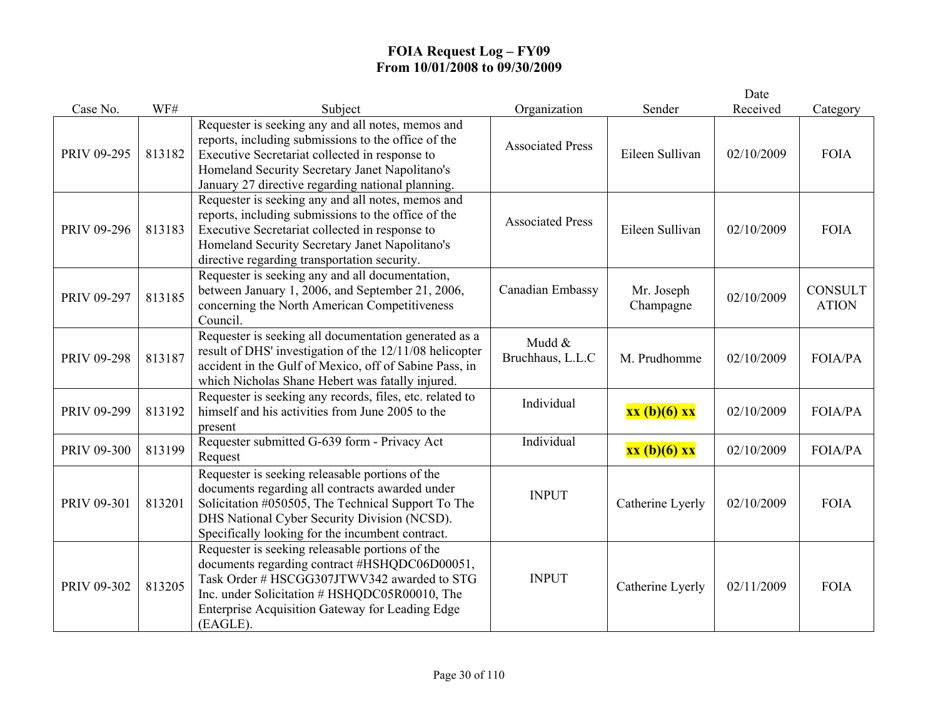|             |        |                                                                                                                                                                                                                                                                   |                            |                         | Date       |                                |
|-------------|--------|-------------------------------------------------------------------------------------------------------------------------------------------------------------------------------------------------------------------------------------------------------------------|----------------------------|-------------------------|------------|--------------------------------|
| Case No.    | WF#    | Subject                                                                                                                                                                                                                                                           | Organization               | Sender                  | Received   | Category                       |
| PRIV 09-295 | 813182 | Requester is seeking any and all notes, memos and<br>reports, including submissions to the office of the<br>Executive Secretariat collected in response to<br>Homeland Security Secretary Janet Napolitano's<br>January 27 directive regarding national planning. | <b>Associated Press</b>    | Eileen Sullivan         | 02/10/2009 | <b>FOIA</b>                    |
| PRIV 09-296 | 813183 | Requester is seeking any and all notes, memos and<br>reports, including submissions to the office of the<br>Executive Secretariat collected in response to<br>Homeland Security Secretary Janet Napolitano's<br>directive regarding transportation security.      | <b>Associated Press</b>    | Eileen Sullivan         | 02/10/2009 | <b>FOIA</b>                    |
| PRIV 09-297 | 813185 | Requester is seeking any and all documentation,<br>between January 1, 2006, and September 21, 2006,<br>concerning the North American Competitiveness<br>Council.                                                                                                  | Canadian Embassy           | Mr. Joseph<br>Champagne | 02/10/2009 | <b>CONSULT</b><br><b>ATION</b> |
| PRIV 09-298 | 813187 | Requester is seeking all documentation generated as a<br>result of DHS' investigation of the 12/11/08 helicopter<br>accident in the Gulf of Mexico, off of Sabine Pass, in<br>which Nicholas Shane Hebert was fatally injured.                                    | Mudd &<br>Bruchhaus, L.L.C | M. Prudhomme            | 02/10/2009 | FOIA/PA                        |
| PRIV 09-299 | 813192 | Requester is seeking any records, files, etc. related to<br>himself and his activities from June 2005 to the<br>present                                                                                                                                           | Individual                 | xx (b)(6) xx            | 02/10/2009 | <b>FOIA/PA</b>                 |
| PRIV 09-300 | 813199 | Requester submitted G-639 form - Privacy Act<br>Request                                                                                                                                                                                                           | Individual                 | xx (b)(6) xx            | 02/10/2009 | FOIA/PA                        |
| PRIV 09-301 | 813201 | Requester is seeking releasable portions of the<br>documents regarding all contracts awarded under<br>Solicitation #050505, The Technical Support To The<br>DHS National Cyber Security Division (NCSD).<br>Specifically looking for the incumbent contract.      | <b>INPUT</b>               | Catherine Lyerly        | 02/10/2009 | <b>FOIA</b>                    |
| PRIV 09-302 | 813205 | Requester is seeking releasable portions of the<br>documents regarding contract #HSHQDC06D00051,<br>Task Order # HSCGG307JTWV342 awarded to STG<br>Inc. under Solicitation # HSHQDC05R00010, The<br>Enterprise Acquisition Gateway for Leading Edge<br>(EAGLE).   | <b>INPUT</b>               | Catherine Lyerly        | 02/11/2009 | <b>FOIA</b>                    |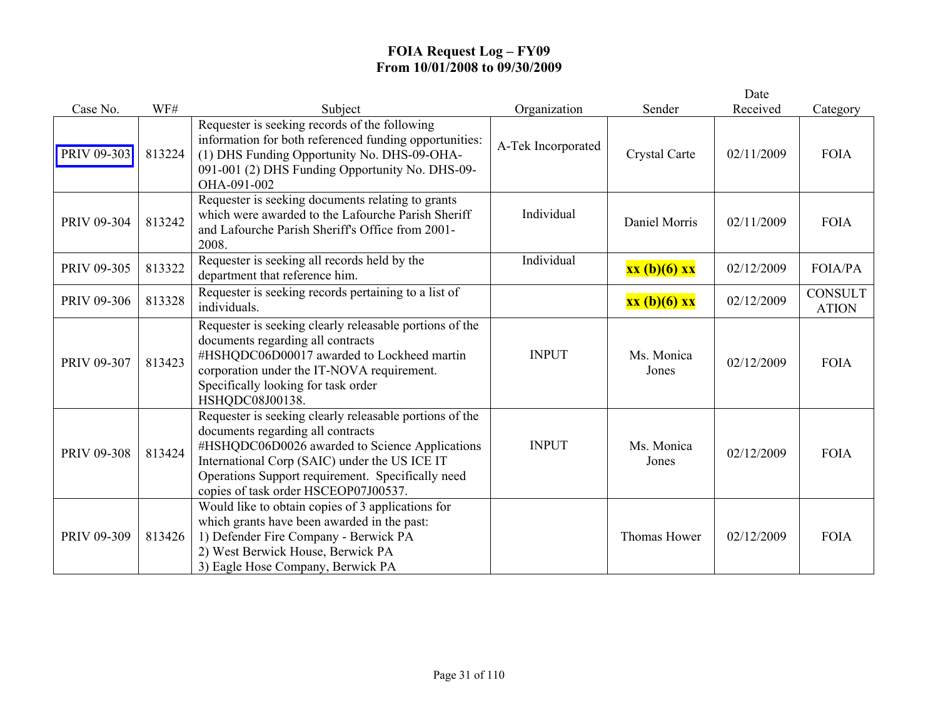|             |        |                                                                                                                                                                                                                                                                                              |                    |                     | Date       |                                |
|-------------|--------|----------------------------------------------------------------------------------------------------------------------------------------------------------------------------------------------------------------------------------------------------------------------------------------------|--------------------|---------------------|------------|--------------------------------|
| Case No.    | WF#    | Subject                                                                                                                                                                                                                                                                                      | Organization       | Sender              | Received   | Category                       |
| PRIV 09-303 | 813224 | Requester is seeking records of the following<br>information for both referenced funding opportunities:<br>(1) DHS Funding Opportunity No. DHS-09-OHA-<br>091-001 (2) DHS Funding Opportunity No. DHS-09-<br>OHA-091-002                                                                     | A-Tek Incorporated | Crystal Carte       | 02/11/2009 | <b>FOIA</b>                    |
| PRIV 09-304 | 813242 | Requester is seeking documents relating to grants<br>which were awarded to the Lafourche Parish Sheriff<br>and Lafourche Parish Sheriff's Office from 2001-<br>2008.                                                                                                                         | Individual         | Daniel Morris       | 02/11/2009 | <b>FOIA</b>                    |
| PRIV 09-305 | 813322 | Requester is seeking all records held by the<br>department that reference him.                                                                                                                                                                                                               | Individual         | xx (b)(6) xx        | 02/12/2009 | <b>FOIA/PA</b>                 |
| PRIV 09-306 | 813328 | Requester is seeking records pertaining to a list of<br>individuals.                                                                                                                                                                                                                         |                    | xx (b)(6) xx        | 02/12/2009 | <b>CONSULT</b><br><b>ATION</b> |
| PRIV 09-307 | 813423 | Requester is seeking clearly releasable portions of the<br>documents regarding all contracts<br>#HSHQDC06D00017 awarded to Lockheed martin<br>corporation under the IT-NOVA requirement.<br>Specifically looking for task order<br>HSHQDC08J00138.                                           | <b>INPUT</b>       | Ms. Monica<br>Jones | 02/12/2009 | <b>FOIA</b>                    |
| PRIV 09-308 | 813424 | Requester is seeking clearly releasable portions of the<br>documents regarding all contracts<br>#HSHQDC06D0026 awarded to Science Applications<br>International Corp (SAIC) under the US ICE IT<br>Operations Support requirement. Specifically need<br>copies of task order HSCEOP07J00537. | <b>INPUT</b>       | Ms. Monica<br>Jones | 02/12/2009 | <b>FOIA</b>                    |
| PRIV 09-309 | 813426 | Would like to obtain copies of 3 applications for<br>which grants have been awarded in the past:<br>1) Defender Fire Company - Berwick PA<br>2) West Berwick House, Berwick PA<br>3) Eagle Hose Company, Berwick PA                                                                          |                    | Thomas Hower        | 02/12/2009 | <b>FOIA</b>                    |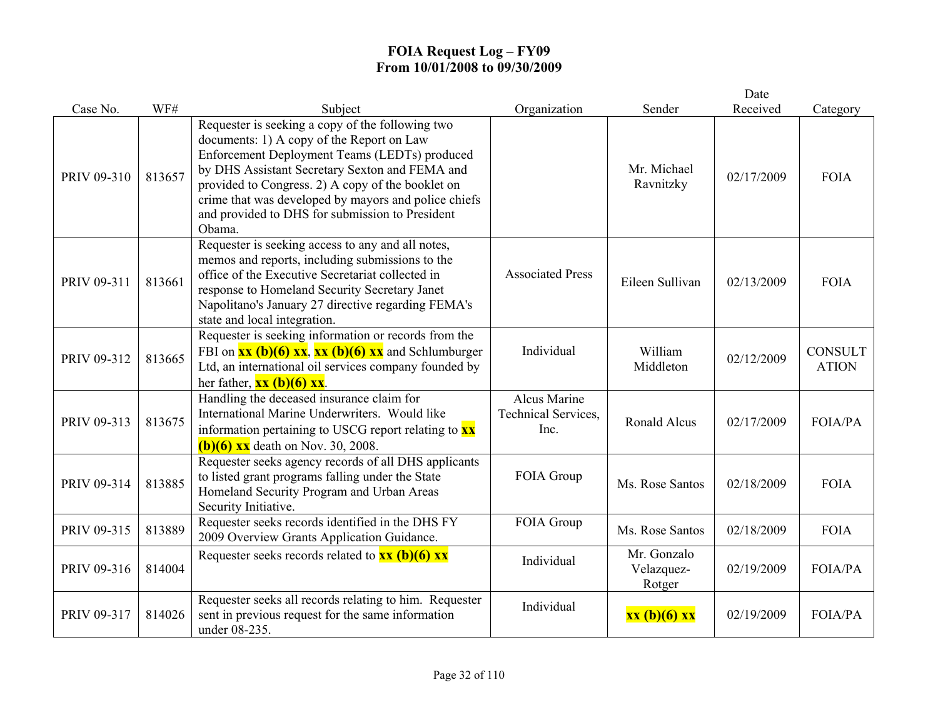|             |        |                                                                                                                                                                                                                                                                                                                                                                            |                                             |                                     | Date       |                                |
|-------------|--------|----------------------------------------------------------------------------------------------------------------------------------------------------------------------------------------------------------------------------------------------------------------------------------------------------------------------------------------------------------------------------|---------------------------------------------|-------------------------------------|------------|--------------------------------|
| Case No.    | WF#    | Subject                                                                                                                                                                                                                                                                                                                                                                    | Organization                                | Sender                              | Received   | Category                       |
| PRIV 09-310 | 813657 | Requester is seeking a copy of the following two<br>documents: 1) A copy of the Report on Law<br>Enforcement Deployment Teams (LEDTs) produced<br>by DHS Assistant Secretary Sexton and FEMA and<br>provided to Congress. 2) A copy of the booklet on<br>crime that was developed by mayors and police chiefs<br>and provided to DHS for submission to President<br>Obama. |                                             | Mr. Michael<br>Ravnitzky            | 02/17/2009 | <b>FOIA</b>                    |
| PRIV 09-311 | 813661 | Requester is seeking access to any and all notes,<br>memos and reports, including submissions to the<br>office of the Executive Secretariat collected in<br>response to Homeland Security Secretary Janet<br>Napolitano's January 27 directive regarding FEMA's<br>state and local integration.                                                                            | <b>Associated Press</b>                     | Eileen Sullivan                     | 02/13/2009 | <b>FOIA</b>                    |
| PRIV 09-312 | 813665 | Requester is seeking information or records from the<br>FBI on $\overline{\text{xx (b)(6)} \text{xx}}$ , $\overline{\text{xx (b)(6)} \text{xx}}$ and Schlumburger<br>Ltd, an international oil services company founded by<br>her father, $\overline{\mathbf{x}\mathbf{x}}$ (b)(6) $\overline{\mathbf{x}\mathbf{x}}$ .                                                     | Individual                                  | William<br>Middleton                | 02/12/2009 | <b>CONSULT</b><br><b>ATION</b> |
| PRIV 09-313 | 813675 | Handling the deceased insurance claim for<br>International Marine Underwriters. Would like<br>information pertaining to USCG report relating to $\mathbf{x}\mathbf{x}$<br>$(b)(6)$ xx death on Nov. 30, 2008.                                                                                                                                                              | Alcus Marine<br>Technical Services,<br>Inc. | Ronald Alcus                        | 02/17/2009 | FOIA/PA                        |
| PRIV 09-314 | 813885 | Requester seeks agency records of all DHS applicants<br>to listed grant programs falling under the State<br>Homeland Security Program and Urban Areas<br>Security Initiative.                                                                                                                                                                                              | FOIA Group                                  | Ms. Rose Santos                     | 02/18/2009 | <b>FOIA</b>                    |
| PRIV 09-315 | 813889 | Requester seeks records identified in the DHS FY<br>2009 Overview Grants Application Guidance.                                                                                                                                                                                                                                                                             | FOIA Group                                  | Ms. Rose Santos                     | 02/18/2009 | <b>FOIA</b>                    |
| PRIV 09-316 | 814004 | Requester seeks records related to $\frac{xx}{(b)(6)}$ $\frac{xx}{(c)}$                                                                                                                                                                                                                                                                                                    | Individual                                  | Mr. Gonzalo<br>Velazquez-<br>Rotger | 02/19/2009 | <b>FOIA/PA</b>                 |
| PRIV 09-317 | 814026 | Requester seeks all records relating to him. Requester<br>sent in previous request for the same information<br>under 08-235.                                                                                                                                                                                                                                               | Individual                                  | xx (b)(6) xx                        | 02/19/2009 | <b>FOIA/PA</b>                 |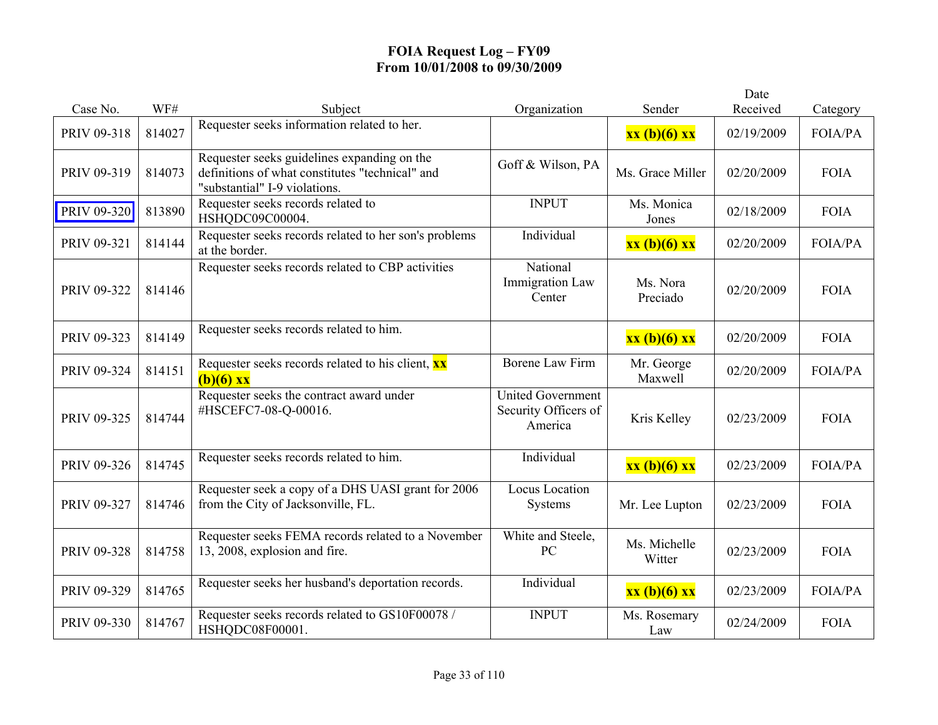|             |        |                                                                                                                                 |                                                             |                        | Date       |                |
|-------------|--------|---------------------------------------------------------------------------------------------------------------------------------|-------------------------------------------------------------|------------------------|------------|----------------|
| Case No.    | WF#    | Subject                                                                                                                         | Organization                                                | Sender                 | Received   | Category       |
| PRIV 09-318 | 814027 | Requester seeks information related to her.                                                                                     |                                                             | xx (b)(6) xx           | 02/19/2009 | <b>FOIA/PA</b> |
| PRIV 09-319 | 814073 | Requester seeks guidelines expanding on the<br>definitions of what constitutes "technical" and<br>"substantial" I-9 violations. | Goff & Wilson, PA                                           | Ms. Grace Miller       | 02/20/2009 | <b>FOIA</b>    |
| PRIV 09-320 | 813890 | Requester seeks records related to<br>HSHQDC09C00004.                                                                           | <b>INPUT</b>                                                | Ms. Monica<br>Jones    | 02/18/2009 | <b>FOIA</b>    |
| PRIV 09-321 | 814144 | Requester seeks records related to her son's problems<br>at the border.                                                         | Individual                                                  | xx (b)(6) xx           | 02/20/2009 | <b>FOIA/PA</b> |
| PRIV 09-322 | 814146 | Requester seeks records related to CBP activities                                                                               | National<br><b>Immigration Law</b><br>Center                | Ms. Nora<br>Preciado   | 02/20/2009 | <b>FOIA</b>    |
| PRIV 09-323 | 814149 | Requester seeks records related to him.                                                                                         |                                                             | xx (b)(6) xx           | 02/20/2009 | <b>FOIA</b>    |
| PRIV 09-324 | 814151 | Requester seeks records related to his client, <b>xx</b><br>$(b)(6)$ xx                                                         | <b>Borene Law Firm</b>                                      | Mr. George<br>Maxwell  | 02/20/2009 | <b>FOIA/PA</b> |
| PRIV 09-325 | 814744 | Requester seeks the contract award under<br>#HSCEFC7-08-Q-00016.                                                                | <b>United Government</b><br>Security Officers of<br>America | Kris Kelley            | 02/23/2009 | <b>FOIA</b>    |
| PRIV 09-326 | 814745 | Requester seeks records related to him.                                                                                         | Individual                                                  | xx (b)(6) xx           | 02/23/2009 | <b>FOIA/PA</b> |
| PRIV 09-327 | 814746 | Requester seek a copy of a DHS UASI grant for 2006<br>from the City of Jacksonville, FL.                                        | Locus Location<br>Systems                                   | Mr. Lee Lupton         | 02/23/2009 | <b>FOIA</b>    |
| PRIV 09-328 | 814758 | Requester seeks FEMA records related to a November<br>13, 2008, explosion and fire.                                             | White and Steele,<br>PC                                     | Ms. Michelle<br>Witter | 02/23/2009 | <b>FOIA</b>    |
| PRIV 09-329 | 814765 | Requester seeks her husband's deportation records.                                                                              | Individual                                                  | xx (b)(6) xx           | 02/23/2009 | <b>FOIA/PA</b> |
| PRIV 09-330 | 814767 | Requester seeks records related to GS10F00078 /<br>HSHQDC08F00001.                                                              | <b>INPUT</b>                                                | Ms. Rosemary<br>Law    | 02/24/2009 | <b>FOIA</b>    |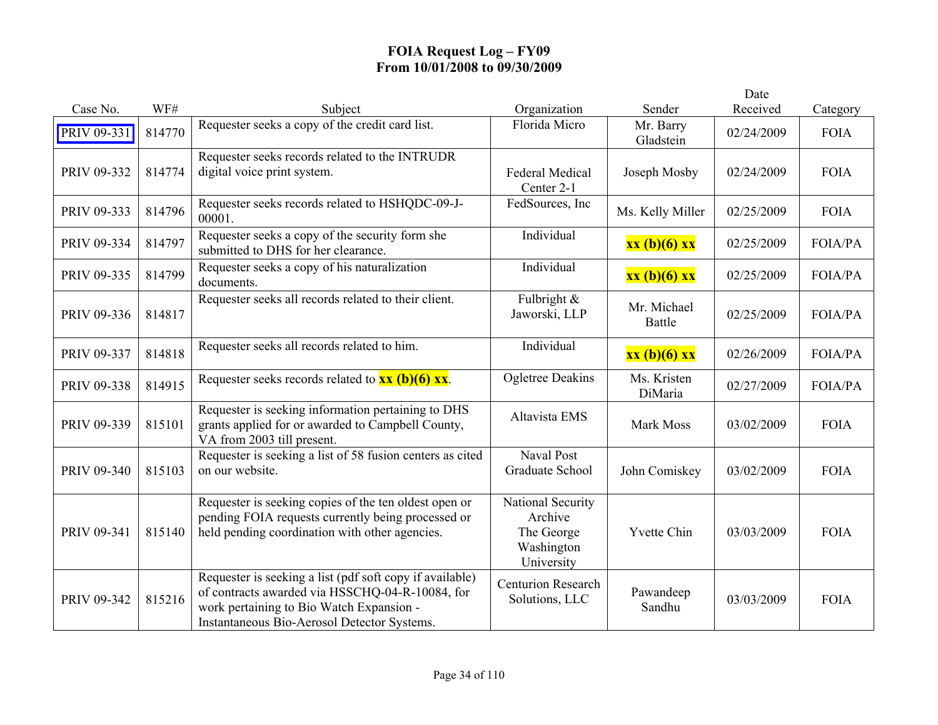|             |        |                                                                                                                                                                                                        |                                                                        |                        | Date       |                |
|-------------|--------|--------------------------------------------------------------------------------------------------------------------------------------------------------------------------------------------------------|------------------------------------------------------------------------|------------------------|------------|----------------|
| Case No.    | WF#    | Subject                                                                                                                                                                                                | Organization                                                           | Sender                 | Received   | Category       |
| PRIV 09-331 | 814770 | Requester seeks a copy of the credit card list.                                                                                                                                                        | Florida Micro                                                          | Mr. Barry<br>Gladstein | 02/24/2009 | <b>FOIA</b>    |
| PRIV 09-332 | 814774 | Requester seeks records related to the INTRUDR<br>digital voice print system.                                                                                                                          | <b>Federal Medical</b><br>Center 2-1                                   | Joseph Mosby           | 02/24/2009 | <b>FOIA</b>    |
| PRIV 09-333 | 814796 | Requester seeks records related to HSHQDC-09-J-<br>00001.                                                                                                                                              | FedSources, Inc                                                        | Ms. Kelly Miller       | 02/25/2009 | <b>FOIA</b>    |
| PRIV 09-334 | 814797 | Requester seeks a copy of the security form she<br>submitted to DHS for her clearance.                                                                                                                 | Individual                                                             | xx (b)(6) xx           | 02/25/2009 | FOIA/PA        |
| PRIV 09-335 | 814799 | Requester seeks a copy of his naturalization<br>documents.                                                                                                                                             | Individual                                                             | xx (b)(6) xx           | 02/25/2009 | <b>FOIA/PA</b> |
| PRIV 09-336 | 814817 | Requester seeks all records related to their client.                                                                                                                                                   | Fulbright $\&$<br>Jaworski, LLP                                        | Mr. Michael<br>Battle  | 02/25/2009 | <b>FOIA/PA</b> |
| PRIV 09-337 | 814818 | Requester seeks all records related to him.                                                                                                                                                            | Individual                                                             | xx (b)(6) xx           | 02/26/2009 | <b>FOIA/PA</b> |
| PRIV 09-338 | 814915 | Requester seeks records related to $\frac{xx}{(b)(6)}$ $\frac{xx}{x}$ .                                                                                                                                | <b>Ogletree Deakins</b>                                                | Ms. Kristen<br>DiMaria | 02/27/2009 | <b>FOIA/PA</b> |
| PRIV 09-339 | 815101 | Requester is seeking information pertaining to DHS<br>grants applied for or awarded to Campbell County,<br>VA from 2003 till present.                                                                  | Altavista EMS                                                          | Mark Moss              | 03/02/2009 | <b>FOIA</b>    |
| PRIV 09-340 | 815103 | Requester is seeking a list of 58 fusion centers as cited<br>on our website.                                                                                                                           | Naval Post<br>Graduate School                                          | John Comiskey          | 03/02/2009 | <b>FOIA</b>    |
| PRIV 09-341 | 815140 | Requester is seeking copies of the ten oldest open or<br>pending FOIA requests currently being processed or<br>held pending coordination with other agencies.                                          | National Security<br>Archive<br>The George<br>Washington<br>University | <b>Yvette Chin</b>     | 03/03/2009 | <b>FOIA</b>    |
| PRIV 09-342 | 815216 | Requester is seeking a list (pdf soft copy if available)<br>of contracts awarded via HSSCHQ-04-R-10084, for<br>work pertaining to Bio Watch Expansion -<br>Instantaneous Bio-Aerosol Detector Systems. | <b>Centurion Research</b><br>Solutions, LLC                            | Pawandeep<br>Sandhu    | 03/03/2009 | <b>FOIA</b>    |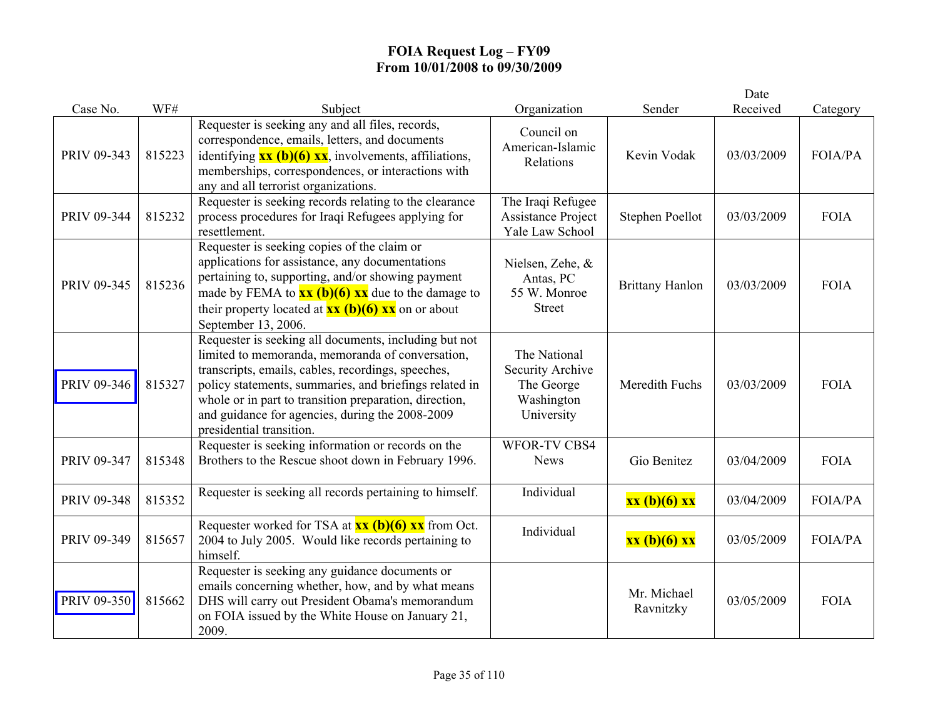|             |        |                                                                                                                                                                                                                                                                                                                                                                    |                                                                            |                          | Date       |                |
|-------------|--------|--------------------------------------------------------------------------------------------------------------------------------------------------------------------------------------------------------------------------------------------------------------------------------------------------------------------------------------------------------------------|----------------------------------------------------------------------------|--------------------------|------------|----------------|
| Case No.    | WF#    | Subject                                                                                                                                                                                                                                                                                                                                                            | Organization                                                               | Sender                   | Received   | Category       |
| PRIV 09-343 | 815223 | Requester is seeking any and all files, records,<br>correspondence, emails, letters, and documents<br>identifying $\overline{\mathbf{xx}}$ (b)(6) $\overline{\mathbf{xx}}$ , involvements, affiliations,<br>memberships, correspondences, or interactions with<br>any and all terrorist organizations.                                                             | Council on<br>American-Islamic<br>Relations                                | Kevin Vodak              | 03/03/2009 | <b>FOIA/PA</b> |
| PRIV 09-344 | 815232 | Requester is seeking records relating to the clearance<br>process procedures for Iraqi Refugees applying for<br>resettlement.                                                                                                                                                                                                                                      | The Iraqi Refugee<br><b>Assistance Project</b><br>Yale Law School          | Stephen Poellot          | 03/03/2009 | <b>FOIA</b>    |
| PRIV 09-345 | 815236 | Requester is seeking copies of the claim or<br>applications for assistance, any documentations<br>pertaining to, supporting, and/or showing payment<br>made by FEMA to $\frac{xx}{(b)(6)}$ $\frac{xx}{x}$ due to the damage to<br>their property located at $\frac{xx}{(b)(6)}$ $\frac{xx}{(c)}$ on or about<br>September 13, 2006.                                | Nielsen, Zehe, &<br>Antas, PC<br>55 W. Monroe<br><b>Street</b>             | <b>Brittany Hanlon</b>   | 03/03/2009 | <b>FOIA</b>    |
| PRIV 09-346 | 815327 | Requester is seeking all documents, including but not<br>limited to memoranda, memoranda of conversation,<br>transcripts, emails, cables, recordings, speeches,<br>policy statements, summaries, and briefings related in<br>whole or in part to transition preparation, direction,<br>and guidance for agencies, during the 2008-2009<br>presidential transition. | The National<br>Security Archive<br>The George<br>Washington<br>University | Meredith Fuchs           | 03/03/2009 | <b>FOIA</b>    |
| PRIV 09-347 | 815348 | Requester is seeking information or records on the<br>Brothers to the Rescue shoot down in February 1996.                                                                                                                                                                                                                                                          | <b>WFOR-TV CBS4</b><br><b>News</b>                                         | Gio Benitez              | 03/04/2009 | <b>FOIA</b>    |
| PRIV 09-348 | 815352 | Requester is seeking all records pertaining to himself.                                                                                                                                                                                                                                                                                                            | Individual                                                                 | xx (b)(6) xx             | 03/04/2009 | <b>FOIA/PA</b> |
| PRIV 09-349 | 815657 | Requester worked for TSA at $xx$ (b)(6) $xx$ from Oct.<br>2004 to July 2005. Would like records pertaining to<br>himself.                                                                                                                                                                                                                                          | Individual                                                                 | xx (b)(6) xx             | 03/05/2009 | <b>FOIA/PA</b> |
| PRIV 09-350 | 815662 | Requester is seeking any guidance documents or<br>emails concerning whether, how, and by what means<br>DHS will carry out President Obama's memorandum<br>on FOIA issued by the White House on January 21,<br>2009.                                                                                                                                                |                                                                            | Mr. Michael<br>Ravnitzky | 03/05/2009 | <b>FOIA</b>    |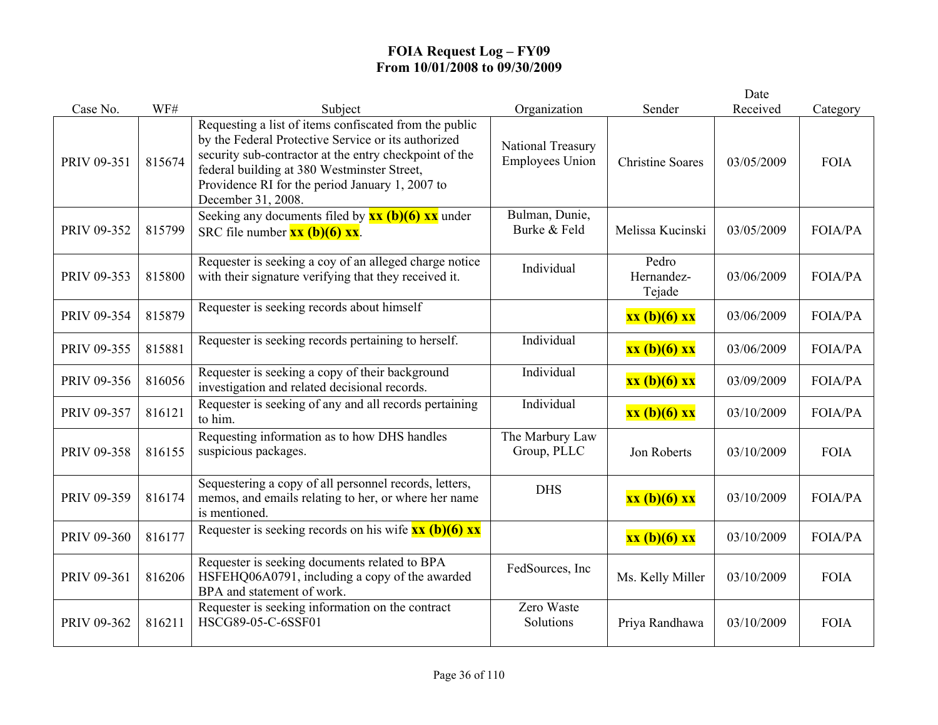|             |        |                                                                                                                                                                                                                                                                                                 |                                             |                               | Date       |                |
|-------------|--------|-------------------------------------------------------------------------------------------------------------------------------------------------------------------------------------------------------------------------------------------------------------------------------------------------|---------------------------------------------|-------------------------------|------------|----------------|
| Case No.    | WF#    | Subject                                                                                                                                                                                                                                                                                         | Organization                                | Sender                        | Received   | Category       |
| PRIV 09-351 | 815674 | Requesting a list of items confiscated from the public<br>by the Federal Protective Service or its authorized<br>security sub-contractor at the entry checkpoint of the<br>federal building at 380 Westminster Street,<br>Providence RI for the period January 1, 2007 to<br>December 31, 2008. | National Treasury<br><b>Employees Union</b> | <b>Christine Soares</b>       | 03/05/2009 | <b>FOIA</b>    |
| PRIV 09-352 | 815799 | Seeking any documents filed by $\frac{xx}{(b)(6)}$ $\frac{xx}{(d)}$ under<br>SRC file number $\overline{\mathbf{xx}(\mathbf{b})(6)} \overline{\mathbf{xx}}$ .                                                                                                                                   | Bulman, Dunie,<br>Burke & Feld              | Melissa Kucinski              | 03/05/2009 | <b>FOIA/PA</b> |
| PRIV 09-353 | 815800 | Requester is seeking a coy of an alleged charge notice<br>with their signature verifying that they received it.                                                                                                                                                                                 | Individual                                  | Pedro<br>Hernandez-<br>Tejade | 03/06/2009 | <b>FOIA/PA</b> |
| PRIV 09-354 | 815879 | Requester is seeking records about himself                                                                                                                                                                                                                                                      |                                             | xx (b)(6) xx                  | 03/06/2009 | <b>FOIA/PA</b> |
| PRIV 09-355 | 815881 | Requester is seeking records pertaining to herself.                                                                                                                                                                                                                                             | Individual                                  | xx (b)(6) xx                  | 03/06/2009 | <b>FOIA/PA</b> |
| PRIV 09-356 | 816056 | Requester is seeking a copy of their background<br>investigation and related decisional records.                                                                                                                                                                                                | Individual                                  | xx (b)(6) xx                  | 03/09/2009 | <b>FOIA/PA</b> |
| PRIV 09-357 | 816121 | Requester is seeking of any and all records pertaining<br>to him.                                                                                                                                                                                                                               | Individual                                  | xx (b)(6) xx                  | 03/10/2009 | <b>FOIA/PA</b> |
| PRIV 09-358 | 816155 | Requesting information as to how DHS handles<br>suspicious packages.                                                                                                                                                                                                                            | The Marbury Law<br>Group, PLLC              | Jon Roberts                   | 03/10/2009 | <b>FOIA</b>    |
| PRIV 09-359 | 816174 | Sequestering a copy of all personnel records, letters,<br>memos, and emails relating to her, or where her name<br>is mentioned.                                                                                                                                                                 | <b>DHS</b>                                  | xx (b)(6) xx                  | 03/10/2009 | <b>FOIA/PA</b> |
| PRIV 09-360 | 816177 | Requester is seeking records on his wife $\frac{\partial x}{\partial t}(b)(6)$ xx                                                                                                                                                                                                               |                                             | xx (b)(6) xx                  | 03/10/2009 | <b>FOIA/PA</b> |
| PRIV 09-361 | 816206 | Requester is seeking documents related to BPA<br>HSFEHQ06A0791, including a copy of the awarded<br>BPA and statement of work.                                                                                                                                                                   | FedSources, Inc                             | Ms. Kelly Miller              | 03/10/2009 | <b>FOIA</b>    |
| PRIV 09-362 | 816211 | Requester is seeking information on the contract<br>HSCG89-05-C-6SSF01                                                                                                                                                                                                                          | Zero Waste<br>Solutions                     | Priya Randhawa                | 03/10/2009 | <b>FOIA</b>    |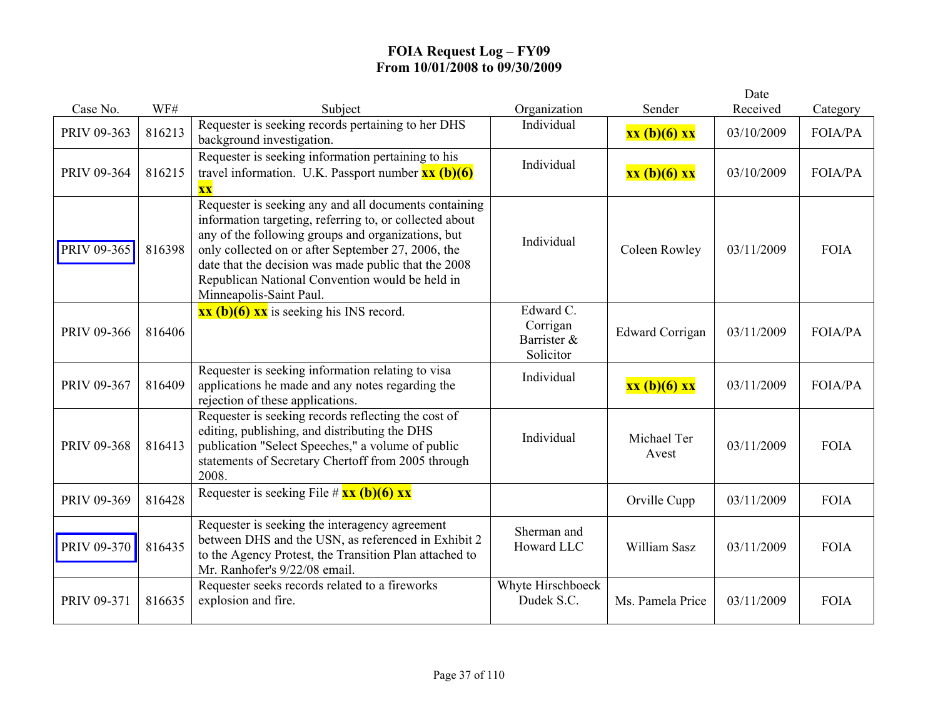|             |        |                                                                                                                                                                                                                                                                                                                                                                    |                                                   |                        | Date       |                |
|-------------|--------|--------------------------------------------------------------------------------------------------------------------------------------------------------------------------------------------------------------------------------------------------------------------------------------------------------------------------------------------------------------------|---------------------------------------------------|------------------------|------------|----------------|
| Case No.    | WF#    | Subject                                                                                                                                                                                                                                                                                                                                                            | Organization                                      | Sender                 | Received   | Category       |
| PRIV 09-363 | 816213 | Requester is seeking records pertaining to her DHS<br>background investigation.                                                                                                                                                                                                                                                                                    | Individual                                        | xx (b)(6) xx           | 03/10/2009 | <b>FOIA/PA</b> |
| PRIV 09-364 | 816215 | Requester is seeking information pertaining to his<br>travel information. U.K. Passport number $\overline{\mathbf{x}\mathbf{x}}$ (b)(6)<br>$\overline{\mathbf{XX}}$                                                                                                                                                                                                | Individual                                        | xx (b)(6) xx           | 03/10/2009 | <b>FOIA/PA</b> |
| PRIV 09-365 | 816398 | Requester is seeking any and all documents containing<br>information targeting, referring to, or collected about<br>any of the following groups and organizations, but<br>only collected on or after September 27, 2006, the<br>date that the decision was made public that the 2008<br>Republican National Convention would be held in<br>Minneapolis-Saint Paul. | Individual                                        | Coleen Rowley          | 03/11/2009 | <b>FOIA</b>    |
| PRIV 09-366 | 816406 | $\overline{\textbf{xx}(\textbf{b})(6)}$ $\overline{\textbf{xx}}$ is seeking his INS record.                                                                                                                                                                                                                                                                        | Edward C.<br>Corrigan<br>Barrister &<br>Solicitor | <b>Edward Corrigan</b> | 03/11/2009 | <b>FOIA/PA</b> |
| PRIV 09-367 | 816409 | Requester is seeking information relating to visa<br>applications he made and any notes regarding the<br>rejection of these applications.                                                                                                                                                                                                                          | Individual                                        | xx (b)(6) xx           | 03/11/2009 | <b>FOIA/PA</b> |
| PRIV 09-368 | 816413 | Requester is seeking records reflecting the cost of<br>editing, publishing, and distributing the DHS<br>publication "Select Speeches," a volume of public<br>statements of Secretary Chertoff from 2005 through<br>2008.                                                                                                                                           | Individual                                        | Michael Ter<br>Avest   | 03/11/2009 | <b>FOIA</b>    |
| PRIV 09-369 | 816428 | Requester is seeking File # $xx$ (b)(6) xx                                                                                                                                                                                                                                                                                                                         |                                                   | Orville Cupp           | 03/11/2009 | <b>FOIA</b>    |
| PRIV 09-370 | 816435 | Requester is seeking the interagency agreement<br>between DHS and the USN, as referenced in Exhibit 2<br>to the Agency Protest, the Transition Plan attached to<br>Mr. Ranhofer's 9/22/08 email.                                                                                                                                                                   | Sherman and<br>Howard LLC                         | William Sasz           | 03/11/2009 | <b>FOIA</b>    |
| PRIV 09-371 | 816635 | Requester seeks records related to a fireworks<br>explosion and fire.                                                                                                                                                                                                                                                                                              | Whyte Hirschboeck<br>Dudek S.C.                   | Ms. Pamela Price       | 03/11/2009 | <b>FOIA</b>    |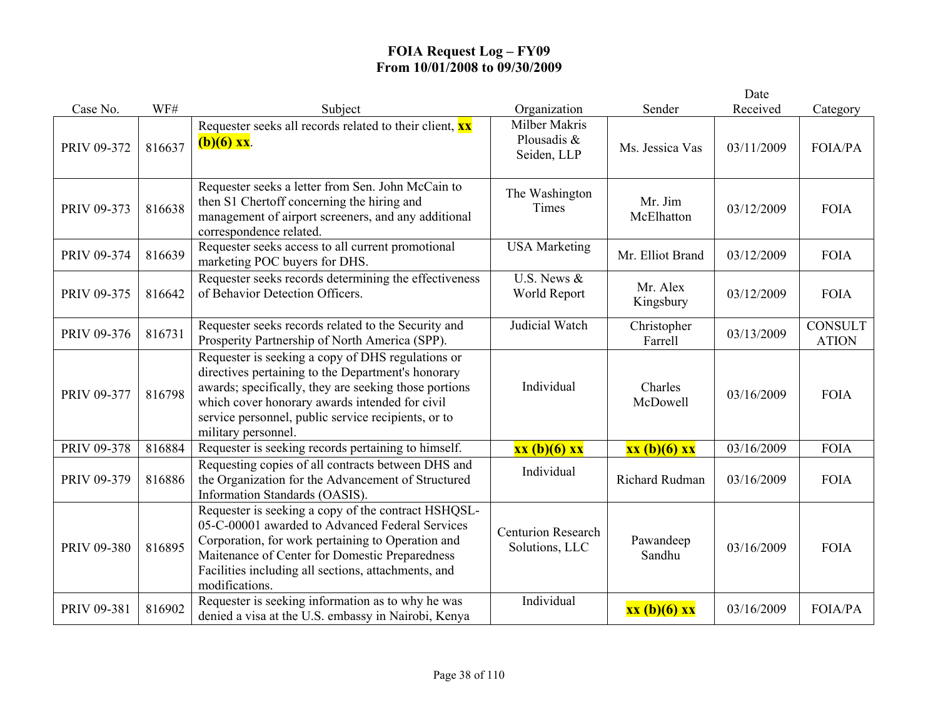|             |        |                                                                                                                                                                                                                                                                                                  |                                                    |                        | Date       |                                |
|-------------|--------|--------------------------------------------------------------------------------------------------------------------------------------------------------------------------------------------------------------------------------------------------------------------------------------------------|----------------------------------------------------|------------------------|------------|--------------------------------|
| Case No.    | WF#    | Subject                                                                                                                                                                                                                                                                                          | Organization                                       | Sender                 | Received   | Category                       |
| PRIV 09-372 | 816637 | Requester seeks all records related to their client, <b>xx</b><br>$(b)(6)$ xx.                                                                                                                                                                                                                   | <b>Milber Makris</b><br>Plousadis &<br>Seiden, LLP | Ms. Jessica Vas        | 03/11/2009 | <b>FOIA/PA</b>                 |
| PRIV 09-373 | 816638 | Requester seeks a letter from Sen. John McCain to<br>then S1 Chertoff concerning the hiring and<br>management of airport screeners, and any additional<br>correspondence related.                                                                                                                | The Washington<br>Times                            | Mr. Jim<br>McElhatton  | 03/12/2009 | <b>FOIA</b>                    |
| PRIV 09-374 | 816639 | Requester seeks access to all current promotional<br>marketing POC buyers for DHS.                                                                                                                                                                                                               | <b>USA Marketing</b>                               | Mr. Elliot Brand       | 03/12/2009 | <b>FOIA</b>                    |
| PRIV 09-375 | 816642 | Requester seeks records determining the effectiveness<br>of Behavior Detection Officers.                                                                                                                                                                                                         | U.S. News &<br>World Report                        | Mr. Alex<br>Kingsbury  | 03/12/2009 | <b>FOIA</b>                    |
| PRIV 09-376 | 816731 | Requester seeks records related to the Security and<br>Prosperity Partnership of North America (SPP).                                                                                                                                                                                            | Judicial Watch                                     | Christopher<br>Farrell | 03/13/2009 | <b>CONSULT</b><br><b>ATION</b> |
| PRIV 09-377 | 816798 | Requester is seeking a copy of DHS regulations or<br>directives pertaining to the Department's honorary<br>awards; specifically, they are seeking those portions<br>which cover honorary awards intended for civil<br>service personnel, public service recipients, or to<br>military personnel. | Individual                                         | Charles<br>McDowell    | 03/16/2009 | <b>FOIA</b>                    |
| PRIV 09-378 | 816884 | Requester is seeking records pertaining to himself.                                                                                                                                                                                                                                              | xx (b)(6) xx                                       | xx (b)(6) xx           | 03/16/2009 | <b>FOIA</b>                    |
| PRIV 09-379 | 816886 | Requesting copies of all contracts between DHS and<br>the Organization for the Advancement of Structured<br>Information Standards (OASIS).                                                                                                                                                       | Individual                                         | Richard Rudman         | 03/16/2009 | <b>FOIA</b>                    |
| PRIV 09-380 | 816895 | Requester is seeking a copy of the contract HSHQSL-<br>05-C-00001 awarded to Advanced Federal Services<br>Corporation, for work pertaining to Operation and<br>Maitenance of Center for Domestic Preparedness<br>Facilities including all sections, attachments, and<br>modifications.           | <b>Centurion Research</b><br>Solutions, LLC        | Pawandeep<br>Sandhu    | 03/16/2009 | <b>FOIA</b>                    |
| PRIV 09-381 | 816902 | Requester is seeking information as to why he was<br>denied a visa at the U.S. embassy in Nairobi, Kenya                                                                                                                                                                                         | Individual                                         | xx (b)(6) xx           | 03/16/2009 | <b>FOIA/PA</b>                 |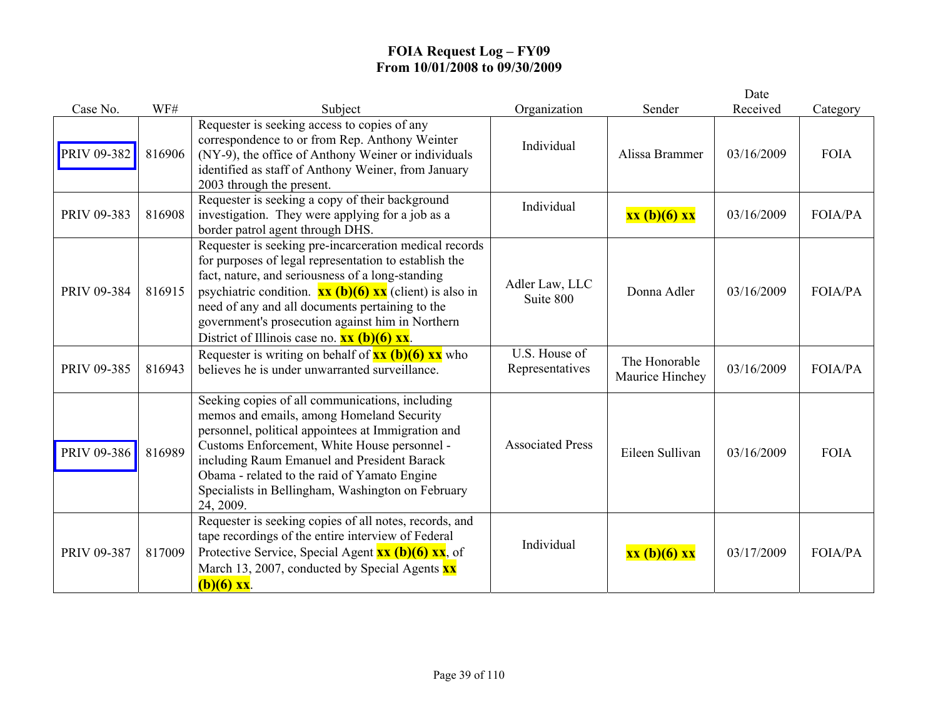|             |        |                                                                                                                                                                                                                                                                                                                                                                                                                                                                          |                                  |                                  | Date       |                |
|-------------|--------|--------------------------------------------------------------------------------------------------------------------------------------------------------------------------------------------------------------------------------------------------------------------------------------------------------------------------------------------------------------------------------------------------------------------------------------------------------------------------|----------------------------------|----------------------------------|------------|----------------|
| Case No.    | WF#    | Subject                                                                                                                                                                                                                                                                                                                                                                                                                                                                  | Organization                     | Sender                           | Received   | Category       |
| PRIV 09-382 | 816906 | Requester is seeking access to copies of any<br>correspondence to or from Rep. Anthony Weinter<br>(NY-9), the office of Anthony Weiner or individuals<br>identified as staff of Anthony Weiner, from January<br>2003 through the present.                                                                                                                                                                                                                                | Individual                       | Alissa Brammer                   | 03/16/2009 | <b>FOIA</b>    |
| PRIV 09-383 | 816908 | Requester is seeking a copy of their background<br>investigation. They were applying for a job as a<br>border patrol agent through DHS.                                                                                                                                                                                                                                                                                                                                  | Individual                       | xx (b)(6) xx                     | 03/16/2009 | <b>FOIA/PA</b> |
| PRIV 09-384 | 816915 | Requester is seeking pre-incarceration medical records<br>for purposes of legal representation to establish the<br>fact, nature, and seriousness of a long-standing<br>psychiatric condition. $\overline{\mathbf{xx}}$ (b)(6) $\overline{\mathbf{xx}}$ (client) is also in<br>need of any and all documents pertaining to the<br>government's prosecution against him in Northern<br>District of Illinois case no. $\overline{\mathbf{xx}(\mathbf{b})(6) \mathbf{xx}}$ . | Adler Law, LLC<br>Suite 800      | Donna Adler                      | 03/16/2009 | FOIA/PA        |
| PRIV 09-385 | 816943 | Requester is writing on behalf of $\frac{xx}{(b)}(6)$ $\frac{xx}{(b)}$ who<br>believes he is under unwarranted surveillance.                                                                                                                                                                                                                                                                                                                                             | U.S. House of<br>Representatives | The Honorable<br>Maurice Hinchey | 03/16/2009 | <b>FOIA/PA</b> |
| PRIV 09-386 | 816989 | Seeking copies of all communications, including<br>memos and emails, among Homeland Security<br>personnel, political appointees at Immigration and<br>Customs Enforcement, White House personnel -<br>including Raum Emanuel and President Barack<br>Obama - related to the raid of Yamato Engine<br>Specialists in Bellingham, Washington on February<br>24, 2009.                                                                                                      | <b>Associated Press</b>          | Eileen Sullivan                  | 03/16/2009 | <b>FOIA</b>    |
| PRIV 09-387 | 817009 | Requester is seeking copies of all notes, records, and<br>tape recordings of the entire interview of Federal<br>Protective Service, Special Agent $\overline{\mathbf{x}\mathbf{x}}$ (b)(6) $\overline{\mathbf{x}\mathbf{x}}$ , of<br>March 13, 2007, conducted by Special Agents $\mathbf{x} \mathbf{x}$<br>$(b)(6)$ xx.                                                                                                                                                 | Individual                       | xx (b)(6) xx                     | 03/17/2009 | <b>FOIA/PA</b> |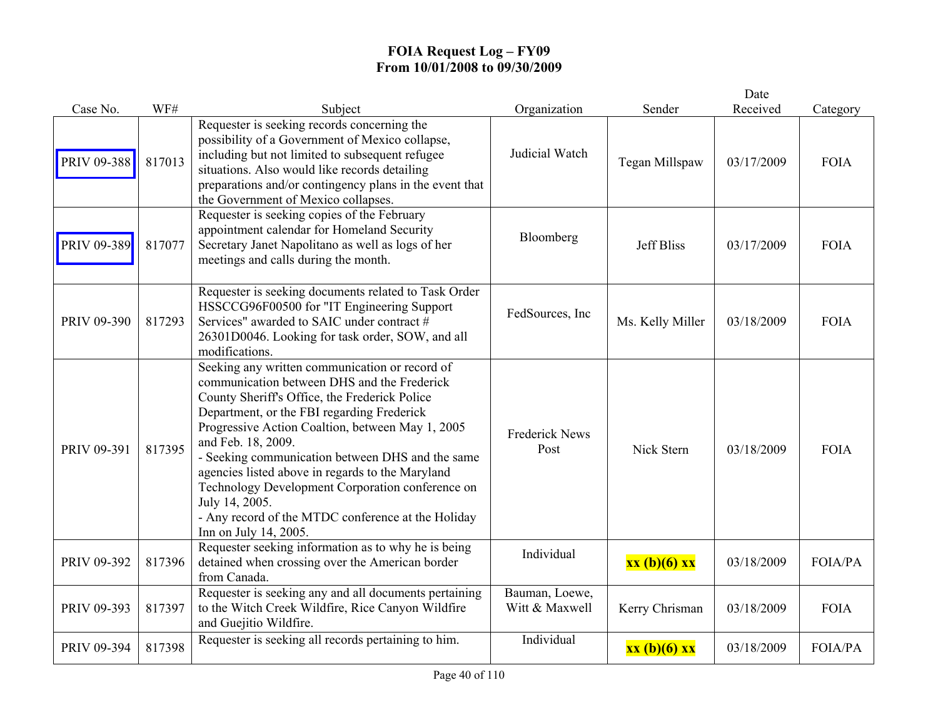|             |        |                                                                                                                                                                                                                                                                                                                                                                                                                                                                                                                                     |                                  |                   | Date       |                |
|-------------|--------|-------------------------------------------------------------------------------------------------------------------------------------------------------------------------------------------------------------------------------------------------------------------------------------------------------------------------------------------------------------------------------------------------------------------------------------------------------------------------------------------------------------------------------------|----------------------------------|-------------------|------------|----------------|
| Case No.    | WF#    | Subject                                                                                                                                                                                                                                                                                                                                                                                                                                                                                                                             | Organization                     | Sender            | Received   | Category       |
| PRIV 09-388 | 817013 | Requester is seeking records concerning the<br>possibility of a Government of Mexico collapse,<br>including but not limited to subsequent refugee<br>situations. Also would like records detailing<br>preparations and/or contingency plans in the event that<br>the Government of Mexico collapses.                                                                                                                                                                                                                                | Judicial Watch                   | Tegan Millspaw    | 03/17/2009 | <b>FOIA</b>    |
| PRIV 09-389 | 817077 | Requester is seeking copies of the February<br>appointment calendar for Homeland Security<br>Secretary Janet Napolitano as well as logs of her<br>meetings and calls during the month.                                                                                                                                                                                                                                                                                                                                              | Bloomberg                        | <b>Jeff Bliss</b> | 03/17/2009 | <b>FOIA</b>    |
| PRIV 09-390 | 817293 | Requester is seeking documents related to Task Order<br>HSSCCG96F00500 for "IT Engineering Support<br>Services" awarded to SAIC under contract #<br>26301D0046. Looking for task order, SOW, and all<br>modifications.                                                                                                                                                                                                                                                                                                              | FedSources, Inc                  | Ms. Kelly Miller  | 03/18/2009 | <b>FOIA</b>    |
| PRIV 09-391 | 817395 | Seeking any written communication or record of<br>communication between DHS and the Frederick<br>County Sheriff's Office, the Frederick Police<br>Department, or the FBI regarding Frederick<br>Progressive Action Coaltion, between May 1, 2005<br>and Feb. 18, 2009.<br>- Seeking communication between DHS and the same<br>agencies listed above in regards to the Maryland<br>Technology Development Corporation conference on<br>July 14, 2005.<br>- Any record of the MTDC conference at the Holiday<br>Inn on July 14, 2005. | <b>Frederick News</b><br>Post    | Nick Stern        | 03/18/2009 | <b>FOIA</b>    |
| PRIV 09-392 | 817396 | Requester seeking information as to why he is being<br>detained when crossing over the American border<br>from Canada.                                                                                                                                                                                                                                                                                                                                                                                                              | Individual                       | xx (b)(6) xx      | 03/18/2009 | FOIA/PA        |
| PRIV 09-393 | 817397 | Requester is seeking any and all documents pertaining<br>to the Witch Creek Wildfire, Rice Canyon Wildfire<br>and Guejitio Wildfire.                                                                                                                                                                                                                                                                                                                                                                                                | Bauman, Loewe,<br>Witt & Maxwell | Kerry Chrisman    | 03/18/2009 | <b>FOIA</b>    |
| PRIV 09-394 | 817398 | Requester is seeking all records pertaining to him.                                                                                                                                                                                                                                                                                                                                                                                                                                                                                 | Individual                       | xx (b)(6) xx      | 03/18/2009 | <b>FOIA/PA</b> |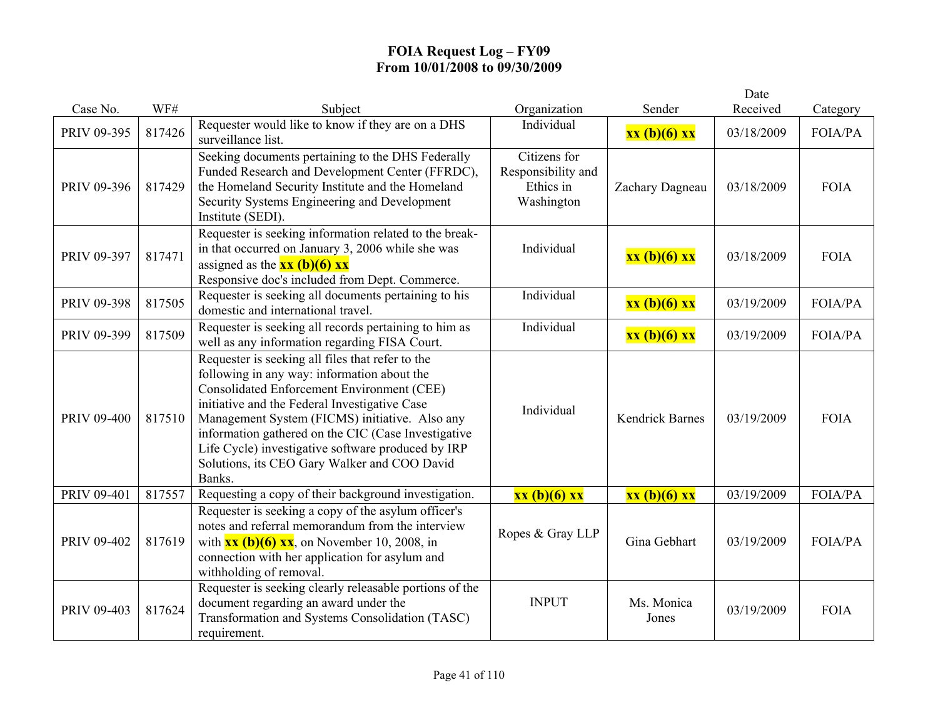|                    |        |                                                                                                                                                                                                                                                                                                                                                                                                                                |                                                               |                        | Date       |                |
|--------------------|--------|--------------------------------------------------------------------------------------------------------------------------------------------------------------------------------------------------------------------------------------------------------------------------------------------------------------------------------------------------------------------------------------------------------------------------------|---------------------------------------------------------------|------------------------|------------|----------------|
| Case No.           | WF#    | Subject                                                                                                                                                                                                                                                                                                                                                                                                                        | Organization                                                  | Sender                 | Received   | Category       |
| PRIV 09-395        | 817426 | Requester would like to know if they are on a DHS<br>surveillance list.                                                                                                                                                                                                                                                                                                                                                        | Individual                                                    | xx (b)(6) xx           | 03/18/2009 | <b>FOIA/PA</b> |
| PRIV 09-396        | 817429 | Seeking documents pertaining to the DHS Federally<br>Funded Research and Development Center (FFRDC),<br>the Homeland Security Institute and the Homeland<br>Security Systems Engineering and Development<br>Institute (SEDI).                                                                                                                                                                                                  | Citizens for<br>Responsibility and<br>Ethics in<br>Washington | Zachary Dagneau        | 03/18/2009 | <b>FOIA</b>    |
| PRIV 09-397        | 817471 | Requester is seeking information related to the break-<br>in that occurred on January 3, 2006 while she was<br>assigned as the $xx (b)(6) xx$<br>Responsive doc's included from Dept. Commerce.                                                                                                                                                                                                                                | Individual                                                    | xx (b)(6) xx           | 03/18/2009 | <b>FOIA</b>    |
| PRIV 09-398        | 817505 | Requester is seeking all documents pertaining to his<br>domestic and international travel.                                                                                                                                                                                                                                                                                                                                     | Individual                                                    | xx (b)(6) xx           | 03/19/2009 | <b>FOIA/PA</b> |
| PRIV 09-399        | 817509 | Requester is seeking all records pertaining to him as<br>well as any information regarding FISA Court.                                                                                                                                                                                                                                                                                                                         | Individual                                                    | xx (b)(6) xx           | 03/19/2009 | FOIA/PA        |
| <b>PRIV 09-400</b> | 817510 | Requester is seeking all files that refer to the<br>following in any way: information about the<br><b>Consolidated Enforcement Environment (CEE)</b><br>initiative and the Federal Investigative Case<br>Management System (FICMS) initiative. Also any<br>information gathered on the CIC (Case Investigative<br>Life Cycle) investigative software produced by IRP<br>Solutions, its CEO Gary Walker and COO David<br>Banks. | Individual                                                    | <b>Kendrick Barnes</b> | 03/19/2009 | <b>FOIA</b>    |
| PRIV 09-401        | 817557 | Requesting a copy of their background investigation.                                                                                                                                                                                                                                                                                                                                                                           | xx (b)(6) xx                                                  | xx (b)(6) xx           | 03/19/2009 | <b>FOIA/PA</b> |
| PRIV 09-402        | 817619 | Requester is seeking a copy of the asylum officer's<br>notes and referral memorandum from the interview<br>with $\mathbf{xx}$ (b)(6) $\mathbf{xx}$ , on November 10, 2008, in<br>connection with her application for asylum and<br>withholding of removal.                                                                                                                                                                     | Ropes & Gray LLP                                              | Gina Gebhart           | 03/19/2009 | FOIA/PA        |
| PRIV 09-403        | 817624 | Requester is seeking clearly releasable portions of the<br>document regarding an award under the<br>Transformation and Systems Consolidation (TASC)                                                                                                                                                                                                                                                                            | <b>INPUT</b>                                                  | Ms. Monica<br>Jones    | 03/19/2009 | <b>FOIA</b>    |
|                    |        | requirement.                                                                                                                                                                                                                                                                                                                                                                                                                   |                                                               |                        |            |                |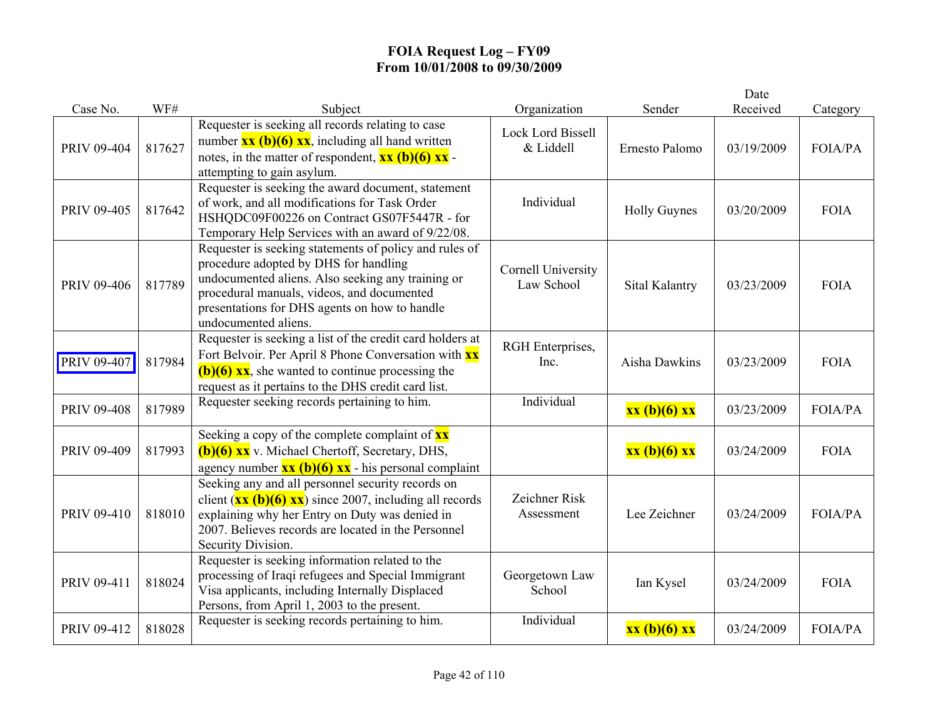|             |        |                                                                                                                                                                                                                                                                                                                       |                                  |                     | Date       |                |
|-------------|--------|-----------------------------------------------------------------------------------------------------------------------------------------------------------------------------------------------------------------------------------------------------------------------------------------------------------------------|----------------------------------|---------------------|------------|----------------|
| Case No.    | WF#    | Subject                                                                                                                                                                                                                                                                                                               | Organization                     | Sender              | Received   | Category       |
| PRIV 09-404 | 817627 | Requester is seeking all records relating to case<br>number $\overline{\mathbf{x}\mathbf{x}}$ (b)(6) $\overline{\mathbf{x}\mathbf{x}}$ , including all hand written<br>notes, in the matter of respondent, $\overline{\mathbf{x}\mathbf{x}}$ (b)(6) $\overline{\mathbf{x}\mathbf{x}}$ -<br>attempting to gain asylum. | Lock Lord Bissell<br>& Liddell   | Ernesto Palomo      | 03/19/2009 | FOIA/PA        |
| PRIV 09-405 | 817642 | Requester is seeking the award document, statement<br>of work, and all modifications for Task Order<br>HSHQDC09F00226 on Contract GS07F5447R - for<br>Temporary Help Services with an award of 9/22/08.                                                                                                               | Individual                       | <b>Holly Guynes</b> | 03/20/2009 | <b>FOIA</b>    |
| PRIV 09-406 | 817789 | Requester is seeking statements of policy and rules of<br>procedure adopted by DHS for handling<br>undocumented aliens. Also seeking any training or<br>procedural manuals, videos, and documented<br>presentations for DHS agents on how to handle<br>undocumented aliens.                                           | Cornell University<br>Law School | Sital Kalantry      | 03/23/2009 | <b>FOIA</b>    |
| PRIV 09-407 | 817984 | Requester is seeking a list of the credit card holders at<br>Fort Belvoir. Per April 8 Phone Conversation with <b>xx</b><br>$(b)(6)$ xx, she wanted to continue processing the<br>request as it pertains to the DHS credit card list.                                                                                 | RGH Enterprises,<br>Inc.         | Aisha Dawkins       | 03/23/2009 | <b>FOIA</b>    |
| PRIV 09-408 | 817989 | Requester seeking records pertaining to him.                                                                                                                                                                                                                                                                          | Individual                       | xx (b)(6) xx        | 03/23/2009 | <b>FOIA/PA</b> |
| PRIV 09-409 | 817993 | Seeking a copy of the complete complaint of $\frac{xx}{xx}$<br>$(b)(6)$ XX v. Michael Chertoff, Secretary, DHS,<br>agency number $\overline{\mathbf{x}\mathbf{x}(\mathbf{b})(6) \mathbf{x}\mathbf{x}}$ - his personal complaint                                                                                       |                                  | xx (b)(6) xx        | 03/24/2009 | <b>FOIA</b>    |
| PRIV 09-410 | 818010 | Seeking any and all personnel security records on<br>client $(\mathbf{x}\mathbf{x}$ (b)(6) $\mathbf{x}\mathbf{x}$ ) since 2007, including all records<br>explaining why her Entry on Duty was denied in<br>2007. Believes records are located in the Personnel<br>Security Division.                                  | Zeichner Risk<br>Assessment      | Lee Zeichner        | 03/24/2009 | <b>FOIA/PA</b> |
| PRIV 09-411 | 818024 | Requester is seeking information related to the<br>processing of Iraqi refugees and Special Immigrant<br>Visa applicants, including Internally Displaced<br>Persons, from April 1, 2003 to the present.                                                                                                               | Georgetown Law<br>School         | Ian Kysel           | 03/24/2009 | <b>FOIA</b>    |
| PRIV 09-412 | 818028 | Requester is seeking records pertaining to him.                                                                                                                                                                                                                                                                       | Individual                       | xx (b)(6) xx        | 03/24/2009 | <b>FOIA/PA</b> |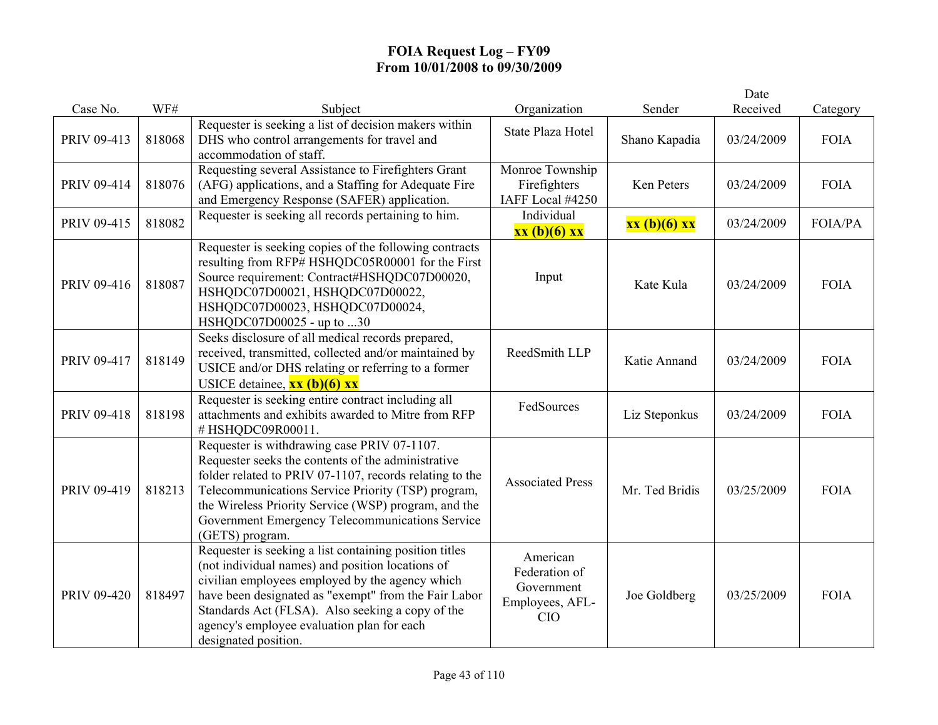|             |        |                                                                                                                                                                                                                                                                                                                                                  |                                                                   |                | Date       |             |
|-------------|--------|--------------------------------------------------------------------------------------------------------------------------------------------------------------------------------------------------------------------------------------------------------------------------------------------------------------------------------------------------|-------------------------------------------------------------------|----------------|------------|-------------|
| Case No.    | WF#    | Subject                                                                                                                                                                                                                                                                                                                                          | Organization                                                      | Sender         | Received   | Category    |
| PRIV 09-413 | 818068 | Requester is seeking a list of decision makers within<br>DHS who control arrangements for travel and<br>accommodation of staff.                                                                                                                                                                                                                  | <b>State Plaza Hotel</b>                                          | Shano Kapadia  | 03/24/2009 | <b>FOIA</b> |
| PRIV 09-414 | 818076 | Requesting several Assistance to Firefighters Grant<br>(AFG) applications, and a Staffing for Adequate Fire<br>and Emergency Response (SAFER) application.                                                                                                                                                                                       | Monroe Township<br>Firefighters<br>IAFF Local #4250               | Ken Peters     | 03/24/2009 | <b>FOIA</b> |
| PRIV 09-415 | 818082 | Requester is seeking all records pertaining to him.                                                                                                                                                                                                                                                                                              | Individual<br>xx (b)(6) xx                                        | xx (b)(6) xx   | 03/24/2009 | FOIA/PA     |
| PRIV 09-416 | 818087 | Requester is seeking copies of the following contracts<br>resulting from RFP# HSHQDC05R00001 for the First<br>Source requirement: Contract#HSHQDC07D00020,<br>HSHQDC07D00021, HSHQDC07D00022,<br>HSHQDC07D00023, HSHQDC07D00024,<br>HSHQDC07D00025 - up to 30                                                                                    | Input                                                             | Kate Kula      | 03/24/2009 | <b>FOIA</b> |
| PRIV 09-417 | 818149 | Seeks disclosure of all medical records prepared,<br>received, transmitted, collected and/or maintained by<br>USICE and/or DHS relating or referring to a former<br>USICE detainee, $\overline{\mathbf{x}\mathbf{x}}$ (b)(6) $\overline{\mathbf{x}\mathbf{x}}$                                                                                   | ReedSmith LLP                                                     | Katie Annand   | 03/24/2009 | <b>FOIA</b> |
| PRIV 09-418 | 818198 | Requester is seeking entire contract including all<br>attachments and exhibits awarded to Mitre from RFP<br>#HSHQDC09R00011.                                                                                                                                                                                                                     | FedSources                                                        | Liz Steponkus  | 03/24/2009 | <b>FOIA</b> |
| PRIV 09-419 | 818213 | Requester is withdrawing case PRIV 07-1107.<br>Requester seeks the contents of the administrative<br>folder related to PRIV 07-1107, records relating to the<br>Telecommunications Service Priority (TSP) program,<br>the Wireless Priority Service (WSP) program, and the<br>Government Emergency Telecommunications Service<br>(GETS) program. | <b>Associated Press</b>                                           | Mr. Ted Bridis | 03/25/2009 | <b>FOIA</b> |
| PRIV 09-420 | 818497 | Requester is seeking a list containing position titles<br>(not individual names) and position locations of<br>civilian employees employed by the agency which<br>have been designated as "exempt" from the Fair Labor<br>Standards Act (FLSA). Also seeking a copy of the<br>agency's employee evaluation plan for each<br>designated position.  | American<br>Federation of<br>Government<br>Employees, AFL-<br>CIO | Joe Goldberg   | 03/25/2009 | <b>FOIA</b> |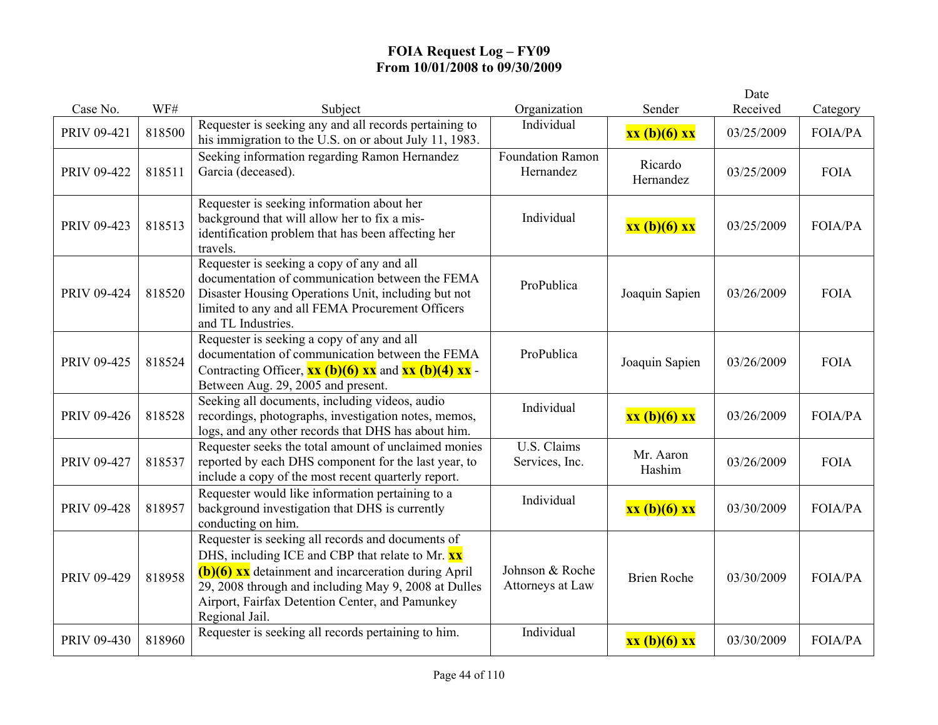|             |        |                                                                                                                                                                                                                                                                                             |                                     |                      | Date       |                |
|-------------|--------|---------------------------------------------------------------------------------------------------------------------------------------------------------------------------------------------------------------------------------------------------------------------------------------------|-------------------------------------|----------------------|------------|----------------|
| Case No.    | WF#    | Subject                                                                                                                                                                                                                                                                                     | Organization                        | Sender               | Received   | Category       |
| PRIV 09-421 | 818500 | Requester is seeking any and all records pertaining to<br>his immigration to the U.S. on or about July 11, 1983.                                                                                                                                                                            | Individual                          | xx (b)(6) xx         | 03/25/2009 | <b>FOIA/PA</b> |
| PRIV 09-422 | 818511 | Seeking information regarding Ramon Hernandez<br>Garcia (deceased).                                                                                                                                                                                                                         | Foundation Ramon<br>Hernandez       | Ricardo<br>Hernandez | 03/25/2009 | <b>FOIA</b>    |
| PRIV 09-423 | 818513 | Requester is seeking information about her<br>background that will allow her to fix a mis-<br>identification problem that has been affecting her<br>travels.                                                                                                                                | Individual                          | xx (b)(6) xx         | 03/25/2009 | FOIA/PA        |
| PRIV 09-424 | 818520 | Requester is seeking a copy of any and all<br>documentation of communication between the FEMA<br>Disaster Housing Operations Unit, including but not<br>limited to any and all FEMA Procurement Officers<br>and TL Industries.                                                              | ProPublica                          | Joaquin Sapien       | 03/26/2009 | <b>FOIA</b>    |
| PRIV 09-425 | 818524 | Requester is seeking a copy of any and all<br>documentation of communication between the FEMA<br>Contracting Officer, $\frac{xx(b)(6)xx}{x}$ and $\frac{xx(b)(4)xx}{x}$<br>Between Aug. 29, 2005 and present.                                                                               | ProPublica                          | Joaquin Sapien       | 03/26/2009 | <b>FOIA</b>    |
| PRIV 09-426 | 818528 | Seeking all documents, including videos, audio<br>recordings, photographs, investigation notes, memos,<br>logs, and any other records that DHS has about him.                                                                                                                               | Individual                          | xx (b)(6) xx         | 03/26/2009 | FOIA/PA        |
| PRIV 09-427 | 818537 | Requester seeks the total amount of unclaimed monies<br>reported by each DHS component for the last year, to<br>include a copy of the most recent quarterly report.                                                                                                                         | U.S. Claims<br>Services, Inc.       | Mr. Aaron<br>Hashim  | 03/26/2009 | <b>FOIA</b>    |
| PRIV 09-428 | 818957 | Requester would like information pertaining to a<br>background investigation that DHS is currently<br>conducting on him.                                                                                                                                                                    | Individual                          | xx (b)(6) xx         | 03/30/2009 | FOIA/PA        |
| PRIV 09-429 | 818958 | Requester is seeking all records and documents of<br>DHS, including ICE and CBP that relate to Mr. XX<br>$(b)(6)$ xx detainment and incarceration during April<br>29, 2008 through and including May 9, 2008 at Dulles<br>Airport, Fairfax Detention Center, and Pamunkey<br>Regional Jail. | Johnson & Roche<br>Attorneys at Law | <b>Brien Roche</b>   | 03/30/2009 | <b>FOIA/PA</b> |
| PRIV 09-430 | 818960 | Requester is seeking all records pertaining to him.                                                                                                                                                                                                                                         | Individual                          | $xx(b)(6)$ $xx$      | 03/30/2009 | <b>FOIA/PA</b> |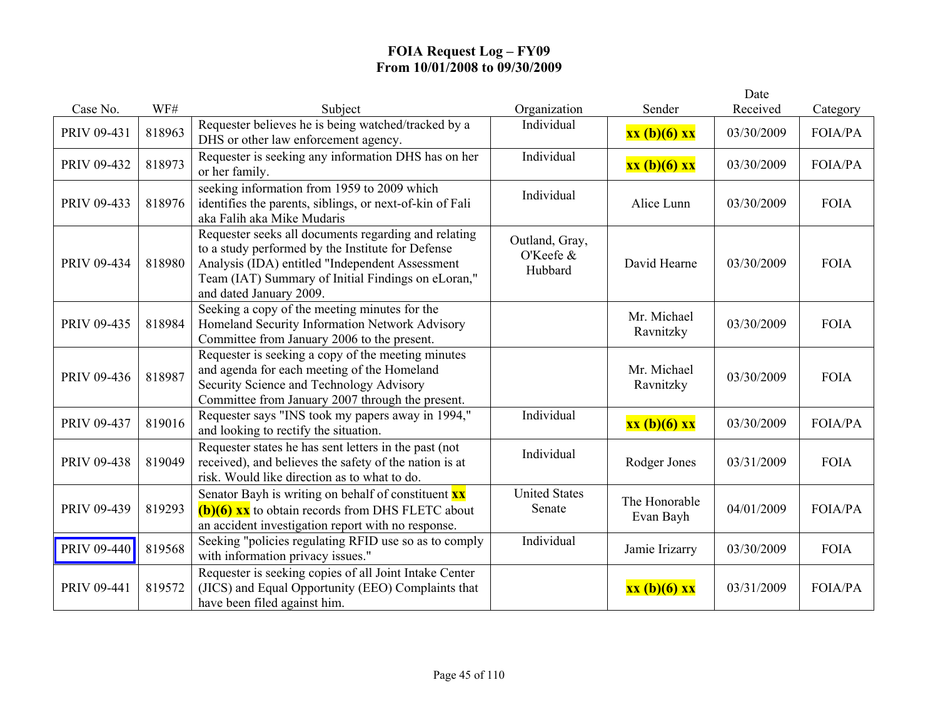|             |        |                                                                                                                                                                                                                                               |                                        |                            | Date       |                |
|-------------|--------|-----------------------------------------------------------------------------------------------------------------------------------------------------------------------------------------------------------------------------------------------|----------------------------------------|----------------------------|------------|----------------|
| Case No.    | WF#    | Subject                                                                                                                                                                                                                                       | Organization                           | Sender                     | Received   | Category       |
| PRIV 09-431 | 818963 | Requester believes he is being watched/tracked by a<br>DHS or other law enforcement agency.                                                                                                                                                   | Individual                             | xx (b)(6) xx               | 03/30/2009 | <b>FOIA/PA</b> |
| PRIV 09-432 | 818973 | Requester is seeking any information DHS has on her<br>or her family.                                                                                                                                                                         | Individual                             | xx (b)(6) xx               | 03/30/2009 | <b>FOIA/PA</b> |
| PRIV 09-433 | 818976 | seeking information from 1959 to 2009 which<br>identifies the parents, siblings, or next-of-kin of Fali<br>aka Falih aka Mike Mudaris                                                                                                         | Individual                             | Alice Lunn                 | 03/30/2009 | <b>FOIA</b>    |
| PRIV 09-434 | 818980 | Requester seeks all documents regarding and relating<br>to a study performed by the Institute for Defense<br>Analysis (IDA) entitled "Independent Assessment<br>Team (IAT) Summary of Initial Findings on eLoran,"<br>and dated January 2009. | Outland, Gray,<br>O'Keefe &<br>Hubbard | David Hearne               | 03/30/2009 | <b>FOIA</b>    |
| PRIV 09-435 | 818984 | Seeking a copy of the meeting minutes for the<br>Homeland Security Information Network Advisory<br>Committee from January 2006 to the present.                                                                                                |                                        | Mr. Michael<br>Ravnitzky   | 03/30/2009 | <b>FOIA</b>    |
| PRIV 09-436 | 818987 | Requester is seeking a copy of the meeting minutes<br>and agenda for each meeting of the Homeland<br>Security Science and Technology Advisory<br>Committee from January 2007 through the present.                                             |                                        | Mr. Michael<br>Ravnitzky   | 03/30/2009 | <b>FOIA</b>    |
| PRIV 09-437 | 819016 | Requester says "INS took my papers away in 1994,"<br>and looking to rectify the situation.                                                                                                                                                    | Individual                             | xx (b)(6) xx               | 03/30/2009 | <b>FOIA/PA</b> |
| PRIV 09-438 | 819049 | Requester states he has sent letters in the past (not<br>received), and believes the safety of the nation is at<br>risk. Would like direction as to what to do.                                                                               | Individual                             | Rodger Jones               | 03/31/2009 | <b>FOIA</b>    |
| PRIV 09-439 | 819293 | Senator Bayh is writing on behalf of constituent $\mathbf{x} \mathbf{x}$<br>$(b)(6)$ xx to obtain records from DHS FLETC about<br>an accident investigation report with no response.                                                          | <b>United States</b><br>Senate         | The Honorable<br>Evan Bayh | 04/01/2009 | <b>FOIA/PA</b> |
| PRIV 09-440 | 819568 | Seeking "policies regulating RFID use so as to comply<br>with information privacy issues."                                                                                                                                                    | Individual                             | Jamie Irizarry             | 03/30/2009 | <b>FOIA</b>    |
| PRIV 09-441 | 819572 | Requester is seeking copies of all Joint Intake Center<br>(JICS) and Equal Opportunity (EEO) Complaints that<br>have been filed against him.                                                                                                  |                                        | xx (b)(6) xx               | 03/31/2009 | <b>FOIA/PA</b> |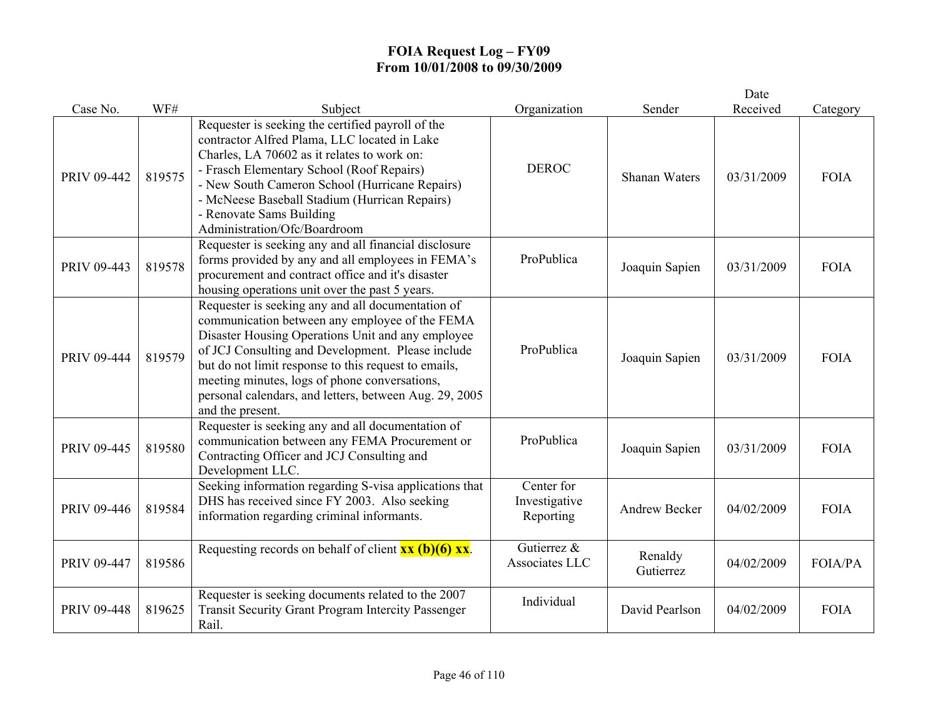|             |        |                                                                                                                                                                                                                                                                                                                                                                                                      |                                          |                      | Date       |                |
|-------------|--------|------------------------------------------------------------------------------------------------------------------------------------------------------------------------------------------------------------------------------------------------------------------------------------------------------------------------------------------------------------------------------------------------------|------------------------------------------|----------------------|------------|----------------|
| Case No.    | WF#    | Subject                                                                                                                                                                                                                                                                                                                                                                                              | Organization                             | Sender               | Received   | Category       |
| PRIV 09-442 | 819575 | Requester is seeking the certified payroll of the<br>contractor Alfred Plama, LLC located in Lake<br>Charles, LA 70602 as it relates to work on:<br>- Frasch Elementary School (Roof Repairs)<br>- New South Cameron School (Hurricane Repairs)<br>- McNeese Baseball Stadium (Hurrican Repairs)<br>- Renovate Sams Building<br>Administration/Ofc/Boardroom                                         | <b>DEROC</b>                             | <b>Shanan Waters</b> | 03/31/2009 | <b>FOIA</b>    |
| PRIV 09-443 | 819578 | Requester is seeking any and all financial disclosure<br>forms provided by any and all employees in FEMA's<br>procurement and contract office and it's disaster<br>housing operations unit over the past 5 years.                                                                                                                                                                                    | ProPublica                               | Joaquin Sapien       | 03/31/2009 | <b>FOIA</b>    |
| PRIV 09-444 | 819579 | Requester is seeking any and all documentation of<br>communication between any employee of the FEMA<br>Disaster Housing Operations Unit and any employee<br>of JCJ Consulting and Development. Please include<br>but do not limit response to this request to emails,<br>meeting minutes, logs of phone conversations,<br>personal calendars, and letters, between Aug. 29, 2005<br>and the present. | ProPublica                               | Joaquin Sapien       | 03/31/2009 | <b>FOIA</b>    |
| PRIV 09-445 | 819580 | Requester is seeking any and all documentation of<br>communication between any FEMA Procurement or<br>Contracting Officer and JCJ Consulting and<br>Development LLC.                                                                                                                                                                                                                                 | ProPublica                               | Joaquin Sapien       | 03/31/2009 | <b>FOIA</b>    |
| PRIV 09-446 | 819584 | Seeking information regarding S-visa applications that<br>DHS has received since FY 2003. Also seeking<br>information regarding criminal informants.                                                                                                                                                                                                                                                 | Center for<br>Investigative<br>Reporting | <b>Andrew Becker</b> | 04/02/2009 | <b>FOIA</b>    |
| PRIV 09-447 | 819586 | Requesting records on behalf of client $\overline{\mathbf{x}\mathbf{x}}$ (b)(6) $\overline{\mathbf{x}\mathbf{x}}$ .                                                                                                                                                                                                                                                                                  | Gutierrez &<br>Associates LLC            | Renaldy<br>Gutierrez | 04/02/2009 | <b>FOIA/PA</b> |
| PRIV 09-448 | 819625 | Requester is seeking documents related to the 2007<br><b>Transit Security Grant Program Intercity Passenger</b><br>Rail.                                                                                                                                                                                                                                                                             | Individual                               | David Pearlson       | 04/02/2009 | <b>FOIA</b>    |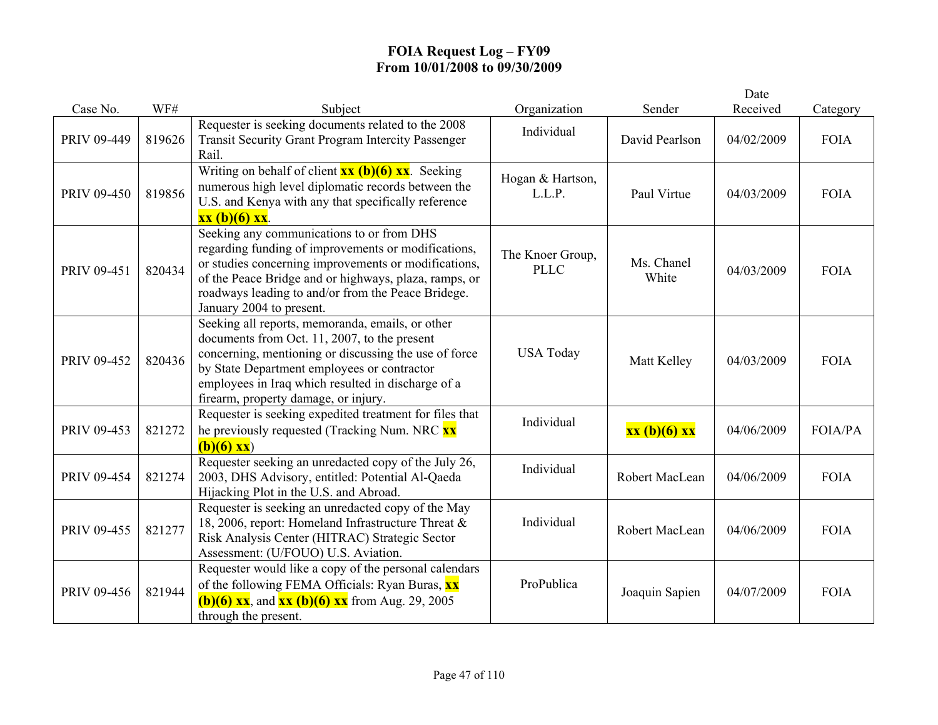|             |        |                                                                                                                                                                                                                                                                                                        |                                 |                     | Date       |                |
|-------------|--------|--------------------------------------------------------------------------------------------------------------------------------------------------------------------------------------------------------------------------------------------------------------------------------------------------------|---------------------------------|---------------------|------------|----------------|
| Case No.    | WF#    | Subject                                                                                                                                                                                                                                                                                                | Organization                    | Sender              | Received   | Category       |
| PRIV 09-449 | 819626 | Requester is seeking documents related to the 2008<br><b>Transit Security Grant Program Intercity Passenger</b><br>Rail.                                                                                                                                                                               | Individual                      | David Pearlson      | 04/02/2009 | <b>FOIA</b>    |
| PRIV 09-450 | 819856 | Writing on behalf of client $\frac{xx}{(b)(6)}$ $\frac{xx}{x}$ . Seeking<br>numerous high level diplomatic records between the<br>U.S. and Kenya with any that specifically reference<br>$xx (b)(6) xx$ .                                                                                              | Hogan & Hartson,<br>L.L.P.      | Paul Virtue         | 04/03/2009 | <b>FOIA</b>    |
| PRIV 09-451 | 820434 | Seeking any communications to or from DHS<br>regarding funding of improvements or modifications,<br>or studies concerning improvements or modifications,<br>of the Peace Bridge and or highways, plaza, ramps, or<br>roadways leading to and/or from the Peace Bridege.<br>January 2004 to present.    | The Knoer Group,<br><b>PLLC</b> | Ms. Chanel<br>White | 04/03/2009 | <b>FOIA</b>    |
| PRIV 09-452 | 820436 | Seeking all reports, memoranda, emails, or other<br>documents from Oct. 11, 2007, to the present<br>concerning, mentioning or discussing the use of force<br>by State Department employees or contractor<br>employees in Iraq which resulted in discharge of a<br>firearm, property damage, or injury. | <b>USA Today</b>                | Matt Kelley         | 04/03/2009 | <b>FOIA</b>    |
| PRIV 09-453 | 821272 | Requester is seeking expedited treatment for files that<br>he previously requested (Tracking Num. NRC XX)<br>$(b)(6)$ xx)                                                                                                                                                                              | Individual                      | xx (b)(6) xx        | 04/06/2009 | <b>FOIA/PA</b> |
| PRIV 09-454 | 821274 | Requester seeking an unredacted copy of the July 26,<br>2003, DHS Advisory, entitled: Potential Al-Qaeda<br>Hijacking Plot in the U.S. and Abroad.                                                                                                                                                     | Individual                      | Robert MacLean      | 04/06/2009 | <b>FOIA</b>    |
| PRIV 09-455 | 821277 | Requester is seeking an unredacted copy of the May<br>18, 2006, report: Homeland Infrastructure Threat &<br>Risk Analysis Center (HITRAC) Strategic Sector<br>Assessment: (U/FOUO) U.S. Aviation.                                                                                                      | Individual                      | Robert MacLean      | 04/06/2009 | <b>FOIA</b>    |
| PRIV 09-456 | 821944 | Requester would like a copy of the personal calendars<br>of the following FEMA Officials: Ryan Buras, <b>xx</b><br><b>(b)(6) xx</b> , and <b>xx (b)(6) xx</b> from Aug. 29, 2005<br>through the present.                                                                                               | ProPublica                      | Joaquin Sapien      | 04/07/2009 | <b>FOIA</b>    |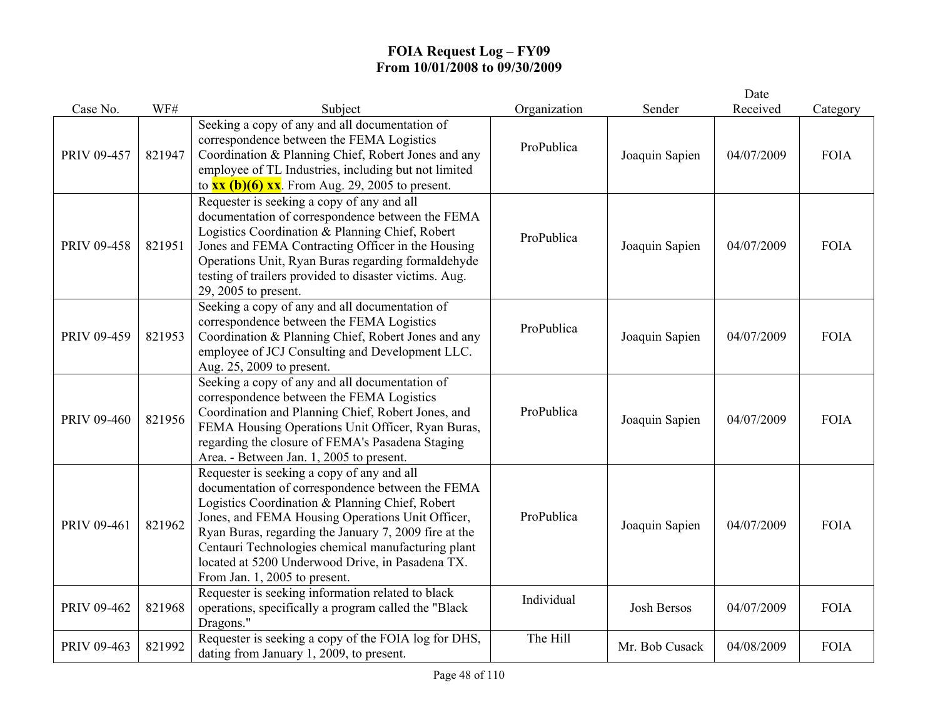|             |        |                                                                                                                                                                                                                                                                                                                                                                                                           |              |                    | Date       |             |
|-------------|--------|-----------------------------------------------------------------------------------------------------------------------------------------------------------------------------------------------------------------------------------------------------------------------------------------------------------------------------------------------------------------------------------------------------------|--------------|--------------------|------------|-------------|
| Case No.    | WF#    | Subject                                                                                                                                                                                                                                                                                                                                                                                                   | Organization | Sender             | Received   | Category    |
| PRIV 09-457 | 821947 | Seeking a copy of any and all documentation of<br>correspondence between the FEMA Logistics<br>Coordination & Planning Chief, Robert Jones and any<br>employee of TL Industries, including but not limited<br>to $\overline{\text{xx (b)(6)} \text{xx}}$ . From Aug. 29, 2005 to present.                                                                                                                 | ProPublica   | Joaquin Sapien     | 04/07/2009 | <b>FOIA</b> |
| PRIV 09-458 | 821951 | Requester is seeking a copy of any and all<br>documentation of correspondence between the FEMA<br>Logistics Coordination & Planning Chief, Robert<br>Jones and FEMA Contracting Officer in the Housing<br>Operations Unit, Ryan Buras regarding formaldehyde<br>testing of trailers provided to disaster victims. Aug.<br>29, 2005 to present.                                                            | ProPublica   | Joaquin Sapien     | 04/07/2009 | <b>FOIA</b> |
| PRIV 09-459 | 821953 | Seeking a copy of any and all documentation of<br>correspondence between the FEMA Logistics<br>Coordination & Planning Chief, Robert Jones and any<br>employee of JCJ Consulting and Development LLC.<br>Aug. 25, 2009 to present.                                                                                                                                                                        | ProPublica   | Joaquin Sapien     | 04/07/2009 | <b>FOIA</b> |
| PRIV 09-460 | 821956 | Seeking a copy of any and all documentation of<br>correspondence between the FEMA Logistics<br>Coordination and Planning Chief, Robert Jones, and<br>FEMA Housing Operations Unit Officer, Ryan Buras,<br>regarding the closure of FEMA's Pasadena Staging<br>Area. - Between Jan. 1, 2005 to present.                                                                                                    | ProPublica   | Joaquin Sapien     | 04/07/2009 | <b>FOIA</b> |
| PRIV 09-461 | 821962 | Requester is seeking a copy of any and all<br>documentation of correspondence between the FEMA<br>Logistics Coordination & Planning Chief, Robert<br>Jones, and FEMA Housing Operations Unit Officer,<br>Ryan Buras, regarding the January 7, 2009 fire at the<br>Centauri Technologies chemical manufacturing plant<br>located at 5200 Underwood Drive, in Pasadena TX.<br>From Jan. 1, 2005 to present. | ProPublica   | Joaquin Sapien     | 04/07/2009 | <b>FOIA</b> |
| PRIV 09-462 | 821968 | Requester is seeking information related to black<br>operations, specifically a program called the "Black<br>Dragons."                                                                                                                                                                                                                                                                                    | Individual   | <b>Josh Bersos</b> | 04/07/2009 | <b>FOIA</b> |
| PRIV 09-463 | 821992 | Requester is seeking a copy of the FOIA log for DHS,<br>dating from January 1, 2009, to present.                                                                                                                                                                                                                                                                                                          | The Hill     | Mr. Bob Cusack     | 04/08/2009 | <b>FOIA</b> |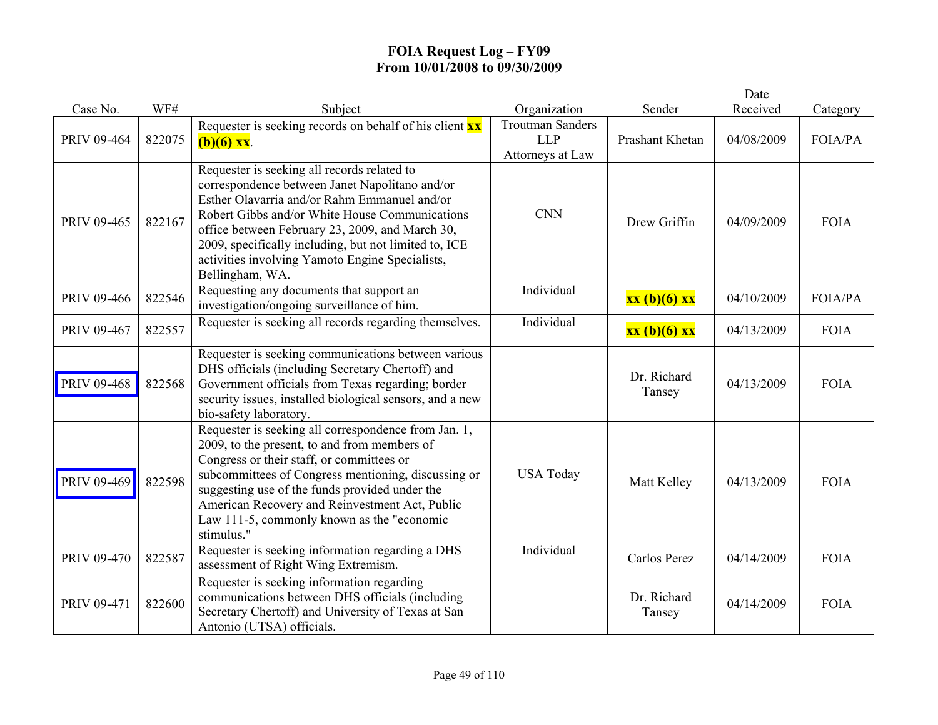|             |        |                                                                                                                                                                                                                                                                                                                                                                                   |                                                           |                       | Date       |                |
|-------------|--------|-----------------------------------------------------------------------------------------------------------------------------------------------------------------------------------------------------------------------------------------------------------------------------------------------------------------------------------------------------------------------------------|-----------------------------------------------------------|-----------------------|------------|----------------|
| Case No.    | WF#    | Subject                                                                                                                                                                                                                                                                                                                                                                           | Organization                                              | Sender                | Received   | Category       |
| PRIV 09-464 | 822075 | Requester is seeking records on behalf of his client $\mathbf{x} \mathbf{x}$<br>$(b)(6)$ xx.                                                                                                                                                                                                                                                                                      | <b>Troutman Sanders</b><br><b>LLP</b><br>Attorneys at Law | Prashant Khetan       | 04/08/2009 | <b>FOIA/PA</b> |
| PRIV 09-465 | 822167 | Requester is seeking all records related to<br>correspondence between Janet Napolitano and/or<br>Esther Olavarria and/or Rahm Emmanuel and/or<br>Robert Gibbs and/or White House Communications<br>office between February 23, 2009, and March 30,<br>2009, specifically including, but not limited to, ICE<br>activities involving Yamoto Engine Specialists,<br>Bellingham, WA. | <b>CNN</b>                                                | Drew Griffin          | 04/09/2009 | <b>FOIA</b>    |
| PRIV 09-466 | 822546 | Requesting any documents that support an<br>investigation/ongoing surveillance of him.                                                                                                                                                                                                                                                                                            | Individual                                                | xx (b)(6) xx          | 04/10/2009 | <b>FOIA/PA</b> |
| PRIV 09-467 | 822557 | Requester is seeking all records regarding themselves.                                                                                                                                                                                                                                                                                                                            | Individual                                                | xx (b)(6) xx          | 04/13/2009 | <b>FOIA</b>    |
| PRIV 09-468 | 822568 | Requester is seeking communications between various<br>DHS officials (including Secretary Chertoff) and<br>Government officials from Texas regarding; border<br>security issues, installed biological sensors, and a new<br>bio-safety laboratory.                                                                                                                                |                                                           | Dr. Richard<br>Tansey | 04/13/2009 | <b>FOIA</b>    |
| PRIV 09-469 | 822598 | Requester is seeking all correspondence from Jan. 1,<br>2009, to the present, to and from members of<br>Congress or their staff, or committees or<br>subcommittees of Congress mentioning, discussing or<br>suggesting use of the funds provided under the<br>American Recovery and Reinvestment Act, Public<br>Law 111-5, commonly known as the "economic<br>stimulus."          | <b>USA Today</b>                                          | Matt Kelley           | 04/13/2009 | <b>FOIA</b>    |
| PRIV 09-470 | 822587 | Requester is seeking information regarding a DHS<br>assessment of Right Wing Extremism.                                                                                                                                                                                                                                                                                           | Individual                                                | Carlos Perez          | 04/14/2009 | <b>FOIA</b>    |
| PRIV 09-471 | 822600 | Requester is seeking information regarding<br>communications between DHS officials (including<br>Secretary Chertoff) and University of Texas at San<br>Antonio (UTSA) officials.                                                                                                                                                                                                  |                                                           | Dr. Richard<br>Tansey | 04/14/2009 | <b>FOIA</b>    |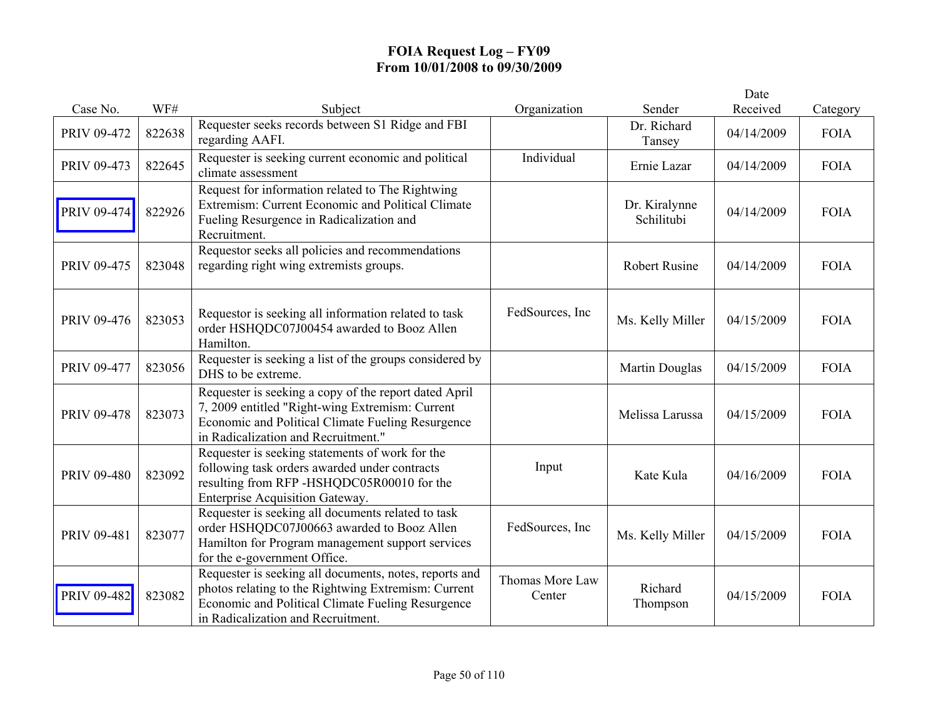|             |        |                                                                                                                                                                                                          |                           |                             | Date       |             |
|-------------|--------|----------------------------------------------------------------------------------------------------------------------------------------------------------------------------------------------------------|---------------------------|-----------------------------|------------|-------------|
| Case No.    | WF#    | Subject                                                                                                                                                                                                  | Organization              | Sender                      | Received   | Category    |
| PRIV 09-472 | 822638 | Requester seeks records between S1 Ridge and FBI<br>regarding AAFI.                                                                                                                                      |                           | Dr. Richard<br>Tansey       | 04/14/2009 | <b>FOIA</b> |
| PRIV 09-473 | 822645 | Requester is seeking current economic and political<br>climate assessment                                                                                                                                | Individual                | Ernie Lazar                 | 04/14/2009 | <b>FOIA</b> |
| PRIV 09-474 | 822926 | Request for information related to The Rightwing<br>Extremism: Current Economic and Political Climate<br>Fueling Resurgence in Radicalization and<br>Recruitment.                                        |                           | Dr. Kiralynne<br>Schilitubi | 04/14/2009 | <b>FOIA</b> |
| PRIV 09-475 | 823048 | Requestor seeks all policies and recommendations<br>regarding right wing extremists groups.                                                                                                              |                           | <b>Robert Rusine</b>        | 04/14/2009 | <b>FOIA</b> |
| PRIV 09-476 | 823053 | Requestor is seeking all information related to task<br>order HSHQDC07J00454 awarded to Booz Allen<br>Hamilton.                                                                                          | FedSources, Inc.          | Ms. Kelly Miller            | 04/15/2009 | <b>FOIA</b> |
| PRIV 09-477 | 823056 | Requester is seeking a list of the groups considered by<br>DHS to be extreme.                                                                                                                            |                           | Martin Douglas              | 04/15/2009 | <b>FOIA</b> |
| PRIV 09-478 | 823073 | Requester is seeking a copy of the report dated April<br>7, 2009 entitled "Right-wing Extremism: Current<br>Economic and Political Climate Fueling Resurgence<br>in Radicalization and Recruitment."     |                           | Melissa Larussa             | 04/15/2009 | <b>FOIA</b> |
| PRIV 09-480 | 823092 | Requester is seeking statements of work for the<br>following task orders awarded under contracts<br>resulting from RFP-HSHQDC05R00010 for the<br>Enterprise Acquisition Gateway.                         | Input                     | Kate Kula                   | 04/16/2009 | <b>FOIA</b> |
| PRIV 09-481 | 823077 | Requester is seeking all documents related to task<br>order HSHQDC07J00663 awarded to Booz Allen<br>Hamilton for Program management support services<br>for the e-government Office.                     | FedSources, Inc.          | Ms. Kelly Miller            | 04/15/2009 | <b>FOIA</b> |
| PRIV 09-482 | 823082 | Requester is seeking all documents, notes, reports and<br>photos relating to the Rightwing Extremism: Current<br>Economic and Political Climate Fueling Resurgence<br>in Radicalization and Recruitment. | Thomas More Law<br>Center | Richard<br>Thompson         | 04/15/2009 | <b>FOIA</b> |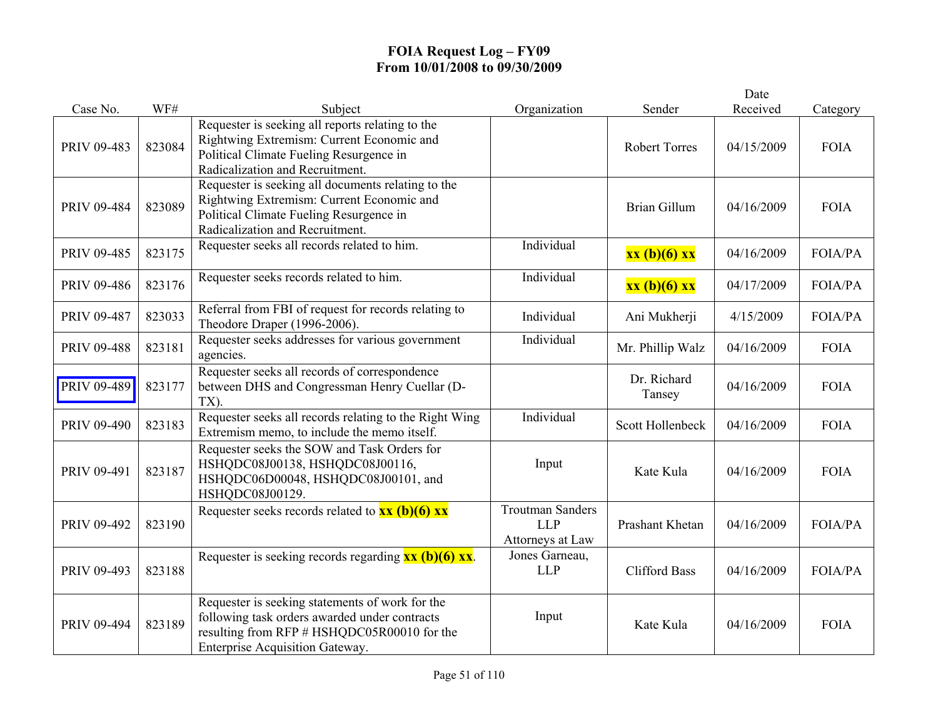|             |        |                                                                                                                                                                                    |                                                           |                       | Date       |                |
|-------------|--------|------------------------------------------------------------------------------------------------------------------------------------------------------------------------------------|-----------------------------------------------------------|-----------------------|------------|----------------|
| Case No.    | WF#    | Subject                                                                                                                                                                            | Organization                                              | Sender                | Received   | Category       |
| PRIV 09-483 | 823084 | Requester is seeking all reports relating to the<br>Rightwing Extremism: Current Economic and<br>Political Climate Fueling Resurgence in<br>Radicalization and Recruitment.        |                                                           | <b>Robert Torres</b>  | 04/15/2009 | <b>FOIA</b>    |
| PRIV 09-484 | 823089 | Requester is seeking all documents relating to the<br>Rightwing Extremism: Current Economic and<br>Political Climate Fueling Resurgence in<br>Radicalization and Recruitment.      |                                                           | <b>Brian Gillum</b>   | 04/16/2009 | <b>FOIA</b>    |
| PRIV 09-485 | 823175 | Requester seeks all records related to him.                                                                                                                                        | Individual                                                | xx (b)(6) xx          | 04/16/2009 | FOIA/PA        |
| PRIV 09-486 | 823176 | Requester seeks records related to him.                                                                                                                                            | Individual                                                | xx (b)(6) xx          | 04/17/2009 | FOIA/PA        |
| PRIV 09-487 | 823033 | Referral from FBI of request for records relating to<br>Theodore Draper (1996-2006).                                                                                               | Individual                                                | Ani Mukherji          | 4/15/2009  | FOIA/PA        |
| PRIV 09-488 | 823181 | Requester seeks addresses for various government<br>agencies.                                                                                                                      | Individual                                                | Mr. Phillip Walz      | 04/16/2009 | <b>FOIA</b>    |
| PRIV 09-489 | 823177 | Requester seeks all records of correspondence<br>between DHS and Congressman Henry Cuellar (D-<br>TX).                                                                             |                                                           | Dr. Richard<br>Tansey | 04/16/2009 | <b>FOIA</b>    |
| PRIV 09-490 | 823183 | Requester seeks all records relating to the Right Wing<br>Extremism memo, to include the memo itself.                                                                              | Individual                                                | Scott Hollenbeck      | 04/16/2009 | <b>FOIA</b>    |
| PRIV 09-491 | 823187 | Requester seeks the SOW and Task Orders for<br>HSHQDC08J00138, HSHQDC08J00116,<br>HSHQDC06D00048, HSHQDC08J00101, and<br>HSHQDC08J00129.                                           | Input                                                     | Kate Kula             | 04/16/2009 | <b>FOIA</b>    |
| PRIV 09-492 | 823190 | Requester seeks records related to $\frac{xx}{(b)(6)}$ $\frac{xx}{(c)}$                                                                                                            | <b>Troutman Sanders</b><br><b>LLP</b><br>Attorneys at Law | Prashant Khetan       | 04/16/2009 | <b>FOIA/PA</b> |
| PRIV 09-493 | 823188 | Requester is seeking records regarding $\overline{\mathbf{x}\mathbf{x}}$ (b)(6) $\overline{\mathbf{x}\mathbf{x}}$ .                                                                | Jones Garneau,<br><b>LLP</b>                              | <b>Clifford Bass</b>  | 04/16/2009 | <b>FOIA/PA</b> |
| PRIV 09-494 | 823189 | Requester is seeking statements of work for the<br>following task orders awarded under contracts<br>resulting from RFP # HSHQDC05R00010 for the<br>Enterprise Acquisition Gateway. | Input                                                     | Kate Kula             | 04/16/2009 | <b>FOIA</b>    |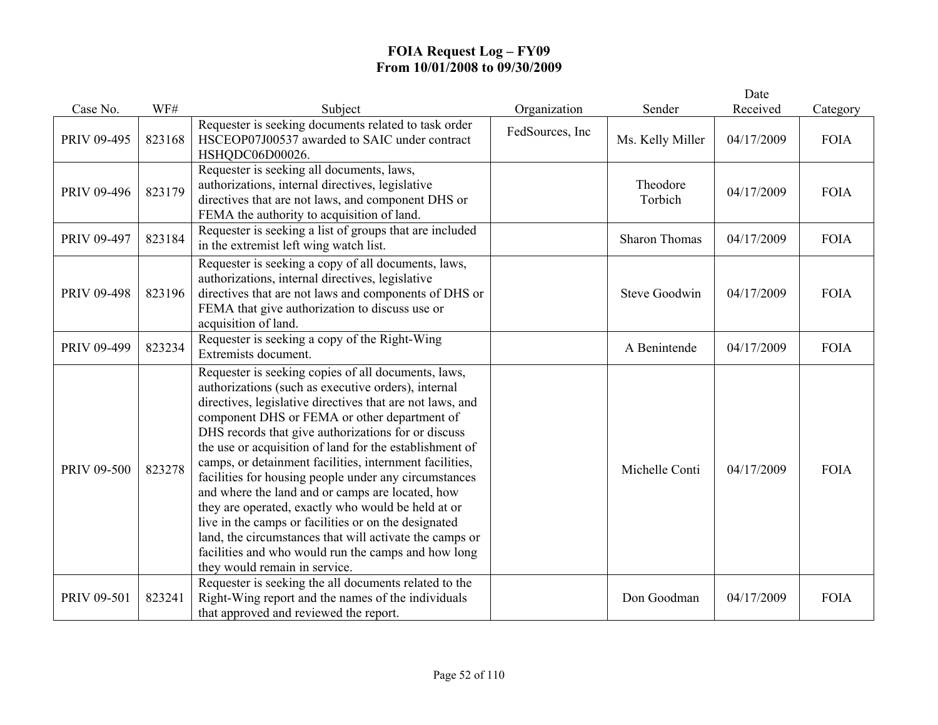|             |        |                                                                                                                                                                                                                                                                                                                                                                                                                                                                                                                                                                                                                                                                                                                                                                                    |                 |                      | Date       |             |
|-------------|--------|------------------------------------------------------------------------------------------------------------------------------------------------------------------------------------------------------------------------------------------------------------------------------------------------------------------------------------------------------------------------------------------------------------------------------------------------------------------------------------------------------------------------------------------------------------------------------------------------------------------------------------------------------------------------------------------------------------------------------------------------------------------------------------|-----------------|----------------------|------------|-------------|
| Case No.    | WF#    | Subject                                                                                                                                                                                                                                                                                                                                                                                                                                                                                                                                                                                                                                                                                                                                                                            | Organization    | Sender               | Received   | Category    |
| PRIV 09-495 | 823168 | Requester is seeking documents related to task order<br>HSCEOP07J00537 awarded to SAIC under contract<br>HSHQDC06D00026.                                                                                                                                                                                                                                                                                                                                                                                                                                                                                                                                                                                                                                                           | FedSources, Inc | Ms. Kelly Miller     | 04/17/2009 | <b>FOIA</b> |
| PRIV 09-496 | 823179 | Requester is seeking all documents, laws,<br>authorizations, internal directives, legislative<br>directives that are not laws, and component DHS or<br>FEMA the authority to acquisition of land.                                                                                                                                                                                                                                                                                                                                                                                                                                                                                                                                                                                  |                 | Theodore<br>Torbich  | 04/17/2009 | <b>FOIA</b> |
| PRIV 09-497 | 823184 | Requester is seeking a list of groups that are included<br>in the extremist left wing watch list.                                                                                                                                                                                                                                                                                                                                                                                                                                                                                                                                                                                                                                                                                  |                 | <b>Sharon Thomas</b> | 04/17/2009 | <b>FOIA</b> |
| PRIV 09-498 | 823196 | Requester is seeking a copy of all documents, laws,<br>authorizations, internal directives, legislative<br>directives that are not laws and components of DHS or<br>FEMA that give authorization to discuss use or<br>acquisition of land.                                                                                                                                                                                                                                                                                                                                                                                                                                                                                                                                         |                 | <b>Steve Goodwin</b> | 04/17/2009 | <b>FOIA</b> |
| PRIV 09-499 | 823234 | Requester is seeking a copy of the Right-Wing<br>Extremists document.                                                                                                                                                                                                                                                                                                                                                                                                                                                                                                                                                                                                                                                                                                              |                 | A Benintende         | 04/17/2009 | <b>FOIA</b> |
| PRIV 09-500 | 823278 | Requester is seeking copies of all documents, laws,<br>authorizations (such as executive orders), internal<br>directives, legislative directives that are not laws, and<br>component DHS or FEMA or other department of<br>DHS records that give authorizations for or discuss<br>the use or acquisition of land for the establishment of<br>camps, or detainment facilities, internment facilities,<br>facilities for housing people under any circumstances<br>and where the land and or camps are located, how<br>they are operated, exactly who would be held at or<br>live in the camps or facilities or on the designated<br>land, the circumstances that will activate the camps or<br>facilities and who would run the camps and how long<br>they would remain in service. |                 | Michelle Conti       | 04/17/2009 | <b>FOIA</b> |
| PRIV 09-501 | 823241 | Requester is seeking the all documents related to the<br>Right-Wing report and the names of the individuals<br>that approved and reviewed the report.                                                                                                                                                                                                                                                                                                                                                                                                                                                                                                                                                                                                                              |                 | Don Goodman          | 04/17/2009 | <b>FOIA</b> |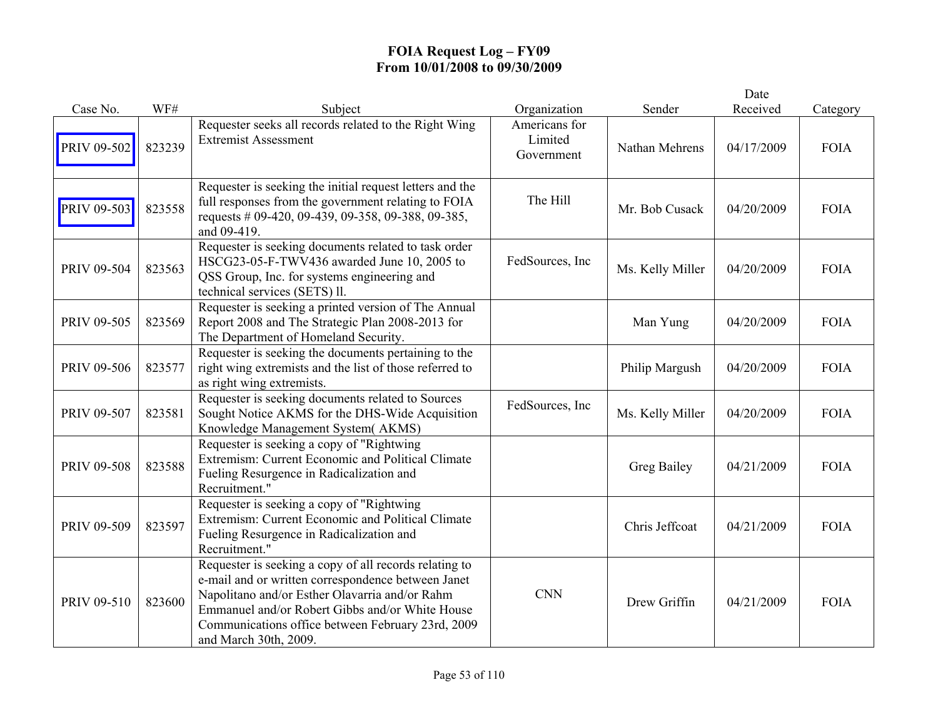|             |        |                                                                                                                                                                                                                                                                                                 |                                        |                  | Date       |             |
|-------------|--------|-------------------------------------------------------------------------------------------------------------------------------------------------------------------------------------------------------------------------------------------------------------------------------------------------|----------------------------------------|------------------|------------|-------------|
| Case No.    | WF#    | Subject                                                                                                                                                                                                                                                                                         | Organization                           | Sender           | Received   | Category    |
| PRIV 09-502 | 823239 | Requester seeks all records related to the Right Wing<br><b>Extremist Assessment</b>                                                                                                                                                                                                            | Americans for<br>Limited<br>Government | Nathan Mehrens   | 04/17/2009 | <b>FOIA</b> |
| PRIV 09-503 | 823558 | Requester is seeking the initial request letters and the<br>full responses from the government relating to FOIA<br>requests # 09-420, 09-439, 09-358, 09-388, 09-385,<br>and 09-419.                                                                                                            | The Hill                               | Mr. Bob Cusack   | 04/20/2009 | <b>FOIA</b> |
| PRIV 09-504 | 823563 | Requester is seeking documents related to task order<br>HSCG23-05-F-TWV436 awarded June 10, 2005 to<br>QSS Group, Inc. for systems engineering and<br>technical services (SETS) ll.                                                                                                             | FedSources, Inc                        | Ms. Kelly Miller | 04/20/2009 | <b>FOIA</b> |
| PRIV 09-505 | 823569 | Requester is seeking a printed version of The Annual<br>Report 2008 and The Strategic Plan 2008-2013 for<br>The Department of Homeland Security.                                                                                                                                                |                                        | Man Yung         | 04/20/2009 | <b>FOIA</b> |
| PRIV 09-506 | 823577 | Requester is seeking the documents pertaining to the<br>right wing extremists and the list of those referred to<br>as right wing extremists.                                                                                                                                                    |                                        | Philip Margush   | 04/20/2009 | <b>FOIA</b> |
| PRIV 09-507 | 823581 | Requester is seeking documents related to Sources<br>Sought Notice AKMS for the DHS-Wide Acquisition<br>Knowledge Management System(AKMS)                                                                                                                                                       | FedSources, Inc.                       | Ms. Kelly Miller | 04/20/2009 | <b>FOIA</b> |
| PRIV 09-508 | 823588 | Requester is seeking a copy of "Rightwing"<br>Extremism: Current Economic and Political Climate<br>Fueling Resurgence in Radicalization and<br>Recruitment."                                                                                                                                    |                                        | Greg Bailey      | 04/21/2009 | <b>FOIA</b> |
| PRIV 09-509 | 823597 | Requester is seeking a copy of "Rightwing<br>Extremism: Current Economic and Political Climate<br>Fueling Resurgence in Radicalization and<br>Recruitment."                                                                                                                                     |                                        | Chris Jeffcoat   | 04/21/2009 | <b>FOIA</b> |
| PRIV 09-510 | 823600 | Requester is seeking a copy of all records relating to<br>e-mail and or written correspondence between Janet<br>Napolitano and/or Esther Olavarria and/or Rahm<br>Emmanuel and/or Robert Gibbs and/or White House<br>Communications office between February 23rd, 2009<br>and March 30th, 2009. | <b>CNN</b>                             | Drew Griffin     | 04/21/2009 | <b>FOIA</b> |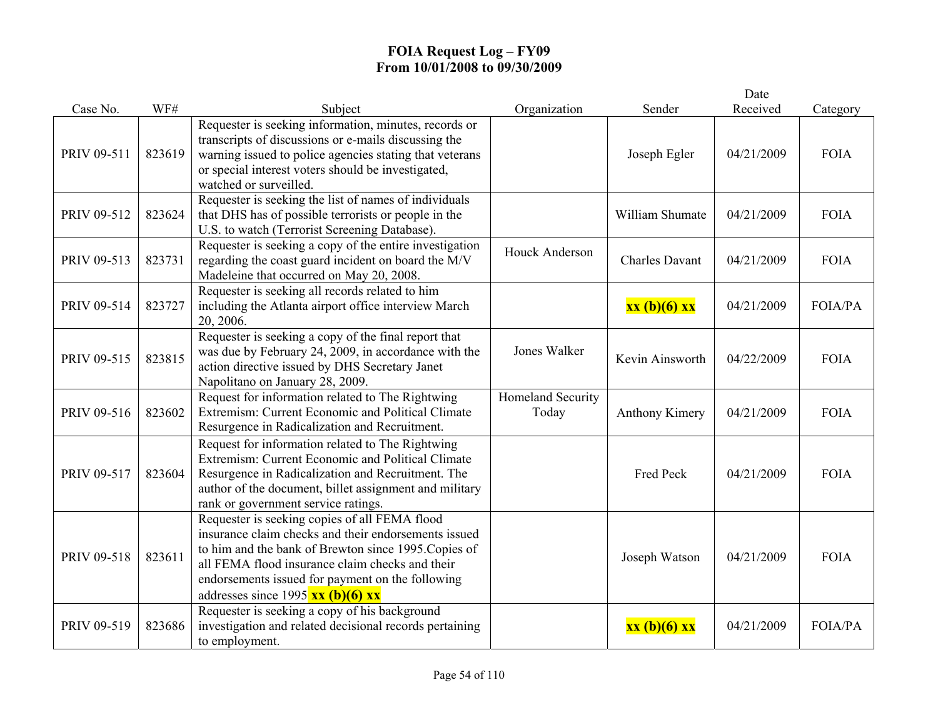|             |        |                                                                                                                                                                                                                                                                                                                               |                            |                       | Date       |                |
|-------------|--------|-------------------------------------------------------------------------------------------------------------------------------------------------------------------------------------------------------------------------------------------------------------------------------------------------------------------------------|----------------------------|-----------------------|------------|----------------|
| Case No.    | WF#    | Subject                                                                                                                                                                                                                                                                                                                       | Organization               | Sender                | Received   | Category       |
| PRIV 09-511 | 823619 | Requester is seeking information, minutes, records or<br>transcripts of discussions or e-mails discussing the<br>warning issued to police agencies stating that veterans<br>or special interest voters should be investigated,<br>watched or surveilled.                                                                      |                            | Joseph Egler          | 04/21/2009 | <b>FOIA</b>    |
| PRIV 09-512 | 823624 | Requester is seeking the list of names of individuals<br>that DHS has of possible terrorists or people in the<br>U.S. to watch (Terrorist Screening Database).                                                                                                                                                                |                            | William Shumate       | 04/21/2009 | <b>FOIA</b>    |
| PRIV 09-513 | 823731 | Requester is seeking a copy of the entire investigation<br>regarding the coast guard incident on board the M/V<br>Madeleine that occurred on May 20, 2008.                                                                                                                                                                    | <b>Houck Anderson</b>      | <b>Charles Davant</b> | 04/21/2009 | <b>FOIA</b>    |
| PRIV 09-514 | 823727 | Requester is seeking all records related to him<br>including the Atlanta airport office interview March<br>20, 2006.                                                                                                                                                                                                          |                            | xx (b)(6) xx          | 04/21/2009 | <b>FOIA/PA</b> |
| PRIV 09-515 | 823815 | Requester is seeking a copy of the final report that<br>was due by February 24, 2009, in accordance with the<br>action directive issued by DHS Secretary Janet<br>Napolitano on January 28, 2009.                                                                                                                             | Jones Walker               | Kevin Ainsworth       | 04/22/2009 | <b>FOIA</b>    |
| PRIV 09-516 | 823602 | Request for information related to The Rightwing<br>Extremism: Current Economic and Political Climate<br>Resurgence in Radicalization and Recruitment.                                                                                                                                                                        | Homeland Security<br>Today | Anthony Kimery        | 04/21/2009 | <b>FOIA</b>    |
| PRIV 09-517 | 823604 | Request for information related to The Rightwing<br>Extremism: Current Economic and Political Climate<br>Resurgence in Radicalization and Recruitment. The<br>author of the document, billet assignment and military<br>rank or government service ratings.                                                                   |                            | Fred Peck             | 04/21/2009 | <b>FOIA</b>    |
| PRIV 09-518 | 823611 | Requester is seeking copies of all FEMA flood<br>insurance claim checks and their endorsements issued<br>to him and the bank of Brewton since 1995. Copies of<br>all FEMA flood insurance claim checks and their<br>endorsements issued for payment on the following<br>addresses since 1995 $\overline{\text{xx (b)(6) xx}}$ |                            | Joseph Watson         | 04/21/2009 | <b>FOIA</b>    |
| PRIV 09-519 | 823686 | Requester is seeking a copy of his background<br>investigation and related decisional records pertaining<br>to employment.                                                                                                                                                                                                    |                            | xx (b)(6) xx          | 04/21/2009 | <b>FOIA/PA</b> |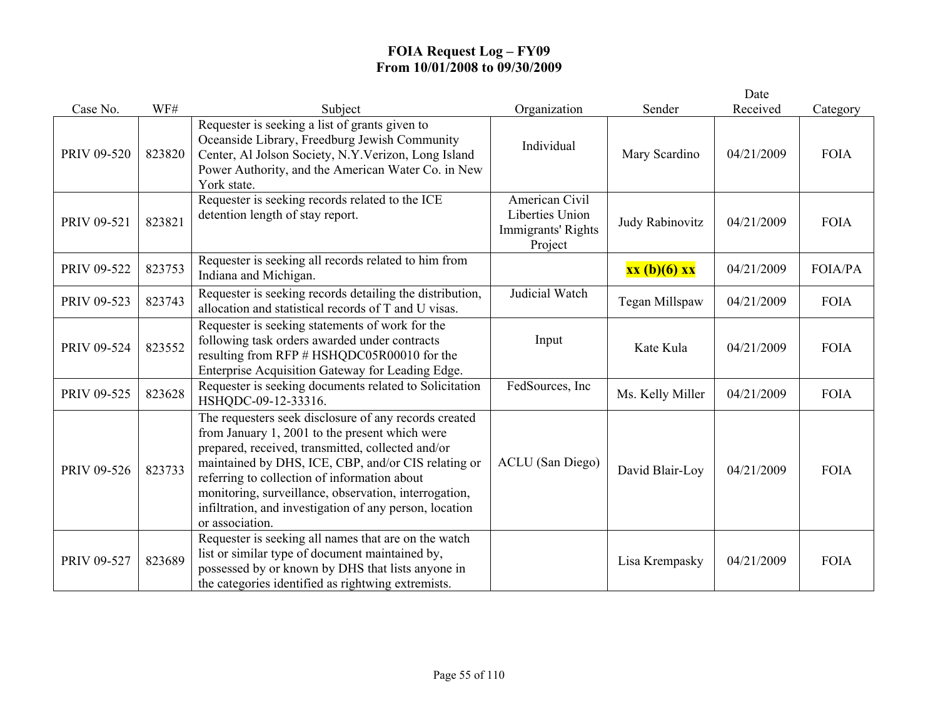|             |        |                                                                                                                                                                                                                                                                                                                                                                                                            |                                                                    |                  | Date       |             |
|-------------|--------|------------------------------------------------------------------------------------------------------------------------------------------------------------------------------------------------------------------------------------------------------------------------------------------------------------------------------------------------------------------------------------------------------------|--------------------------------------------------------------------|------------------|------------|-------------|
| Case No.    | WF#    | Subject                                                                                                                                                                                                                                                                                                                                                                                                    | Organization                                                       | Sender           | Received   | Category    |
| PRIV 09-520 | 823820 | Requester is seeking a list of grants given to<br>Oceanside Library, Freedburg Jewish Community<br>Center, Al Jolson Society, N.Y. Verizon, Long Island<br>Power Authority, and the American Water Co. in New<br>York state.                                                                                                                                                                               | Individual                                                         | Mary Scardino    | 04/21/2009 | <b>FOIA</b> |
| PRIV 09-521 | 823821 | Requester is seeking records related to the ICE<br>detention length of stay report.                                                                                                                                                                                                                                                                                                                        | American Civil<br>Liberties Union<br>Immigrants' Rights<br>Project | Judy Rabinovitz  | 04/21/2009 | <b>FOIA</b> |
| PRIV 09-522 | 823753 | Requester is seeking all records related to him from<br>Indiana and Michigan.                                                                                                                                                                                                                                                                                                                              |                                                                    | xx (b)(6) xx     | 04/21/2009 | FOIA/PA     |
| PRIV 09-523 | 823743 | Requester is seeking records detailing the distribution,<br>allocation and statistical records of T and U visas.                                                                                                                                                                                                                                                                                           | Judicial Watch                                                     | Tegan Millspaw   | 04/21/2009 | <b>FOIA</b> |
| PRIV 09-524 | 823552 | Requester is seeking statements of work for the<br>following task orders awarded under contracts<br>resulting from RFP # HSHQDC05R00010 for the<br>Enterprise Acquisition Gateway for Leading Edge.                                                                                                                                                                                                        | Input                                                              | Kate Kula        | 04/21/2009 | <b>FOIA</b> |
| PRIV 09-525 | 823628 | Requester is seeking documents related to Solicitation<br>HSHQDC-09-12-33316.                                                                                                                                                                                                                                                                                                                              | FedSources, Inc                                                    | Ms. Kelly Miller | 04/21/2009 | <b>FOIA</b> |
| PRIV 09-526 | 823733 | The requesters seek disclosure of any records created<br>from January 1, 2001 to the present which were<br>prepared, received, transmitted, collected and/or<br>maintained by DHS, ICE, CBP, and/or CIS relating or<br>referring to collection of information about<br>monitoring, surveillance, observation, interrogation,<br>infiltration, and investigation of any person, location<br>or association. | <b>ACLU</b> (San Diego)                                            | David Blair-Loy  | 04/21/2009 | <b>FOIA</b> |
| PRIV 09-527 | 823689 | Requester is seeking all names that are on the watch<br>list or similar type of document maintained by,<br>possessed by or known by DHS that lists anyone in<br>the categories identified as rightwing extremists.                                                                                                                                                                                         |                                                                    | Lisa Krempasky   | 04/21/2009 | <b>FOIA</b> |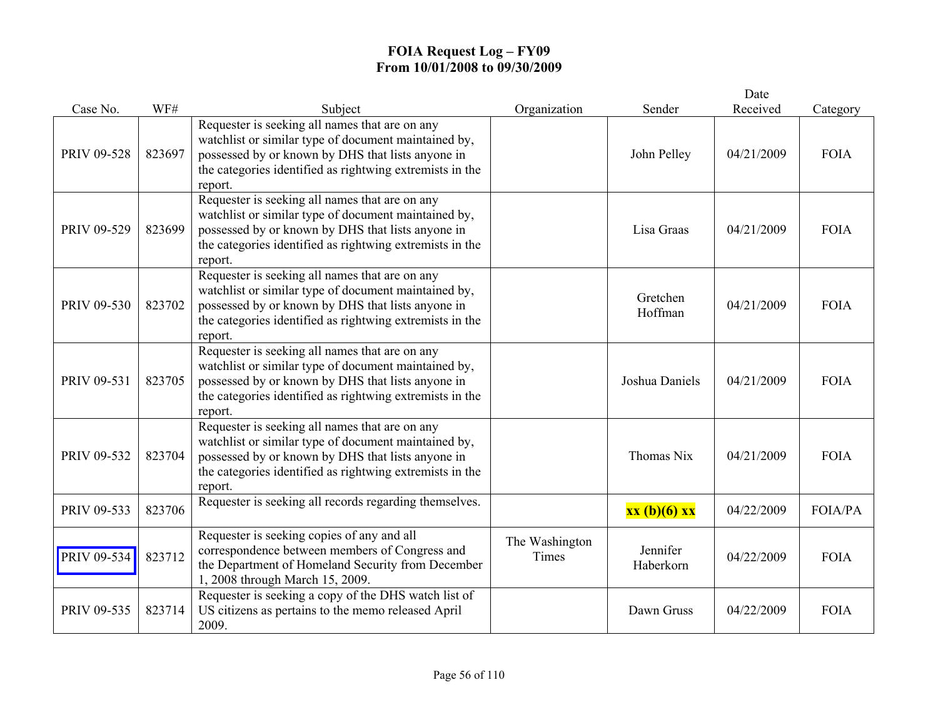|             |        |                                                                                                                                                                                                                                    |                         |                       | Date       |                |
|-------------|--------|------------------------------------------------------------------------------------------------------------------------------------------------------------------------------------------------------------------------------------|-------------------------|-----------------------|------------|----------------|
| Case No.    | WF#    | Subject                                                                                                                                                                                                                            | Organization            | Sender                | Received   | Category       |
| PRIV 09-528 | 823697 | Requester is seeking all names that are on any<br>watchlist or similar type of document maintained by,<br>possessed by or known by DHS that lists anyone in<br>the categories identified as rightwing extremists in the<br>report. |                         | John Pelley           | 04/21/2009 | <b>FOIA</b>    |
| PRIV 09-529 | 823699 | Requester is seeking all names that are on any<br>watchlist or similar type of document maintained by,<br>possessed by or known by DHS that lists anyone in<br>the categories identified as rightwing extremists in the<br>report. |                         | Lisa Graas            | 04/21/2009 | <b>FOIA</b>    |
| PRIV 09-530 | 823702 | Requester is seeking all names that are on any<br>watchlist or similar type of document maintained by,<br>possessed by or known by DHS that lists anyone in<br>the categories identified as rightwing extremists in the<br>report. |                         | Gretchen<br>Hoffman   | 04/21/2009 | <b>FOIA</b>    |
| PRIV 09-531 | 823705 | Requester is seeking all names that are on any<br>watchlist or similar type of document maintained by,<br>possessed by or known by DHS that lists anyone in<br>the categories identified as rightwing extremists in the<br>report. |                         | Joshua Daniels        | 04/21/2009 | <b>FOIA</b>    |
| PRIV 09-532 | 823704 | Requester is seeking all names that are on any<br>watchlist or similar type of document maintained by,<br>possessed by or known by DHS that lists anyone in<br>the categories identified as rightwing extremists in the<br>report. |                         | Thomas Nix            | 04/21/2009 | <b>FOIA</b>    |
| PRIV 09-533 | 823706 | Requester is seeking all records regarding themselves.                                                                                                                                                                             |                         | xx (b)(6) xx          | 04/22/2009 | <b>FOIA/PA</b> |
| PRIV 09-534 | 823712 | Requester is seeking copies of any and all<br>correspondence between members of Congress and<br>the Department of Homeland Security from December<br>1, 2008 through March 15, 2009.                                               | The Washington<br>Times | Jennifer<br>Haberkorn | 04/22/2009 | <b>FOIA</b>    |
| PRIV 09-535 | 823714 | Requester is seeking a copy of the DHS watch list of<br>US citizens as pertains to the memo released April<br>2009.                                                                                                                |                         | Dawn Gruss            | 04/22/2009 | <b>FOIA</b>    |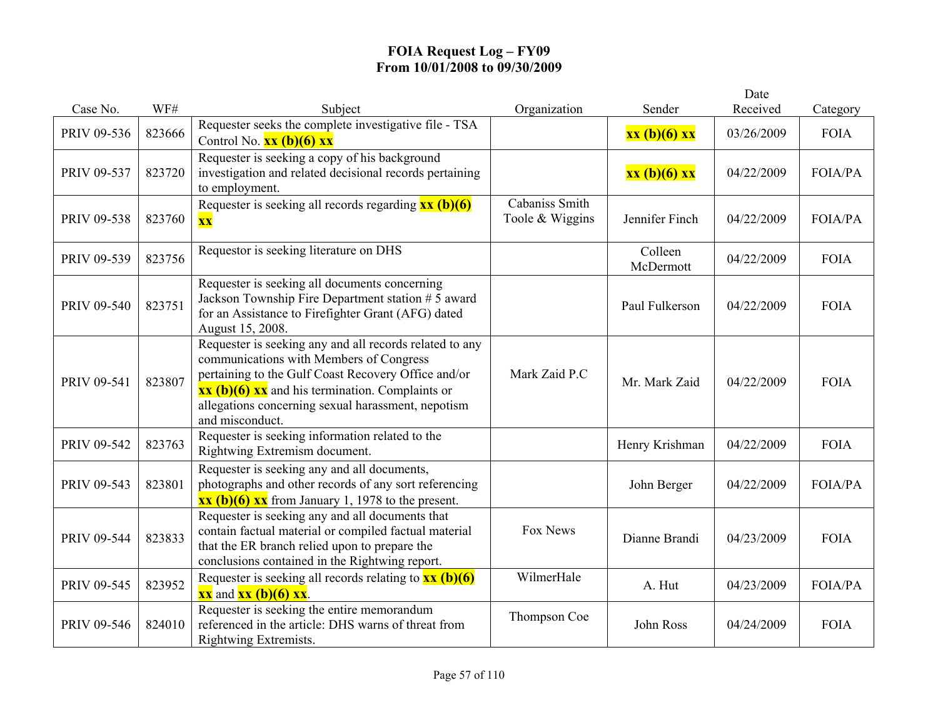|             | WF#    |                                                                                                                                                             |                 |                | Date       |                |
|-------------|--------|-------------------------------------------------------------------------------------------------------------------------------------------------------------|-----------------|----------------|------------|----------------|
| Case No.    |        | Subject<br>Requester seeks the complete investigative file - TSA                                                                                            | Organization    | Sender         | Received   | Category       |
| PRIV 09-536 | 823666 | Control No. $xx (b)(6) xx$                                                                                                                                  |                 | xx (b)(6) xx   | 03/26/2009 | <b>FOIA</b>    |
|             |        | Requester is seeking a copy of his background                                                                                                               |                 |                |            |                |
| PRIV 09-537 | 823720 | investigation and related decisional records pertaining                                                                                                     |                 | xx (b)(6) xx   | 04/22/2009 | <b>FOIA/PA</b> |
|             |        | to employment.<br>Requester is seeking all records regarding $\frac{xx}{(b)(6)}$                                                                            | Cabaniss Smith  |                |            |                |
| PRIV 09-538 | 823760 | $\overline{\mathbf{XX}}$                                                                                                                                    | Toole & Wiggins | Jennifer Finch | 04/22/2009 | <b>FOIA/PA</b> |
|             |        |                                                                                                                                                             |                 |                |            |                |
| PRIV 09-539 | 823756 | Requestor is seeking literature on DHS                                                                                                                      |                 | Colleen        | 04/22/2009 | <b>FOIA</b>    |
|             |        |                                                                                                                                                             |                 | McDermott      |            |                |
|             |        | Requester is seeking all documents concerning<br>Jackson Township Fire Department station # 5 award                                                         |                 |                |            |                |
| PRIV 09-540 | 823751 | for an Assistance to Firefighter Grant (AFG) dated                                                                                                          |                 | Paul Fulkerson | 04/22/2009 | <b>FOIA</b>    |
|             |        | August 15, 2008.                                                                                                                                            |                 |                |            |                |
|             |        | Requester is seeking any and all records related to any                                                                                                     |                 |                |            |                |
|             |        | communications with Members of Congress                                                                                                                     | Mark Zaid P.C   |                |            |                |
| PRIV 09-541 | 823807 | pertaining to the Gulf Coast Recovery Office and/or<br>$\overline{\textbf{xx}(\textbf{b})(6) \textbf{xx}}$ and his termination. Complaints or               |                 | Mr. Mark Zaid  | 04/22/2009 | <b>FOIA</b>    |
|             |        | allegations concerning sexual harassment, nepotism                                                                                                          |                 |                |            |                |
|             |        | and misconduct.                                                                                                                                             |                 |                |            |                |
| PRIV 09-542 | 823763 | Requester is seeking information related to the                                                                                                             |                 | Henry Krishman | 04/22/2009 | <b>FOIA</b>    |
|             |        | Rightwing Extremism document.                                                                                                                               |                 |                |            |                |
| PRIV 09-543 | 823801 | Requester is seeking any and all documents,<br>photographs and other records of any sort referencing                                                        |                 |                | 04/22/2009 | <b>FOIA/PA</b> |
|             |        | $\overline{\text{xx (b)(6)} \text{xx}}$ from January 1, 1978 to the present.                                                                                |                 | John Berger    |            |                |
|             |        | Requester is seeking any and all documents that                                                                                                             |                 |                |            |                |
| PRIV 09-544 | 823833 | contain factual material or compiled factual material                                                                                                       | Fox News        | Dianne Brandi  | 04/23/2009 | <b>FOIA</b>    |
|             |        | that the ER branch relied upon to prepare the                                                                                                               |                 |                |            |                |
|             |        | conclusions contained in the Rightwing report.                                                                                                              | WilmerHale      |                |            |                |
| PRIV 09-545 | 823952 | Requester is seeking all records relating to $\frac{xx}{(b)(6)}$<br>$\overline{\mathbf{xx}}$ and $\overline{\mathbf{xx}}$ (b)(6) $\overline{\mathbf{xx}}$ . |                 | A. Hut         | 04/23/2009 | <b>FOIA/PA</b> |
|             |        | Requester is seeking the entire memorandum                                                                                                                  |                 |                |            |                |
| PRIV 09-546 | 824010 | referenced in the article: DHS warns of threat from                                                                                                         | Thompson Coe    | John Ross      | 04/24/2009 | <b>FOIA</b>    |
|             |        | Rightwing Extremists.                                                                                                                                       |                 |                |            |                |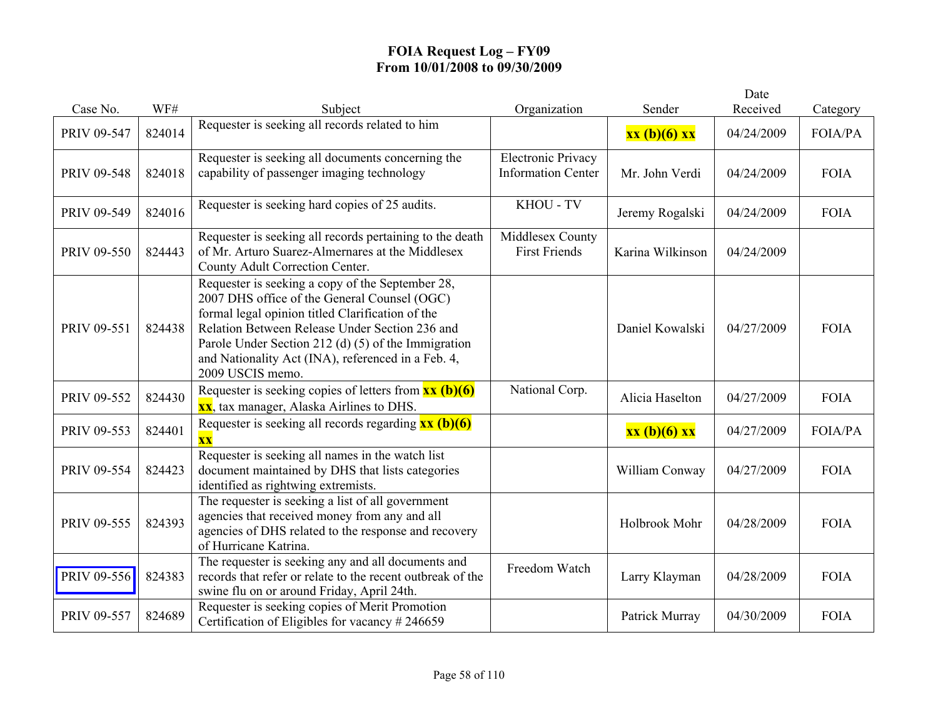|             | WF#    |                                                                                                                                                                                                                                                                                                                                         | Organization                                           | Sender           | Date<br>Received |             |
|-------------|--------|-----------------------------------------------------------------------------------------------------------------------------------------------------------------------------------------------------------------------------------------------------------------------------------------------------------------------------------------|--------------------------------------------------------|------------------|------------------|-------------|
| Case No.    |        | Subject<br>Requester is seeking all records related to him                                                                                                                                                                                                                                                                              |                                                        |                  |                  | Category    |
| PRIV 09-547 | 824014 |                                                                                                                                                                                                                                                                                                                                         |                                                        | xx (b)(6) xx     | 04/24/2009       | FOIA/PA     |
| PRIV 09-548 | 824018 | Requester is seeking all documents concerning the<br>capability of passenger imaging technology                                                                                                                                                                                                                                         | <b>Electronic Privacy</b><br><b>Information Center</b> | Mr. John Verdi   | 04/24/2009       | <b>FOIA</b> |
| PRIV 09-549 | 824016 | Requester is seeking hard copies of 25 audits.                                                                                                                                                                                                                                                                                          | KHOU - TV                                              | Jeremy Rogalski  | 04/24/2009       | <b>FOIA</b> |
| PRIV 09-550 | 824443 | Requester is seeking all records pertaining to the death<br>of Mr. Arturo Suarez-Almernares at the Middlesex<br>County Adult Correction Center.                                                                                                                                                                                         | Middlesex County<br><b>First Friends</b>               | Karina Wilkinson | 04/24/2009       |             |
| PRIV 09-551 | 824438 | Requester is seeking a copy of the September 28,<br>2007 DHS office of the General Counsel (OGC)<br>formal legal opinion titled Clarification of the<br>Relation Between Release Under Section 236 and<br>Parole Under Section 212 (d) (5) of the Immigration<br>and Nationality Act (INA), referenced in a Feb. 4,<br>2009 USCIS memo. |                                                        | Daniel Kowalski  | 04/27/2009       | <b>FOIA</b> |
| PRIV 09-552 | 824430 | Requester is seeking copies of letters from $\frac{xx}{(b)(6)}$<br><b>xx</b> , tax manager, Alaska Airlines to DHS.                                                                                                                                                                                                                     | National Corp.                                         | Alicia Haselton  | 04/27/2009       | <b>FOIA</b> |
| PRIV 09-553 | 824401 | Requester is seeking all records regarding $\overline{\mathbf{x}\mathbf{x}}$ (b)(6)<br><b>XX</b>                                                                                                                                                                                                                                        |                                                        | xx (b)(6) xx     | 04/27/2009       | FOIA/PA     |
| PRIV 09-554 | 824423 | Requester is seeking all names in the watch list<br>document maintained by DHS that lists categories<br>identified as rightwing extremists.                                                                                                                                                                                             |                                                        | William Conway   | 04/27/2009       | <b>FOIA</b> |
| PRIV 09-555 | 824393 | The requester is seeking a list of all government<br>agencies that received money from any and all<br>agencies of DHS related to the response and recovery<br>of Hurricane Katrina.                                                                                                                                                     |                                                        | Holbrook Mohr    | 04/28/2009       | <b>FOIA</b> |
| PRIV 09-556 | 824383 | The requester is seeking any and all documents and<br>records that refer or relate to the recent outbreak of the<br>swine flu on or around Friday, April 24th.                                                                                                                                                                          | Freedom Watch                                          | Larry Klayman    | 04/28/2009       | <b>FOIA</b> |
| PRIV 09-557 | 824689 | Requester is seeking copies of Merit Promotion<br>Certification of Eligibles for vacancy $\#246659$                                                                                                                                                                                                                                     |                                                        | Patrick Murray   | 04/30/2009       | <b>FOIA</b> |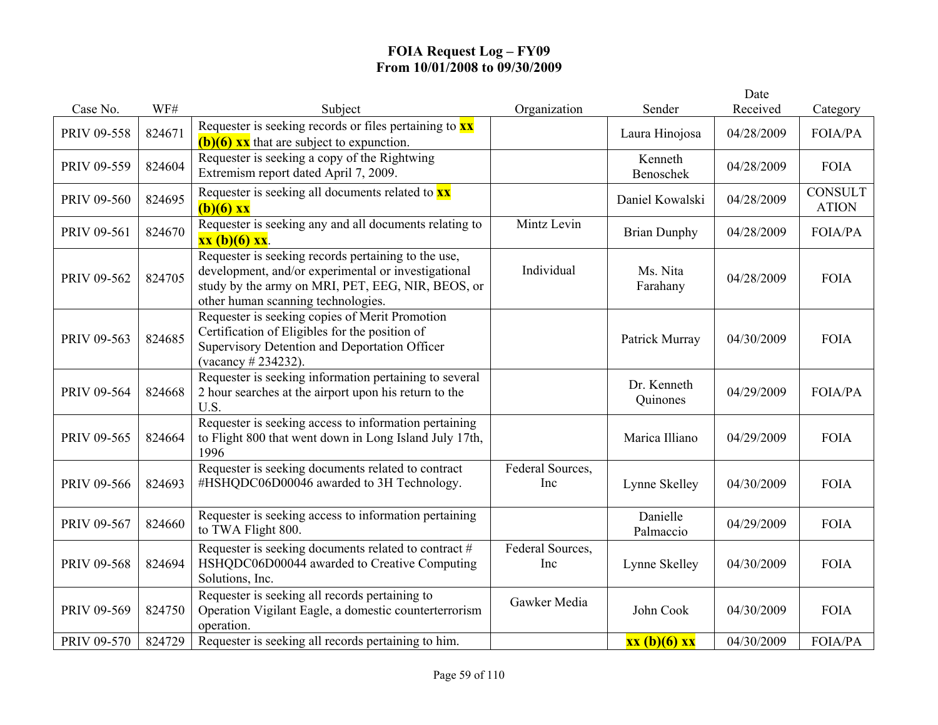| Case No.           | WF#    | Subject                                                                                                                                                                                               | Organization            | Sender                  | Date<br>Received |                                |
|--------------------|--------|-------------------------------------------------------------------------------------------------------------------------------------------------------------------------------------------------------|-------------------------|-------------------------|------------------|--------------------------------|
|                    |        | Requester is seeking records or files pertaining to $\mathbf{x} \mathbf{x}$                                                                                                                           |                         |                         |                  | Category                       |
| <b>PRIV 09-558</b> | 824671 | $(b)(6)$ xx that are subject to expunction.                                                                                                                                                           |                         | Laura Hinojosa          | 04/28/2009       | <b>FOIA/PA</b>                 |
| PRIV 09-559        | 824604 | Requester is seeking a copy of the Rightwing<br>Extremism report dated April 7, 2009.                                                                                                                 |                         | Kenneth<br>Benoschek    | 04/28/2009       | <b>FOIA</b>                    |
| PRIV 09-560        | 824695 | Requester is seeking all documents related to $\overline{\mathbf{x}\mathbf{x}}$<br>$(b)(6)$ xx                                                                                                        |                         | Daniel Kowalski         | 04/28/2009       | <b>CONSULT</b><br><b>ATION</b> |
| PRIV 09-561        | 824670 | Requester is seeking any and all documents relating to<br>$xx (b)(6) xx$ .                                                                                                                            | Mintz Levin             | <b>Brian Dunphy</b>     | 04/28/2009       | <b>FOIA/PA</b>                 |
| PRIV 09-562        | 824705 | Requester is seeking records pertaining to the use,<br>development, and/or experimental or investigational<br>study by the army on MRI, PET, EEG, NIR, BEOS, or<br>other human scanning technologies. | Individual              | Ms. Nita<br>Farahany    | 04/28/2009       | <b>FOIA</b>                    |
| PRIV 09-563        | 824685 | Requester is seeking copies of Merit Promotion<br>Certification of Eligibles for the position of<br>Supervisory Detention and Deportation Officer<br>(vacancy # 234232).                              |                         | Patrick Murray          | 04/30/2009       | <b>FOIA</b>                    |
| PRIV 09-564        | 824668 | Requester is seeking information pertaining to several<br>2 hour searches at the airport upon his return to the<br>U.S.                                                                               |                         | Dr. Kenneth<br>Quinones | 04/29/2009       | <b>FOIA/PA</b>                 |
| PRIV 09-565        | 824664 | Requester is seeking access to information pertaining<br>to Flight 800 that went down in Long Island July 17th,<br>1996                                                                               |                         | Marica Illiano          | 04/29/2009       | <b>FOIA</b>                    |
| PRIV 09-566        | 824693 | Requester is seeking documents related to contract<br>#HSHQDC06D00046 awarded to 3H Technology.                                                                                                       | Federal Sources,<br>Inc | Lynne Skelley           | 04/30/2009       | <b>FOIA</b>                    |
| PRIV 09-567        | 824660 | Requester is seeking access to information pertaining<br>to TWA Flight 800.                                                                                                                           |                         | Danielle<br>Palmaccio   | 04/29/2009       | <b>FOIA</b>                    |
| PRIV 09-568        | 824694 | Requester is seeking documents related to contract #<br>HSHQDC06D00044 awarded to Creative Computing<br>Solutions, Inc.                                                                               | Federal Sources,<br>Inc | Lynne Skelley           | 04/30/2009       | <b>FOIA</b>                    |
| PRIV 09-569        | 824750 | Requester is seeking all records pertaining to<br>Operation Vigilant Eagle, a domestic counterterrorism<br>operation.                                                                                 | Gawker Media            | John Cook               | 04/30/2009       | <b>FOIA</b>                    |
| <b>PRIV 09-570</b> | 824729 | Requester is seeking all records pertaining to him.                                                                                                                                                   |                         | xx (b)(6) xx            | 04/30/2009       | FOIA/PA                        |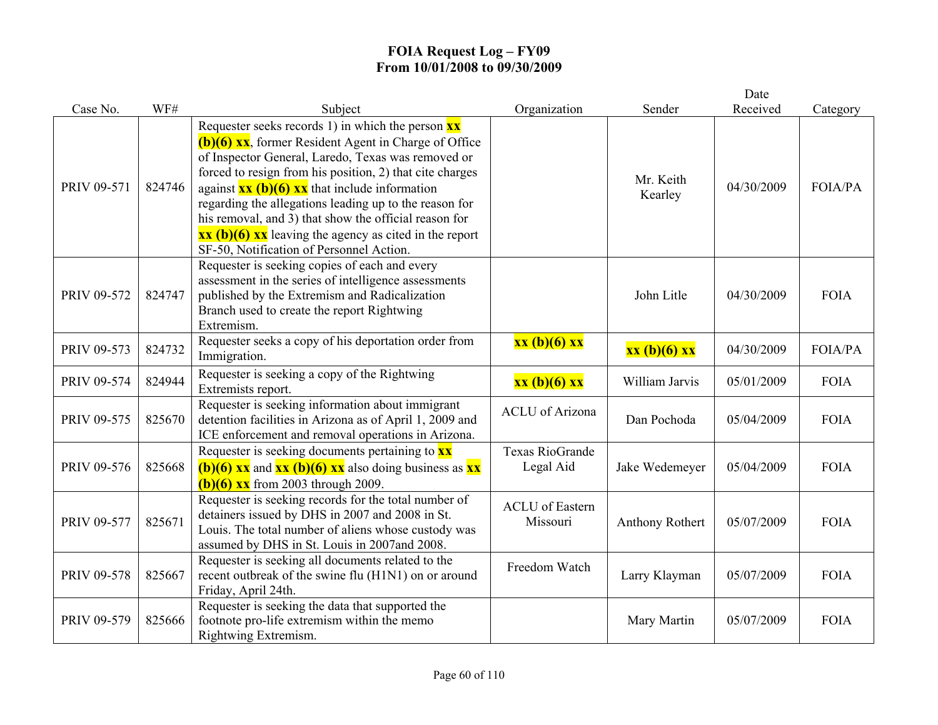|                    |        |                                                                                                                                                                                                                                                                                                                                                                                                                                                                                                                                                                                                              |                                    |                      | Date       |             |
|--------------------|--------|--------------------------------------------------------------------------------------------------------------------------------------------------------------------------------------------------------------------------------------------------------------------------------------------------------------------------------------------------------------------------------------------------------------------------------------------------------------------------------------------------------------------------------------------------------------------------------------------------------------|------------------------------------|----------------------|------------|-------------|
| Case No.           | WF#    | Subject                                                                                                                                                                                                                                                                                                                                                                                                                                                                                                                                                                                                      | Organization                       | Sender               | Received   | Category    |
| PRIV 09-571        | 824746 | Requester seeks records 1) in which the person $\frac{xx}{ }$<br>$(b)(6)$ XX, former Resident Agent in Charge of Office<br>of Inspector General, Laredo, Texas was removed or<br>forced to resign from his position, 2) that cite charges<br>against $\overline{\mathbf{x}\mathbf{x}}$ (b)(6) $\overline{\mathbf{x}\mathbf{x}}$ that include information<br>regarding the allegations leading up to the reason for<br>his removal, and 3) that show the official reason for<br>$\overline{\text{xx (b)(6)} \text{xx}}$ leaving the agency as cited in the report<br>SF-50, Notification of Personnel Action. |                                    | Mr. Keith<br>Kearley | 04/30/2009 | FOIA/PA     |
| PRIV 09-572        | 824747 | Requester is seeking copies of each and every<br>assessment in the series of intelligence assessments<br>published by the Extremism and Radicalization<br>Branch used to create the report Rightwing<br>Extremism.                                                                                                                                                                                                                                                                                                                                                                                           |                                    | John Litle           | 04/30/2009 | <b>FOIA</b> |
| PRIV 09-573        | 824732 | Requester seeks a copy of his deportation order from<br>Immigration.                                                                                                                                                                                                                                                                                                                                                                                                                                                                                                                                         | xx (b)(6) xx                       | xx (b)(6) xx         | 04/30/2009 | FOIA/PA     |
| PRIV 09-574        | 824944 | Requester is seeking a copy of the Rightwing<br>Extremists report.                                                                                                                                                                                                                                                                                                                                                                                                                                                                                                                                           | xx (b)(6) xx                       | William Jarvis       | 05/01/2009 | <b>FOIA</b> |
| PRIV 09-575        | 825670 | Requester is seeking information about immigrant<br>detention facilities in Arizona as of April 1, 2009 and<br>ICE enforcement and removal operations in Arizona.                                                                                                                                                                                                                                                                                                                                                                                                                                            | <b>ACLU</b> of Arizona             | Dan Pochoda          | 05/04/2009 | <b>FOIA</b> |
| PRIV 09-576        | 825668 | Requester is seeking documents pertaining to $\mathbf{x}\mathbf{x}$<br>(b)(6) $\overline{xx}$ and $\overline{xx}$ (b)(6) $\overline{xx}$ also doing business as $\overline{xx}$<br><b>(b)(6) xx</b> from 2003 through 2009.                                                                                                                                                                                                                                                                                                                                                                                  | Texas RioGrande<br>Legal Aid       | Jake Wedemeyer       | 05/04/2009 | <b>FOIA</b> |
| PRIV 09-577        | 825671 | Requester is seeking records for the total number of<br>detainers issued by DHS in 2007 and 2008 in St.<br>Louis. The total number of aliens whose custody was<br>assumed by DHS in St. Louis in 2007and 2008.                                                                                                                                                                                                                                                                                                                                                                                               | <b>ACLU</b> of Eastern<br>Missouri | Anthony Rothert      | 05/07/2009 | <b>FOIA</b> |
| <b>PRIV 09-578</b> | 825667 | Requester is seeking all documents related to the<br>recent outbreak of the swine flu (H1N1) on or around<br>Friday, April 24th.                                                                                                                                                                                                                                                                                                                                                                                                                                                                             | Freedom Watch                      | Larry Klayman        | 05/07/2009 | <b>FOIA</b> |
| PRIV 09-579        | 825666 | Requester is seeking the data that supported the<br>footnote pro-life extremism within the memo<br>Rightwing Extremism.                                                                                                                                                                                                                                                                                                                                                                                                                                                                                      |                                    | Mary Martin          | 05/07/2009 | <b>FOIA</b> |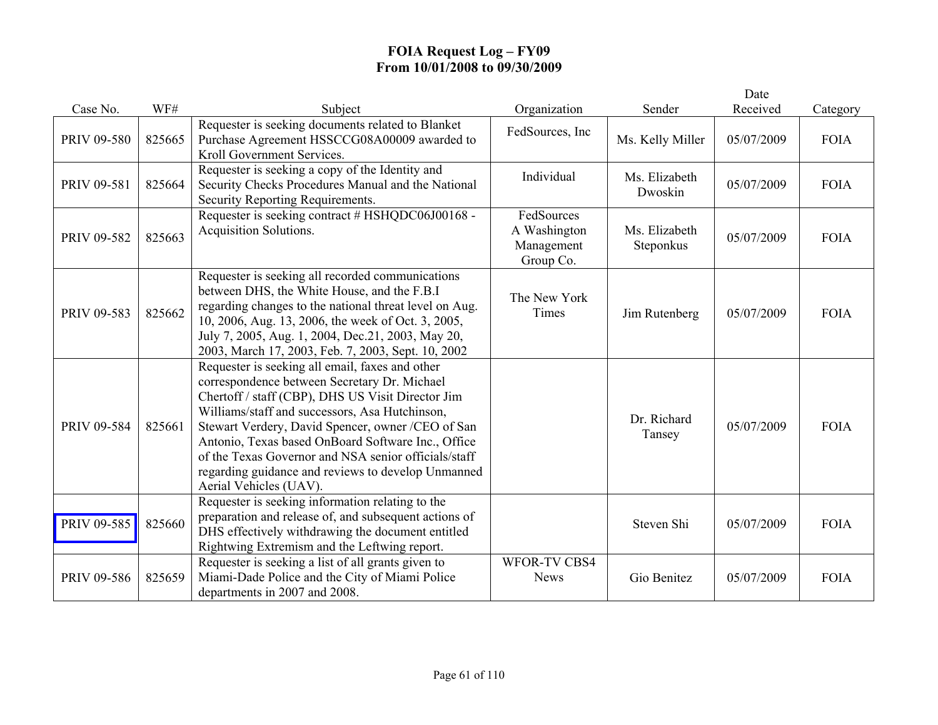|             |        |                                                                                                                                                                                                                                                                                                                                                                                                                                                           |                                                       |                            | Date       |             |
|-------------|--------|-----------------------------------------------------------------------------------------------------------------------------------------------------------------------------------------------------------------------------------------------------------------------------------------------------------------------------------------------------------------------------------------------------------------------------------------------------------|-------------------------------------------------------|----------------------------|------------|-------------|
| Case No.    | WF#    | Subject                                                                                                                                                                                                                                                                                                                                                                                                                                                   | Organization                                          | Sender                     | Received   | Category    |
| PRIV 09-580 | 825665 | Requester is seeking documents related to Blanket<br>Purchase Agreement HSSCCG08A00009 awarded to<br>Kroll Government Services.                                                                                                                                                                                                                                                                                                                           | FedSources, Inc                                       | Ms. Kelly Miller           | 05/07/2009 | <b>FOIA</b> |
| PRIV 09-581 | 825664 | Requester is seeking a copy of the Identity and<br>Security Checks Procedures Manual and the National<br>Security Reporting Requirements.                                                                                                                                                                                                                                                                                                                 | Individual                                            | Ms. Elizabeth<br>Dwoskin   | 05/07/2009 | <b>FOIA</b> |
| PRIV 09-582 | 825663 | Requester is seeking contract # HSHQDC06J00168 -<br>Acquisition Solutions.                                                                                                                                                                                                                                                                                                                                                                                | FedSources<br>A Washington<br>Management<br>Group Co. | Ms. Elizabeth<br>Steponkus | 05/07/2009 | <b>FOIA</b> |
| PRIV 09-583 | 825662 | Requester is seeking all recorded communications<br>between DHS, the White House, and the F.B.I<br>regarding changes to the national threat level on Aug.<br>10, 2006, Aug. 13, 2006, the week of Oct. 3, 2005,<br>July 7, 2005, Aug. 1, 2004, Dec.21, 2003, May 20,<br>2003, March 17, 2003, Feb. 7, 2003, Sept. 10, 2002                                                                                                                                | The New York<br>Times                                 | Jim Rutenberg              | 05/07/2009 | <b>FOIA</b> |
| PRIV 09-584 | 825661 | Requester is seeking all email, faxes and other<br>correspondence between Secretary Dr. Michael<br>Chertoff / staff (CBP), DHS US Visit Director Jim<br>Williams/staff and successors, Asa Hutchinson,<br>Stewart Verdery, David Spencer, owner /CEO of San<br>Antonio, Texas based OnBoard Software Inc., Office<br>of the Texas Governor and NSA senior officials/staff<br>regarding guidance and reviews to develop Unmanned<br>Aerial Vehicles (UAV). |                                                       | Dr. Richard<br>Tansey      | 05/07/2009 | <b>FOIA</b> |
| PRIV 09-585 | 825660 | Requester is seeking information relating to the<br>preparation and release of, and subsequent actions of<br>DHS effectively withdrawing the document entitled<br>Rightwing Extremism and the Leftwing report.                                                                                                                                                                                                                                            |                                                       | Steven Shi                 | 05/07/2009 | <b>FOIA</b> |
| PRIV 09-586 | 825659 | Requester is seeking a list of all grants given to<br>Miami-Dade Police and the City of Miami Police<br>departments in 2007 and 2008.                                                                                                                                                                                                                                                                                                                     | <b>WFOR-TV CBS4</b><br><b>News</b>                    | Gio Benitez                | 05/07/2009 | <b>FOIA</b> |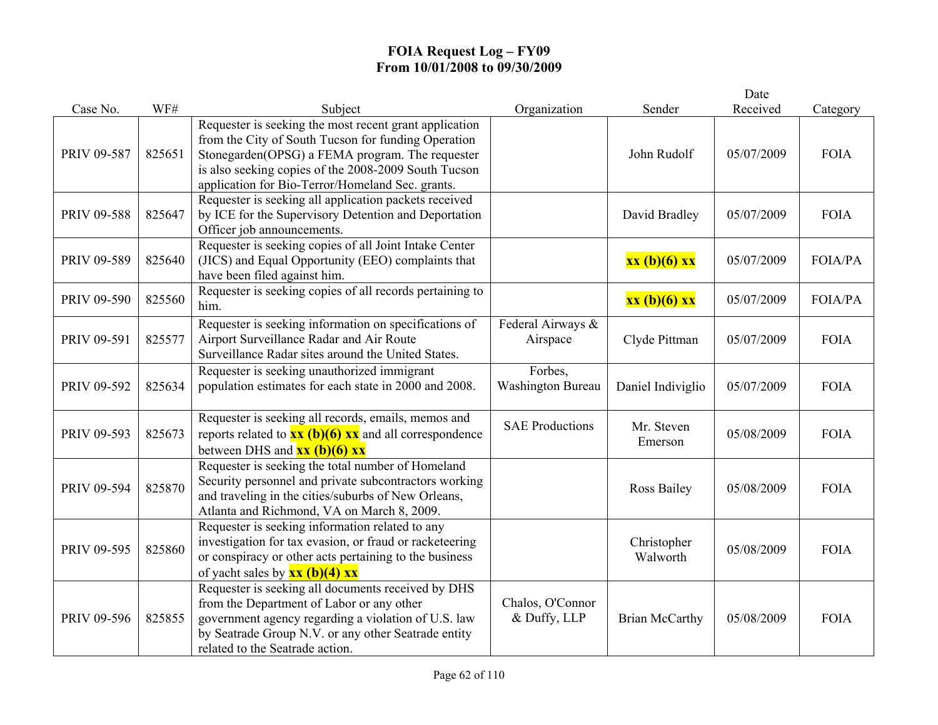|                    |        |                                                                                                                                                                                                                                                                              |                                     |                         | Date       |                |
|--------------------|--------|------------------------------------------------------------------------------------------------------------------------------------------------------------------------------------------------------------------------------------------------------------------------------|-------------------------------------|-------------------------|------------|----------------|
| Case No.           | WF#    | Subject                                                                                                                                                                                                                                                                      | Organization                        | Sender                  | Received   | Category       |
| PRIV 09-587        | 825651 | Requester is seeking the most recent grant application<br>from the City of South Tucson for funding Operation<br>Stonegarden(OPSG) a FEMA program. The requester<br>is also seeking copies of the 2008-2009 South Tucson<br>application for Bio-Terror/Homeland Sec. grants. |                                     | John Rudolf             | 05/07/2009 | <b>FOIA</b>    |
| PRIV 09-588        | 825647 | Requester is seeking all application packets received<br>by ICE for the Supervisory Detention and Deportation<br>Officer job announcements.                                                                                                                                  |                                     | David Bradley           | 05/07/2009 | <b>FOIA</b>    |
| PRIV 09-589        | 825640 | Requester is seeking copies of all Joint Intake Center<br>(JICS) and Equal Opportunity (EEO) complaints that<br>have been filed against him.                                                                                                                                 |                                     | xx (b)(6) xx            | 05/07/2009 | <b>FOIA/PA</b> |
| <b>PRIV 09-590</b> | 825560 | Requester is seeking copies of all records pertaining to<br>him.                                                                                                                                                                                                             |                                     | xx (b)(6) xx            | 05/07/2009 | <b>FOIA/PA</b> |
| PRIV 09-591        | 825577 | Requester is seeking information on specifications of<br>Airport Surveillance Radar and Air Route<br>Surveillance Radar sites around the United States.                                                                                                                      | Federal Airways &<br>Airspace       | Clyde Pittman           | 05/07/2009 | <b>FOIA</b>    |
| PRIV 09-592        | 825634 | Requester is seeking unauthorized immigrant<br>population estimates for each state in 2000 and 2008.                                                                                                                                                                         | Forbes,<br><b>Washington Bureau</b> | Daniel Indiviglio       | 05/07/2009 | <b>FOIA</b>    |
| PRIV 09-593        | 825673 | Requester is seeking all records, emails, memos and<br>reports related to $\frac{xx(b)(6)xx}{x}$ and all correspondence<br>between DHS and $\overline{\mathbf{x}\mathbf{x}}$ (b)(6) $\overline{\mathbf{x}\mathbf{x}}$                                                        | <b>SAE Productions</b>              | Mr. Steven<br>Emerson   | 05/08/2009 | <b>FOIA</b>    |
| PRIV 09-594        | 825870 | Requester is seeking the total number of Homeland<br>Security personnel and private subcontractors working<br>and traveling in the cities/suburbs of New Orleans,<br>Atlanta and Richmond, VA on March 8, 2009.                                                              |                                     | Ross Bailey             | 05/08/2009 | <b>FOIA</b>    |
| PRIV 09-595        | 825860 | Requester is seeking information related to any<br>investigation for tax evasion, or fraud or racketeering<br>or conspiracy or other acts pertaining to the business<br>of yacht sales by $\frac{xx(b)(4)xx}{x^2}$                                                           |                                     | Christopher<br>Walworth | 05/08/2009 | <b>FOIA</b>    |
| PRIV 09-596        | 825855 | Requester is seeking all documents received by DHS<br>from the Department of Labor or any other<br>government agency regarding a violation of U.S. law<br>by Seatrade Group N.V. or any other Seatrade entity<br>related to the Seatrade action.                             | Chalos, O'Connor<br>& Duffy, LLP    | <b>Brian McCarthy</b>   | 05/08/2009 | <b>FOIA</b>    |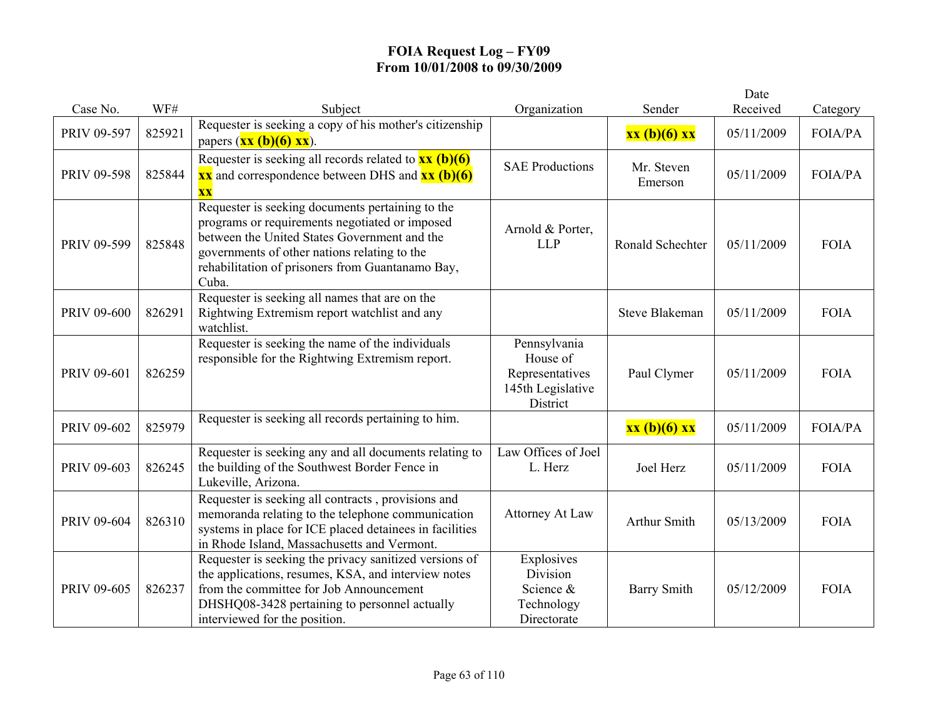|             |        |                                                                                                                                                                                                                                                                 |                                                                              |                       | Date       |             |
|-------------|--------|-----------------------------------------------------------------------------------------------------------------------------------------------------------------------------------------------------------------------------------------------------------------|------------------------------------------------------------------------------|-----------------------|------------|-------------|
| Case No.    | WF#    | Subject                                                                                                                                                                                                                                                         | Organization                                                                 | Sender                | Received   | Category    |
| PRIV 09-597 | 825921 | Requester is seeking a copy of his mother's citizenship<br>papers $(\mathbf{x}\mathbf{x}(\mathbf{b})(6)\mathbf{x}\mathbf{x})$ .                                                                                                                                 |                                                                              | $xx(b)(6)$ $xx$       | 05/11/2009 | FOIA/PA     |
| PRIV 09-598 | 825844 | Requester is seeking all records related to $\frac{xx(b)(6)}{}$<br>$\overline{\text{xx}}$ and correspondence between DHS and $\overline{\text{xx}}$ (b)(6)<br>$\overline{\mathbf{XX}}$                                                                          | <b>SAE Productions</b>                                                       | Mr. Steven<br>Emerson | 05/11/2009 | FOIA/PA     |
| PRIV 09-599 | 825848 | Requester is seeking documents pertaining to the<br>programs or requirements negotiated or imposed<br>between the United States Government and the<br>governments of other nations relating to the<br>rehabilitation of prisoners from Guantanamo Bay,<br>Cuba. | Arnold & Porter,<br><b>LLP</b>                                               | Ronald Schechter      | 05/11/2009 | <b>FOIA</b> |
| PRIV 09-600 | 826291 | Requester is seeking all names that are on the<br>Rightwing Extremism report watchlist and any<br>watchlist.                                                                                                                                                    |                                                                              | <b>Steve Blakeman</b> | 05/11/2009 | <b>FOIA</b> |
| PRIV 09-601 | 826259 | Requester is seeking the name of the individuals<br>responsible for the Rightwing Extremism report.                                                                                                                                                             | Pennsylvania<br>House of<br>Representatives<br>145th Legislative<br>District | Paul Clymer           | 05/11/2009 | <b>FOIA</b> |
| PRIV 09-602 | 825979 | Requester is seeking all records pertaining to him.                                                                                                                                                                                                             |                                                                              | xx (b)(6) xx          | 05/11/2009 | FOIA/PA     |
| PRIV 09-603 | 826245 | Requester is seeking any and all documents relating to<br>the building of the Southwest Border Fence in<br>Lukeville, Arizona.                                                                                                                                  | Law Offices of Joel<br>L. Herz                                               | Joel Herz             | 05/11/2009 | <b>FOIA</b> |
| PRIV 09-604 | 826310 | Requester is seeking all contracts, provisions and<br>memoranda relating to the telephone communication<br>systems in place for ICE placed detainees in facilities<br>in Rhode Island, Massachusetts and Vermont.                                               | <b>Attorney At Law</b>                                                       | Arthur Smith          | 05/13/2009 | <b>FOIA</b> |
| PRIV 09-605 | 826237 | Requester is seeking the privacy sanitized versions of<br>the applications, resumes, KSA, and interview notes<br>from the committee for Job Announcement<br>DHSHQ08-3428 pertaining to personnel actually<br>interviewed for the position.                      | Explosives<br>Division<br>Science &<br>Technology<br>Directorate             | <b>Barry Smith</b>    | 05/12/2009 | <b>FOIA</b> |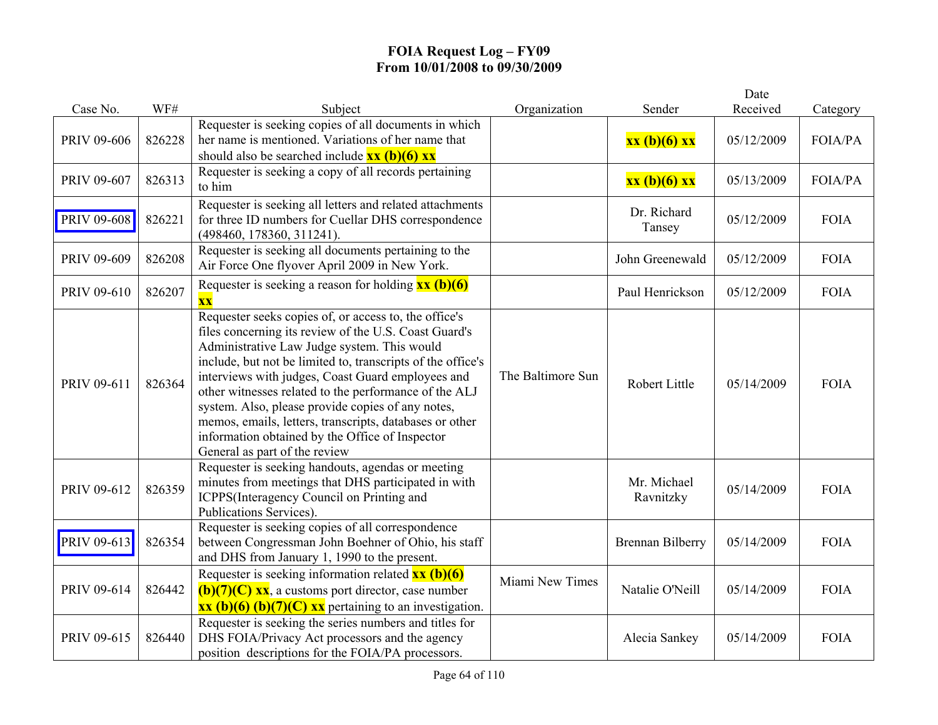|             |        |                                                                                                                                                                                                                                                                                                                                                                                                                                                                                                                                                |                   |                          | Date       |             |
|-------------|--------|------------------------------------------------------------------------------------------------------------------------------------------------------------------------------------------------------------------------------------------------------------------------------------------------------------------------------------------------------------------------------------------------------------------------------------------------------------------------------------------------------------------------------------------------|-------------------|--------------------------|------------|-------------|
| Case No.    | WF#    | Subject                                                                                                                                                                                                                                                                                                                                                                                                                                                                                                                                        | Organization      | Sender                   | Received   | Category    |
| PRIV 09-606 | 826228 | Requester is seeking copies of all documents in which<br>her name is mentioned. Variations of her name that<br>should also be searched include $\frac{xx(b)(6)xx}{x^2}$                                                                                                                                                                                                                                                                                                                                                                        |                   | xx (b)(6) xx             | 05/12/2009 | FOIA/PA     |
| PRIV 09-607 | 826313 | Requester is seeking a copy of all records pertaining<br>to him                                                                                                                                                                                                                                                                                                                                                                                                                                                                                |                   | xx (b)(6) xx             | 05/13/2009 | FOIA/PA     |
| PRIV 09-608 | 826221 | Requester is seeking all letters and related attachments<br>for three ID numbers for Cuellar DHS correspondence<br>(498460, 178360, 311241).                                                                                                                                                                                                                                                                                                                                                                                                   |                   | Dr. Richard<br>Tansey    | 05/12/2009 | <b>FOIA</b> |
| PRIV 09-609 | 826208 | Requester is seeking all documents pertaining to the<br>Air Force One flyover April 2009 in New York.                                                                                                                                                                                                                                                                                                                                                                                                                                          |                   | John Greenewald          | 05/12/2009 | <b>FOIA</b> |
| PRIV 09-610 | 826207 | Requester is seeking a reason for holding $\frac{xx}{(b)(6)}$<br>$\overline{\mathbf{X}}\overline{\mathbf{X}}$                                                                                                                                                                                                                                                                                                                                                                                                                                  |                   | Paul Henrickson          | 05/12/2009 | <b>FOIA</b> |
| PRIV 09-611 | 826364 | Requester seeks copies of, or access to, the office's<br>files concerning its review of the U.S. Coast Guard's<br>Administrative Law Judge system. This would<br>include, but not be limited to, transcripts of the office's<br>interviews with judges, Coast Guard employees and<br>other witnesses related to the performance of the ALJ<br>system. Also, please provide copies of any notes,<br>memos, emails, letters, transcripts, databases or other<br>information obtained by the Office of Inspector<br>General as part of the review | The Baltimore Sun | Robert Little            | 05/14/2009 | <b>FOIA</b> |
| PRIV 09-612 | 826359 | Requester is seeking handouts, agendas or meeting<br>minutes from meetings that DHS participated in with<br>ICPPS(Interagency Council on Printing and<br>Publications Services).                                                                                                                                                                                                                                                                                                                                                               |                   | Mr. Michael<br>Ravnitzky | 05/14/2009 | <b>FOIA</b> |
| PRIV 09-613 | 826354 | Requester is seeking copies of all correspondence<br>between Congressman John Boehner of Ohio, his staff<br>and DHS from January 1, 1990 to the present.                                                                                                                                                                                                                                                                                                                                                                                       |                   | <b>Brennan Bilberry</b>  | 05/14/2009 | <b>FOIA</b> |
| PRIV 09-614 | 826442 | Requester is seeking information related $\frac{xx(b)(6)}{}$<br>$(b)(7)(C)$ xx, a customs port director, case number<br>$\overline{\text{xx (b)(6) (b)(7)(C)} \text{xx}}$ pertaining to an investigation.                                                                                                                                                                                                                                                                                                                                      | Miami New Times   | Natalie O'Neill          | 05/14/2009 | <b>FOIA</b> |
| PRIV 09-615 | 826440 | Requester is seeking the series numbers and titles for<br>DHS FOIA/Privacy Act processors and the agency<br>position descriptions for the FOIA/PA processors.                                                                                                                                                                                                                                                                                                                                                                                  |                   | Alecia Sankey            | 05/14/2009 | <b>FOIA</b> |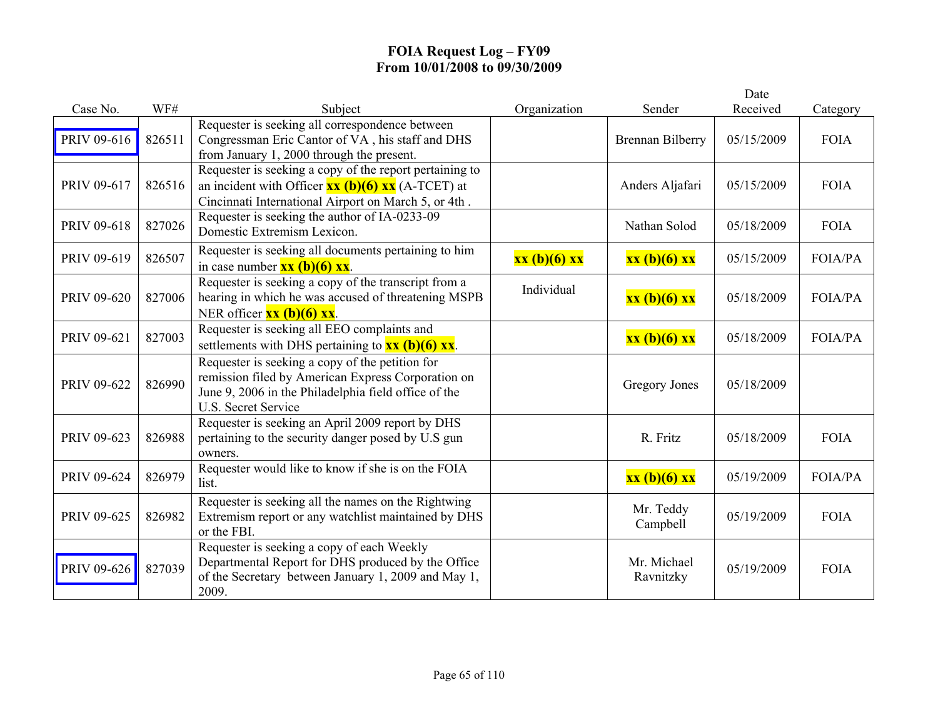|             |        |                                                                                                                                                                                             |              |                          | Date       |                |
|-------------|--------|---------------------------------------------------------------------------------------------------------------------------------------------------------------------------------------------|--------------|--------------------------|------------|----------------|
| Case No.    | WF#    | Subject                                                                                                                                                                                     | Organization | Sender                   | Received   | Category       |
| PRIV 09-616 | 826511 | Requester is seeking all correspondence between<br>Congressman Eric Cantor of VA, his staff and DHS<br>from January 1, 2000 through the present.                                            |              | <b>Brennan Bilberry</b>  | 05/15/2009 | <b>FOIA</b>    |
| PRIV 09-617 | 826516 | Requester is seeking a copy of the report pertaining to<br>an incident with Officer $\frac{xx(b)(6)xx}{(A-TCET)}$ at<br>Cincinnati International Airport on March 5, or 4th.                |              | Anders Aljafari          | 05/15/2009 | <b>FOIA</b>    |
| PRIV 09-618 | 827026 | Requester is seeking the author of IA-0233-09<br>Domestic Extremism Lexicon.                                                                                                                |              | Nathan Solod             | 05/18/2009 | <b>FOIA</b>    |
| PRIV 09-619 | 826507 | Requester is seeking all documents pertaining to him<br>in case number $\mathbf{xx}$ (b)(6) $\mathbf{xx}$ .                                                                                 | xx (b)(6) xx | xx (b)(6) xx             | 05/15/2009 | FOIA/PA        |
| PRIV 09-620 | 827006 | Requester is seeking a copy of the transcript from a<br>hearing in which he was accused of threatening MSPB<br>NER officer $\overline{\mathbf{xx}}$ (b)(6) $\overline{\mathbf{xx}}$ .       | Individual   | xx (b)(6) xx             | 05/18/2009 | FOIA/PA        |
| PRIV 09-621 | 827003 | Requester is seeking all EEO complaints and<br>settlements with DHS pertaining to $\overline{\mathbf{x}\mathbf{x}}$ (b)(6) $\overline{\mathbf{x}\mathbf{x}}$ .                              |              | xx (b)(6) xx             | 05/18/2009 | <b>FOIA/PA</b> |
| PRIV 09-622 | 826990 | Requester is seeking a copy of the petition for<br>remission filed by American Express Corporation on<br>June 9, 2006 in the Philadelphia field office of the<br><b>U.S. Secret Service</b> |              | Gregory Jones            | 05/18/2009 |                |
| PRIV 09-623 | 826988 | Requester is seeking an April 2009 report by DHS<br>pertaining to the security danger posed by U.S gun<br>owners.                                                                           |              | R. Fritz                 | 05/18/2009 | <b>FOIA</b>    |
| PRIV 09-624 | 826979 | Requester would like to know if she is on the FOIA<br>list.                                                                                                                                 |              | xx (b)(6) xx             | 05/19/2009 | <b>FOIA/PA</b> |
| PRIV 09-625 | 826982 | Requester is seeking all the names on the Rightwing<br>Extremism report or any watchlist maintained by DHS<br>or the FBI.                                                                   |              | Mr. Teddy<br>Campbell    | 05/19/2009 | <b>FOIA</b>    |
| PRIV 09-626 | 827039 | Requester is seeking a copy of each Weekly<br>Departmental Report for DHS produced by the Office<br>of the Secretary between January 1, 2009 and May 1,<br>2009.                            |              | Mr. Michael<br>Ravnitzky | 05/19/2009 | <b>FOIA</b>    |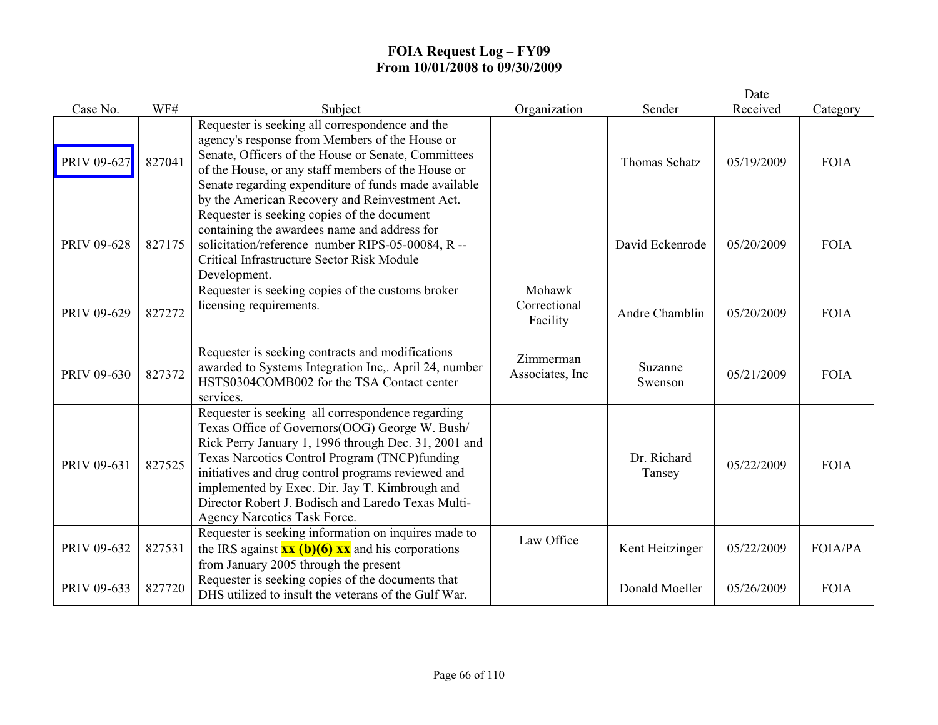|             |        |                                                                                                                                                                                                                                                                                                                                                                                                            |                                    |                       | Date       |                |
|-------------|--------|------------------------------------------------------------------------------------------------------------------------------------------------------------------------------------------------------------------------------------------------------------------------------------------------------------------------------------------------------------------------------------------------------------|------------------------------------|-----------------------|------------|----------------|
| Case No.    | WF#    | Subject                                                                                                                                                                                                                                                                                                                                                                                                    | Organization                       | Sender                | Received   | Category       |
| PRIV 09-627 | 827041 | Requester is seeking all correspondence and the<br>agency's response from Members of the House or<br>Senate, Officers of the House or Senate, Committees<br>of the House, or any staff members of the House or<br>Senate regarding expenditure of funds made available<br>by the American Recovery and Reinvestment Act.                                                                                   |                                    | <b>Thomas Schatz</b>  | 05/19/2009 | <b>FOIA</b>    |
| PRIV 09-628 | 827175 | Requester is seeking copies of the document<br>containing the awardees name and address for<br>solicitation/reference number RIPS-05-00084, R --<br>Critical Infrastructure Sector Risk Module<br>Development.                                                                                                                                                                                             |                                    | David Eckenrode       | 05/20/2009 | <b>FOIA</b>    |
| PRIV 09-629 | 827272 | Requester is seeking copies of the customs broker<br>licensing requirements.                                                                                                                                                                                                                                                                                                                               | Mohawk<br>Correctional<br>Facility | Andre Chamblin        | 05/20/2009 | <b>FOIA</b>    |
| PRIV 09-630 | 827372 | Requester is seeking contracts and modifications<br>awarded to Systems Integration Inc,. April 24, number<br>HSTS0304COMB002 for the TSA Contact center<br>services.                                                                                                                                                                                                                                       | Zimmerman<br>Associates, Inc       | Suzanne<br>Swenson    | 05/21/2009 | <b>FOIA</b>    |
| PRIV 09-631 | 827525 | Requester is seeking all correspondence regarding<br>Texas Office of Governors(OOG) George W. Bush/<br>Rick Perry January 1, 1996 through Dec. 31, 2001 and<br>Texas Narcotics Control Program (TNCP)funding<br>initiatives and drug control programs reviewed and<br>implemented by Exec. Dir. Jay T. Kimbrough and<br>Director Robert J. Bodisch and Laredo Texas Multi-<br>Agency Narcotics Task Force. |                                    | Dr. Richard<br>Tansey | 05/22/2009 | <b>FOIA</b>    |
| PRIV 09-632 | 827531 | Requester is seeking information on inquires made to<br>the IRS against $\overline{\mathbf{x}\mathbf{x}(\mathbf{b})(6) \mathbf{x}\mathbf{x}}$ and his corporations<br>from January 2005 through the present                                                                                                                                                                                                | Law Office                         | Kent Heitzinger       | 05/22/2009 | <b>FOIA/PA</b> |
| PRIV 09-633 | 827720 | Requester is seeking copies of the documents that<br>DHS utilized to insult the veterans of the Gulf War.                                                                                                                                                                                                                                                                                                  |                                    | Donald Moeller        | 05/26/2009 | <b>FOIA</b>    |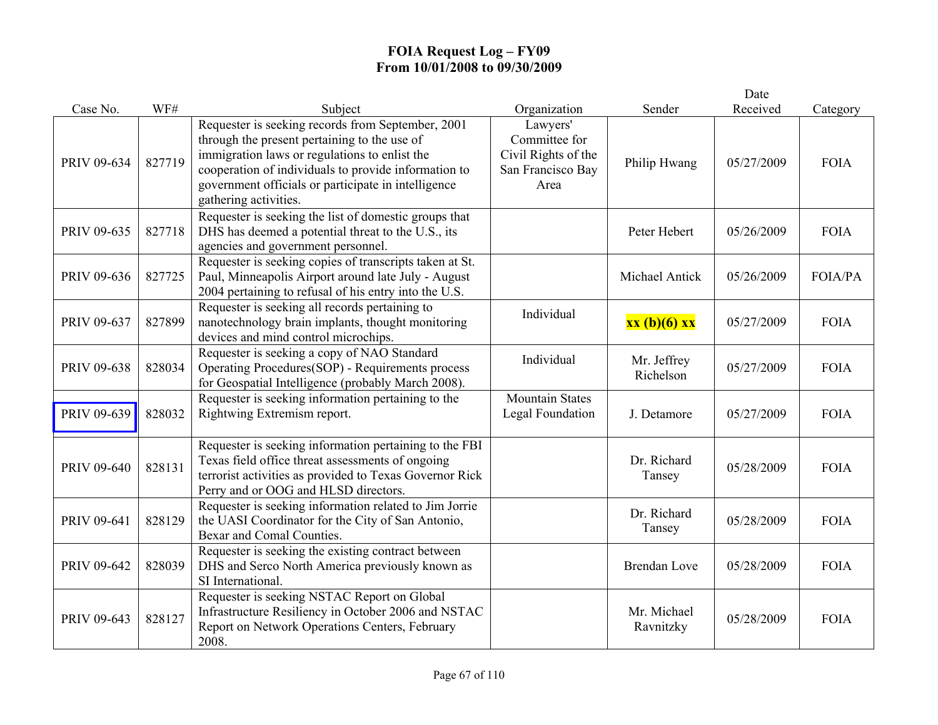|             |        |                                                                                                                                                                                                                                                                                            |                                                                               |                          | Date       |                |
|-------------|--------|--------------------------------------------------------------------------------------------------------------------------------------------------------------------------------------------------------------------------------------------------------------------------------------------|-------------------------------------------------------------------------------|--------------------------|------------|----------------|
| Case No.    | WF#    | Subject                                                                                                                                                                                                                                                                                    | Organization                                                                  | Sender                   | Received   | Category       |
| PRIV 09-634 | 827719 | Requester is seeking records from September, 2001<br>through the present pertaining to the use of<br>immigration laws or regulations to enlist the<br>cooperation of individuals to provide information to<br>government officials or participate in intelligence<br>gathering activities. | Lawyers'<br>Committee for<br>Civil Rights of the<br>San Francisco Bay<br>Area | Philip Hwang             | 05/27/2009 | <b>FOIA</b>    |
| PRIV 09-635 | 827718 | Requester is seeking the list of domestic groups that<br>DHS has deemed a potential threat to the U.S., its<br>agencies and government personnel.                                                                                                                                          |                                                                               | Peter Hebert             | 05/26/2009 | <b>FOIA</b>    |
| PRIV 09-636 | 827725 | Requester is seeking copies of transcripts taken at St.<br>Paul, Minneapolis Airport around late July - August<br>2004 pertaining to refusal of his entry into the U.S.                                                                                                                    |                                                                               | Michael Antick           | 05/26/2009 | <b>FOIA/PA</b> |
| PRIV 09-637 | 827899 | Requester is seeking all records pertaining to<br>nanotechnology brain implants, thought monitoring<br>devices and mind control microchips.                                                                                                                                                | Individual                                                                    | xx (b)(6) xx             | 05/27/2009 | <b>FOIA</b>    |
| PRIV 09-638 | 828034 | Requester is seeking a copy of NAO Standard<br>Operating Procedures(SOP) - Requirements process<br>for Geospatial Intelligence (probably March 2008).                                                                                                                                      | Individual                                                                    | Mr. Jeffrey<br>Richelson | 05/27/2009 | <b>FOIA</b>    |
| PRIV 09-639 | 828032 | Requester is seeking information pertaining to the<br>Rightwing Extremism report.                                                                                                                                                                                                          | <b>Mountain States</b><br><b>Legal Foundation</b>                             | J. Detamore              | 05/27/2009 | <b>FOIA</b>    |
| PRIV 09-640 | 828131 | Requester is seeking information pertaining to the FBI<br>Texas field office threat assessments of ongoing<br>terrorist activities as provided to Texas Governor Rick<br>Perry and or OOG and HLSD directors.                                                                              |                                                                               | Dr. Richard<br>Tansey    | 05/28/2009 | <b>FOIA</b>    |
| PRIV 09-641 | 828129 | Requester is seeking information related to Jim Jorrie<br>the UASI Coordinator for the City of San Antonio,<br>Bexar and Comal Counties.                                                                                                                                                   |                                                                               | Dr. Richard<br>Tansey    | 05/28/2009 | <b>FOIA</b>    |
| PRIV 09-642 | 828039 | Requester is seeking the existing contract between<br>DHS and Serco North America previously known as<br>SI International.                                                                                                                                                                 |                                                                               | <b>Brendan Love</b>      | 05/28/2009 | <b>FOIA</b>    |
| PRIV 09-643 | 828127 | Requester is seeking NSTAC Report on Global<br>Infrastructure Resiliency in October 2006 and NSTAC<br>Report on Network Operations Centers, February<br>2008.                                                                                                                              |                                                                               | Mr. Michael<br>Ravnitzky | 05/28/2009 | <b>FOIA</b>    |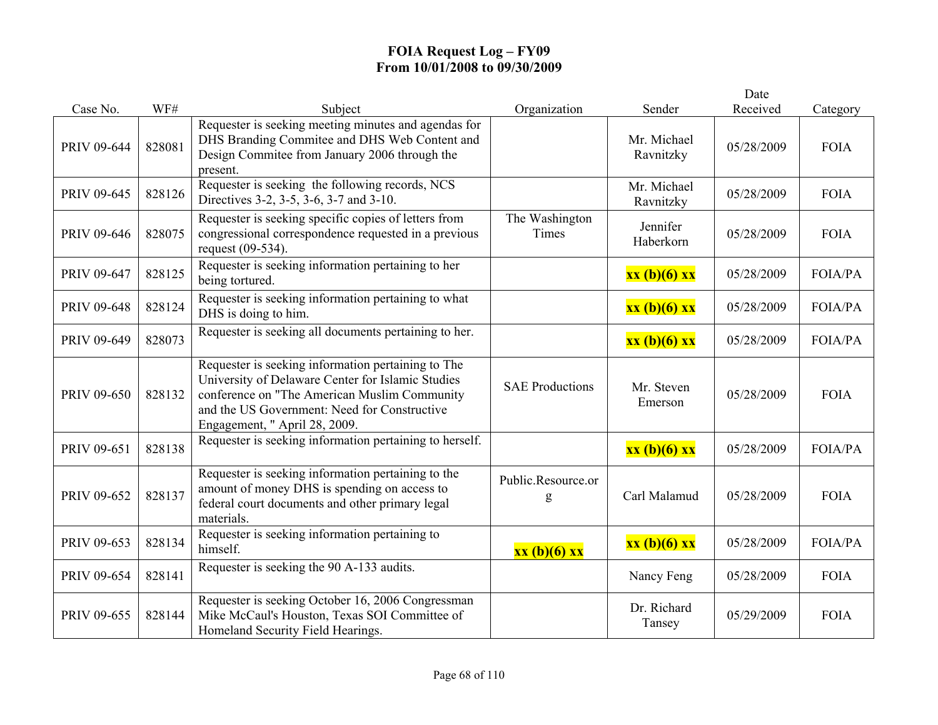|             |        |                                                                                                                                                                                                                                          |                         |                          | Date       |                |
|-------------|--------|------------------------------------------------------------------------------------------------------------------------------------------------------------------------------------------------------------------------------------------|-------------------------|--------------------------|------------|----------------|
| Case No.    | WF#    | Subject                                                                                                                                                                                                                                  | Organization            | Sender                   | Received   | Category       |
| PRIV 09-644 | 828081 | Requester is seeking meeting minutes and agendas for<br>DHS Branding Commitee and DHS Web Content and<br>Design Commitee from January 2006 through the<br>present.                                                                       |                         | Mr. Michael<br>Ravnitzky | 05/28/2009 | <b>FOIA</b>    |
| PRIV 09-645 | 828126 | Requester is seeking the following records, NCS<br>Directives 3-2, 3-5, 3-6, 3-7 and 3-10.                                                                                                                                               |                         | Mr. Michael<br>Ravnitzky | 05/28/2009 | <b>FOIA</b>    |
| PRIV 09-646 | 828075 | Requester is seeking specific copies of letters from<br>congressional correspondence requested in a previous<br>request (09-534).                                                                                                        | The Washington<br>Times | Jennifer<br>Haberkorn    | 05/28/2009 | <b>FOIA</b>    |
| PRIV 09-647 | 828125 | Requester is seeking information pertaining to her<br>being tortured.                                                                                                                                                                    |                         | xx (b)(6) xx             | 05/28/2009 | <b>FOIA/PA</b> |
| PRIV 09-648 | 828124 | Requester is seeking information pertaining to what<br>DHS is doing to him.                                                                                                                                                              |                         | xx (b)(6) xx             | 05/28/2009 | <b>FOIA/PA</b> |
| PRIV 09-649 | 828073 | Requester is seeking all documents pertaining to her.                                                                                                                                                                                    |                         | xx (b)(6) xx             | 05/28/2009 | FOIA/PA        |
| PRIV 09-650 | 828132 | Requester is seeking information pertaining to The<br>University of Delaware Center for Islamic Studies<br>conference on "The American Muslim Community<br>and the US Government: Need for Constructive<br>Engagement, " April 28, 2009. | <b>SAE Productions</b>  | Mr. Steven<br>Emerson    | 05/28/2009 | <b>FOIA</b>    |
| PRIV 09-651 | 828138 | Requester is seeking information pertaining to herself.                                                                                                                                                                                  |                         | xx (b)(6) xx             | 05/28/2009 | FOIA/PA        |
| PRIV 09-652 | 828137 | Requester is seeking information pertaining to the<br>amount of money DHS is spending on access to<br>federal court documents and other primary legal<br>materials.                                                                      | Public.Resource.or<br>g | Carl Malamud             | 05/28/2009 | <b>FOIA</b>    |
| PRIV 09-653 | 828134 | Requester is seeking information pertaining to<br>himself.                                                                                                                                                                               | xx (b)(6) xx            | xx (b)(6) xx             | 05/28/2009 | <b>FOIA/PA</b> |
| PRIV 09-654 | 828141 | Requester is seeking the 90 A-133 audits.                                                                                                                                                                                                |                         | Nancy Feng               | 05/28/2009 | <b>FOIA</b>    |
| PRIV 09-655 | 828144 | Requester is seeking October 16, 2006 Congressman<br>Mike McCaul's Houston, Texas SOI Committee of<br>Homeland Security Field Hearings.                                                                                                  |                         | Dr. Richard<br>Tansey    | 05/29/2009 | <b>FOIA</b>    |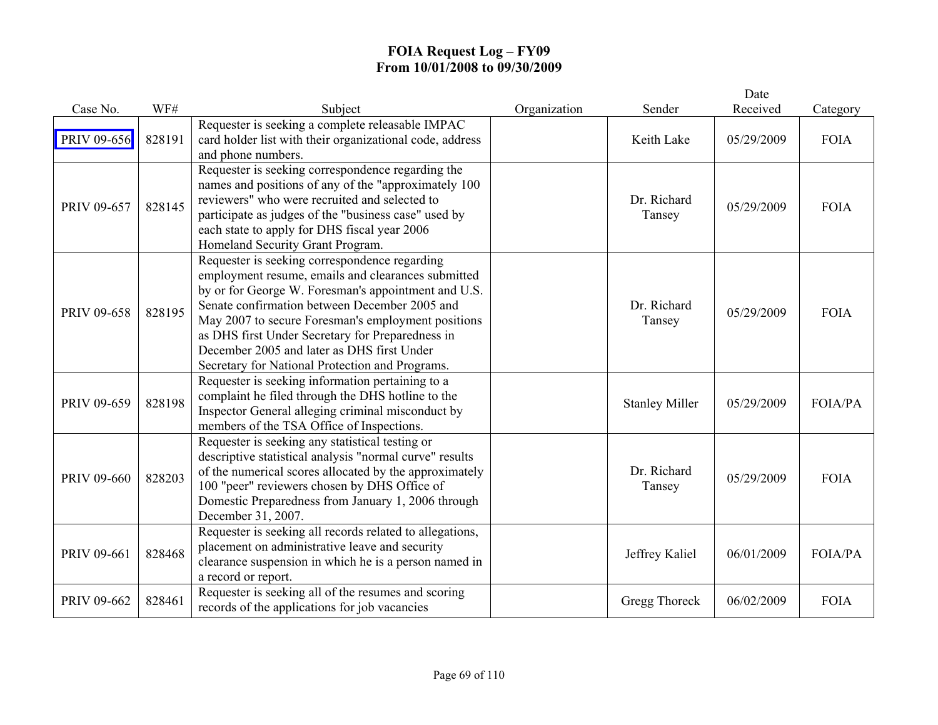|             |        |                                                                                                                                                                                                                                                                                                                                                                                                                        |              |                       | Date       |             |
|-------------|--------|------------------------------------------------------------------------------------------------------------------------------------------------------------------------------------------------------------------------------------------------------------------------------------------------------------------------------------------------------------------------------------------------------------------------|--------------|-----------------------|------------|-------------|
| Case No.    | WF#    | Subject                                                                                                                                                                                                                                                                                                                                                                                                                | Organization | Sender                | Received   | Category    |
| PRIV 09-656 | 828191 | Requester is seeking a complete releasable IMPAC<br>card holder list with their organizational code, address<br>and phone numbers.                                                                                                                                                                                                                                                                                     |              | Keith Lake            | 05/29/2009 | <b>FOIA</b> |
| PRIV 09-657 | 828145 | Requester is seeking correspondence regarding the<br>names and positions of any of the "approximately 100<br>reviewers" who were recruited and selected to<br>participate as judges of the "business case" used by<br>each state to apply for DHS fiscal year 2006<br>Homeland Security Grant Program.                                                                                                                 |              | Dr. Richard<br>Tansey | 05/29/2009 | <b>FOIA</b> |
| PRIV 09-658 | 828195 | Requester is seeking correspondence regarding<br>employment resume, emails and clearances submitted<br>by or for George W. Foresman's appointment and U.S.<br>Senate confirmation between December 2005 and<br>May 2007 to secure Foresman's employment positions<br>as DHS first Under Secretary for Preparedness in<br>December 2005 and later as DHS first Under<br>Secretary for National Protection and Programs. |              | Dr. Richard<br>Tansey | 05/29/2009 | <b>FOIA</b> |
| PRIV 09-659 | 828198 | Requester is seeking information pertaining to a<br>complaint he filed through the DHS hotline to the<br>Inspector General alleging criminal misconduct by<br>members of the TSA Office of Inspections.                                                                                                                                                                                                                |              | <b>Stanley Miller</b> | 05/29/2009 | FOIA/PA     |
| PRIV 09-660 | 828203 | Requester is seeking any statistical testing or<br>descriptive statistical analysis "normal curve" results<br>of the numerical scores allocated by the approximately<br>100 "peer" reviewers chosen by DHS Office of<br>Domestic Preparedness from January 1, 2006 through<br>December 31, 2007.                                                                                                                       |              | Dr. Richard<br>Tansey | 05/29/2009 | <b>FOIA</b> |
| PRIV 09-661 | 828468 | Requester is seeking all records related to allegations,<br>placement on administrative leave and security<br>clearance suspension in which he is a person named in<br>a record or report.                                                                                                                                                                                                                             |              | Jeffrey Kaliel        | 06/01/2009 | FOIA/PA     |
| PRIV 09-662 | 828461 | Requester is seeking all of the resumes and scoring<br>records of the applications for job vacancies                                                                                                                                                                                                                                                                                                                   |              | Gregg Thoreck         | 06/02/2009 | <b>FOIA</b> |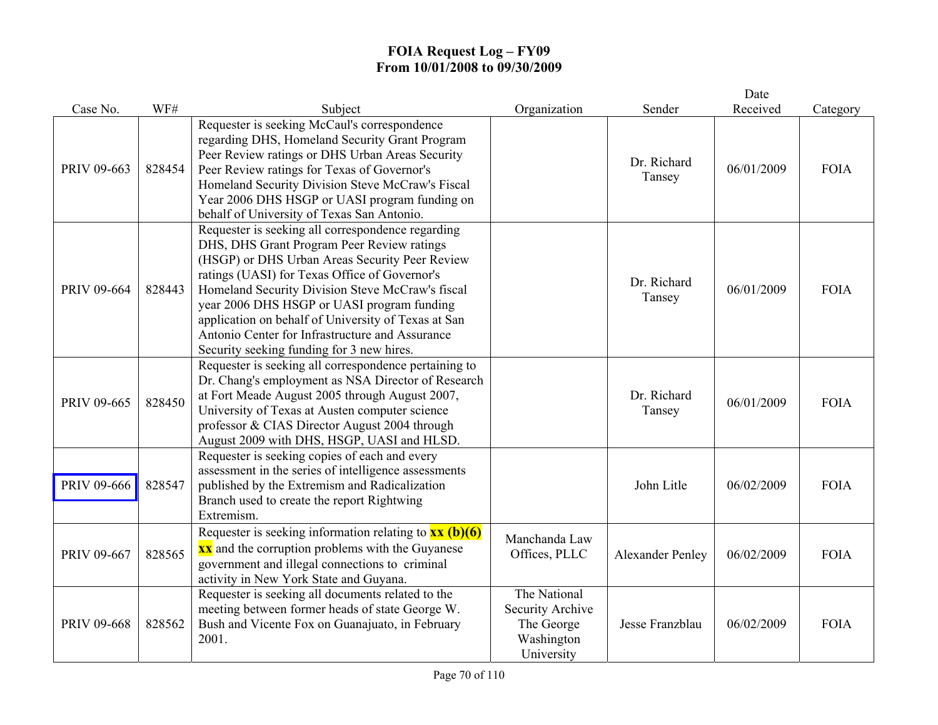|                    |        |                                                                                                                                                                                                                                                                                                                                                                                                                                                             |                                                                            |                         | Date       |             |
|--------------------|--------|-------------------------------------------------------------------------------------------------------------------------------------------------------------------------------------------------------------------------------------------------------------------------------------------------------------------------------------------------------------------------------------------------------------------------------------------------------------|----------------------------------------------------------------------------|-------------------------|------------|-------------|
| Case No.           | WF#    | Subject                                                                                                                                                                                                                                                                                                                                                                                                                                                     | Organization                                                               | Sender                  | Received   | Category    |
| PRIV 09-663        | 828454 | Requester is seeking McCaul's correspondence<br>regarding DHS, Homeland Security Grant Program<br>Peer Review ratings or DHS Urban Areas Security<br>Peer Review ratings for Texas of Governor's<br>Homeland Security Division Steve McCraw's Fiscal<br>Year 2006 DHS HSGP or UASI program funding on<br>behalf of University of Texas San Antonio.                                                                                                         |                                                                            | Dr. Richard<br>Tansey   | 06/01/2009 | <b>FOIA</b> |
| PRIV 09-664        | 828443 | Requester is seeking all correspondence regarding<br>DHS, DHS Grant Program Peer Review ratings<br>(HSGP) or DHS Urban Areas Security Peer Review<br>ratings (UASI) for Texas Office of Governor's<br>Homeland Security Division Steve McCraw's fiscal<br>year 2006 DHS HSGP or UASI program funding<br>application on behalf of University of Texas at San<br>Antonio Center for Infrastructure and Assurance<br>Security seeking funding for 3 new hires. |                                                                            | Dr. Richard<br>Tansey   | 06/01/2009 | <b>FOIA</b> |
| PRIV 09-665        | 828450 | Requester is seeking all correspondence pertaining to<br>Dr. Chang's employment as NSA Director of Research<br>at Fort Meade August 2005 through August 2007,<br>University of Texas at Austen computer science<br>professor & CIAS Director August 2004 through<br>August 2009 with DHS, HSGP, UASI and HLSD.                                                                                                                                              |                                                                            | Dr. Richard<br>Tansey   | 06/01/2009 | <b>FOIA</b> |
| <b>PRIV 09-666</b> | 828547 | Requester is seeking copies of each and every<br>assessment in the series of intelligence assessments<br>published by the Extremism and Radicalization<br>Branch used to create the report Rightwing<br>Extremism.                                                                                                                                                                                                                                          |                                                                            | John Litle              | 06/02/2009 | <b>FOIA</b> |
| PRIV 09-667        | 828565 | Requester is seeking information relating to $\frac{xx(b)(6)}{}$<br><b>xx</b> and the corruption problems with the Guyanese<br>government and illegal connections to criminal<br>activity in New York State and Guyana.                                                                                                                                                                                                                                     | Manchanda Law<br>Offices, PLLC                                             | <b>Alexander Penley</b> | 06/02/2009 | <b>FOIA</b> |
| PRIV 09-668        | 828562 | Requester is seeking all documents related to the<br>meeting between former heads of state George W.<br>Bush and Vicente Fox on Guanajuato, in February<br>2001.                                                                                                                                                                                                                                                                                            | The National<br>Security Archive<br>The George<br>Washington<br>University | Jesse Franzblau         | 06/02/2009 | <b>FOIA</b> |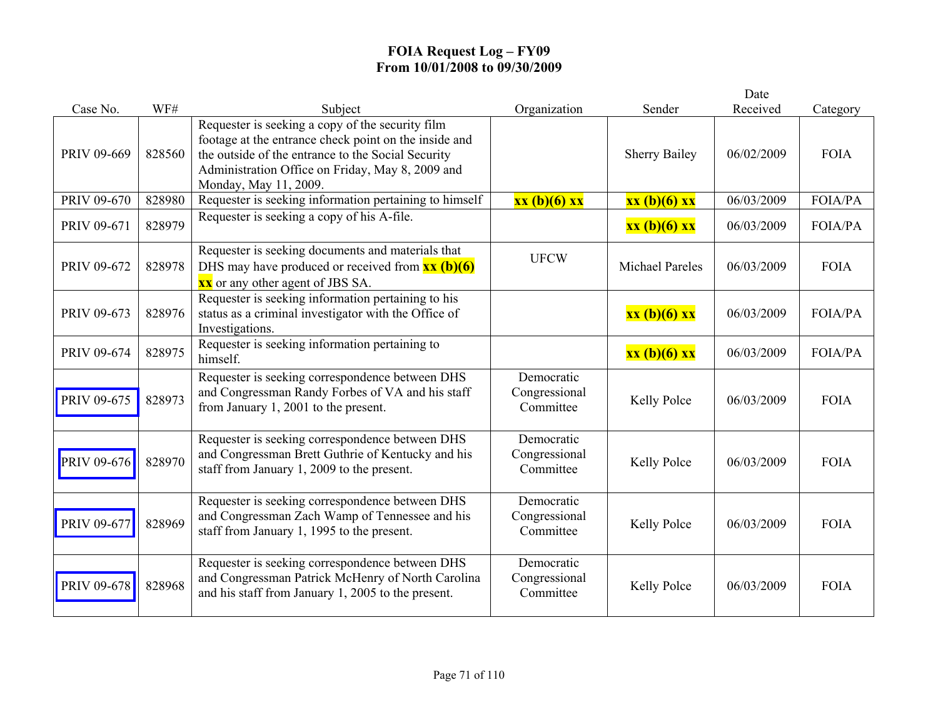|             |        |                                                                                                                                                                                                                                              |                                          |                        | Date       |                |
|-------------|--------|----------------------------------------------------------------------------------------------------------------------------------------------------------------------------------------------------------------------------------------------|------------------------------------------|------------------------|------------|----------------|
| Case No.    | WF#    | Subject                                                                                                                                                                                                                                      | Organization                             | Sender                 | Received   | Category       |
| PRIV 09-669 | 828560 | Requester is seeking a copy of the security film<br>footage at the entrance check point on the inside and<br>the outside of the entrance to the Social Security<br>Administration Office on Friday, May 8, 2009 and<br>Monday, May 11, 2009. |                                          | <b>Sherry Bailey</b>   | 06/02/2009 | <b>FOIA</b>    |
| PRIV 09-670 | 828980 | Requester is seeking information pertaining to himself                                                                                                                                                                                       | xx (b)(6) xx                             | xx (b)(6) xx           | 06/03/2009 | FOIA/PA        |
| PRIV 09-671 | 828979 | Requester is seeking a copy of his A-file.                                                                                                                                                                                                   |                                          | xx (b)(6) xx           | 06/03/2009 | <b>FOIA/PA</b> |
| PRIV 09-672 | 828978 | Requester is seeking documents and materials that<br>DHS may have produced or received from $\frac{xx}{(b)(6)}$<br><b>xx</b> or any other agent of JBS SA.                                                                                   | <b>UFCW</b>                              | <b>Michael Pareles</b> | 06/03/2009 | <b>FOIA</b>    |
| PRIV 09-673 | 828976 | Requester is seeking information pertaining to his<br>status as a criminal investigator with the Office of<br>Investigations.                                                                                                                |                                          | xx (b)(6) xx           | 06/03/2009 | <b>FOIA/PA</b> |
| PRIV 09-674 | 828975 | Requester is seeking information pertaining to<br>himself.                                                                                                                                                                                   |                                          | xx (b)(6) xx           | 06/03/2009 | <b>FOIA/PA</b> |
| PRIV 09-675 | 828973 | Requester is seeking correspondence between DHS<br>and Congressman Randy Forbes of VA and his staff<br>from January 1, 2001 to the present.                                                                                                  | Democratic<br>Congressional<br>Committee | Kelly Polce            | 06/03/2009 | <b>FOIA</b>    |
| PRIV 09-676 | 828970 | Requester is seeking correspondence between DHS<br>and Congressman Brett Guthrie of Kentucky and his<br>staff from January 1, 2009 to the present.                                                                                           | Democratic<br>Congressional<br>Committee | Kelly Polce            | 06/03/2009 | <b>FOIA</b>    |
| PRIV 09-677 | 828969 | Requester is seeking correspondence between DHS<br>and Congressman Zach Wamp of Tennessee and his<br>staff from January 1, 1995 to the present.                                                                                              | Democratic<br>Congressional<br>Committee | Kelly Polce            | 06/03/2009 | <b>FOIA</b>    |
| PRIV 09-678 | 828968 | Requester is seeking correspondence between DHS<br>and Congressman Patrick McHenry of North Carolina<br>and his staff from January 1, 2005 to the present.                                                                                   | Democratic<br>Congressional<br>Committee | Kelly Polce            | 06/03/2009 | <b>FOIA</b>    |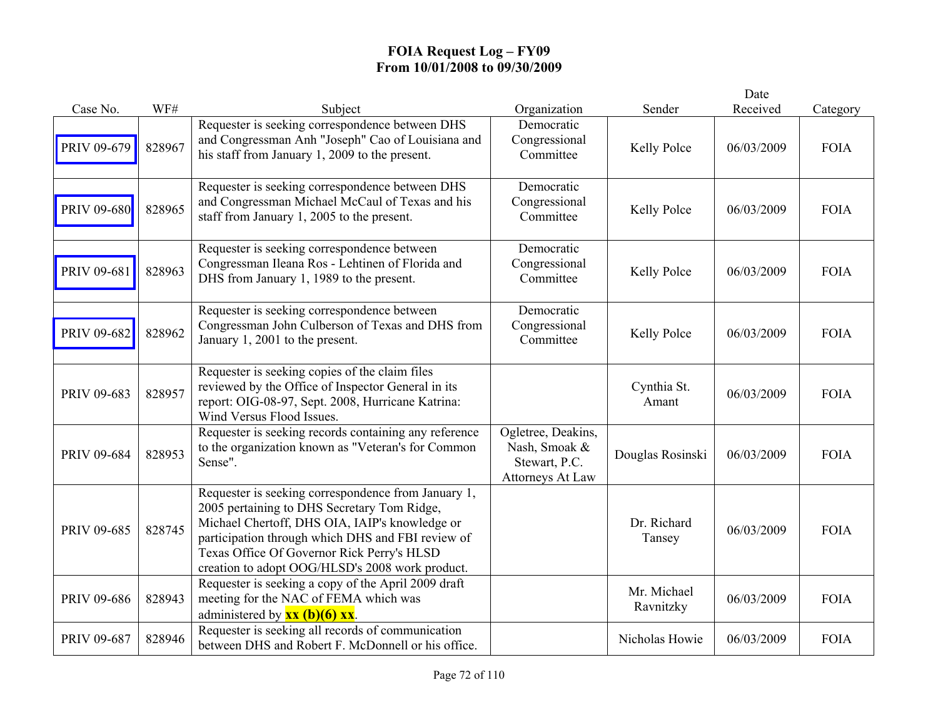|             |        |                                                                                                                                                                                                                                                                                                            |                                                                          |                          | Date       |             |
|-------------|--------|------------------------------------------------------------------------------------------------------------------------------------------------------------------------------------------------------------------------------------------------------------------------------------------------------------|--------------------------------------------------------------------------|--------------------------|------------|-------------|
| Case No.    | WF#    | Subject                                                                                                                                                                                                                                                                                                    | Organization                                                             | Sender                   | Received   | Category    |
| PRIV 09-679 | 828967 | Requester is seeking correspondence between DHS<br>and Congressman Anh "Joseph" Cao of Louisiana and<br>his staff from January 1, 2009 to the present.                                                                                                                                                     | Democratic<br>Congressional<br>Committee                                 | Kelly Polce              | 06/03/2009 | <b>FOIA</b> |
| PRIV 09-680 | 828965 | Requester is seeking correspondence between DHS<br>and Congressman Michael McCaul of Texas and his<br>staff from January 1, 2005 to the present.                                                                                                                                                           | Democratic<br>Congressional<br>Committee                                 | Kelly Polce              | 06/03/2009 | <b>FOIA</b> |
| PRIV 09-681 | 828963 | Requester is seeking correspondence between<br>Congressman Ileana Ros - Lehtinen of Florida and<br>DHS from January 1, 1989 to the present.                                                                                                                                                                | Democratic<br>Congressional<br>Committee                                 | Kelly Polce              | 06/03/2009 | <b>FOIA</b> |
| PRIV 09-682 | 828962 | Requester is seeking correspondence between<br>Congressman John Culberson of Texas and DHS from<br>January 1, 2001 to the present.                                                                                                                                                                         | Democratic<br>Congressional<br>Committee                                 | Kelly Polce              | 06/03/2009 | <b>FOIA</b> |
| PRIV 09-683 | 828957 | Requester is seeking copies of the claim files<br>reviewed by the Office of Inspector General in its<br>report: OIG-08-97, Sept. 2008, Hurricane Katrina:<br>Wind Versus Flood Issues.                                                                                                                     |                                                                          | Cynthia St.<br>Amant     | 06/03/2009 | <b>FOIA</b> |
| PRIV 09-684 | 828953 | Requester is seeking records containing any reference<br>to the organization known as "Veteran's for Common<br>Sense".                                                                                                                                                                                     | Ogletree, Deakins,<br>Nash, Smoak &<br>Stewart, P.C.<br>Attorneys At Law | Douglas Rosinski         | 06/03/2009 | <b>FOIA</b> |
| PRIV 09-685 | 828745 | Requester is seeking correspondence from January 1,<br>2005 pertaining to DHS Secretary Tom Ridge,<br>Michael Chertoff, DHS OIA, IAIP's knowledge or<br>participation through which DHS and FBI review of<br>Texas Office Of Governor Rick Perry's HLSD<br>creation to adopt OOG/HLSD's 2008 work product. |                                                                          | Dr. Richard<br>Tansey    | 06/03/2009 | <b>FOIA</b> |
| PRIV 09-686 | 828943 | Requester is seeking a copy of the April 2009 draft<br>meeting for the NAC of FEMA which was<br>administered by $\mathbf{xx}$ (b)(6) $\mathbf{xx}$ .                                                                                                                                                       |                                                                          | Mr. Michael<br>Ravnitzky | 06/03/2009 | <b>FOIA</b> |
| PRIV 09-687 | 828946 | Requester is seeking all records of communication<br>between DHS and Robert F. McDonnell or his office.                                                                                                                                                                                                    |                                                                          | Nicholas Howie           | 06/03/2009 | <b>FOIA</b> |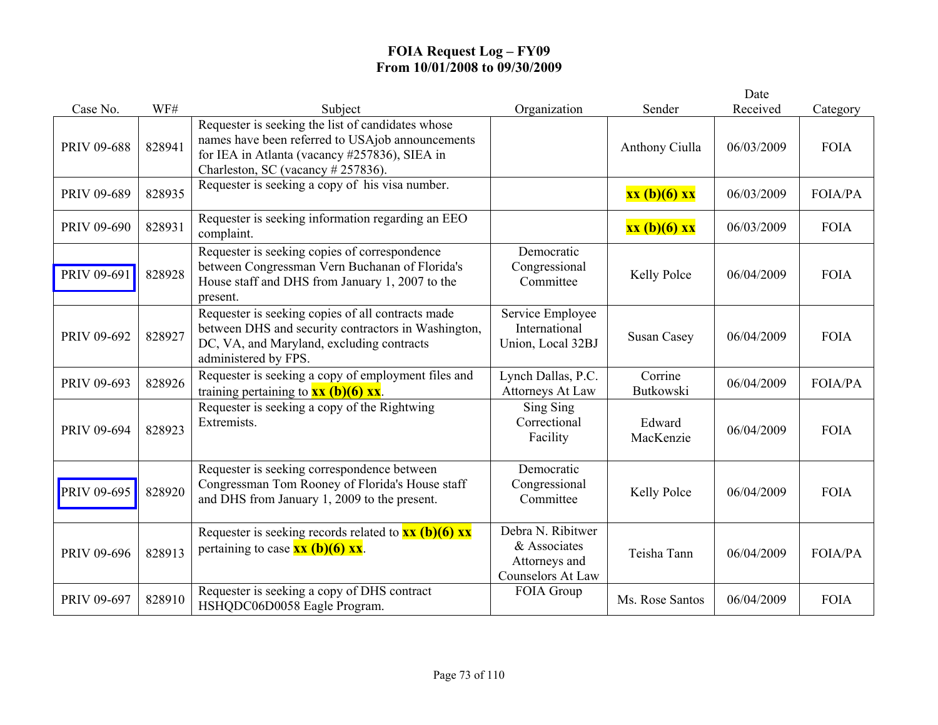|             |        |                                                                                                                                                                                              |                                                                                |                      | Date       |                |
|-------------|--------|----------------------------------------------------------------------------------------------------------------------------------------------------------------------------------------------|--------------------------------------------------------------------------------|----------------------|------------|----------------|
| Case No.    | WF#    | Subject                                                                                                                                                                                      | Organization                                                                   | Sender               | Received   | Category       |
| PRIV 09-688 | 828941 | Requester is seeking the list of candidates whose<br>names have been referred to USAjob announcements<br>for IEA in Atlanta (vacancy #257836), SIEA in<br>Charleston, SC (vacancy # 257836). |                                                                                | Anthony Ciulla       | 06/03/2009 | <b>FOIA</b>    |
| PRIV 09-689 | 828935 | Requester is seeking a copy of his visa number.                                                                                                                                              |                                                                                | xx (b)(6) xx         | 06/03/2009 | <b>FOIA/PA</b> |
| PRIV 09-690 | 828931 | Requester is seeking information regarding an EEO<br>complaint.                                                                                                                              |                                                                                | xx (b)(6) xx         | 06/03/2009 | <b>FOIA</b>    |
| PRIV 09-691 | 828928 | Requester is seeking copies of correspondence<br>between Congressman Vern Buchanan of Florida's<br>House staff and DHS from January 1, 2007 to the<br>present.                               | Democratic<br>Congressional<br>Committee                                       | Kelly Polce          | 06/04/2009 | <b>FOIA</b>    |
| PRIV 09-692 | 828927 | Requester is seeking copies of all contracts made<br>between DHS and security contractors in Washington,<br>DC, VA, and Maryland, excluding contracts<br>administered by FPS.                | Service Employee<br>International<br>Union, Local 32BJ                         | <b>Susan Casey</b>   | 06/04/2009 | <b>FOIA</b>    |
| PRIV 09-693 | 828926 | Requester is seeking a copy of employment files and<br>training pertaining to $\frac{\mathbf{x} \times \mathbf{b}}{0}$ (6) $\frac{\mathbf{x} \times \mathbf{b}}{0}$                          | Lynch Dallas, P.C.<br><b>Attorneys At Law</b>                                  | Corrine<br>Butkowski | 06/04/2009 | FOIA/PA        |
| PRIV 09-694 | 828923 | Requester is seeking a copy of the Rightwing<br>Extremists.                                                                                                                                  | Sing Sing<br>Correctional<br>Facility                                          | Edward<br>MacKenzie  | 06/04/2009 | <b>FOIA</b>    |
| PRIV 09-695 | 828920 | Requester is seeking correspondence between<br>Congressman Tom Rooney of Florida's House staff<br>and DHS from January 1, 2009 to the present.                                               | Democratic<br>Congressional<br>Committee                                       | Kelly Polce          | 06/04/2009 | <b>FOIA</b>    |
| PRIV 09-696 | 828913 | Requester is seeking records related to $\frac{xx}{(b)(6)}$ xx<br>pertaining to case $\frac{\partial x}{\partial t}(b)(6) \frac{\partial x}{\partial x}$ .                                   | Debra N. Ribitwer<br>& Associates<br>Attorneys and<br><b>Counselors At Law</b> | Teisha Tann          | 06/04/2009 | <b>FOIA/PA</b> |
| PRIV 09-697 | 828910 | Requester is seeking a copy of DHS contract<br>HSHQDC06D0058 Eagle Program.                                                                                                                  | FOIA Group                                                                     | Ms. Rose Santos      | 06/04/2009 | <b>FOIA</b>    |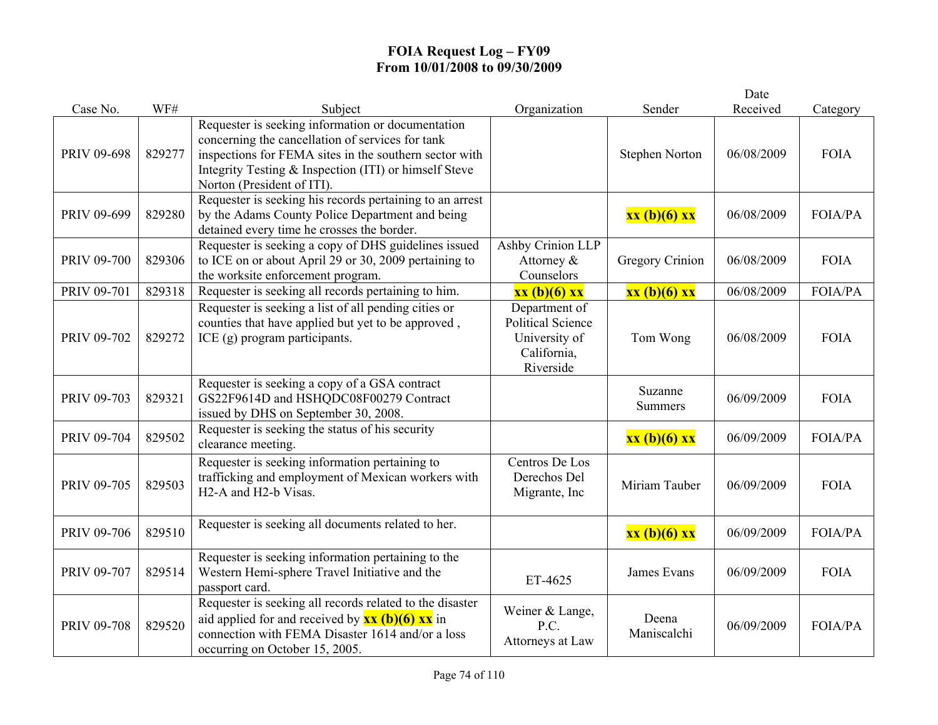|                    |        |                                                                                                                                                                                                                                                                 |                                                                                        |                           | Date       |                |
|--------------------|--------|-----------------------------------------------------------------------------------------------------------------------------------------------------------------------------------------------------------------------------------------------------------------|----------------------------------------------------------------------------------------|---------------------------|------------|----------------|
| Case No.           | WF#    | Subject                                                                                                                                                                                                                                                         | Organization                                                                           | Sender                    | Received   | Category       |
| PRIV 09-698        | 829277 | Requester is seeking information or documentation<br>concerning the cancellation of services for tank<br>inspections for FEMA sites in the southern sector with<br>Integrity Testing & Inspection (ITI) or himself Steve<br>Norton (President of ITI).          |                                                                                        | <b>Stephen Norton</b>     | 06/08/2009 | <b>FOIA</b>    |
| PRIV 09-699        | 829280 | Requester is seeking his records pertaining to an arrest<br>by the Adams County Police Department and being<br>detained every time he crosses the border.                                                                                                       |                                                                                        | xx (b)(6) xx              | 06/08/2009 | <b>FOIA/PA</b> |
| PRIV 09-700        | 829306 | Requester is seeking a copy of DHS guidelines issued<br>to ICE on or about April 29 or 30, 2009 pertaining to<br>the worksite enforcement program.                                                                                                              | Ashby Crinion LLP<br>Attorney &<br>Counselors                                          | <b>Gregory Crinion</b>    | 06/08/2009 | <b>FOIA</b>    |
| PRIV 09-701        | 829318 | Requester is seeking all records pertaining to him.                                                                                                                                                                                                             | xx (b)(6) xx                                                                           | xx (b)(6) xx              | 06/08/2009 | FOIA/PA        |
| PRIV 09-702        | 829272 | Requester is seeking a list of all pending cities or<br>counties that have applied but yet to be approved,<br>ICE $(g)$ program participants.                                                                                                                   | Department of<br><b>Political Science</b><br>University of<br>California,<br>Riverside | Tom Wong                  | 06/08/2009 | <b>FOIA</b>    |
| PRIV 09-703        | 829321 | Requester is seeking a copy of a GSA contract<br>GS22F9614D and HSHQDC08F00279 Contract<br>issued by DHS on September 30, 2008.                                                                                                                                 |                                                                                        | Suzanne<br><b>Summers</b> | 06/09/2009 | <b>FOIA</b>    |
| PRIV 09-704        | 829502 | Requester is seeking the status of his security<br>clearance meeting.                                                                                                                                                                                           |                                                                                        | xx (b)(6) xx              | 06/09/2009 | FOIA/PA        |
| PRIV 09-705        | 829503 | Requester is seeking information pertaining to<br>trafficking and employment of Mexican workers with<br>H <sub>2</sub> -A and H <sub>2</sub> -b Visas.                                                                                                          | Centros De Los<br>Derechos Del<br>Migrante, Inc.                                       | Miriam Tauber             | 06/09/2009 | <b>FOIA</b>    |
| PRIV 09-706        | 829510 | Requester is seeking all documents related to her.                                                                                                                                                                                                              |                                                                                        | $xx(b)(6)$ $xx$           | 06/09/2009 | <b>FOIA/PA</b> |
| PRIV 09-707        | 829514 | Requester is seeking information pertaining to the<br>Western Hemi-sphere Travel Initiative and the<br>passport card.                                                                                                                                           | ET-4625                                                                                | James Evans               | 06/09/2009 | <b>FOIA</b>    |
| <b>PRIV 09-708</b> | 829520 | Requester is seeking all records related to the disaster<br>aid applied for and received by $\overline{\mathbf{x}\mathbf{x}}$ (b)(6) $\overline{\mathbf{x}\mathbf{x}}$ in<br>connection with FEMA Disaster 1614 and/or a loss<br>occurring on October 15, 2005. | Weiner & Lange,<br>P.C.<br>Attorneys at Law                                            | Deena<br>Maniscalchi      | 06/09/2009 | FOIA/PA        |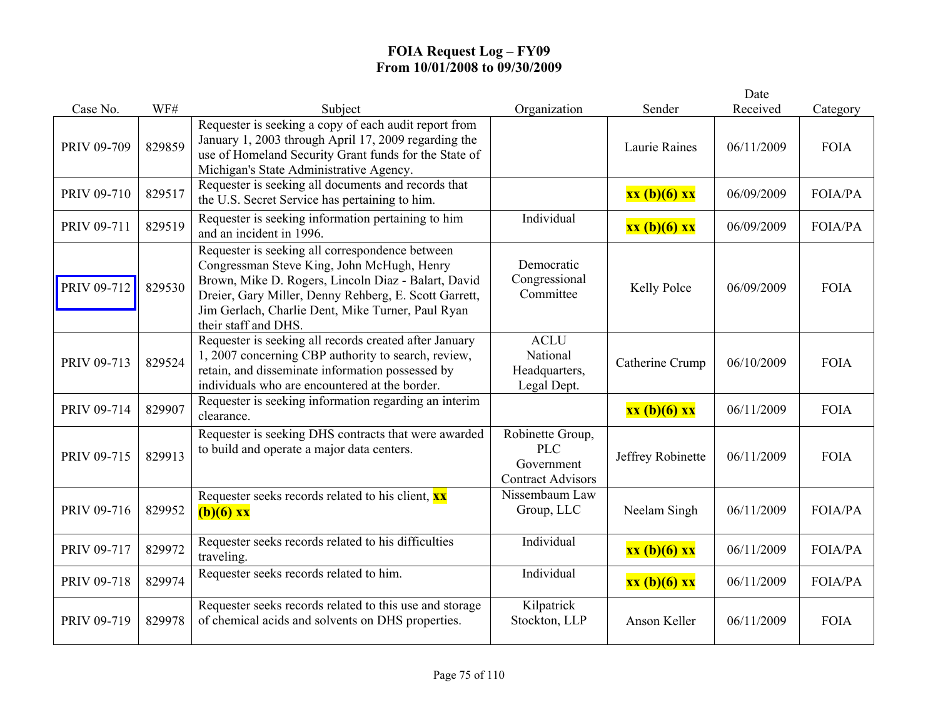|             |        |                                                                                                                                                                                                                                                                                            |                                                                          |                   | Date       |                |
|-------------|--------|--------------------------------------------------------------------------------------------------------------------------------------------------------------------------------------------------------------------------------------------------------------------------------------------|--------------------------------------------------------------------------|-------------------|------------|----------------|
| Case No.    | WF#    | Subject                                                                                                                                                                                                                                                                                    | Organization                                                             | Sender            | Received   | Category       |
| PRIV 09-709 | 829859 | Requester is seeking a copy of each audit report from<br>January 1, 2003 through April 17, 2009 regarding the<br>use of Homeland Security Grant funds for the State of<br>Michigan's State Administrative Agency.                                                                          |                                                                          | Laurie Raines     | 06/11/2009 | <b>FOIA</b>    |
| PRIV 09-710 | 829517 | Requester is seeking all documents and records that<br>the U.S. Secret Service has pertaining to him.                                                                                                                                                                                      |                                                                          | xx (b)(6) xx      | 06/09/2009 | <b>FOIA/PA</b> |
| PRIV 09-711 | 829519 | Requester is seeking information pertaining to him<br>and an incident in 1996.                                                                                                                                                                                                             | Individual                                                               | $xx(b)(6)$ $xx$   | 06/09/2009 | FOIA/PA        |
| PRIV 09-712 | 829530 | Requester is seeking all correspondence between<br>Congressman Steve King, John McHugh, Henry<br>Brown, Mike D. Rogers, Lincoln Diaz - Balart, David<br>Dreier, Gary Miller, Denny Rehberg, E. Scott Garrett,<br>Jim Gerlach, Charlie Dent, Mike Turner, Paul Ryan<br>their staff and DHS. | Democratic<br>Congressional<br>Committee                                 | Kelly Polce       | 06/09/2009 | <b>FOIA</b>    |
| PRIV 09-713 | 829524 | Requester is seeking all records created after January<br>1, 2007 concerning CBP authority to search, review,<br>retain, and disseminate information possessed by<br>individuals who are encountered at the border.                                                                        | <b>ACLU</b><br>National<br>Headquarters,<br>Legal Dept.                  | Catherine Crump   | 06/10/2009 | <b>FOIA</b>    |
| PRIV 09-714 | 829907 | Requester is seeking information regarding an interim<br>clearance.                                                                                                                                                                                                                        |                                                                          | xx (b)(6) xx      | 06/11/2009 | <b>FOIA</b>    |
| PRIV 09-715 | 829913 | Requester is seeking DHS contracts that were awarded<br>to build and operate a major data centers.                                                                                                                                                                                         | Robinette Group,<br><b>PLC</b><br>Government<br><b>Contract Advisors</b> | Jeffrey Robinette | 06/11/2009 | <b>FOIA</b>    |
| PRIV 09-716 | 829952 | Requester seeks records related to his client, <b>xx</b><br>$(b)(6)$ xx                                                                                                                                                                                                                    | Nissembaum Law<br>Group, LLC                                             | Neelam Singh      | 06/11/2009 | <b>FOIA/PA</b> |
| PRIV 09-717 | 829972 | Requester seeks records related to his difficulties<br>traveling.                                                                                                                                                                                                                          | Individual                                                               | xx (b)(6) xx      | 06/11/2009 | FOIA/PA        |
| PRIV 09-718 | 829974 | Requester seeks records related to him.                                                                                                                                                                                                                                                    | Individual                                                               | xx (b)(6) xx      | 06/11/2009 | FOIA/PA        |
| PRIV 09-719 | 829978 | Requester seeks records related to this use and storage<br>of chemical acids and solvents on DHS properties.                                                                                                                                                                               | Kilpatrick<br>Stockton, LLP                                              | Anson Keller      | 06/11/2009 | <b>FOIA</b>    |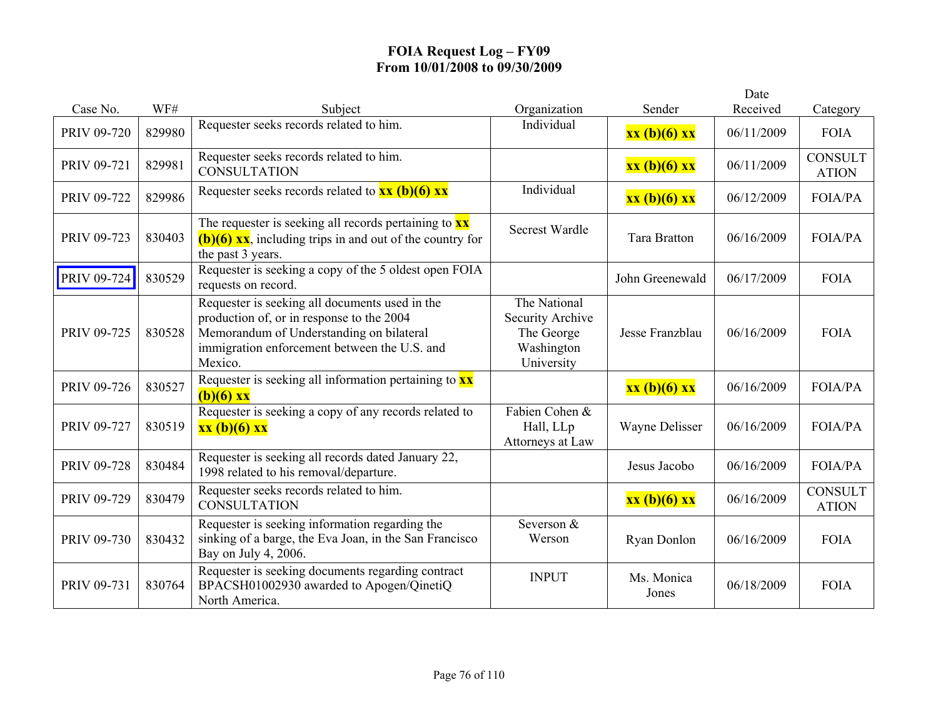|             |        |                                                                                                                                                                                                    |                                                                            |                     | Date       |                                |
|-------------|--------|----------------------------------------------------------------------------------------------------------------------------------------------------------------------------------------------------|----------------------------------------------------------------------------|---------------------|------------|--------------------------------|
| Case No.    | WF#    | Subject                                                                                                                                                                                            | Organization                                                               | Sender              | Received   | Category                       |
| PRIV 09-720 | 829980 | Requester seeks records related to him.                                                                                                                                                            | Individual                                                                 | xx (b)(6) xx        | 06/11/2009 | <b>FOIA</b>                    |
| PRIV 09-721 | 829981 | Requester seeks records related to him.<br><b>CONSULTATION</b>                                                                                                                                     |                                                                            | xx (b)(6) xx        | 06/11/2009 | <b>CONSULT</b><br><b>ATION</b> |
| PRIV 09-722 | 829986 | Requester seeks records related to $xx (b)(6) xx$                                                                                                                                                  | Individual                                                                 | xx (b)(6) xx        | 06/12/2009 | <b>FOIA/PA</b>                 |
| PRIV 09-723 | 830403 | The requester is seeking all records pertaining to $\frac{xx}{xx}$<br>$(b)(6)$ xx, including trips in and out of the country for<br>the past 3 years.                                              | <b>Secrest Wardle</b>                                                      | <b>Tara Bratton</b> | 06/16/2009 | <b>FOIA/PA</b>                 |
| PRIV 09-724 | 830529 | Requester is seeking a copy of the 5 oldest open FOIA<br>requests on record.                                                                                                                       |                                                                            | John Greenewald     | 06/17/2009 | <b>FOIA</b>                    |
| PRIV 09-725 | 830528 | Requester is seeking all documents used in the<br>production of, or in response to the 2004<br>Memorandum of Understanding on bilateral<br>immigration enforcement between the U.S. and<br>Mexico. | The National<br>Security Archive<br>The George<br>Washington<br>University | Jesse Franzblau     | 06/16/2009 | <b>FOIA</b>                    |
| PRIV 09-726 | 830527 | Requester is seeking all information pertaining to <b>xx</b><br>$(b)(6)$ xx                                                                                                                        |                                                                            | xx (b)(6) xx        | 06/16/2009 | <b>FOIA/PA</b>                 |
| PRIV 09-727 | 830519 | Requester is seeking a copy of any records related to<br>xx (b)(6) xx                                                                                                                              | Fabien Cohen &<br>Hall, LLp<br>Attorneys at Law                            | Wayne Delisser      | 06/16/2009 | <b>FOIA/PA</b>                 |
| PRIV 09-728 | 830484 | Requester is seeking all records dated January 22,<br>1998 related to his removal/departure.                                                                                                       |                                                                            | Jesus Jacobo        | 06/16/2009 | <b>FOIA/PA</b>                 |
| PRIV 09-729 | 830479 | Requester seeks records related to him.<br><b>CONSULTATION</b>                                                                                                                                     |                                                                            | xx (b)(6) xx        | 06/16/2009 | <b>CONSULT</b><br><b>ATION</b> |
| PRIV 09-730 | 830432 | Requester is seeking information regarding the<br>sinking of a barge, the Eva Joan, in the San Francisco<br>Bay on July 4, 2006.                                                                   | Severson &<br>Werson                                                       | Ryan Donlon         | 06/16/2009 | <b>FOIA</b>                    |
| PRIV 09-731 | 830764 | Requester is seeking documents regarding contract<br>BPACSH01002930 awarded to Apogen/QinetiQ<br>North America.                                                                                    | <b>INPUT</b>                                                               | Ms. Monica<br>Jones | 06/18/2009 | <b>FOIA</b>                    |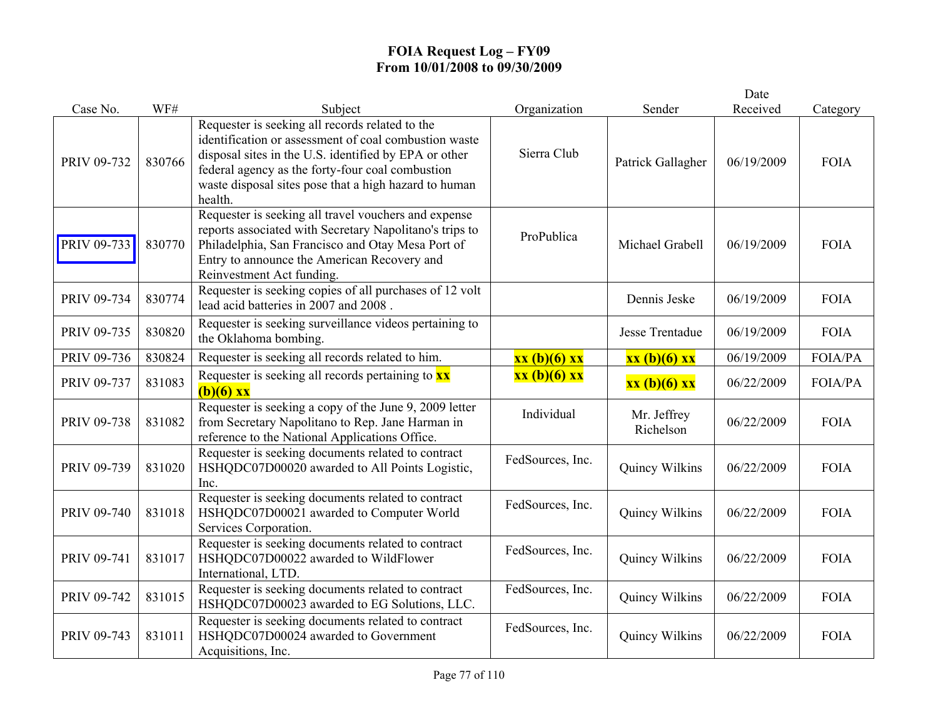|             |        |                                                                                                                                                                                                                                                                                           |                  |                          | Date       |                |
|-------------|--------|-------------------------------------------------------------------------------------------------------------------------------------------------------------------------------------------------------------------------------------------------------------------------------------------|------------------|--------------------------|------------|----------------|
| Case No.    | WF#    | Subject                                                                                                                                                                                                                                                                                   | Organization     | Sender                   | Received   | Category       |
| PRIV 09-732 | 830766 | Requester is seeking all records related to the<br>identification or assessment of coal combustion waste<br>disposal sites in the U.S. identified by EPA or other<br>federal agency as the forty-four coal combustion<br>waste disposal sites pose that a high hazard to human<br>health. | Sierra Club      | Patrick Gallagher        | 06/19/2009 | <b>FOIA</b>    |
| PRIV 09-733 | 830770 | Requester is seeking all travel vouchers and expense<br>reports associated with Secretary Napolitano's trips to<br>Philadelphia, San Francisco and Otay Mesa Port of<br>Entry to announce the American Recovery and<br>Reinvestment Act funding.                                          | ProPublica       | Michael Grabell          | 06/19/2009 | <b>FOIA</b>    |
| PRIV 09-734 | 830774 | Requester is seeking copies of all purchases of 12 volt<br>lead acid batteries in 2007 and 2008.                                                                                                                                                                                          |                  | Dennis Jeske             | 06/19/2009 | <b>FOIA</b>    |
| PRIV 09-735 | 830820 | Requester is seeking surveillance videos pertaining to<br>the Oklahoma bombing.                                                                                                                                                                                                           |                  | Jesse Trentadue          | 06/19/2009 | <b>FOIA</b>    |
| PRIV 09-736 | 830824 | Requester is seeking all records related to him.                                                                                                                                                                                                                                          | xx (b)(6) xx     | xx (b)(6) xx             | 06/19/2009 | FOIA/PA        |
| PRIV 09-737 | 831083 | Requester is seeking all records pertaining to $\mathbf{x}\mathbf{x}$<br>$(b)(6)$ xx                                                                                                                                                                                                      | xx (b)(6) xx     | xx (b)(6) xx             | 06/22/2009 | <b>FOIA/PA</b> |
| PRIV 09-738 | 831082 | Requester is seeking a copy of the June 9, 2009 letter<br>from Secretary Napolitano to Rep. Jane Harman in<br>reference to the National Applications Office.                                                                                                                              | Individual       | Mr. Jeffrey<br>Richelson | 06/22/2009 | <b>FOIA</b>    |
| PRIV 09-739 | 831020 | Requester is seeking documents related to contract<br>HSHQDC07D00020 awarded to All Points Logistic,<br>Inc.                                                                                                                                                                              | FedSources, Inc. | Quincy Wilkins           | 06/22/2009 | <b>FOIA</b>    |
| PRIV 09-740 | 831018 | Requester is seeking documents related to contract<br>HSHQDC07D00021 awarded to Computer World<br>Services Corporation.                                                                                                                                                                   | FedSources, Inc. | Quincy Wilkins           | 06/22/2009 | <b>FOIA</b>    |
| PRIV 09-741 | 831017 | Requester is seeking documents related to contract<br>HSHQDC07D00022 awarded to WildFlower<br>International, LTD.                                                                                                                                                                         | FedSources, Inc. | Quincy Wilkins           | 06/22/2009 | <b>FOIA</b>    |
| PRIV 09-742 | 831015 | Requester is seeking documents related to contract<br>HSHQDC07D00023 awarded to EG Solutions, LLC.                                                                                                                                                                                        | FedSources, Inc. | Quincy Wilkins           | 06/22/2009 | <b>FOIA</b>    |
| PRIV 09-743 | 831011 | Requester is seeking documents related to contract<br>HSHQDC07D00024 awarded to Government<br>Acquisitions, Inc.                                                                                                                                                                          | FedSources, Inc. | Quincy Wilkins           | 06/22/2009 | <b>FOIA</b>    |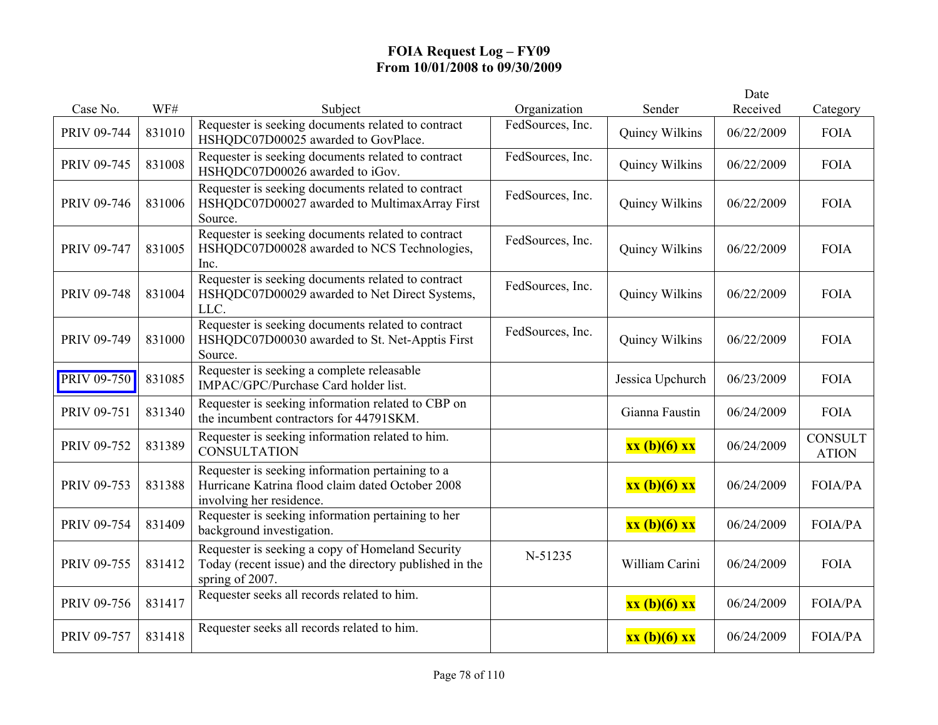| Case No.    | WF#    | Subject                                                                                                                          | Organization     | Sender           | Date<br>Received | Category                       |
|-------------|--------|----------------------------------------------------------------------------------------------------------------------------------|------------------|------------------|------------------|--------------------------------|
| PRIV 09-744 | 831010 | Requester is seeking documents related to contract<br>HSHQDC07D00025 awarded to GovPlace.                                        | FedSources, Inc. | Quincy Wilkins   | 06/22/2009       | <b>FOIA</b>                    |
| PRIV 09-745 | 831008 | Requester is seeking documents related to contract<br>HSHQDC07D00026 awarded to iGov.                                            | FedSources, Inc. | Quincy Wilkins   | 06/22/2009       | <b>FOIA</b>                    |
| PRIV 09-746 | 831006 | Requester is seeking documents related to contract<br>HSHQDC07D00027 awarded to MultimaxArray First<br>Source.                   | FedSources, Inc. | Quincy Wilkins   | 06/22/2009       | <b>FOIA</b>                    |
| PRIV 09-747 | 831005 | Requester is seeking documents related to contract<br>HSHQDC07D00028 awarded to NCS Technologies,<br>Inc.                        | FedSources, Inc. | Quincy Wilkins   | 06/22/2009       | <b>FOIA</b>                    |
| PRIV 09-748 | 831004 | Requester is seeking documents related to contract<br>HSHQDC07D00029 awarded to Net Direct Systems,<br>LLC.                      | FedSources, Inc. | Quincy Wilkins   | 06/22/2009       | <b>FOIA</b>                    |
| PRIV 09-749 | 831000 | Requester is seeking documents related to contract<br>HSHQDC07D00030 awarded to St. Net-Apptis First<br>Source.                  | FedSources, Inc. | Quincy Wilkins   | 06/22/2009       | <b>FOIA</b>                    |
| PRIV 09-750 | 831085 | Requester is seeking a complete releasable<br>IMPAC/GPC/Purchase Card holder list.                                               |                  | Jessica Upchurch | 06/23/2009       | <b>FOIA</b>                    |
| PRIV 09-751 | 831340 | Requester is seeking information related to CBP on<br>the incumbent contractors for 44791SKM.                                    |                  | Gianna Faustin   | 06/24/2009       | <b>FOIA</b>                    |
| PRIV 09-752 | 831389 | Requester is seeking information related to him.<br><b>CONSULTATION</b>                                                          |                  | xx (b)(6) xx     | 06/24/2009       | <b>CONSULT</b><br><b>ATION</b> |
| PRIV 09-753 | 831388 | Requester is seeking information pertaining to a<br>Hurricane Katrina flood claim dated October 2008<br>involving her residence. |                  | xx (b)(6) xx     | 06/24/2009       | FOIA/PA                        |
| PRIV 09-754 | 831409 | Requester is seeking information pertaining to her<br>background investigation.                                                  |                  | xx (b)(6) xx     | 06/24/2009       | FOIA/PA                        |
| PRIV 09-755 | 831412 | Requester is seeking a copy of Homeland Security<br>Today (recent issue) and the directory published in the<br>spring of 2007.   | N-51235          | William Carini   | 06/24/2009       | <b>FOIA</b>                    |
| PRIV 09-756 | 831417 | Requester seeks all records related to him.                                                                                      |                  | xx (b)(6) xx     | 06/24/2009       | <b>FOIA/PA</b>                 |
| PRIV 09-757 | 831418 | Requester seeks all records related to him.                                                                                      |                  | xx (b)(6) xx     | 06/24/2009       | <b>FOIA/PA</b>                 |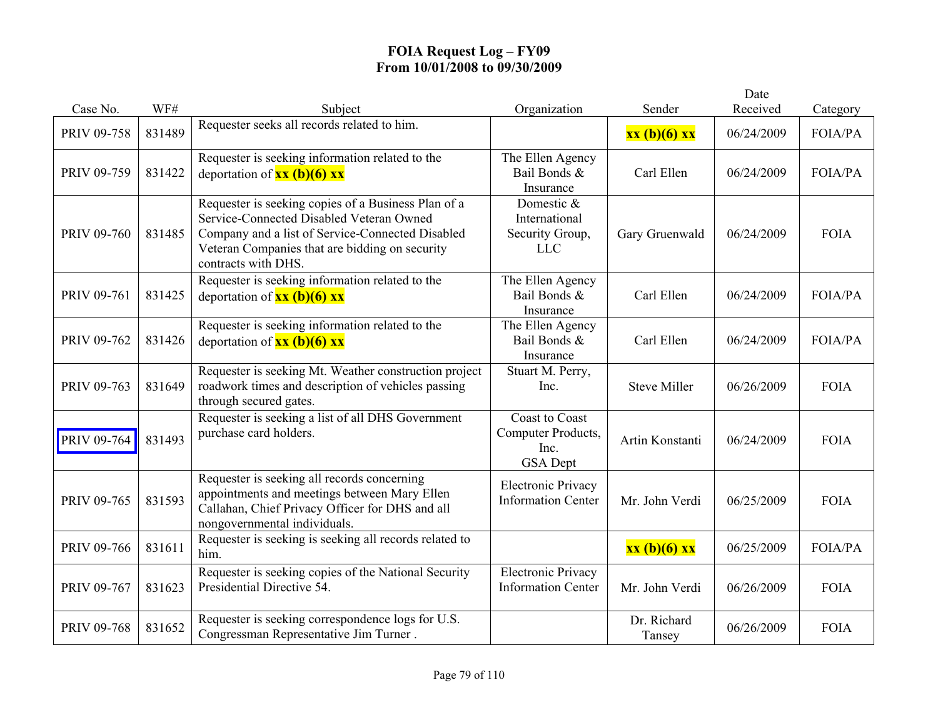|             |        |                                                                                                                                                                                                                              |                                                                        |                       | Date       |                |
|-------------|--------|------------------------------------------------------------------------------------------------------------------------------------------------------------------------------------------------------------------------------|------------------------------------------------------------------------|-----------------------|------------|----------------|
| Case No.    | WF#    | Subject                                                                                                                                                                                                                      | Organization                                                           | Sender                | Received   | Category       |
| PRIV 09-758 | 831489 | Requester seeks all records related to him.                                                                                                                                                                                  |                                                                        | $xx(b)(6)$ $xx$       | 06/24/2009 | <b>FOIA/PA</b> |
| PRIV 09-759 | 831422 | Requester is seeking information related to the<br>deportation of $\frac{xx(b)(6)xx}{x^2}$                                                                                                                                   | The Ellen Agency<br>Bail Bonds &<br>Insurance                          | Carl Ellen            | 06/24/2009 | FOIA/PA        |
| PRIV 09-760 | 831485 | Requester is seeking copies of a Business Plan of a<br>Service-Connected Disabled Veteran Owned<br>Company and a list of Service-Connected Disabled<br>Veteran Companies that are bidding on security<br>contracts with DHS. | Domestic &<br>International<br>Security Group,<br><b>LLC</b>           | Gary Gruenwald        | 06/24/2009 | <b>FOIA</b>    |
| PRIV 09-761 | 831425 | Requester is seeking information related to the<br>deportation of $\frac{xx(b)(6)xx}{x}$                                                                                                                                     | The Ellen Agency<br>Bail Bonds &<br>Insurance                          | Carl Ellen            | 06/24/2009 | FOIA/PA        |
| PRIV 09-762 | 831426 | Requester is seeking information related to the<br>deportation of $\frac{xx(b)(6)xx}{x^2}$                                                                                                                                   | The Ellen Agency<br>Bail Bonds &<br>Insurance                          | Carl Ellen            | 06/24/2009 | FOIA/PA        |
| PRIV 09-763 | 831649 | Requester is seeking Mt. Weather construction project<br>roadwork times and description of vehicles passing<br>through secured gates.                                                                                        | Stuart M. Perry,<br>Inc.                                               | <b>Steve Miller</b>   | 06/26/2009 | <b>FOIA</b>    |
| PRIV 09-764 | 831493 | Requester is seeking a list of all DHS Government<br>purchase card holders.                                                                                                                                                  | <b>Coast to Coast</b><br>Computer Products,<br>Inc.<br><b>GSA</b> Dept | Artin Konstanti       | 06/24/2009 | <b>FOIA</b>    |
| PRIV 09-765 | 831593 | Requester is seeking all records concerning<br>appointments and meetings between Mary Ellen<br>Callahan, Chief Privacy Officer for DHS and all<br>nongovernmental individuals.                                               | <b>Electronic Privacy</b><br><b>Information Center</b>                 | Mr. John Verdi        | 06/25/2009 | <b>FOIA</b>    |
| PRIV 09-766 | 831611 | Requester is seeking is seeking all records related to<br>him.                                                                                                                                                               |                                                                        | xx (b)(6) xx          | 06/25/2009 | <b>FOIA/PA</b> |
| PRIV 09-767 | 831623 | Requester is seeking copies of the National Security<br>Presidential Directive 54.                                                                                                                                           | <b>Electronic Privacy</b><br><b>Information Center</b>                 | Mr. John Verdi        | 06/26/2009 | <b>FOIA</b>    |
| PRIV 09-768 | 831652 | Requester is seeking correspondence logs for U.S.<br>Congressman Representative Jim Turner.                                                                                                                                  |                                                                        | Dr. Richard<br>Tansey | 06/26/2009 | <b>FOIA</b>    |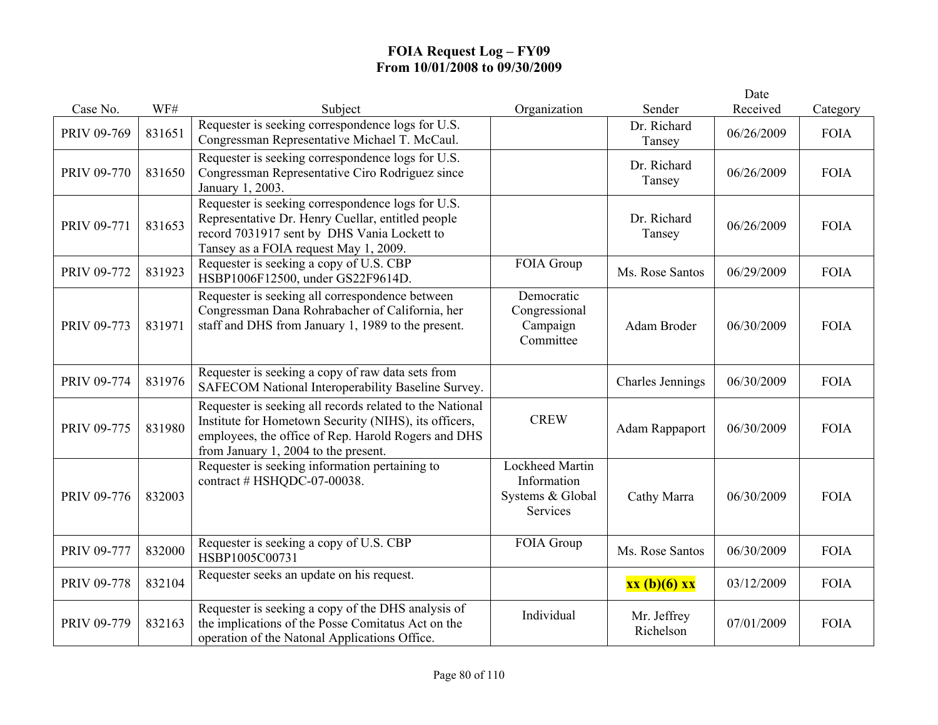|             |        |                                                                                                                                                                                                                  |                                                                |                          | Date       |             |
|-------------|--------|------------------------------------------------------------------------------------------------------------------------------------------------------------------------------------------------------------------|----------------------------------------------------------------|--------------------------|------------|-------------|
| Case No.    | WF#    | Subject                                                                                                                                                                                                          | Organization                                                   | Sender                   | Received   | Category    |
| PRIV 09-769 | 831651 | Requester is seeking correspondence logs for U.S.<br>Congressman Representative Michael T. McCaul.                                                                                                               |                                                                | Dr. Richard<br>Tansey    | 06/26/2009 | <b>FOIA</b> |
| PRIV 09-770 | 831650 | Requester is seeking correspondence logs for U.S.<br>Congressman Representative Ciro Rodriguez since<br>January 1, 2003.                                                                                         |                                                                | Dr. Richard<br>Tansey    | 06/26/2009 | <b>FOIA</b> |
| PRIV 09-771 | 831653 | Requester is seeking correspondence logs for U.S.<br>Representative Dr. Henry Cuellar, entitled people<br>record 7031917 sent by DHS Vania Lockett to<br>Tansey as a FOIA request May 1, 2009.                   |                                                                | Dr. Richard<br>Tansey    | 06/26/2009 | <b>FOIA</b> |
| PRIV 09-772 | 831923 | Requester is seeking a copy of U.S. CBP<br>HSBP1006F12500, under GS22F9614D.                                                                                                                                     | FOIA Group                                                     | Ms. Rose Santos          | 06/29/2009 | <b>FOIA</b> |
| PRIV 09-773 | 831971 | Requester is seeking all correspondence between<br>Congressman Dana Rohrabacher of California, her<br>staff and DHS from January 1, 1989 to the present.                                                         | Democratic<br>Congressional<br>Campaign<br>Committee           | Adam Broder              | 06/30/2009 | <b>FOIA</b> |
| PRIV 09-774 | 831976 | Requester is seeking a copy of raw data sets from<br>SAFECOM National Interoperability Baseline Survey.                                                                                                          |                                                                | <b>Charles Jennings</b>  | 06/30/2009 | <b>FOIA</b> |
| PRIV 09-775 | 831980 | Requester is seeking all records related to the National<br>Institute for Hometown Security (NIHS), its officers,<br>employees, the office of Rep. Harold Rogers and DHS<br>from January 1, 2004 to the present. | <b>CREW</b>                                                    | <b>Adam Rappaport</b>    | 06/30/2009 | <b>FOIA</b> |
| PRIV 09-776 | 832003 | Requester is seeking information pertaining to<br>contract # HSHQDC-07-00038.                                                                                                                                    | Lockheed Martin<br>Information<br>Systems & Global<br>Services | Cathy Marra              | 06/30/2009 | <b>FOIA</b> |
| PRIV 09-777 | 832000 | Requester is seeking a copy of U.S. CBP<br>HSBP1005C00731                                                                                                                                                        | FOIA Group                                                     | Ms. Rose Santos          | 06/30/2009 | <b>FOIA</b> |
| PRIV 09-778 | 832104 | Requester seeks an update on his request.                                                                                                                                                                        |                                                                | xx (b)(6) xx             | 03/12/2009 | <b>FOIA</b> |
| PRIV 09-779 | 832163 | Requester is seeking a copy of the DHS analysis of<br>the implications of the Posse Comitatus Act on the<br>operation of the Natonal Applications Office.                                                        | Individual                                                     | Mr. Jeffrey<br>Richelson | 07/01/2009 | <b>FOIA</b> |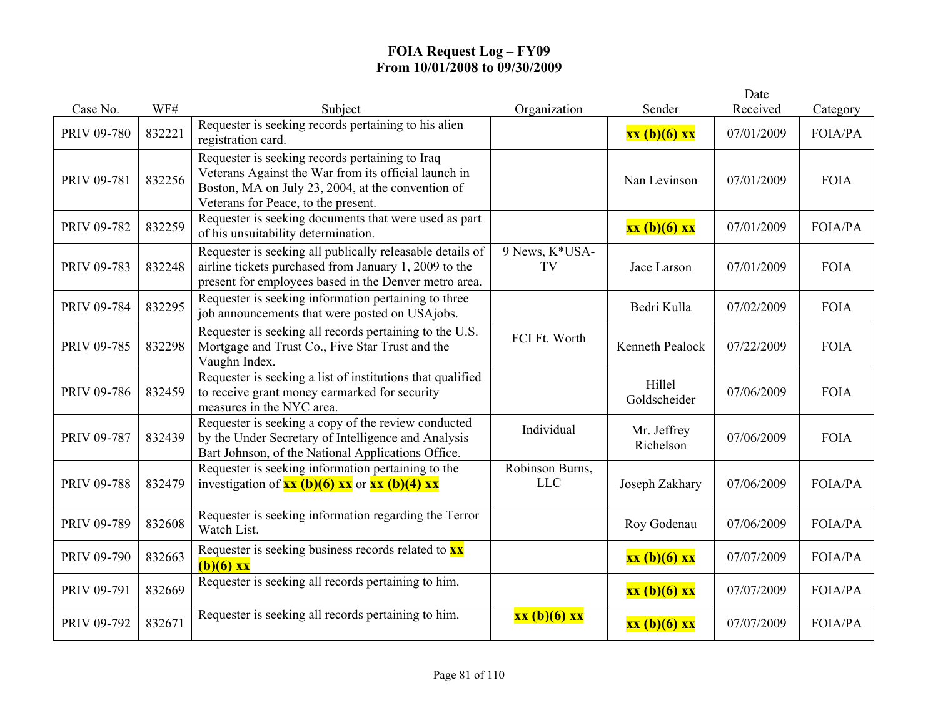| Case No.           | WF#    | Subject                                                                                                                                                                                             | Organization                  | Sender                   | Date<br>Received | Category       |
|--------------------|--------|-----------------------------------------------------------------------------------------------------------------------------------------------------------------------------------------------------|-------------------------------|--------------------------|------------------|----------------|
| PRIV 09-780        | 832221 | Requester is seeking records pertaining to his alien<br>registration card.                                                                                                                          |                               | $xx(b)(6)$ $xx$          | 07/01/2009       | FOIA/PA        |
| PRIV 09-781        | 832256 | Requester is seeking records pertaining to Iraq<br>Veterans Against the War from its official launch in<br>Boston, MA on July 23, 2004, at the convention of<br>Veterans for Peace, to the present. |                               | Nan Levinson             | 07/01/2009       | <b>FOIA</b>    |
| PRIV 09-782        | 832259 | Requester is seeking documents that were used as part<br>of his unsuitability determination.                                                                                                        |                               | xx (b)(6) xx             | 07/01/2009       | FOIA/PA        |
| PRIV 09-783        | 832248 | Requester is seeking all publically releasable details of<br>airline tickets purchased from January 1, 2009 to the<br>present for employees based in the Denver metro area.                         | 9 News, K*USA-<br>TV          | Jace Larson              | 07/01/2009       | <b>FOIA</b>    |
| PRIV 09-784        | 832295 | Requester is seeking information pertaining to three<br>job announcements that were posted on USAjobs.                                                                                              |                               | Bedri Kulla              | 07/02/2009       | <b>FOIA</b>    |
| <b>PRIV 09-785</b> | 832298 | Requester is seeking all records pertaining to the U.S.<br>Mortgage and Trust Co., Five Star Trust and the<br>Vaughn Index.                                                                         | FCI Ft. Worth                 | Kenneth Pealock          | 07/22/2009       | <b>FOIA</b>    |
| PRIV 09-786        | 832459 | Requester is seeking a list of institutions that qualified<br>to receive grant money earmarked for security<br>measures in the NYC area.                                                            |                               | Hillel<br>Goldscheider   | 07/06/2009       | <b>FOIA</b>    |
| PRIV 09-787        | 832439 | Requester is seeking a copy of the review conducted<br>by the Under Secretary of Intelligence and Analysis<br>Bart Johnson, of the National Applications Office.                                    | Individual                    | Mr. Jeffrey<br>Richelson | 07/06/2009       | <b>FOIA</b>    |
| PRIV 09-788        | 832479 | Requester is seeking information pertaining to the<br>investigation of $\overline{\mathbf{xx}}$ (b)(6) $\overline{\mathbf{xx}}$ or $\overline{\mathbf{xx}}$ (b)(4) $\overline{\mathbf{xx}}$         | Robinson Burns,<br><b>LLC</b> | Joseph Zakhary           | 07/06/2009       | FOIA/PA        |
| PRIV 09-789        | 832608 | Requester is seeking information regarding the Terror<br>Watch List.                                                                                                                                |                               | Roy Godenau              | 07/06/2009       | FOIA/PA        |
| PRIV 09-790        | 832663 | Requester is seeking business records related to <b>xx</b><br>$(b)(6)$ xx                                                                                                                           |                               | xx (b)(6) xx             | 07/07/2009       | FOIA/PA        |
| PRIV 09-791        | 832669 | Requester is seeking all records pertaining to him.                                                                                                                                                 |                               | xx (b)(6) xx             | 07/07/2009       | <b>FOIA/PA</b> |
| PRIV 09-792        | 832671 | Requester is seeking all records pertaining to him.                                                                                                                                                 | xx (b)(6) xx                  | $xx(b)(6)$ $xx$          | 07/07/2009       | FOIA/PA        |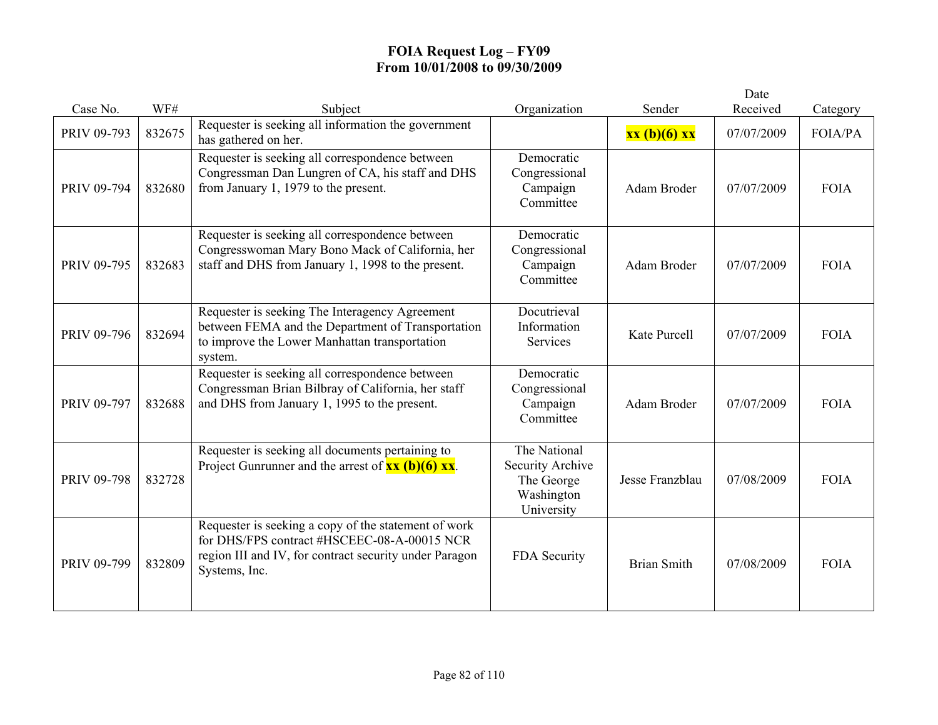|             |        |                                                                                                                                                                                |                                                                            |                    | Date       |             |
|-------------|--------|--------------------------------------------------------------------------------------------------------------------------------------------------------------------------------|----------------------------------------------------------------------------|--------------------|------------|-------------|
| Case No.    | WF#    | Subject                                                                                                                                                                        | Organization                                                               | Sender             | Received   | Category    |
| PRIV 09-793 | 832675 | Requester is seeking all information the government<br>has gathered on her.                                                                                                    |                                                                            | xx (b)(6) xx       | 07/07/2009 | FOIA/PA     |
| PRIV 09-794 | 832680 | Requester is seeking all correspondence between<br>Congressman Dan Lungren of CA, his staff and DHS<br>from January 1, 1979 to the present.                                    | Democratic<br>Congressional<br>Campaign<br>Committee                       | Adam Broder        | 07/07/2009 | <b>FOIA</b> |
| PRIV 09-795 | 832683 | Requester is seeking all correspondence between<br>Congresswoman Mary Bono Mack of California, her<br>staff and DHS from January 1, 1998 to the present.                       | Democratic<br>Congressional<br>Campaign<br>Committee                       | Adam Broder        | 07/07/2009 | <b>FOIA</b> |
| PRIV 09-796 | 832694 | Requester is seeking The Interagency Agreement<br>between FEMA and the Department of Transportation<br>to improve the Lower Manhattan transportation<br>system.                | Docutrieval<br>Information<br>Services                                     | Kate Purcell       | 07/07/2009 | <b>FOIA</b> |
| PRIV 09-797 | 832688 | Requester is seeking all correspondence between<br>Congressman Brian Bilbray of California, her staff<br>and DHS from January 1, 1995 to the present.                          | Democratic<br>Congressional<br>Campaign<br>Committee                       | Adam Broder        | 07/07/2009 | <b>FOIA</b> |
| PRIV 09-798 | 832728 | Requester is seeking all documents pertaining to<br>Project Gunrunner and the arrest of $\overline{\mathbf{x}\mathbf{x}}$ (b)(6) $\overline{\mathbf{x}\mathbf{x}}$ .           | The National<br>Security Archive<br>The George<br>Washington<br>University | Jesse Franzblau    | 07/08/2009 | <b>FOIA</b> |
| PRIV 09-799 | 832809 | Requester is seeking a copy of the statement of work<br>for DHS/FPS contract #HSCEEC-08-A-00015 NCR<br>region III and IV, for contract security under Paragon<br>Systems, Inc. | FDA Security                                                               | <b>Brian Smith</b> | 07/08/2009 | <b>FOIA</b> |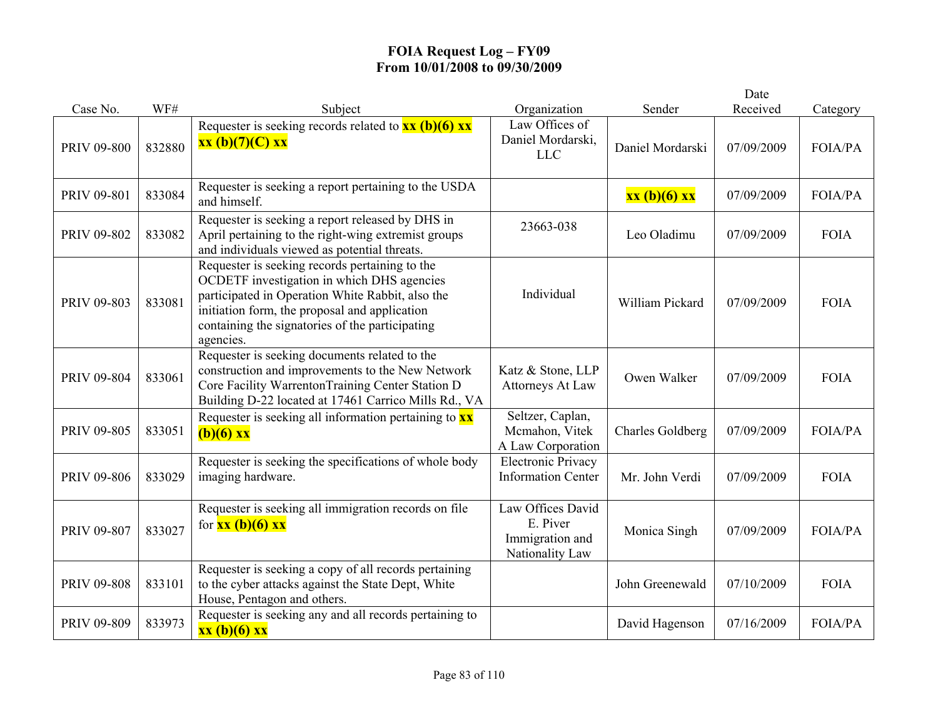|                    |        |                                                                                                                                                                                                                                                                   |                                                                     |                         | Date       |                |
|--------------------|--------|-------------------------------------------------------------------------------------------------------------------------------------------------------------------------------------------------------------------------------------------------------------------|---------------------------------------------------------------------|-------------------------|------------|----------------|
| Case No.           | WF#    | Subject                                                                                                                                                                                                                                                           | Organization                                                        | Sender                  | Received   | Category       |
| PRIV 09-800        | 832880 | Requester is seeking records related to $\frac{xx(b)(6)xx}{x^2}$<br>$xx(b)(7)(C)$ xx                                                                                                                                                                              | Law Offices of<br>Daniel Mordarski,<br><b>LLC</b>                   | Daniel Mordarski        | 07/09/2009 | <b>FOIA/PA</b> |
| PRIV 09-801        | 833084 | Requester is seeking a report pertaining to the USDA<br>and himself.                                                                                                                                                                                              |                                                                     | xx (b)(6) xx            | 07/09/2009 | <b>FOIA/PA</b> |
| PRIV 09-802        | 833082 | Requester is seeking a report released by DHS in<br>April pertaining to the right-wing extremist groups<br>and individuals viewed as potential threats.                                                                                                           | 23663-038                                                           | Leo Oladimu             | 07/09/2009 | <b>FOIA</b>    |
| PRIV 09-803        | 833081 | Requester is seeking records pertaining to the<br>OCDETF investigation in which DHS agencies<br>participated in Operation White Rabbit, also the<br>initiation form, the proposal and application<br>containing the signatories of the participating<br>agencies. | Individual                                                          | William Pickard         | 07/09/2009 | <b>FOIA</b>    |
| PRIV 09-804        | 833061 | Requester is seeking documents related to the<br>construction and improvements to the New Network<br>Core Facility WarrentonTraining Center Station D<br>Building D-22 located at 17461 Carrico Mills Rd., VA                                                     | Katz & Stone, LLP<br><b>Attorneys At Law</b>                        | Owen Walker             | 07/09/2009 | <b>FOIA</b>    |
| <b>PRIV 09-805</b> | 833051 | Requester is seeking all information pertaining to $\mathbf{x}\mathbf{x}$<br>$(b)(6)$ xx                                                                                                                                                                          | Seltzer, Caplan,<br>Mcmahon, Vitek<br>A Law Corporation             | <b>Charles Goldberg</b> | 07/09/2009 | <b>FOIA/PA</b> |
| PRIV 09-806        | 833029 | Requester is seeking the specifications of whole body<br>imaging hardware.                                                                                                                                                                                        | <b>Electronic Privacy</b><br><b>Information Center</b>              | Mr. John Verdi          | 07/09/2009 | <b>FOIA</b>    |
| PRIV 09-807        | 833027 | Requester is seeking all immigration records on file<br>for $\frac{xx(b)(6)}{x}$                                                                                                                                                                                  | Law Offices David<br>E. Piver<br>Immigration and<br>Nationality Law | Monica Singh            | 07/09/2009 | <b>FOIA/PA</b> |
| PRIV 09-808        | 833101 | Requester is seeking a copy of all records pertaining<br>to the cyber attacks against the State Dept, White<br>House, Pentagon and others.                                                                                                                        |                                                                     | John Greenewald         | 07/10/2009 | <b>FOIA</b>    |
| PRIV 09-809        | 833973 | Requester is seeking any and all records pertaining to<br>xx (b)(6) xx                                                                                                                                                                                            |                                                                     | David Hagenson          | 07/16/2009 | FOIA/PA        |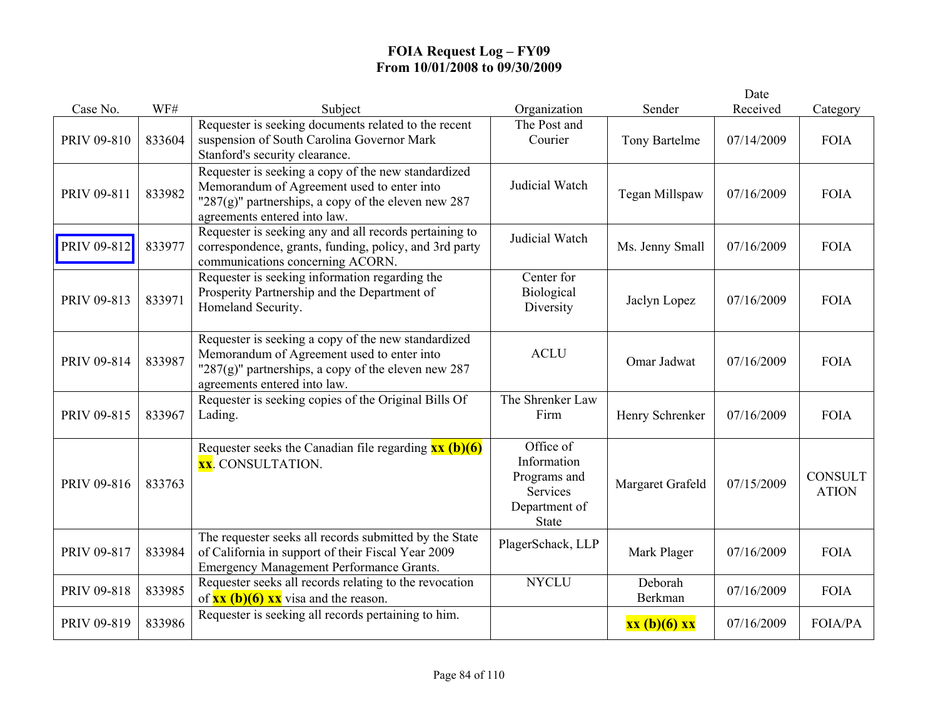|             |        |                                                                                                                                                                                              |                                                                                       |                    | Date       |                                |
|-------------|--------|----------------------------------------------------------------------------------------------------------------------------------------------------------------------------------------------|---------------------------------------------------------------------------------------|--------------------|------------|--------------------------------|
| Case No.    | WF#    | Subject                                                                                                                                                                                      | Organization                                                                          | Sender             | Received   | Category                       |
| PRIV 09-810 | 833604 | Requester is seeking documents related to the recent<br>suspension of South Carolina Governor Mark<br>Stanford's security clearance.                                                         | The Post and<br>Courier                                                               | Tony Bartelme      | 07/14/2009 | <b>FOIA</b>                    |
| PRIV 09-811 | 833982 | Requester is seeking a copy of the new standardized<br>Memorandum of Agreement used to enter into<br>" $287(g)$ " partnerships, a copy of the eleven new 287<br>agreements entered into law. | Judicial Watch                                                                        | Tegan Millspaw     | 07/16/2009 | <b>FOIA</b>                    |
| PRIV 09-812 | 833977 | Requester is seeking any and all records pertaining to<br>correspondence, grants, funding, policy, and 3rd party<br>communications concerning ACORN.                                         | Judicial Watch                                                                        | Ms. Jenny Small    | 07/16/2009 | <b>FOIA</b>                    |
| PRIV 09-813 | 833971 | Requester is seeking information regarding the<br>Prosperity Partnership and the Department of<br>Homeland Security.                                                                         | Center for<br>Biological<br>Diversity                                                 | Jaclyn Lopez       | 07/16/2009 | <b>FOIA</b>                    |
| PRIV 09-814 | 833987 | Requester is seeking a copy of the new standardized<br>Memorandum of Agreement used to enter into<br>"287(g)" partnerships, a copy of the eleven new 287<br>agreements entered into law.     | <b>ACLU</b>                                                                           | Omar Jadwat        | 07/16/2009 | <b>FOIA</b>                    |
| PRIV 09-815 | 833967 | Requester is seeking copies of the Original Bills Of<br>Lading.                                                                                                                              | The Shrenker Law<br>Firm                                                              | Henry Schrenker    | 07/16/2009 | <b>FOIA</b>                    |
| PRIV 09-816 | 833763 | Requester seeks the Canadian file regarding $\overline{\mathbf{x}\mathbf{x}}$ (b)(6)<br><b>xx</b> . CONSULTATION.                                                                            | Office of<br>Information<br>Programs and<br>Services<br>Department of<br><b>State</b> | Margaret Grafeld   | 07/15/2009 | <b>CONSULT</b><br><b>ATION</b> |
| PRIV 09-817 | 833984 | The requester seeks all records submitted by the State<br>of California in support of their Fiscal Year 2009<br>Emergency Management Performance Grants.                                     | PlagerSchack, LLP                                                                     | Mark Plager        | 07/16/2009 | <b>FOIA</b>                    |
| PRIV 09-818 | 833985 | Requester seeks all records relating to the revocation<br>of $\overline{\text{xx (b)(6)} \text{xx}}$ visa and the reason.                                                                    | <b>NYCLU</b>                                                                          | Deborah<br>Berkman | 07/16/2009 | <b>FOIA</b>                    |
| PRIV 09-819 | 833986 | Requester is seeking all records pertaining to him.                                                                                                                                          |                                                                                       | xx (b)(6) xx       | 07/16/2009 | <b>FOIA/PA</b>                 |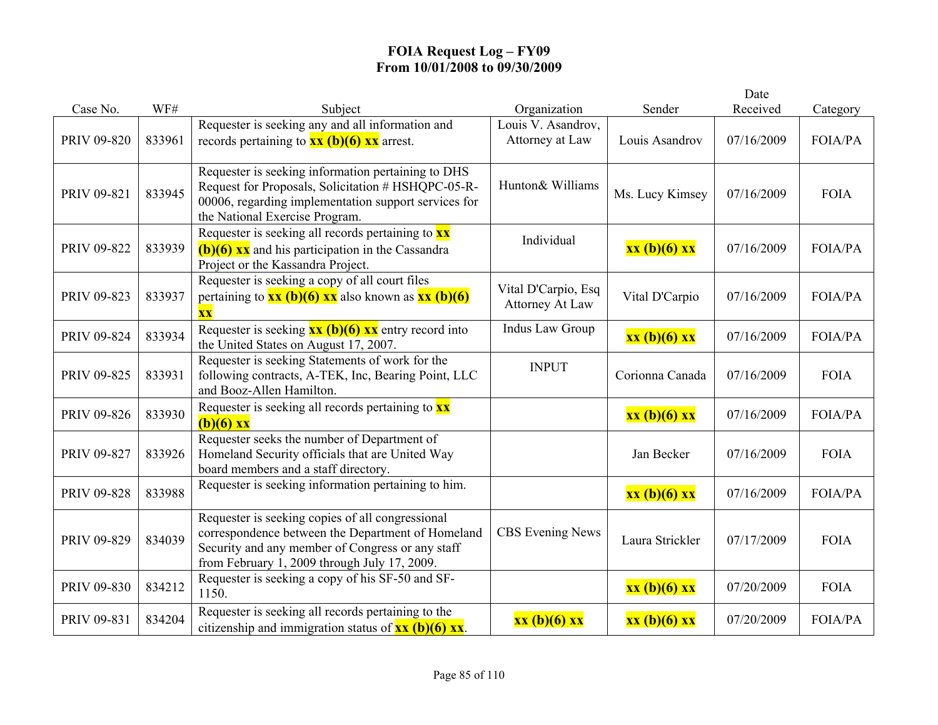|             |        |                                                                                                                                                                                                           |                                               |                 | Date       |                |
|-------------|--------|-----------------------------------------------------------------------------------------------------------------------------------------------------------------------------------------------------------|-----------------------------------------------|-----------------|------------|----------------|
| Case No.    | WF#    | Subject                                                                                                                                                                                                   | Organization                                  | Sender          | Received   | Category       |
| PRIV 09-820 | 833961 | Requester is seeking any and all information and<br>records pertaining to $\frac{xx}{(b)}(6)$ $\frac{xx}{(c)}$ arrest.                                                                                    | Louis V. Asandrov,<br>Attorney at Law         | Louis Asandrov  | 07/16/2009 | FOIA/PA        |
| PRIV 09-821 | 833945 | Requester is seeking information pertaining to DHS<br>Request for Proposals, Solicitation # HSHQPC-05-R-<br>00006, regarding implementation support services for<br>the National Exercise Program.        | Hunton& Williams                              | Ms. Lucy Kimsey | 07/16/2009 | <b>FOIA</b>    |
| PRIV 09-822 | 833939 | Requester is seeking all records pertaining to $\mathbf{x}\mathbf{x}$<br>$(b)(6)$ xx and his participation in the Cassandra<br>Project or the Kassandra Project.                                          | Individual                                    | xx (b)(6) xx    | 07/16/2009 | FOIA/PA        |
| PRIV 09-823 | 833937 | Requester is seeking a copy of all court files<br>pertaining to $\frac{xx(b)(6)}{x}$ also known as $\frac{xx(b)(6)}{x}$<br>$\overline{\mathbf{X}}\overline{\mathbf{X}}$                                   | Vital D'Carpio, Esq<br><b>Attorney At Law</b> | Vital D'Carpio  | 07/16/2009 | <b>FOIA/PA</b> |
| PRIV 09-824 | 833934 | Requester is seeking $\frac{xx(b)(6)xx}{x}$ entry record into<br>the United States on August 17, 2007.                                                                                                    | Indus Law Group                               | xx (b)(6) xx    | 07/16/2009 | FOIA/PA        |
| PRIV 09-825 | 833931 | Requester is seeking Statements of work for the<br>following contracts, A-TEK, Inc, Bearing Point, LLC<br>and Booz-Allen Hamilton.                                                                        | <b>INPUT</b>                                  | Corionna Canada | 07/16/2009 | <b>FOIA</b>    |
| PRIV 09-826 | 833930 | Requester is seeking all records pertaining to <b>xx</b><br>$(b)(6)$ xx                                                                                                                                   |                                               | xx (b)(6) xx    | 07/16/2009 | <b>FOIA/PA</b> |
| PRIV 09-827 | 833926 | Requester seeks the number of Department of<br>Homeland Security officials that are United Way<br>board members and a staff directory.                                                                    |                                               | Jan Becker      | 07/16/2009 | <b>FOIA</b>    |
| PRIV 09-828 | 833988 | Requester is seeking information pertaining to him.                                                                                                                                                       |                                               | xx (b)(6) xx    | 07/16/2009 | FOIA/PA        |
| PRIV 09-829 | 834039 | Requester is seeking copies of all congressional<br>correspondence between the Department of Homeland<br>Security and any member of Congress or any staff<br>from February 1, 2009 through July 17, 2009. | <b>CBS</b> Evening News                       | Laura Strickler | 07/17/2009 | <b>FOIA</b>    |
| PRIV 09-830 | 834212 | Requester is seeking a copy of his SF-50 and SF-<br>1150.                                                                                                                                                 |                                               | xx (b)(6) xx    | 07/20/2009 | <b>FOIA</b>    |
| PRIV 09-831 | 834204 | Requester is seeking all records pertaining to the<br>citizenship and immigration status of $\overline{\mathbf{x}\mathbf{x}}$ (b)(6) $\overline{\mathbf{x}\mathbf{x}}$ .                                  | xx (b)(6) xx                                  | xx (b)(6) xx    | 07/20/2009 | <b>FOIA/PA</b> |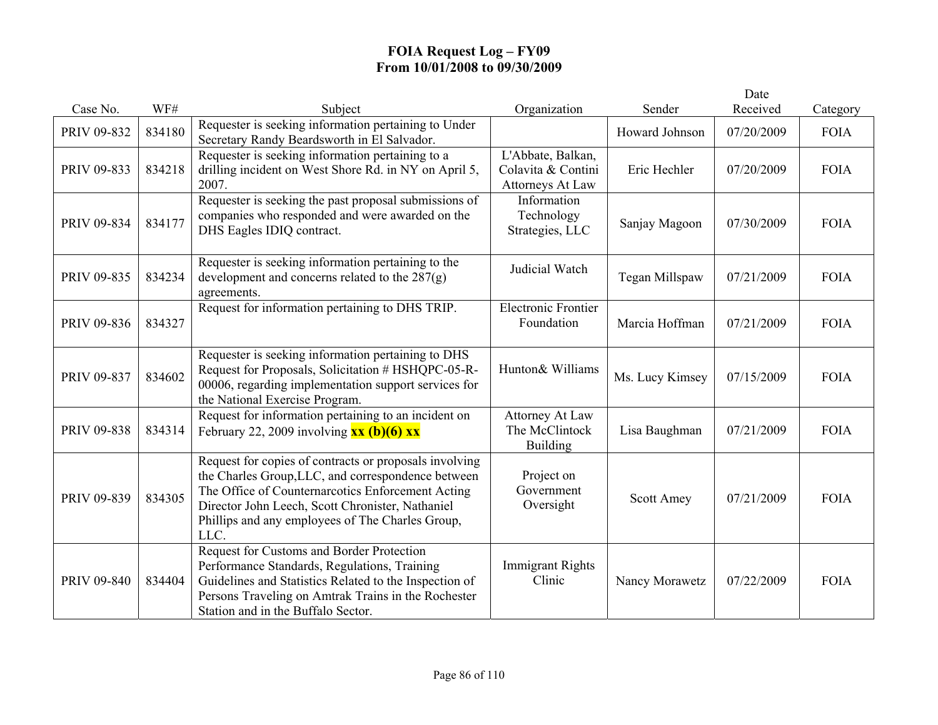|             |        |                                                                                                                                                                                                                                                                                   |                                                             |                 | Date       |             |
|-------------|--------|-----------------------------------------------------------------------------------------------------------------------------------------------------------------------------------------------------------------------------------------------------------------------------------|-------------------------------------------------------------|-----------------|------------|-------------|
| Case No.    | WF#    | Subject                                                                                                                                                                                                                                                                           | Organization                                                | Sender          | Received   | Category    |
| PRIV 09-832 | 834180 | Requester is seeking information pertaining to Under<br>Secretary Randy Beardsworth in El Salvador.                                                                                                                                                                               |                                                             | Howard Johnson  | 07/20/2009 | <b>FOIA</b> |
| PRIV 09-833 | 834218 | Requester is seeking information pertaining to a<br>drilling incident on West Shore Rd. in NY on April 5,<br>2007.                                                                                                                                                                | L'Abbate, Balkan,<br>Colavita & Contini<br>Attorneys At Law | Eric Hechler    | 07/20/2009 | <b>FOIA</b> |
| PRIV 09-834 | 834177 | Requester is seeking the past proposal submissions of<br>companies who responded and were awarded on the<br>DHS Eagles IDIQ contract.                                                                                                                                             | Information<br>Technology<br>Strategies, LLC                | Sanjay Magoon   | 07/30/2009 | <b>FOIA</b> |
| PRIV 09-835 | 834234 | Requester is seeking information pertaining to the<br>development and concerns related to the $287(g)$<br>agreements.                                                                                                                                                             | Judicial Watch                                              | Tegan Millspaw  | 07/21/2009 | <b>FOIA</b> |
| PRIV 09-836 | 834327 | Request for information pertaining to DHS TRIP.                                                                                                                                                                                                                                   | <b>Electronic Frontier</b><br>Foundation                    | Marcia Hoffman  | 07/21/2009 | <b>FOIA</b> |
| PRIV 09-837 | 834602 | Requester is seeking information pertaining to DHS<br>Request for Proposals, Solicitation # HSHQPC-05-R-<br>00006, regarding implementation support services for<br>the National Exercise Program.                                                                                | Hunton& Williams                                            | Ms. Lucy Kimsey | 07/15/2009 | <b>FOIA</b> |
| PRIV 09-838 | 834314 | Request for information pertaining to an incident on<br>February 22, 2009 involving $\overline{\mathbf{x}\mathbf{x}}$ (b)(6) $\overline{\mathbf{x}\mathbf{x}}$                                                                                                                    | <b>Attorney At Law</b><br>The McClintock<br><b>Building</b> | Lisa Baughman   | 07/21/2009 | <b>FOIA</b> |
| PRIV 09-839 | 834305 | Request for copies of contracts or proposals involving<br>the Charles Group, LLC, and correspondence between<br>The Office of Counternarcotics Enforcement Acting<br>Director John Leech, Scott Chronister, Nathaniel<br>Phillips and any employees of The Charles Group,<br>LLC. | Project on<br>Government<br>Oversight                       | Scott Amey      | 07/21/2009 | <b>FOIA</b> |
| PRIV 09-840 | 834404 | Request for Customs and Border Protection<br>Performance Standards, Regulations, Training<br>Guidelines and Statistics Related to the Inspection of<br>Persons Traveling on Amtrak Trains in the Rochester<br>Station and in the Buffalo Sector.                                  | <b>Immigrant Rights</b><br>Clinic                           | Nancy Morawetz  | 07/22/2009 | <b>FOIA</b> |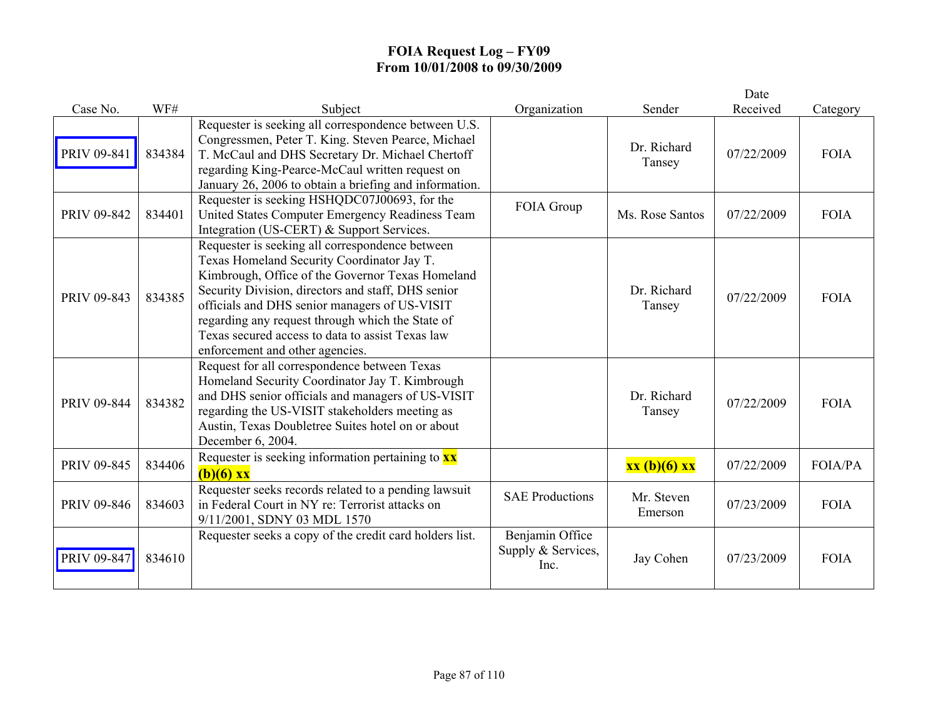|             |        |                                                                                                                                                                                                                                                                                                                                                                                                     |                                               |                       | Date       |                |
|-------------|--------|-----------------------------------------------------------------------------------------------------------------------------------------------------------------------------------------------------------------------------------------------------------------------------------------------------------------------------------------------------------------------------------------------------|-----------------------------------------------|-----------------------|------------|----------------|
| Case No.    | WF#    | Subject                                                                                                                                                                                                                                                                                                                                                                                             | Organization                                  | Sender                | Received   | Category       |
| PRIV 09-841 | 834384 | Requester is seeking all correspondence between U.S.<br>Congressmen, Peter T. King. Steven Pearce, Michael<br>T. McCaul and DHS Secretary Dr. Michael Chertoff<br>regarding King-Pearce-McCaul written request on<br>January 26, 2006 to obtain a briefing and information.                                                                                                                         |                                               | Dr. Richard<br>Tansey | 07/22/2009 | <b>FOIA</b>    |
| PRIV 09-842 | 834401 | Requester is seeking HSHQDC07J00693, for the<br>United States Computer Emergency Readiness Team<br>Integration (US-CERT) & Support Services.                                                                                                                                                                                                                                                        | FOIA Group                                    | Ms. Rose Santos       | 07/22/2009 | <b>FOIA</b>    |
| PRIV 09-843 | 834385 | Requester is seeking all correspondence between<br>Texas Homeland Security Coordinator Jay T.<br>Kimbrough, Office of the Governor Texas Homeland<br>Security Division, directors and staff, DHS senior<br>officials and DHS senior managers of US-VISIT<br>regarding any request through which the State of<br>Texas secured access to data to assist Texas law<br>enforcement and other agencies. |                                               | Dr. Richard<br>Tansey | 07/22/2009 | <b>FOIA</b>    |
| PRIV 09-844 | 834382 | Request for all correspondence between Texas<br>Homeland Security Coordinator Jay T. Kimbrough<br>and DHS senior officials and managers of US-VISIT<br>regarding the US-VISIT stakeholders meeting as<br>Austin, Texas Doubletree Suites hotel on or about<br>December 6, 2004.                                                                                                                     |                                               | Dr. Richard<br>Tansey | 07/22/2009 | <b>FOIA</b>    |
| PRIV 09-845 | 834406 | Requester is seeking information pertaining to $\frac{xx}{xx}$<br>$(b)(6)$ xx                                                                                                                                                                                                                                                                                                                       |                                               | xx (b)(6) xx          | 07/22/2009 | <b>FOIA/PA</b> |
| PRIV 09-846 | 834603 | Requester seeks records related to a pending lawsuit<br>in Federal Court in NY re: Terrorist attacks on<br>9/11/2001, SDNY 03 MDL 1570                                                                                                                                                                                                                                                              | <b>SAE Productions</b>                        | Mr. Steven<br>Emerson | 07/23/2009 | <b>FOIA</b>    |
| PRIV 09-847 | 834610 | Requester seeks a copy of the credit card holders list.                                                                                                                                                                                                                                                                                                                                             | Benjamin Office<br>Supply & Services,<br>Inc. | Jay Cohen             | 07/23/2009 | <b>FOIA</b>    |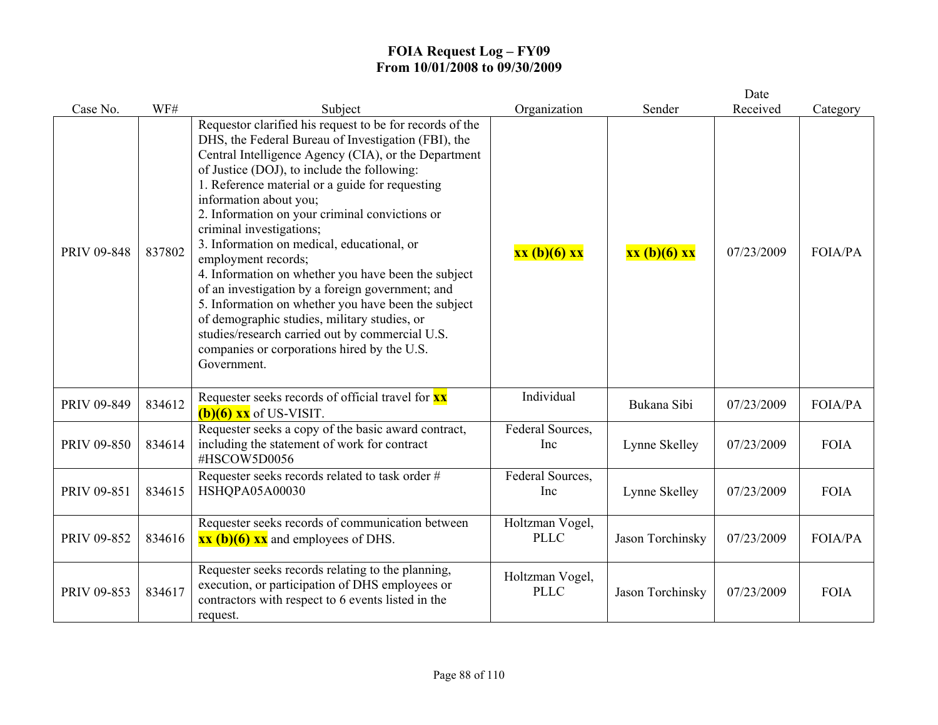|             |        |                                                                                                                                                                                                                                                                                                                                                                                                                                                                                                                                                                                                                                                                                                                                                                                           |                                |                  | Date       |                |
|-------------|--------|-------------------------------------------------------------------------------------------------------------------------------------------------------------------------------------------------------------------------------------------------------------------------------------------------------------------------------------------------------------------------------------------------------------------------------------------------------------------------------------------------------------------------------------------------------------------------------------------------------------------------------------------------------------------------------------------------------------------------------------------------------------------------------------------|--------------------------------|------------------|------------|----------------|
| Case No.    | WF#    | Subject                                                                                                                                                                                                                                                                                                                                                                                                                                                                                                                                                                                                                                                                                                                                                                                   | Organization                   | Sender           | Received   | Category       |
| PRIV 09-848 | 837802 | Requestor clarified his request to be for records of the<br>DHS, the Federal Bureau of Investigation (FBI), the<br>Central Intelligence Agency (CIA), or the Department<br>of Justice (DOJ), to include the following:<br>1. Reference material or a guide for requesting<br>information about you;<br>2. Information on your criminal convictions or<br>criminal investigations;<br>3. Information on medical, educational, or<br>employment records;<br>4. Information on whether you have been the subject<br>of an investigation by a foreign government; and<br>5. Information on whether you have been the subject<br>of demographic studies, military studies, or<br>studies/research carried out by commercial U.S.<br>companies or corporations hired by the U.S.<br>Government. | xx (b)(6) xx                   | xx (b)(6) xx     | 07/23/2009 | <b>FOIA/PA</b> |
| PRIV 09-849 | 834612 | Requester seeks records of official travel for <b>XX</b><br>$(b)(6)$ xx of US-VISIT.                                                                                                                                                                                                                                                                                                                                                                                                                                                                                                                                                                                                                                                                                                      | Individual                     | Bukana Sibi      | 07/23/2009 | <b>FOIA/PA</b> |
| PRIV 09-850 | 834614 | Requester seeks a copy of the basic award contract,<br>including the statement of work for contract<br>#HSCOW5D0056                                                                                                                                                                                                                                                                                                                                                                                                                                                                                                                                                                                                                                                                       | Federal Sources,<br>Inc        | Lynne Skelley    | 07/23/2009 | <b>FOIA</b>    |
| PRIV 09-851 | 834615 | Requester seeks records related to task order #<br>HSHQPA05A00030                                                                                                                                                                                                                                                                                                                                                                                                                                                                                                                                                                                                                                                                                                                         | Federal Sources,<br>Inc        | Lynne Skelley    | 07/23/2009 | <b>FOIA</b>    |
| PRIV 09-852 | 834616 | Requester seeks records of communication between<br>$\overline{\text{xx (b)(6)} \text{xx}}$ and employees of DHS.                                                                                                                                                                                                                                                                                                                                                                                                                                                                                                                                                                                                                                                                         | Holtzman Vogel,<br><b>PLLC</b> | Jason Torchinsky | 07/23/2009 | <b>FOIA/PA</b> |
| PRIV 09-853 | 834617 | Requester seeks records relating to the planning,<br>execution, or participation of DHS employees or<br>contractors with respect to 6 events listed in the<br>request.                                                                                                                                                                                                                                                                                                                                                                                                                                                                                                                                                                                                                    | Holtzman Vogel,<br><b>PLLC</b> | Jason Torchinsky | 07/23/2009 | <b>FOIA</b>    |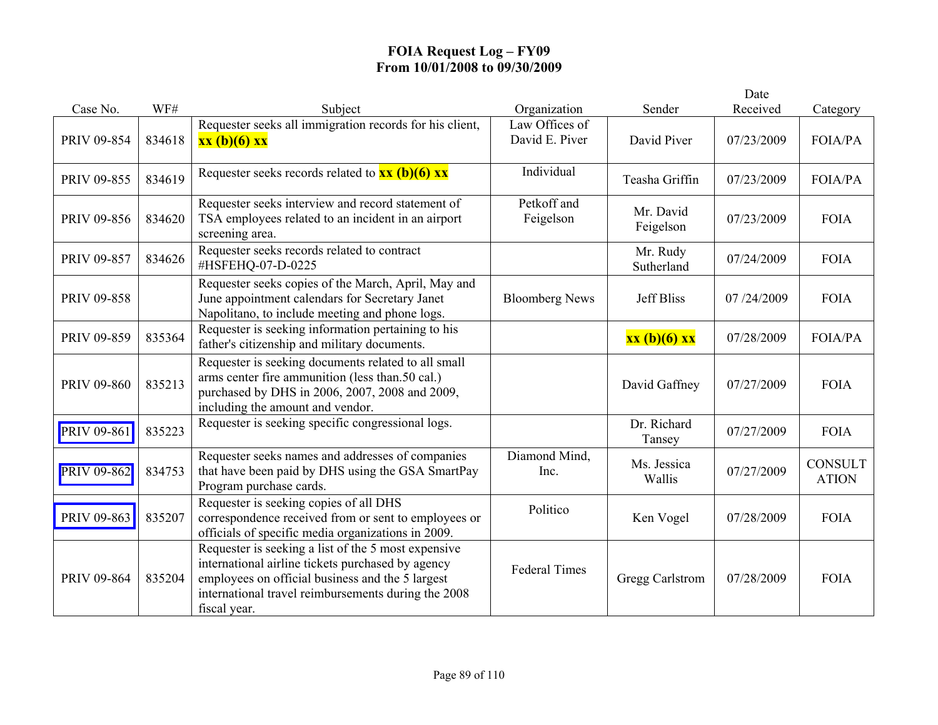|                    |        |                                                                                                                                                                                                                                     |                                  |                        | Date       |                                |
|--------------------|--------|-------------------------------------------------------------------------------------------------------------------------------------------------------------------------------------------------------------------------------------|----------------------------------|------------------------|------------|--------------------------------|
| Case No.           | WF#    | Subject                                                                                                                                                                                                                             | Organization                     | Sender                 | Received   | Category                       |
| PRIV 09-854        | 834618 | Requester seeks all immigration records for his client,<br>xx (b)(6) xx                                                                                                                                                             | Law Offices of<br>David E. Piver | David Piver            | 07/23/2009 | <b>FOIA/PA</b>                 |
| PRIV 09-855        | 834619 | Requester seeks records related to $\overline{\mathbf{xx}(\mathbf{b})(6)} \overline{\mathbf{xx}}$                                                                                                                                   | Individual                       | Teasha Griffin         | 07/23/2009 | <b>FOIA/PA</b>                 |
| PRIV 09-856        | 834620 | Requester seeks interview and record statement of<br>TSA employees related to an incident in an airport<br>screening area.                                                                                                          | Petkoff and<br>Feigelson         | Mr. David<br>Feigelson | 07/23/2009 | <b>FOIA</b>                    |
| <b>PRIV 09-857</b> | 834626 | Requester seeks records related to contract<br>#HSFEHQ-07-D-0225                                                                                                                                                                    |                                  | Mr. Rudy<br>Sutherland | 07/24/2009 | <b>FOIA</b>                    |
| PRIV 09-858        |        | Requester seeks copies of the March, April, May and<br>June appointment calendars for Secretary Janet<br>Napolitano, to include meeting and phone logs.                                                                             | <b>Bloomberg News</b>            | <b>Jeff Bliss</b>      | 07/24/2009 | <b>FOIA</b>                    |
| PRIV 09-859        | 835364 | Requester is seeking information pertaining to his<br>father's citizenship and military documents.                                                                                                                                  |                                  | xx (b)(6) xx           | 07/28/2009 | <b>FOIA/PA</b>                 |
| PRIV 09-860        | 835213 | Requester is seeking documents related to all small<br>arms center fire ammunition (less than.50 cal.)<br>purchased by DHS in 2006, 2007, 2008 and 2009,<br>including the amount and vendor.                                        |                                  | David Gaffney          | 07/27/2009 | <b>FOIA</b>                    |
| PRIV 09-861        | 835223 | Requester is seeking specific congressional logs.                                                                                                                                                                                   |                                  | Dr. Richard<br>Tansey  | 07/27/2009 | <b>FOIA</b>                    |
| PRIV 09-862        | 834753 | Requester seeks names and addresses of companies<br>that have been paid by DHS using the GSA SmartPay<br>Program purchase cards.                                                                                                    | Diamond Mind,<br>Inc.            | Ms. Jessica<br>Wallis  | 07/27/2009 | <b>CONSULT</b><br><b>ATION</b> |
| PRIV 09-863        | 835207 | Requester is seeking copies of all DHS<br>correspondence received from or sent to employees or<br>officials of specific media organizations in 2009.                                                                                | Politico                         | Ken Vogel              | 07/28/2009 | <b>FOIA</b>                    |
| PRIV 09-864        | 835204 | Requester is seeking a list of the 5 most expensive<br>international airline tickets purchased by agency<br>employees on official business and the 5 largest<br>international travel reimbursements during the 2008<br>fiscal year. | <b>Federal Times</b>             | Gregg Carlstrom        | 07/28/2009 | <b>FOIA</b>                    |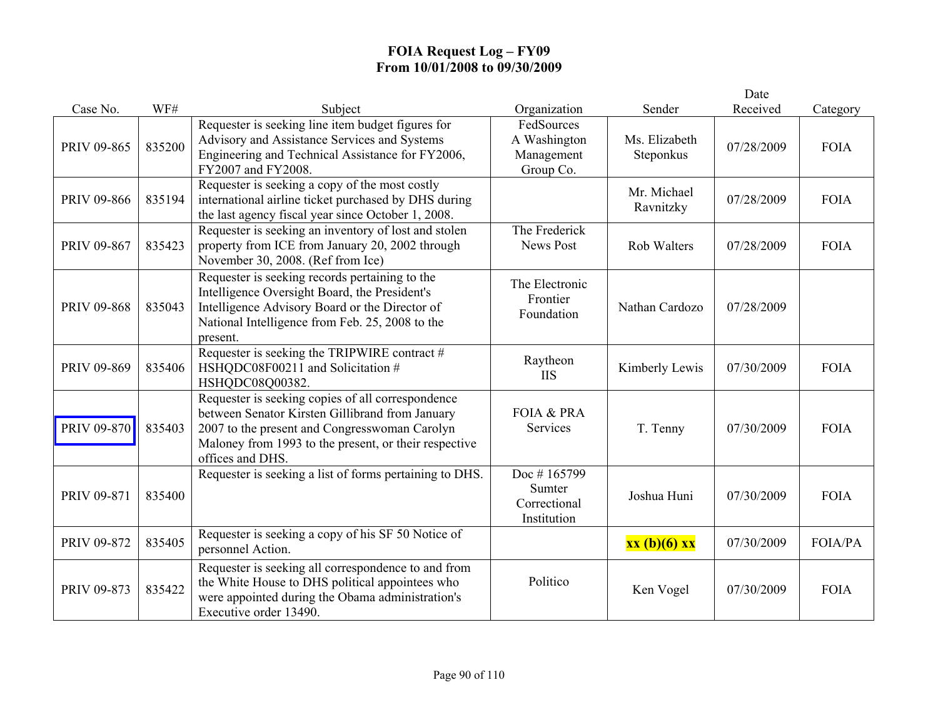|             |        |                                                                                                                                                                                                                                    |                                                       |                            | Date       |                |
|-------------|--------|------------------------------------------------------------------------------------------------------------------------------------------------------------------------------------------------------------------------------------|-------------------------------------------------------|----------------------------|------------|----------------|
| Case No.    | WF#    | Subject                                                                                                                                                                                                                            | Organization                                          | Sender                     | Received   | Category       |
| PRIV 09-865 | 835200 | Requester is seeking line item budget figures for<br>Advisory and Assistance Services and Systems<br>Engineering and Technical Assistance for FY2006,<br>FY2007 and FY2008.                                                        | FedSources<br>A Washington<br>Management<br>Group Co. | Ms. Elizabeth<br>Steponkus | 07/28/2009 | <b>FOIA</b>    |
| PRIV 09-866 | 835194 | Requester is seeking a copy of the most costly<br>international airline ticket purchased by DHS during<br>the last agency fiscal year since October 1, 2008.                                                                       |                                                       | Mr. Michael<br>Ravnitzky   | 07/28/2009 | <b>FOIA</b>    |
| PRIV 09-867 | 835423 | Requester is seeking an inventory of lost and stolen<br>property from ICE from January 20, 2002 through<br>November 30, 2008. (Ref from Ice)                                                                                       | The Frederick<br><b>News Post</b>                     | <b>Rob Walters</b>         | 07/28/2009 | <b>FOIA</b>    |
| PRIV 09-868 | 835043 | Requester is seeking records pertaining to the<br>Intelligence Oversight Board, the President's<br>Intelligence Advisory Board or the Director of<br>National Intelligence from Feb. 25, 2008 to the<br>present.                   | The Electronic<br>Frontier<br>Foundation              | Nathan Cardozo             | 07/28/2009 |                |
| PRIV 09-869 | 835406 | Requester is seeking the TRIPWIRE contract #<br>HSHQDC08F00211 and Solicitation #<br>HSHQDC08Q00382.                                                                                                                               | Raytheon<br><b>IIS</b>                                | Kimberly Lewis             | 07/30/2009 | <b>FOIA</b>    |
| PRIV 09-870 | 835403 | Requester is seeking copies of all correspondence<br>between Senator Kirsten Gillibrand from January<br>2007 to the present and Congresswoman Carolyn<br>Maloney from 1993 to the present, or their respective<br>offices and DHS. | <b>FOIA &amp; PRA</b><br>Services                     | T. Tenny                   | 07/30/2009 | <b>FOIA</b>    |
| PRIV 09-871 | 835400 | Requester is seeking a list of forms pertaining to DHS.                                                                                                                                                                            | Doc #165799<br>Sumter<br>Correctional<br>Institution  | Joshua Huni                | 07/30/2009 | <b>FOIA</b>    |
| PRIV 09-872 | 835405 | Requester is seeking a copy of his SF 50 Notice of<br>personnel Action.                                                                                                                                                            |                                                       | $xx(b)(6)$ $xx$            | 07/30/2009 | <b>FOIA/PA</b> |
| PRIV 09-873 | 835422 | Requester is seeking all correspondence to and from<br>the White House to DHS political appointees who<br>were appointed during the Obama administration's<br>Executive order 13490.                                               | Politico                                              | Ken Vogel                  | 07/30/2009 | <b>FOIA</b>    |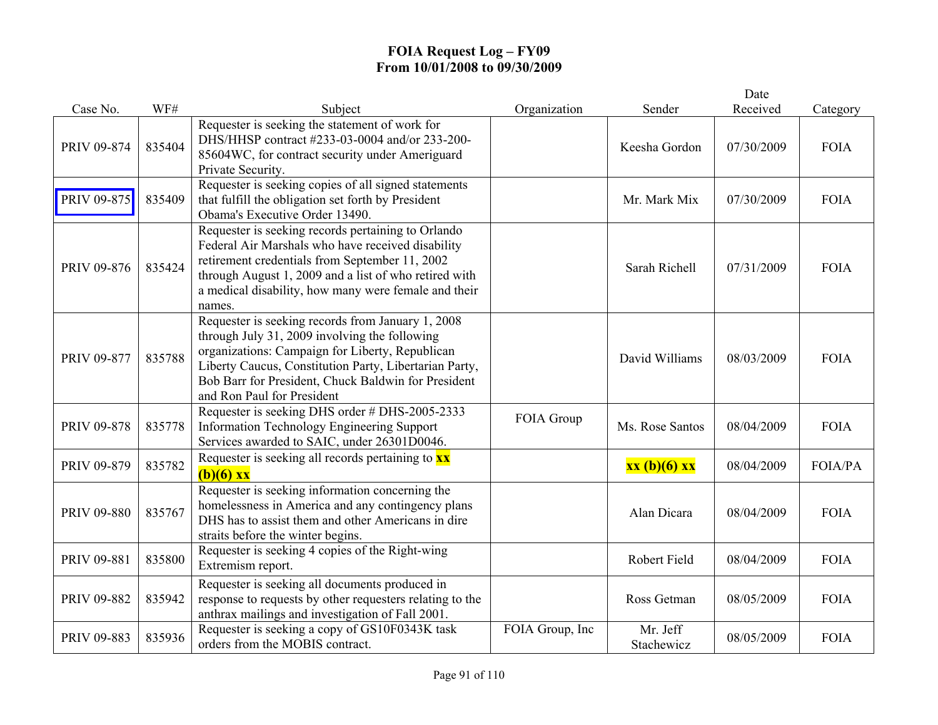|                    |        |                                                                                                                                                                                                                                                                                                      |                 |                        | Date       |             |
|--------------------|--------|------------------------------------------------------------------------------------------------------------------------------------------------------------------------------------------------------------------------------------------------------------------------------------------------------|-----------------|------------------------|------------|-------------|
| Case No.           | WF#    | Subject                                                                                                                                                                                                                                                                                              | Organization    | Sender                 | Received   | Category    |
| PRIV 09-874        | 835404 | Requester is seeking the statement of work for<br>DHS/HHSP contract #233-03-0004 and/or 233-200-<br>85604WC, for contract security under Ameriguard<br>Private Security.                                                                                                                             |                 | Keesha Gordon          | 07/30/2009 | <b>FOIA</b> |
| <b>PRIV 09-875</b> | 835409 | Requester is seeking copies of all signed statements<br>that fulfill the obligation set forth by President<br>Obama's Executive Order 13490.                                                                                                                                                         |                 | Mr. Mark Mix           | 07/30/2009 | <b>FOIA</b> |
| PRIV 09-876        | 835424 | Requester is seeking records pertaining to Orlando<br>Federal Air Marshals who have received disability<br>retirement credentials from September 11, 2002<br>through August 1, 2009 and a list of who retired with<br>a medical disability, how many were female and their<br>names.                 |                 | Sarah Richell          | 07/31/2009 | <b>FOIA</b> |
| <b>PRIV 09-877</b> | 835788 | Requester is seeking records from January 1, 2008<br>through July 31, 2009 involving the following<br>organizations: Campaign for Liberty, Republican<br>Liberty Caucus, Constitution Party, Libertarian Party,<br>Bob Barr for President, Chuck Baldwin for President<br>and Ron Paul for President |                 | David Williams         | 08/03/2009 | <b>FOIA</b> |
| PRIV 09-878        | 835778 | Requester is seeking DHS order # DHS-2005-2333<br>Information Technology Engineering Support<br>Services awarded to SAIC, under 26301D0046.                                                                                                                                                          | FOIA Group      | Ms. Rose Santos        | 08/04/2009 | <b>FOIA</b> |
| PRIV 09-879        | 835782 | Requester is seeking all records pertaining to $\mathbf{x}\mathbf{x}$<br>$(b)(6)$ xx                                                                                                                                                                                                                 |                 | xx (b)(6) xx           | 08/04/2009 | FOIA/PA     |
| PRIV 09-880        | 835767 | Requester is seeking information concerning the<br>homelessness in America and any contingency plans<br>DHS has to assist them and other Americans in dire<br>straits before the winter begins.                                                                                                      |                 | Alan Dicara            | 08/04/2009 | <b>FOIA</b> |
| PRIV 09-881        | 835800 | Requester is seeking 4 copies of the Right-wing<br>Extremism report.                                                                                                                                                                                                                                 |                 | Robert Field           | 08/04/2009 | <b>FOIA</b> |
| PRIV 09-882        | 835942 | Requester is seeking all documents produced in<br>response to requests by other requesters relating to the<br>anthrax mailings and investigation of Fall 2001.                                                                                                                                       |                 | Ross Getman            | 08/05/2009 | <b>FOIA</b> |
| PRIV 09-883        | 835936 | Requester is seeking a copy of GS10F0343K task<br>orders from the MOBIS contract.                                                                                                                                                                                                                    | FOIA Group, Inc | Mr. Jeff<br>Stachewicz | 08/05/2009 | <b>FOIA</b> |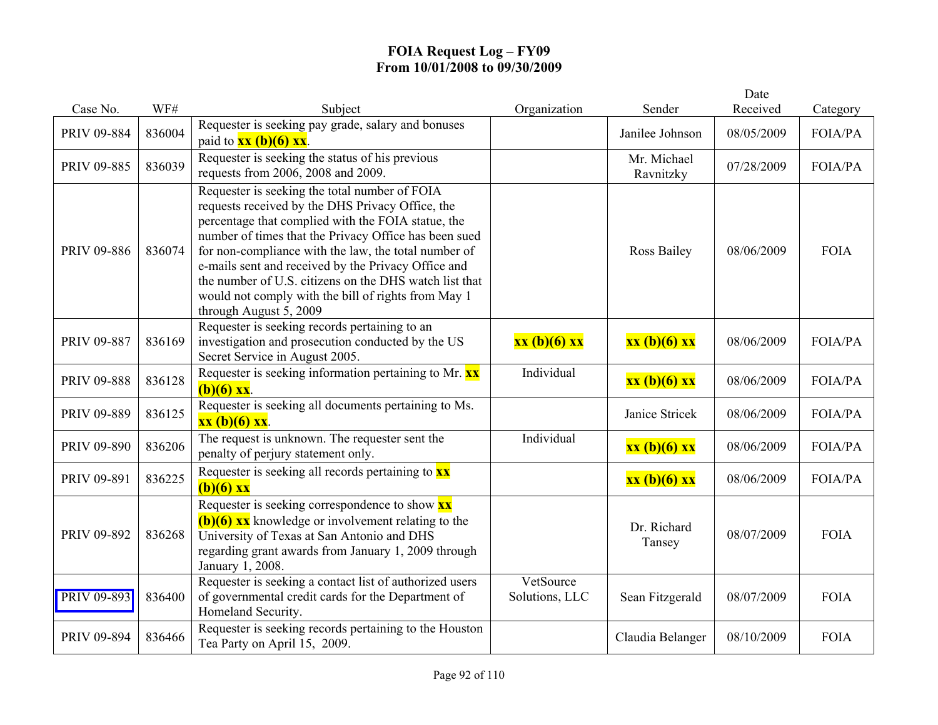| Case No.    | WF#    | Subject                                                                                                                                                                                                                                                                                                                                                                                                                                                                    | Organization                | Sender                   | Date<br>Received | Category       |
|-------------|--------|----------------------------------------------------------------------------------------------------------------------------------------------------------------------------------------------------------------------------------------------------------------------------------------------------------------------------------------------------------------------------------------------------------------------------------------------------------------------------|-----------------------------|--------------------------|------------------|----------------|
| PRIV 09-884 | 836004 | Requester is seeking pay grade, salary and bonuses<br>paid to $\frac{xx(b)(6)xx}{x}$ .                                                                                                                                                                                                                                                                                                                                                                                     |                             | Janilee Johnson          | 08/05/2009       | FOIA/PA        |
| PRIV 09-885 | 836039 | Requester is seeking the status of his previous<br>requests from 2006, 2008 and 2009.                                                                                                                                                                                                                                                                                                                                                                                      |                             | Mr. Michael<br>Ravnitzky | 07/28/2009       | <b>FOIA/PA</b> |
| PRIV 09-886 | 836074 | Requester is seeking the total number of FOIA<br>requests received by the DHS Privacy Office, the<br>percentage that complied with the FOIA statue, the<br>number of times that the Privacy Office has been sued<br>for non-compliance with the law, the total number of<br>e-mails sent and received by the Privacy Office and<br>the number of U.S. citizens on the DHS watch list that<br>would not comply with the bill of rights from May 1<br>through August 5, 2009 |                             | <b>Ross Bailey</b>       | 08/06/2009       | <b>FOIA</b>    |
| PRIV 09-887 | 836169 | Requester is seeking records pertaining to an<br>investigation and prosecution conducted by the US<br>Secret Service in August 2005.                                                                                                                                                                                                                                                                                                                                       | xx (b)(6) xx                | xx (b)(6) xx             | 08/06/2009       | <b>FOIA/PA</b> |
| PRIV 09-888 | 836128 | Requester is seeking information pertaining to Mr. $\mathbf{x} \times$<br>$(b)(6)$ xx.                                                                                                                                                                                                                                                                                                                                                                                     | Individual                  | xx (b)(6) xx             | 08/06/2009       | <b>FOIA/PA</b> |
| PRIV 09-889 | 836125 | Requester is seeking all documents pertaining to Ms.<br>$xx (b)(6) xx$ .                                                                                                                                                                                                                                                                                                                                                                                                   |                             | Janice Stricek           | 08/06/2009       | <b>FOIA/PA</b> |
| PRIV 09-890 | 836206 | The request is unknown. The requester sent the<br>penalty of perjury statement only.                                                                                                                                                                                                                                                                                                                                                                                       | Individual                  | xx (b)(6) xx             | 08/06/2009       | <b>FOIA/PA</b> |
| PRIV 09-891 | 836225 | Requester is seeking all records pertaining to $\frac{xx}{ }$<br>$(b)(6)$ xx                                                                                                                                                                                                                                                                                                                                                                                               |                             | xx (b)(6) xx             | 08/06/2009       | <b>FOIA/PA</b> |
| PRIV 09-892 | 836268 | Requester is seeking correspondence to show <b>XX</b><br>$(b)(6)$ xx knowledge or involvement relating to the<br>University of Texas at San Antonio and DHS<br>regarding grant awards from January 1, 2009 through<br>January 1, 2008.                                                                                                                                                                                                                                     |                             | Dr. Richard<br>Tansey    | 08/07/2009       | <b>FOIA</b>    |
| PRIV 09-893 | 836400 | Requester is seeking a contact list of authorized users<br>of governmental credit cards for the Department of<br>Homeland Security.                                                                                                                                                                                                                                                                                                                                        | VetSource<br>Solutions, LLC | Sean Fitzgerald          | 08/07/2009       | <b>FOIA</b>    |
| PRIV 09-894 | 836466 | Requester is seeking records pertaining to the Houston<br>Tea Party on April 15, 2009.                                                                                                                                                                                                                                                                                                                                                                                     |                             | Claudia Belanger         | 08/10/2009       | <b>FOIA</b>    |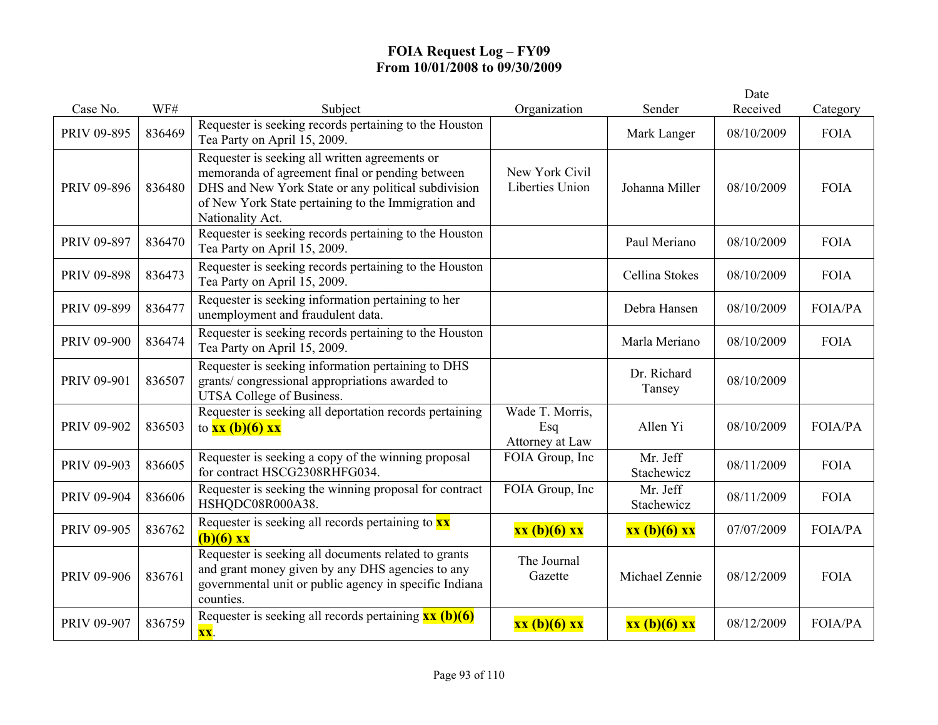| Case No.           | WF#    | Subject                                                                                                                                                                                                                             | Organization                              | Sender                 | Date<br>Received | Category       |
|--------------------|--------|-------------------------------------------------------------------------------------------------------------------------------------------------------------------------------------------------------------------------------------|-------------------------------------------|------------------------|------------------|----------------|
| PRIV 09-895        | 836469 | Requester is seeking records pertaining to the Houston<br>Tea Party on April 15, 2009.                                                                                                                                              |                                           | Mark Langer            | 08/10/2009       | <b>FOIA</b>    |
| PRIV 09-896        | 836480 | Requester is seeking all written agreements or<br>memoranda of agreement final or pending between<br>DHS and New York State or any political subdivision<br>of New York State pertaining to the Immigration and<br>Nationality Act. | New York Civil<br>Liberties Union         | Johanna Miller         | 08/10/2009       | <b>FOIA</b>    |
| PRIV 09-897        | 836470 | Requester is seeking records pertaining to the Houston<br>Tea Party on April 15, 2009.                                                                                                                                              |                                           | Paul Meriano           | 08/10/2009       | <b>FOIA</b>    |
| <b>PRIV 09-898</b> | 836473 | Requester is seeking records pertaining to the Houston<br>Tea Party on April 15, 2009.                                                                                                                                              |                                           | Cellina Stokes         | 08/10/2009       | <b>FOIA</b>    |
| PRIV 09-899        | 836477 | Requester is seeking information pertaining to her<br>unemployment and fraudulent data.                                                                                                                                             |                                           | Debra Hansen           | 08/10/2009       | <b>FOIA/PA</b> |
| PRIV 09-900        | 836474 | Requester is seeking records pertaining to the Houston<br>Tea Party on April 15, 2009.                                                                                                                                              |                                           | Marla Meriano          | 08/10/2009       | <b>FOIA</b>    |
| PRIV 09-901        | 836507 | Requester is seeking information pertaining to DHS<br>grants/congressional appropriations awarded to<br>UTSA College of Business.                                                                                                   |                                           | Dr. Richard<br>Tansey  | 08/10/2009       |                |
| PRIV 09-902        | 836503 | Requester is seeking all deportation records pertaining<br>to $xx (b)(6) xx$                                                                                                                                                        | Wade T. Morris,<br>Esq<br>Attorney at Law | Allen Yi               | 08/10/2009       | <b>FOIA/PA</b> |
| PRIV 09-903        | 836605 | Requester is seeking a copy of the winning proposal<br>for contract HSCG2308RHFG034.                                                                                                                                                | FOIA Group, Inc                           | Mr. Jeff<br>Stachewicz | 08/11/2009       | <b>FOIA</b>    |
| PRIV 09-904        | 836606 | Requester is seeking the winning proposal for contract<br>HSHQDC08R000A38.                                                                                                                                                          | FOIA Group, Inc                           | Mr. Jeff<br>Stachewicz | 08/11/2009       | <b>FOIA</b>    |
| PRIV 09-905        | 836762 | Requester is seeking all records pertaining to $\mathbf{x}\mathbf{x}$<br>$(b)(6)$ xx                                                                                                                                                | xx (b)(6) xx                              | $xx(b)(6)$ $xx$        | 07/07/2009       | FOIA/PA        |
| PRIV 09-906        | 836761 | Requester is seeking all documents related to grants<br>and grant money given by any DHS agencies to any<br>governmental unit or public agency in specific Indiana<br>counties.                                                     | The Journal<br>Gazette                    | Michael Zennie         | 08/12/2009       | <b>FOIA</b>    |
| PRIV 09-907        | 836759 | Requester is seeking all records pertaining $\frac{\mathbf{x} \cdot \mathbf{x}}{(\mathbf{b})(6)}$<br>XX.                                                                                                                            | xx (b)(6) xx                              | xx (b)(6) xx           | 08/12/2009       | <b>FOIA/PA</b> |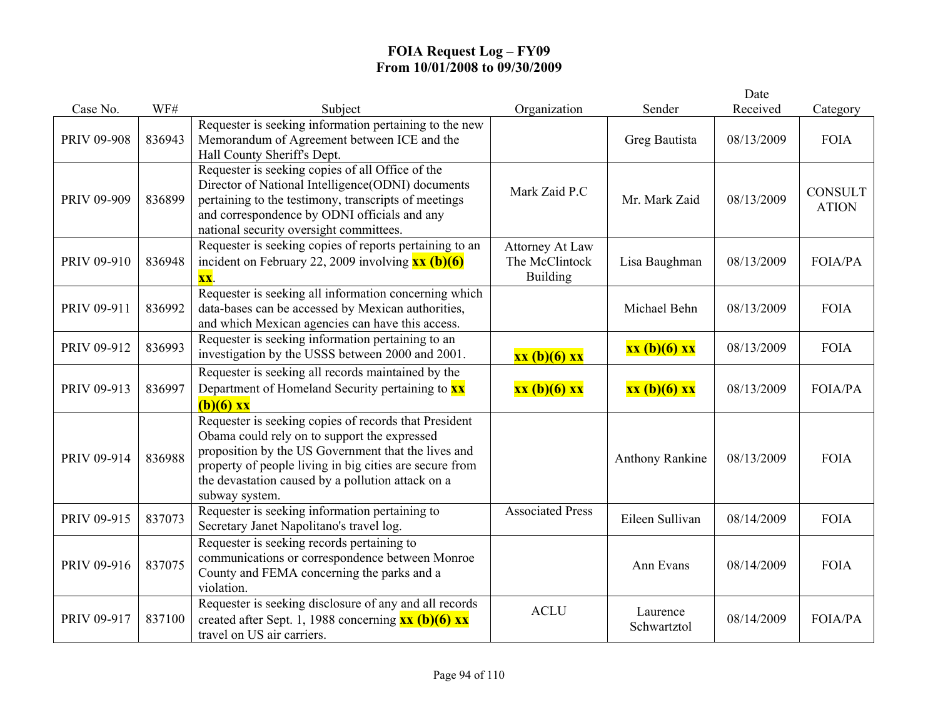|             |        |                                                                                                                                                                                                                                                                                                |                                                             |                         | Date       |                                |
|-------------|--------|------------------------------------------------------------------------------------------------------------------------------------------------------------------------------------------------------------------------------------------------------------------------------------------------|-------------------------------------------------------------|-------------------------|------------|--------------------------------|
| Case No.    | WF#    | Subject                                                                                                                                                                                                                                                                                        | Organization                                                | Sender                  | Received   | Category                       |
| PRIV 09-908 | 836943 | Requester is seeking information pertaining to the new<br>Memorandum of Agreement between ICE and the<br>Hall County Sheriff's Dept.                                                                                                                                                           |                                                             | Greg Bautista           | 08/13/2009 | <b>FOIA</b>                    |
| PRIV 09-909 | 836899 | Requester is seeking copies of all Office of the<br>Director of National Intelligence(ODNI) documents<br>pertaining to the testimony, transcripts of meetings<br>and correspondence by ODNI officials and any<br>national security oversight committees.                                       | Mark Zaid P.C                                               | Mr. Mark Zaid           | 08/13/2009 | <b>CONSULT</b><br><b>ATION</b> |
| PRIV 09-910 | 836948 | Requester is seeking copies of reports pertaining to an<br>incident on February 22, 2009 involving $\overline{\text{xx (b)(6)}}$<br>$\overline{\mathbf{XX}}$ .                                                                                                                                 | <b>Attorney At Law</b><br>The McClintock<br><b>Building</b> | Lisa Baughman           | 08/13/2009 | FOIA/PA                        |
| PRIV 09-911 | 836992 | Requester is seeking all information concerning which<br>data-bases can be accessed by Mexican authorities,<br>and which Mexican agencies can have this access.                                                                                                                                |                                                             | Michael Behn            | 08/13/2009 | <b>FOIA</b>                    |
| PRIV 09-912 | 836993 | Requester is seeking information pertaining to an<br>investigation by the USSS between 2000 and 2001.                                                                                                                                                                                          | xx (b)(6) xx                                                | xx (b)(6) xx            | 08/13/2009 | <b>FOIA</b>                    |
| PRIV 09-913 | 836997 | Requester is seeking all records maintained by the<br>Department of Homeland Security pertaining to <b>xx</b><br>$(b)(6)$ xx                                                                                                                                                                   | xx (b)(6) xx                                                | $xx(b)(6)$ $xx$         | 08/13/2009 | <b>FOIA/PA</b>                 |
| PRIV 09-914 | 836988 | Requester is seeking copies of records that President<br>Obama could rely on to support the expressed<br>proposition by the US Government that the lives and<br>property of people living in big cities are secure from<br>the devastation caused by a pollution attack on a<br>subway system. |                                                             | <b>Anthony Rankine</b>  | 08/13/2009 | <b>FOIA</b>                    |
| PRIV 09-915 | 837073 | Requester is seeking information pertaining to<br>Secretary Janet Napolitano's travel log.                                                                                                                                                                                                     | <b>Associated Press</b>                                     | Eileen Sullivan         | 08/14/2009 | <b>FOIA</b>                    |
| PRIV 09-916 | 837075 | Requester is seeking records pertaining to<br>communications or correspondence between Monroe<br>County and FEMA concerning the parks and a<br>violation.                                                                                                                                      |                                                             | Ann Evans               | 08/14/2009 | <b>FOIA</b>                    |
| PRIV 09-917 | 837100 | Requester is seeking disclosure of any and all records<br>created after Sept. 1, 1988 concerning $\frac{xx}{(b)(6)}$ $\frac{xx}{(b)}$<br>travel on US air carriers.                                                                                                                            | <b>ACLU</b>                                                 | Laurence<br>Schwartztol | 08/14/2009 | FOIA/PA                        |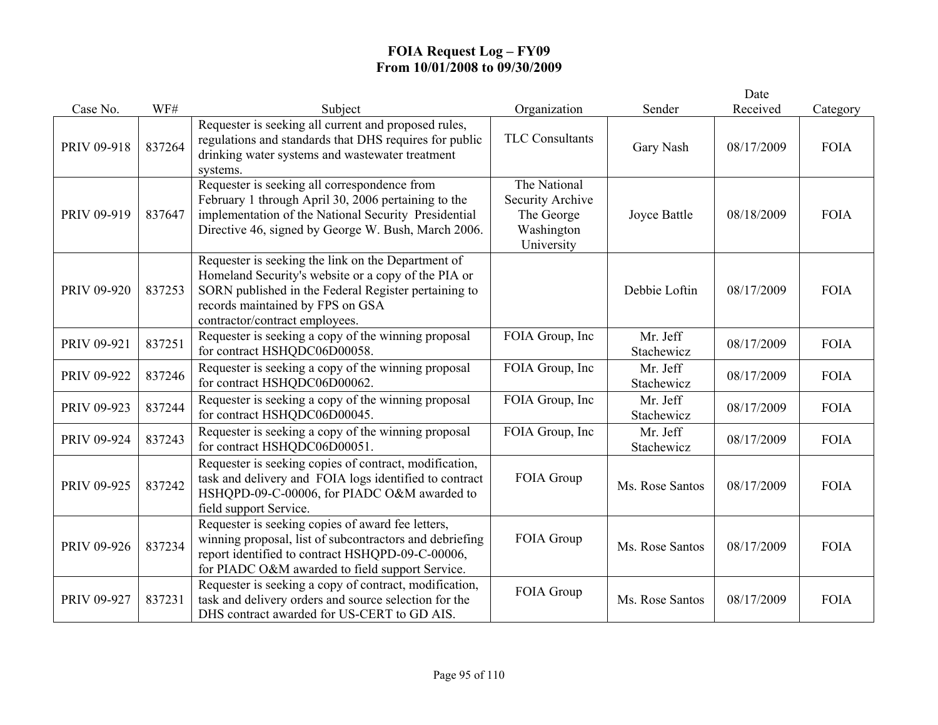|             |        |                                                                                                                                                                                                                                         |                                                                            |                        | Date       |             |
|-------------|--------|-----------------------------------------------------------------------------------------------------------------------------------------------------------------------------------------------------------------------------------------|----------------------------------------------------------------------------|------------------------|------------|-------------|
| Case No.    | WF#    | Subject                                                                                                                                                                                                                                 | Organization                                                               | Sender                 | Received   | Category    |
| PRIV 09-918 | 837264 | Requester is seeking all current and proposed rules,<br>regulations and standards that DHS requires for public<br>drinking water systems and wastewater treatment<br>systems.                                                           | TLC Consultants                                                            | Gary Nash              | 08/17/2009 | <b>FOIA</b> |
| PRIV 09-919 | 837647 | Requester is seeking all correspondence from<br>February 1 through April 30, 2006 pertaining to the<br>implementation of the National Security Presidential<br>Directive 46, signed by George W. Bush, March 2006.                      | The National<br>Security Archive<br>The George<br>Washington<br>University | Joyce Battle           | 08/18/2009 | <b>FOIA</b> |
| PRIV 09-920 | 837253 | Requester is seeking the link on the Department of<br>Homeland Security's website or a copy of the PIA or<br>SORN published in the Federal Register pertaining to<br>records maintained by FPS on GSA<br>contractor/contract employees. |                                                                            | Debbie Loftin          | 08/17/2009 | <b>FOIA</b> |
| PRIV 09-921 | 837251 | Requester is seeking a copy of the winning proposal<br>for contract HSHQDC06D00058.                                                                                                                                                     | FOIA Group, Inc                                                            | Mr. Jeff<br>Stachewicz | 08/17/2009 | <b>FOIA</b> |
| PRIV 09-922 | 837246 | Requester is seeking a copy of the winning proposal<br>for contract HSHQDC06D00062.                                                                                                                                                     | FOIA Group, Inc                                                            | Mr. Jeff<br>Stachewicz | 08/17/2009 | <b>FOIA</b> |
| PRIV 09-923 | 837244 | Requester is seeking a copy of the winning proposal<br>for contract HSHQDC06D00045.                                                                                                                                                     | FOIA Group, Inc                                                            | Mr. Jeff<br>Stachewicz | 08/17/2009 | <b>FOIA</b> |
| PRIV 09-924 | 837243 | Requester is seeking a copy of the winning proposal<br>for contract HSHQDC06D00051.                                                                                                                                                     | FOIA Group, Inc                                                            | Mr. Jeff<br>Stachewicz | 08/17/2009 | <b>FOIA</b> |
| PRIV 09-925 | 837242 | Requester is seeking copies of contract, modification,<br>task and delivery and FOIA logs identified to contract<br>HSHQPD-09-C-00006, for PIADC O&M awarded to<br>field support Service.                                               | FOIA Group                                                                 | Ms. Rose Santos        | 08/17/2009 | <b>FOIA</b> |
| PRIV 09-926 | 837234 | Requester is seeking copies of award fee letters,<br>winning proposal, list of subcontractors and debriefing<br>report identified to contract HSHQPD-09-C-00006,<br>for PIADC O&M awarded to field support Service.                     | FOIA Group                                                                 | Ms. Rose Santos        | 08/17/2009 | <b>FOIA</b> |
| PRIV 09-927 | 837231 | Requester is seeking a copy of contract, modification,<br>task and delivery orders and source selection for the<br>DHS contract awarded for US-CERT to GD AIS.                                                                          | FOIA Group                                                                 | Ms. Rose Santos        | 08/17/2009 | <b>FOIA</b> |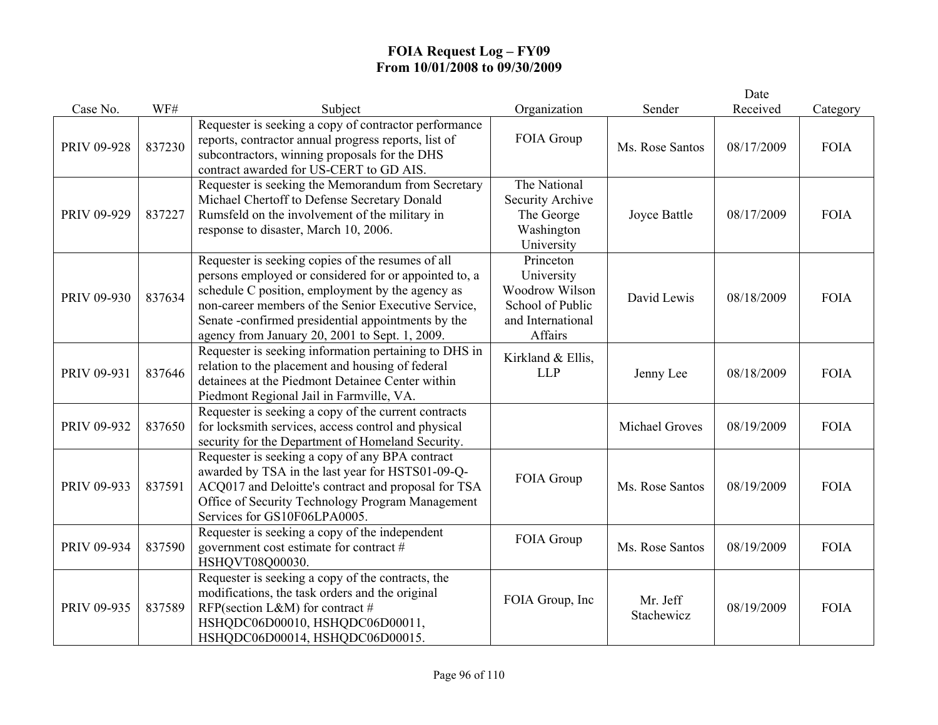|             |        |                                                                                                                                                                                                                                                                                                                               |                                                                                               |                        | Date       |             |
|-------------|--------|-------------------------------------------------------------------------------------------------------------------------------------------------------------------------------------------------------------------------------------------------------------------------------------------------------------------------------|-----------------------------------------------------------------------------------------------|------------------------|------------|-------------|
| Case No.    | WF#    | Subject                                                                                                                                                                                                                                                                                                                       | Organization                                                                                  | Sender                 | Received   | Category    |
| PRIV 09-928 | 837230 | Requester is seeking a copy of contractor performance<br>reports, contractor annual progress reports, list of<br>subcontractors, winning proposals for the DHS<br>contract awarded for US-CERT to GD AIS.                                                                                                                     | FOIA Group                                                                                    | Ms. Rose Santos        | 08/17/2009 | <b>FOIA</b> |
| PRIV 09-929 | 837227 | Requester is seeking the Memorandum from Secretary<br>Michael Chertoff to Defense Secretary Donald<br>Rumsfeld on the involvement of the military in<br>response to disaster, March 10, 2006.                                                                                                                                 | The National<br>Security Archive<br>The George<br>Washington<br>University                    | Joyce Battle           | 08/17/2009 | <b>FOIA</b> |
| PRIV 09-930 | 837634 | Requester is seeking copies of the resumes of all<br>persons employed or considered for or appointed to, a<br>schedule C position, employment by the agency as<br>non-career members of the Senior Executive Service,<br>Senate -confirmed presidential appointments by the<br>agency from January 20, 2001 to Sept. 1, 2009. | Princeton<br>University<br>Woodrow Wilson<br>School of Public<br>and International<br>Affairs | David Lewis            | 08/18/2009 | <b>FOIA</b> |
| PRIV 09-931 | 837646 | Requester is seeking information pertaining to DHS in<br>relation to the placement and housing of federal<br>detainees at the Piedmont Detainee Center within<br>Piedmont Regional Jail in Farmville, VA.                                                                                                                     | Kirkland & Ellis,<br><b>LLP</b>                                                               | Jenny Lee              | 08/18/2009 | <b>FOIA</b> |
| PRIV 09-932 | 837650 | Requester is seeking a copy of the current contracts<br>for locksmith services, access control and physical<br>security for the Department of Homeland Security.                                                                                                                                                              |                                                                                               | <b>Michael Groves</b>  | 08/19/2009 | <b>FOIA</b> |
| PRIV 09-933 | 837591 | Requester is seeking a copy of any BPA contract<br>awarded by TSA in the last year for HSTS01-09-Q-<br>ACQ017 and Deloitte's contract and proposal for TSA<br>Office of Security Technology Program Management<br>Services for GS10F06LPA0005.                                                                                | FOIA Group                                                                                    | Ms. Rose Santos        | 08/19/2009 | <b>FOIA</b> |
| PRIV 09-934 | 837590 | Requester is seeking a copy of the independent<br>government cost estimate for contract #<br>HSHQVT08Q00030.                                                                                                                                                                                                                  | FOIA Group                                                                                    | Ms. Rose Santos        | 08/19/2009 | <b>FOIA</b> |
| PRIV 09-935 | 837589 | Requester is seeking a copy of the contracts, the<br>modifications, the task orders and the original<br>RFP(section L&M) for contract #<br>HSHQDC06D00010, HSHQDC06D00011,<br>HSHQDC06D00014, HSHQDC06D00015.                                                                                                                 | FOIA Group, Inc                                                                               | Mr. Jeff<br>Stachewicz | 08/19/2009 | <b>FOIA</b> |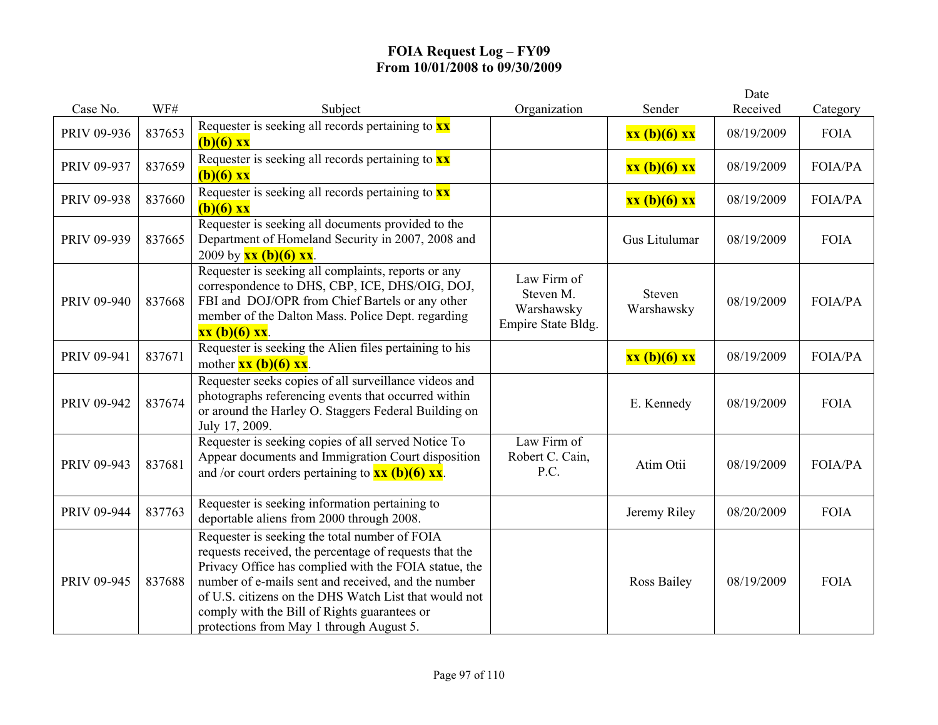|             |        |                                                                                                                                                                                                                                                                                                                                                                              |                                                              |                             | Date       |                |
|-------------|--------|------------------------------------------------------------------------------------------------------------------------------------------------------------------------------------------------------------------------------------------------------------------------------------------------------------------------------------------------------------------------------|--------------------------------------------------------------|-----------------------------|------------|----------------|
| Case No.    | WF#    | Subject                                                                                                                                                                                                                                                                                                                                                                      | Organization                                                 | Sender                      | Received   | Category       |
| PRIV 09-936 | 837653 | Requester is seeking all records pertaining to $\mathbf{x} \mathbf{x}$<br>$(b)(6)$ xx                                                                                                                                                                                                                                                                                        |                                                              | $xx(b)(6)$ $xx$             | 08/19/2009 | <b>FOIA</b>    |
| PRIV 09-937 | 837659 | Requester is seeking all records pertaining to $\mathbf{x} \mathbf{x}$<br>$(b)(6)$ xx                                                                                                                                                                                                                                                                                        |                                                              | xx (b)(6) xx                | 08/19/2009 | <b>FOIA/PA</b> |
| PRIV 09-938 | 837660 | Requester is seeking all records pertaining to $\mathbf{x} \mathbf{x}$<br>$(b)(6)$ xx                                                                                                                                                                                                                                                                                        |                                                              | xx (b)(6) xx                | 08/19/2009 | <b>FOIA/PA</b> |
| PRIV 09-939 | 837665 | Requester is seeking all documents provided to the<br>Department of Homeland Security in 2007, 2008 and<br>2009 by $\frac{xx(b)(6)xx}{x}$ .                                                                                                                                                                                                                                  |                                                              | Gus Litulumar               | 08/19/2009 | <b>FOIA</b>    |
| PRIV 09-940 | 837668 | Requester is seeking all complaints, reports or any<br>correspondence to DHS, CBP, ICE, DHS/OIG, DOJ,<br>FBI and DOJ/OPR from Chief Bartels or any other<br>member of the Dalton Mass. Police Dept. regarding<br>$xx (b)(6) xx$ .                                                                                                                                            | Law Firm of<br>Steven M.<br>Warshawsky<br>Empire State Bldg. | <b>Steven</b><br>Warshawsky | 08/19/2009 | <b>FOIA/PA</b> |
| PRIV 09-941 | 837671 | Requester is seeking the Alien files pertaining to his<br>mother $\overline{\mathbf{xx}(\mathbf{b})(6)} \mathbf{xx}$ .                                                                                                                                                                                                                                                       |                                                              | xx (b)(6) xx                | 08/19/2009 | <b>FOIA/PA</b> |
| PRIV 09-942 | 837674 | Requester seeks copies of all surveillance videos and<br>photographs referencing events that occurred within<br>or around the Harley O. Staggers Federal Building on<br>July 17, 2009.                                                                                                                                                                                       |                                                              | E. Kennedy                  | 08/19/2009 | <b>FOIA</b>    |
| PRIV 09-943 | 837681 | Requester is seeking copies of all served Notice To<br>Appear documents and Immigration Court disposition<br>and /or court orders pertaining to $\overline{\mathbf{x}\mathbf{x}}$ (b)(6) $\overline{\mathbf{x}\mathbf{x}}$ .                                                                                                                                                 | Law Firm of<br>Robert C. Cain,<br>P.C.                       | Atim Otii                   | 08/19/2009 | <b>FOIA/PA</b> |
| PRIV 09-944 | 837763 | Requester is seeking information pertaining to<br>deportable aliens from 2000 through 2008.                                                                                                                                                                                                                                                                                  |                                                              | Jeremy Riley                | 08/20/2009 | <b>FOIA</b>    |
| PRIV 09-945 | 837688 | Requester is seeking the total number of FOIA<br>requests received, the percentage of requests that the<br>Privacy Office has complied with the FOIA statue, the<br>number of e-mails sent and received, and the number<br>of U.S. citizens on the DHS Watch List that would not<br>comply with the Bill of Rights guarantees or<br>protections from May 1 through August 5. |                                                              | Ross Bailey                 | 08/19/2009 | <b>FOIA</b>    |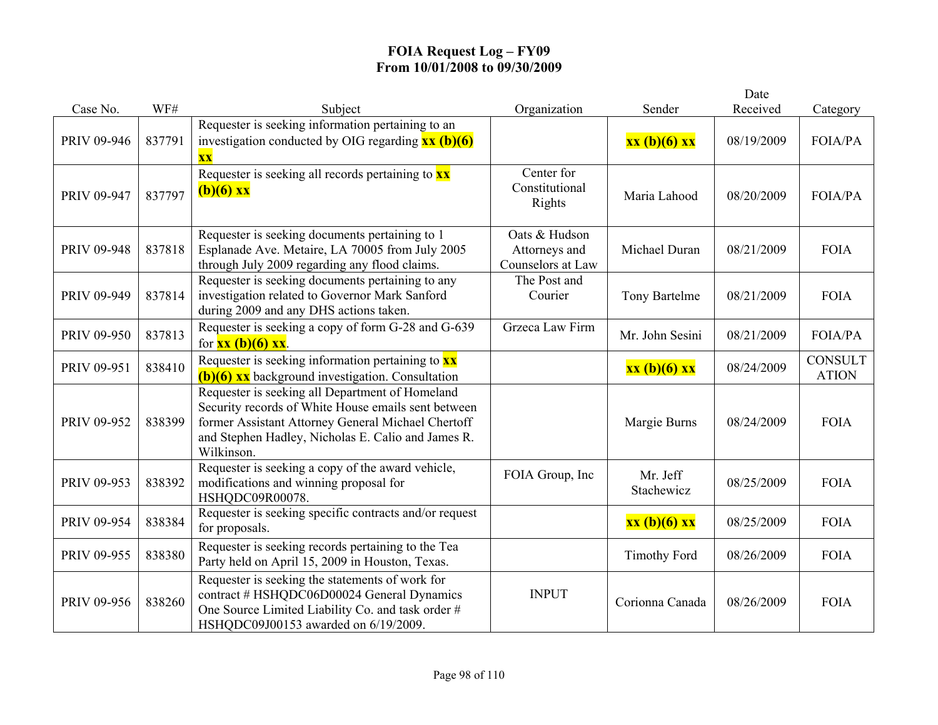|             |        |                                                                                                                                                                                                                                  |                                                     |                        | Date       |                                |
|-------------|--------|----------------------------------------------------------------------------------------------------------------------------------------------------------------------------------------------------------------------------------|-----------------------------------------------------|------------------------|------------|--------------------------------|
| Case No.    | WF#    | Subject                                                                                                                                                                                                                          | Organization                                        | Sender                 | Received   | Category                       |
| PRIV 09-946 | 837791 | Requester is seeking information pertaining to an<br>investigation conducted by OIG regarding $\overline{\mathbf{x}\mathbf{x}}$ (b)(6)<br><b>XX</b>                                                                              |                                                     | xx (b)(6) xx           | 08/19/2009 | FOIA/PA                        |
| PRIV 09-947 | 837797 | Requester is seeking all records pertaining to $\mathbf{x} \mathbf{x}$<br>$(b)(6)$ xx                                                                                                                                            | Center for<br>Constitutional<br>Rights              | Maria Lahood           | 08/20/2009 | <b>FOIA/PA</b>                 |
| PRIV 09-948 | 837818 | Requester is seeking documents pertaining to 1<br>Esplanade Ave. Metaire, LA 70005 from July 2005<br>through July 2009 regarding any flood claims.                                                                               | Oats & Hudson<br>Attorneys and<br>Counselors at Law | Michael Duran          | 08/21/2009 | <b>FOIA</b>                    |
| PRIV 09-949 | 837814 | Requester is seeking documents pertaining to any<br>investigation related to Governor Mark Sanford<br>during 2009 and any DHS actions taken.                                                                                     | The Post and<br>Courier                             | Tony Bartelme          | 08/21/2009 | <b>FOIA</b>                    |
| PRIV 09-950 | 837813 | Requester is seeking a copy of form G-28 and G-639<br>for $\frac{xx(b)(6)}{x}$ xx.                                                                                                                                               | Grzeca Law Firm                                     | Mr. John Sesini        | 08/21/2009 | FOIA/PA                        |
| PRIV 09-951 | 838410 | Requester is seeking information pertaining to $\mathbf{x}\mathbf{x}$<br>$(b)(6)$ xx background investigation. Consultation                                                                                                      |                                                     | xx (b)(6) xx           | 08/24/2009 | <b>CONSULT</b><br><b>ATION</b> |
| PRIV 09-952 | 838399 | Requester is seeking all Department of Homeland<br>Security records of White House emails sent between<br>former Assistant Attorney General Michael Chertoff<br>and Stephen Hadley, Nicholas E. Calio and James R.<br>Wilkinson. |                                                     | Margie Burns           | 08/24/2009 | <b>FOIA</b>                    |
| PRIV 09-953 | 838392 | Requester is seeking a copy of the award vehicle,<br>modifications and winning proposal for<br>HSHQDC09R00078.                                                                                                                   | FOIA Group, Inc                                     | Mr. Jeff<br>Stachewicz | 08/25/2009 | <b>FOIA</b>                    |
| PRIV 09-954 | 838384 | Requester is seeking specific contracts and/or request<br>for proposals.                                                                                                                                                         |                                                     | xx (b)(6) xx           | 08/25/2009 | <b>FOIA</b>                    |
| PRIV 09-955 | 838380 | Requester is seeking records pertaining to the Tea<br>Party held on April 15, 2009 in Houston, Texas.                                                                                                                            |                                                     | <b>Timothy Ford</b>    | 08/26/2009 | <b>FOIA</b>                    |
| PRIV 09-956 | 838260 | Requester is seeking the statements of work for<br>contract # HSHQDC06D00024 General Dynamics<br>One Source Limited Liability Co. and task order #<br>HSHQDC09J00153 awarded on 6/19/2009.                                       | <b>INPUT</b>                                        | Corionna Canada        | 08/26/2009 | <b>FOIA</b>                    |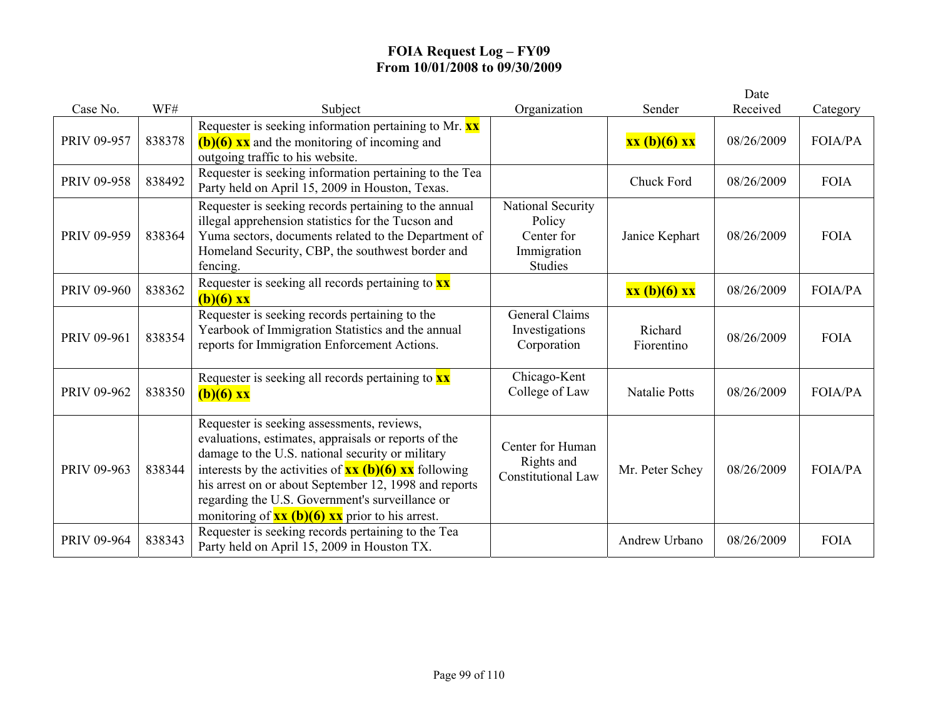|             |        |                                                                                                                                                                                                                                                                                                                                                                                                                                |                                                                            |                       | Date       |                |
|-------------|--------|--------------------------------------------------------------------------------------------------------------------------------------------------------------------------------------------------------------------------------------------------------------------------------------------------------------------------------------------------------------------------------------------------------------------------------|----------------------------------------------------------------------------|-----------------------|------------|----------------|
| Case No.    | WF#    | Subject                                                                                                                                                                                                                                                                                                                                                                                                                        | Organization                                                               | Sender                | Received   | Category       |
| PRIV 09-957 | 838378 | Requester is seeking information pertaining to Mr. XX<br>$(b)(6)$ xx and the monitoring of incoming and<br>outgoing traffic to his website.                                                                                                                                                                                                                                                                                    |                                                                            | xx (b)(6) xx          | 08/26/2009 | <b>FOIA/PA</b> |
| PRIV 09-958 | 838492 | Requester is seeking information pertaining to the Tea<br>Party held on April 15, 2009 in Houston, Texas.                                                                                                                                                                                                                                                                                                                      |                                                                            | Chuck Ford            | 08/26/2009 | <b>FOIA</b>    |
| PRIV 09-959 | 838364 | Requester is seeking records pertaining to the annual<br>illegal apprehension statistics for the Tucson and<br>Yuma sectors, documents related to the Department of<br>Homeland Security, CBP, the southwest border and<br>fencing.                                                                                                                                                                                            | National Security<br>Policy<br>Center for<br>Immigration<br><b>Studies</b> | Janice Kephart        | 08/26/2009 | <b>FOIA</b>    |
| PRIV 09-960 | 838362 | Requester is seeking all records pertaining to <b>xx</b><br>$(b)(6)$ xx                                                                                                                                                                                                                                                                                                                                                        |                                                                            | xx (b)(6) xx          | 08/26/2009 | <b>FOIA/PA</b> |
| PRIV 09-961 | 838354 | Requester is seeking records pertaining to the<br>Yearbook of Immigration Statistics and the annual<br>reports for Immigration Enforcement Actions.                                                                                                                                                                                                                                                                            | <b>General Claims</b><br>Investigations<br>Corporation                     | Richard<br>Fiorentino | 08/26/2009 | <b>FOIA</b>    |
| PRIV 09-962 | 838350 | Requester is seeking all records pertaining to $\mathbf{x}\mathbf{x}$<br>$(b)(6)$ xx                                                                                                                                                                                                                                                                                                                                           | Chicago-Kent<br>College of Law                                             | <b>Natalie Potts</b>  | 08/26/2009 | <b>FOIA/PA</b> |
| PRIV 09-963 | 838344 | Requester is seeking assessments, reviews,<br>evaluations, estimates, appraisals or reports of the<br>damage to the U.S. national security or military<br>interests by the activities of $\frac{xx}{(b)(6)}$ $\frac{xx}{(d)}$ following<br>his arrest on or about September 12, 1998 and reports<br>regarding the U.S. Government's surveillance or<br>monitoring of $\frac{xx}{(b)}(6)$ $\frac{xx}{(c)}$ prior to his arrest. | Center for Human<br>Rights and<br><b>Constitutional Law</b>                | Mr. Peter Schey       | 08/26/2009 | <b>FOIA/PA</b> |
| PRIV 09-964 | 838343 | Requester is seeking records pertaining to the Tea<br>Party held on April 15, 2009 in Houston TX.                                                                                                                                                                                                                                                                                                                              |                                                                            | Andrew Urbano         | 08/26/2009 | <b>FOIA</b>    |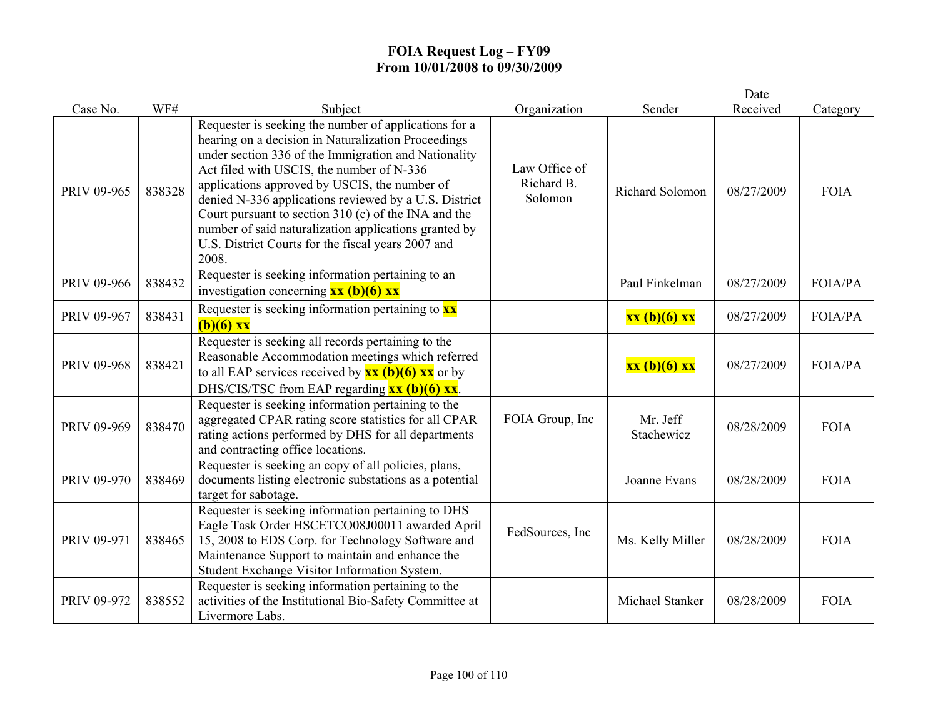|             |        |                                                                                                                                                                                                                                                                                                                                                                                                                                                                                                             |                                        |                        | Date       |                |
|-------------|--------|-------------------------------------------------------------------------------------------------------------------------------------------------------------------------------------------------------------------------------------------------------------------------------------------------------------------------------------------------------------------------------------------------------------------------------------------------------------------------------------------------------------|----------------------------------------|------------------------|------------|----------------|
| Case No.    | WF#    | Subject                                                                                                                                                                                                                                                                                                                                                                                                                                                                                                     | Organization                           | Sender                 | Received   | Category       |
| PRIV 09-965 | 838328 | Requester is seeking the number of applications for a<br>hearing on a decision in Naturalization Proceedings<br>under section 336 of the Immigration and Nationality<br>Act filed with USCIS, the number of N-336<br>applications approved by USCIS, the number of<br>denied N-336 applications reviewed by a U.S. District<br>Court pursuant to section 310 (c) of the INA and the<br>number of said naturalization applications granted by<br>U.S. District Courts for the fiscal years 2007 and<br>2008. | Law Office of<br>Richard B.<br>Solomon | Richard Solomon        | 08/27/2009 | <b>FOIA</b>    |
| PRIV 09-966 | 838432 | Requester is seeking information pertaining to an<br>investigation concerning $\overline{\mathbf{x}\mathbf{x}}$ (b)(6) $\overline{\mathbf{x}\mathbf{x}}$                                                                                                                                                                                                                                                                                                                                                    |                                        | Paul Finkelman         | 08/27/2009 | <b>FOIA/PA</b> |
| PRIV 09-967 | 838431 | Requester is seeking information pertaining to $\frac{xx}{ }$<br>$(b)(6)$ xx                                                                                                                                                                                                                                                                                                                                                                                                                                |                                        | xx (b)(6) xx           | 08/27/2009 | <b>FOIA/PA</b> |
| PRIV 09-968 | 838421 | Requester is seeking all records pertaining to the<br>Reasonable Accommodation meetings which referred<br>to all EAP services received by $\overline{\mathbf{x}\mathbf{x}}$ (b)(6) $\overline{\mathbf{x}\mathbf{x}}$ or by<br>DHS/CIS/TSC from EAP regarding $\overline{\mathbf{x}\mathbf{x}}$ (b)(6) $\overline{\mathbf{x}\mathbf{x}}$ .                                                                                                                                                                   |                                        | xx (b)(6) xx           | 08/27/2009 | <b>FOIA/PA</b> |
| PRIV 09-969 | 838470 | Requester is seeking information pertaining to the<br>aggregated CPAR rating score statistics for all CPAR<br>rating actions performed by DHS for all departments<br>and contracting office locations.                                                                                                                                                                                                                                                                                                      | FOIA Group, Inc                        | Mr. Jeff<br>Stachewicz | 08/28/2009 | <b>FOIA</b>    |
| PRIV 09-970 | 838469 | Requester is seeking an copy of all policies, plans,<br>documents listing electronic substations as a potential<br>target for sabotage.                                                                                                                                                                                                                                                                                                                                                                     |                                        | Joanne Evans           | 08/28/2009 | <b>FOIA</b>    |
| PRIV 09-971 | 838465 | Requester is seeking information pertaining to DHS<br>Eagle Task Order HSCETCO08J00011 awarded April<br>15, 2008 to EDS Corp. for Technology Software and<br>Maintenance Support to maintain and enhance the<br>Student Exchange Visitor Information System.                                                                                                                                                                                                                                                | FedSources, Inc.                       | Ms. Kelly Miller       | 08/28/2009 | <b>FOIA</b>    |
| PRIV 09-972 | 838552 | Requester is seeking information pertaining to the<br>activities of the Institutional Bio-Safety Committee at<br>Livermore Labs.                                                                                                                                                                                                                                                                                                                                                                            |                                        | Michael Stanker        | 08/28/2009 | <b>FOIA</b>    |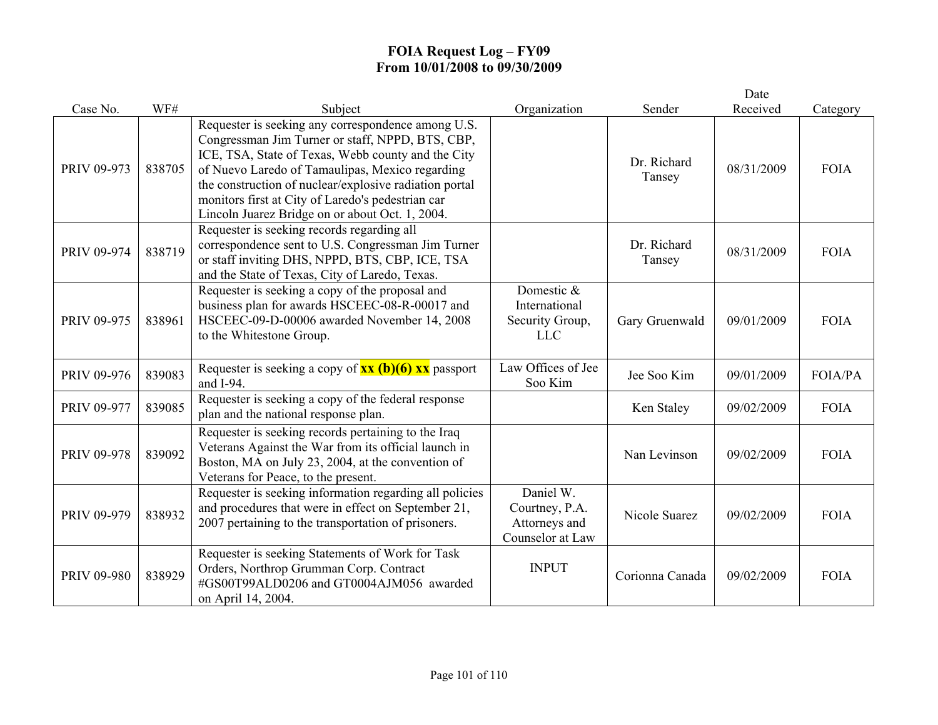|             |        |                                                                                                                                                                                                                                                                                                                                                                                   |                                                                  |                       | Date       |             |
|-------------|--------|-----------------------------------------------------------------------------------------------------------------------------------------------------------------------------------------------------------------------------------------------------------------------------------------------------------------------------------------------------------------------------------|------------------------------------------------------------------|-----------------------|------------|-------------|
| Case No.    | WF#    | Subject                                                                                                                                                                                                                                                                                                                                                                           | Organization                                                     | Sender                | Received   | Category    |
| PRIV 09-973 | 838705 | Requester is seeking any correspondence among U.S.<br>Congressman Jim Turner or staff, NPPD, BTS, CBP,<br>ICE, TSA, State of Texas, Webb county and the City<br>of Nuevo Laredo of Tamaulipas, Mexico regarding<br>the construction of nuclear/explosive radiation portal<br>monitors first at City of Laredo's pedestrian car<br>Lincoln Juarez Bridge on or about Oct. 1, 2004. |                                                                  | Dr. Richard<br>Tansey | 08/31/2009 | <b>FOIA</b> |
| PRIV 09-974 | 838719 | Requester is seeking records regarding all<br>correspondence sent to U.S. Congressman Jim Turner<br>or staff inviting DHS, NPPD, BTS, CBP, ICE, TSA<br>and the State of Texas, City of Laredo, Texas.                                                                                                                                                                             |                                                                  | Dr. Richard<br>Tansey | 08/31/2009 | <b>FOIA</b> |
| PRIV 09-975 | 838961 | Requester is seeking a copy of the proposal and<br>business plan for awards HSCEEC-08-R-00017 and<br>HSCEEC-09-D-00006 awarded November 14, 2008<br>to the Whitestone Group.                                                                                                                                                                                                      | Domestic &<br>International<br>Security Group,<br><b>LLC</b>     | Gary Gruenwald        | 09/01/2009 | <b>FOIA</b> |
| PRIV 09-976 | 839083 | Requester is seeking a copy of $xx$ (b)(6) xx passport<br>and I-94.                                                                                                                                                                                                                                                                                                               | Law Offices of Jee<br>Soo Kim                                    | Jee Soo Kim           | 09/01/2009 | FOIA/PA     |
| PRIV 09-977 | 839085 | Requester is seeking a copy of the federal response<br>plan and the national response plan.                                                                                                                                                                                                                                                                                       |                                                                  | Ken Staley            | 09/02/2009 | <b>FOIA</b> |
| PRIV 09-978 | 839092 | Requester is seeking records pertaining to the Iraq<br>Veterans Against the War from its official launch in<br>Boston, MA on July 23, 2004, at the convention of<br>Veterans for Peace, to the present.                                                                                                                                                                           |                                                                  | Nan Levinson          | 09/02/2009 | <b>FOIA</b> |
| PRIV 09-979 | 838932 | Requester is seeking information regarding all policies<br>and procedures that were in effect on September 21,<br>2007 pertaining to the transportation of prisoners.                                                                                                                                                                                                             | Daniel W.<br>Courtney, P.A.<br>Attorneys and<br>Counselor at Law | Nicole Suarez         | 09/02/2009 | <b>FOIA</b> |
| PRIV 09-980 | 838929 | Requester is seeking Statements of Work for Task<br>Orders, Northrop Grumman Corp. Contract<br>#GS00T99ALD0206 and GT0004AJM056 awarded<br>on April 14, 2004.                                                                                                                                                                                                                     | <b>INPUT</b>                                                     | Corionna Canada       | 09/02/2009 | <b>FOIA</b> |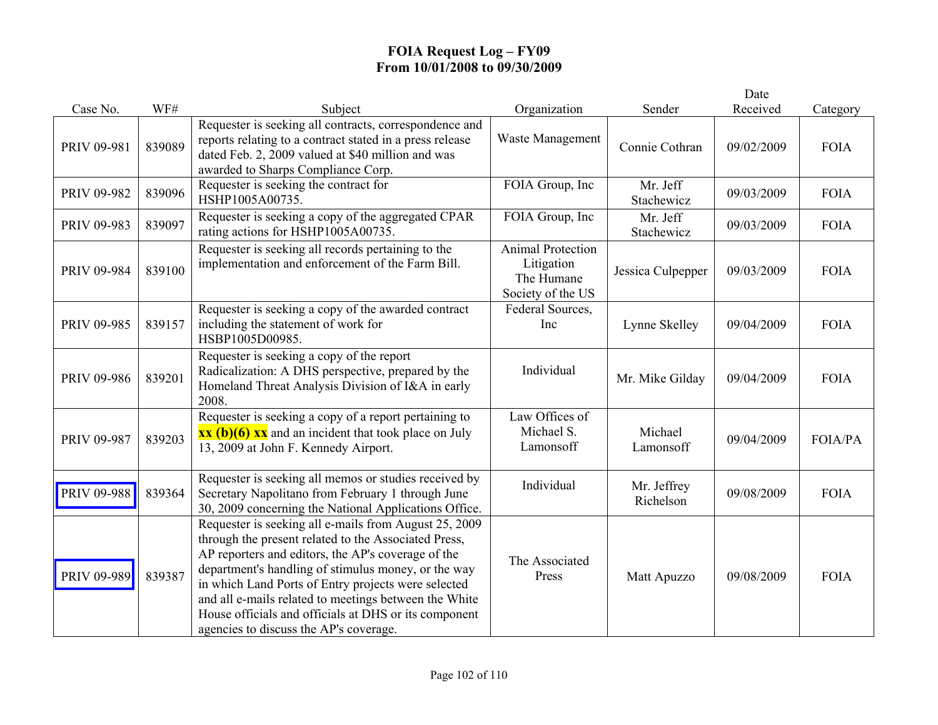|             |        |                                                                                                                                                                                                                                                                                                                                                                                                                                               |                                                                           |                          | Date       |             |
|-------------|--------|-----------------------------------------------------------------------------------------------------------------------------------------------------------------------------------------------------------------------------------------------------------------------------------------------------------------------------------------------------------------------------------------------------------------------------------------------|---------------------------------------------------------------------------|--------------------------|------------|-------------|
| Case No.    | WF#    | Subject                                                                                                                                                                                                                                                                                                                                                                                                                                       | Organization                                                              | Sender                   | Received   | Category    |
| PRIV 09-981 | 839089 | Requester is seeking all contracts, correspondence and<br>reports relating to a contract stated in a press release<br>dated Feb. 2, 2009 valued at \$40 million and was<br>awarded to Sharps Compliance Corp.                                                                                                                                                                                                                                 | Waste Management                                                          | Connie Cothran           | 09/02/2009 | <b>FOIA</b> |
| PRIV 09-982 | 839096 | Requester is seeking the contract for<br>HSHP1005A00735.                                                                                                                                                                                                                                                                                                                                                                                      | FOIA Group, Inc                                                           | Mr. Jeff<br>Stachewicz   | 09/03/2009 | <b>FOIA</b> |
| PRIV 09-983 | 839097 | Requester is seeking a copy of the aggregated CPAR<br>rating actions for HSHP1005A00735.                                                                                                                                                                                                                                                                                                                                                      | FOIA Group, Inc                                                           | Mr. Jeff<br>Stachewicz   | 09/03/2009 | <b>FOIA</b> |
| PRIV 09-984 | 839100 | Requester is seeking all records pertaining to the<br>implementation and enforcement of the Farm Bill.                                                                                                                                                                                                                                                                                                                                        | <b>Animal Protection</b><br>Litigation<br>The Humane<br>Society of the US | Jessica Culpepper        | 09/03/2009 | <b>FOIA</b> |
| PRIV 09-985 | 839157 | Requester is seeking a copy of the awarded contract<br>including the statement of work for<br>HSBP1005D00985.                                                                                                                                                                                                                                                                                                                                 | Federal Sources,<br>Inc                                                   | Lynne Skelley            | 09/04/2009 | <b>FOIA</b> |
| PRIV 09-986 | 839201 | Requester is seeking a copy of the report<br>Radicalization: A DHS perspective, prepared by the<br>Homeland Threat Analysis Division of I&A in early<br>2008.                                                                                                                                                                                                                                                                                 | Individual                                                                | Mr. Mike Gilday          | 09/04/2009 | <b>FOIA</b> |
| PRIV 09-987 | 839203 | Requester is seeking a copy of a report pertaining to<br>$\overline{\text{xx (b)(6)} \text{xx}}$ and an incident that took place on July<br>13, 2009 at John F. Kennedy Airport.                                                                                                                                                                                                                                                              | Law Offices of<br>Michael S.<br>Lamonsoff                                 | Michael<br>Lamonsoff     | 09/04/2009 | FOIA/PA     |
| PRIV 09-988 | 839364 | Requester is seeking all memos or studies received by<br>Secretary Napolitano from February 1 through June<br>30, 2009 concerning the National Applications Office.                                                                                                                                                                                                                                                                           | Individual                                                                | Mr. Jeffrey<br>Richelson | 09/08/2009 | <b>FOIA</b> |
| PRIV 09-989 | 839387 | Requester is seeking all e-mails from August 25, 2009<br>through the present related to the Associated Press,<br>AP reporters and editors, the AP's coverage of the<br>department's handling of stimulus money, or the way<br>in which Land Ports of Entry projects were selected<br>and all e-mails related to meetings between the White<br>House officials and officials at DHS or its component<br>agencies to discuss the AP's coverage. | The Associated<br>Press                                                   | Matt Apuzzo              | 09/08/2009 | <b>FOIA</b> |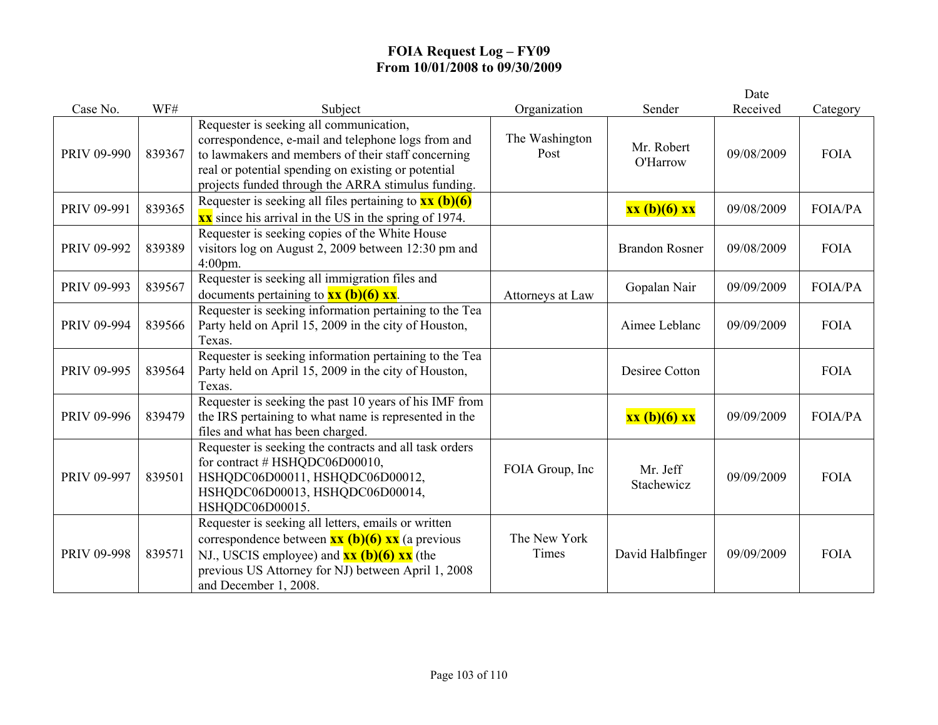|             |        |                                                                                                                                                                                                                                                                  |                        |                        | Date       |                |
|-------------|--------|------------------------------------------------------------------------------------------------------------------------------------------------------------------------------------------------------------------------------------------------------------------|------------------------|------------------------|------------|----------------|
| Case No.    | WF#    | Subject                                                                                                                                                                                                                                                          | Organization           | Sender                 | Received   | Category       |
| PRIV 09-990 | 839367 | Requester is seeking all communication,<br>correspondence, e-mail and telephone logs from and<br>to lawmakers and members of their staff concerning<br>real or potential spending on existing or potential<br>projects funded through the ARRA stimulus funding. | The Washington<br>Post | Mr. Robert<br>O'Harrow | 09/08/2009 | <b>FOIA</b>    |
| PRIV 09-991 | 839365 | Requester is seeking all files pertaining to $\frac{xx (b)(6)}{}$<br>$\overline{\text{xx}}$ since his arrival in the US in the spring of 1974.                                                                                                                   |                        | xx (b)(6) xx           | 09/08/2009 | FOIA/PA        |
| PRIV 09-992 | 839389 | Requester is seeking copies of the White House<br>visitors log on August 2, 2009 between 12:30 pm and<br>$4:00$ pm.                                                                                                                                              |                        | <b>Brandon Rosner</b>  | 09/08/2009 | <b>FOIA</b>    |
| PRIV 09-993 | 839567 | Requester is seeking all immigration files and<br>documents pertaining to $xx$ (b)(6) xx.                                                                                                                                                                        | Attorneys at Law       | Gopalan Nair           | 09/09/2009 | <b>FOIA/PA</b> |
| PRIV 09-994 | 839566 | Requester is seeking information pertaining to the Tea<br>Party held on April 15, 2009 in the city of Houston,<br>Texas.                                                                                                                                         |                        | Aimee Leblanc          | 09/09/2009 | <b>FOIA</b>    |
| PRIV 09-995 | 839564 | Requester is seeking information pertaining to the Tea<br>Party held on April 15, 2009 in the city of Houston,<br>Texas.                                                                                                                                         |                        | Desiree Cotton         |            | <b>FOIA</b>    |
| PRIV 09-996 | 839479 | Requester is seeking the past 10 years of his IMF from<br>the IRS pertaining to what name is represented in the<br>files and what has been charged.                                                                                                              |                        | xx (b)(6) xx           | 09/09/2009 | <b>FOIA/PA</b> |
| PRIV 09-997 | 839501 | Requester is seeking the contracts and all task orders<br>for contract # HSHQDC06D00010,<br>HSHQDC06D00011, HSHQDC06D00012,<br>HSHQDC06D00013, HSHQDC06D00014,<br>HSHQDC06D00015.                                                                                | FOIA Group, Inc        | Mr. Jeff<br>Stachewicz | 09/09/2009 | <b>FOIA</b>    |
| PRIV 09-998 | 839571 | Requester is seeking all letters, emails or written<br>correspondence between $\frac{xx (b)(6) xx}{(a)$ previous<br>NJ., USCIS employee) and $\frac{xx(b)(6)xx}{x}$ (the<br>previous US Attorney for NJ) between April 1, 2008<br>and December 1, 2008.          | The New York<br>Times  | David Halbfinger       | 09/09/2009 | <b>FOIA</b>    |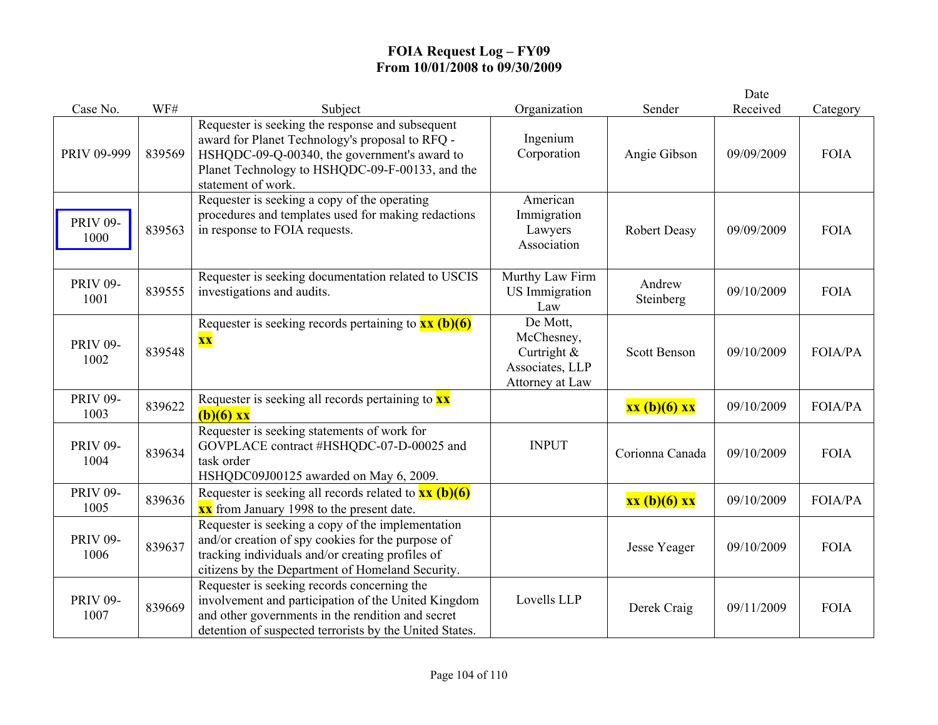|                         |        |                                                                                                                                                                                                                              |                                                                             |                     | Date       |                |
|-------------------------|--------|------------------------------------------------------------------------------------------------------------------------------------------------------------------------------------------------------------------------------|-----------------------------------------------------------------------------|---------------------|------------|----------------|
| Case No.                | WF#    | Subject                                                                                                                                                                                                                      | Organization                                                                | Sender              | Received   | Category       |
| PRIV 09-999             | 839569 | Requester is seeking the response and subsequent<br>award for Planet Technology's proposal to RFQ -<br>HSHQDC-09-Q-00340, the government's award to<br>Planet Technology to HSHQDC-09-F-00133, and the<br>statement of work. | Ingenium<br>Corporation                                                     | Angie Gibson        | 09/09/2009 | <b>FOIA</b>    |
| <b>PRIV 09-</b><br>1000 | 839563 | Requester is seeking a copy of the operating<br>procedures and templates used for making redactions<br>in response to FOIA requests.                                                                                         | American<br>Immigration<br>Lawyers<br>Association                           | <b>Robert Deasy</b> | 09/09/2009 | <b>FOIA</b>    |
| <b>PRIV 09-</b><br>1001 | 839555 | Requester is seeking documentation related to USCIS<br>investigations and audits.                                                                                                                                            | Murthy Law Firm<br><b>US</b> Immigration<br>Law                             | Andrew<br>Steinberg | 09/10/2009 | <b>FOIA</b>    |
| <b>PRIV 09-</b><br>1002 | 839548 | Requester is seeking records pertaining to $\overline{\mathbf{x}\mathbf{x}}$ (b)(6)<br>$\overline{\mathbf{XX}}$                                                                                                              | De Mott,<br>McChesney,<br>Curtright &<br>Associates, LLP<br>Attorney at Law | <b>Scott Benson</b> | 09/10/2009 | FOIA/PA        |
| <b>PRIV 09-</b><br>1003 | 839622 | Requester is seeking all records pertaining to $\mathbf{x}\mathbf{x}$<br>$(b)(6)$ xx                                                                                                                                         |                                                                             | xx (b)(6) xx        | 09/10/2009 | <b>FOIA/PA</b> |
| <b>PRIV 09-</b><br>1004 | 839634 | Requester is seeking statements of work for<br>GOVPLACE contract #HSHQDC-07-D-00025 and<br>task order<br>HSHQDC09J00125 awarded on May 6, 2009.                                                                              | <b>INPUT</b>                                                                | Corionna Canada     | 09/10/2009 | <b>FOIA</b>    |
| <b>PRIV 09-</b><br>1005 | 839636 | Requester is seeking all records related to $\frac{xx}{(b)(6)}$<br><b>xx</b> from January 1998 to the present date.                                                                                                          |                                                                             | xx (b)(6) xx        | 09/10/2009 | FOIA/PA        |
| <b>PRIV 09-</b><br>1006 | 839637 | Requester is seeking a copy of the implementation<br>and/or creation of spy cookies for the purpose of<br>tracking individuals and/or creating profiles of<br>citizens by the Department of Homeland Security.               |                                                                             | Jesse Yeager        | 09/10/2009 | <b>FOIA</b>    |
| <b>PRIV 09-</b><br>1007 | 839669 | Requester is seeking records concerning the<br>involvement and participation of the United Kingdom<br>and other governments in the rendition and secret<br>detention of suspected terrorists by the United States.           | Lovells LLP                                                                 | Derek Craig         | 09/11/2009 | <b>FOIA</b>    |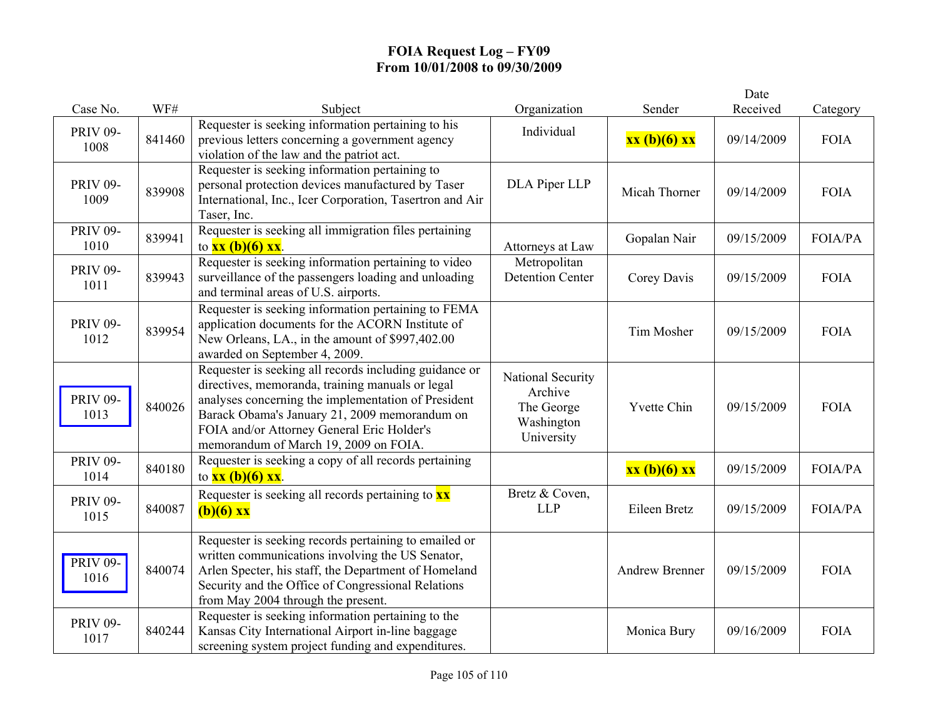| Case No.                | WF#    | Subject                                                                                                                                                                                                                                                                                                   | Organization                                                           | Sender                | Date<br>Received | Category    |
|-------------------------|--------|-----------------------------------------------------------------------------------------------------------------------------------------------------------------------------------------------------------------------------------------------------------------------------------------------------------|------------------------------------------------------------------------|-----------------------|------------------|-------------|
| <b>PRIV 09-</b><br>1008 | 841460 | Requester is seeking information pertaining to his<br>previous letters concerning a government agency<br>violation of the law and the patriot act.                                                                                                                                                        | Individual                                                             | xx (b)(6) xx          | 09/14/2009       | <b>FOIA</b> |
| <b>PRIV 09-</b><br>1009 | 839908 | Requester is seeking information pertaining to<br>personal protection devices manufactured by Taser<br>International, Inc., Icer Corporation, Tasertron and Air<br>Taser, Inc.                                                                                                                            | DLA Piper LLP                                                          | Micah Thorner         | 09/14/2009       | <b>FOIA</b> |
| <b>PRIV 09-</b><br>1010 | 839941 | Requester is seeking all immigration files pertaining<br>to $xx$ (b)(6) $xx$ .                                                                                                                                                                                                                            | Attorneys at Law                                                       | Gopalan Nair          | 09/15/2009       | FOIA/PA     |
| <b>PRIV 09-</b><br>1011 | 839943 | Requester is seeking information pertaining to video<br>surveillance of the passengers loading and unloading<br>and terminal areas of U.S. airports.                                                                                                                                                      | Metropolitan<br><b>Detention Center</b>                                | Corey Davis           | 09/15/2009       | <b>FOIA</b> |
| <b>PRIV 09-</b><br>1012 | 839954 | Requester is seeking information pertaining to FEMA<br>application documents for the ACORN Institute of<br>New Orleans, LA., in the amount of \$997,402.00<br>awarded on September 4, 2009.                                                                                                               |                                                                        | Tim Mosher            | 09/15/2009       | <b>FOIA</b> |
| <b>PRIV 09-</b><br>1013 | 840026 | Requester is seeking all records including guidance or<br>directives, memoranda, training manuals or legal<br>analyses concerning the implementation of President<br>Barack Obama's January 21, 2009 memorandum on<br>FOIA and/or Attorney General Eric Holder's<br>memorandum of March 19, 2009 on FOIA. | National Security<br>Archive<br>The George<br>Washington<br>University | <b>Yvette Chin</b>    | 09/15/2009       | <b>FOIA</b> |
| <b>PRIV 09-</b><br>1014 | 840180 | Requester is seeking a copy of all records pertaining<br>to $xx (b)(6) xx$ .                                                                                                                                                                                                                              |                                                                        | xx (b)(6) xx          | 09/15/2009       | FOIA/PA     |
| <b>PRIV 09-</b><br>1015 | 840087 | Requester is seeking all records pertaining to $\mathbf{x}\mathbf{x}$<br>$(b)(6)$ xx                                                                                                                                                                                                                      | Bretz & Coven,<br><b>LLP</b>                                           | Eileen Bretz          | 09/15/2009       | FOIA/PA     |
| <b>PRIV 09-</b><br>1016 | 840074 | Requester is seeking records pertaining to emailed or<br>written communications involving the US Senator,<br>Arlen Specter, his staff, the Department of Homeland<br>Security and the Office of Congressional Relations<br>from May 2004 through the present.                                             |                                                                        | <b>Andrew Brenner</b> | 09/15/2009       | <b>FOIA</b> |
| <b>PRIV 09-</b><br>1017 | 840244 | Requester is seeking information pertaining to the<br>Kansas City International Airport in-line baggage<br>screening system project funding and expenditures.                                                                                                                                             |                                                                        | Monica Bury           | 09/16/2009       | <b>FOIA</b> |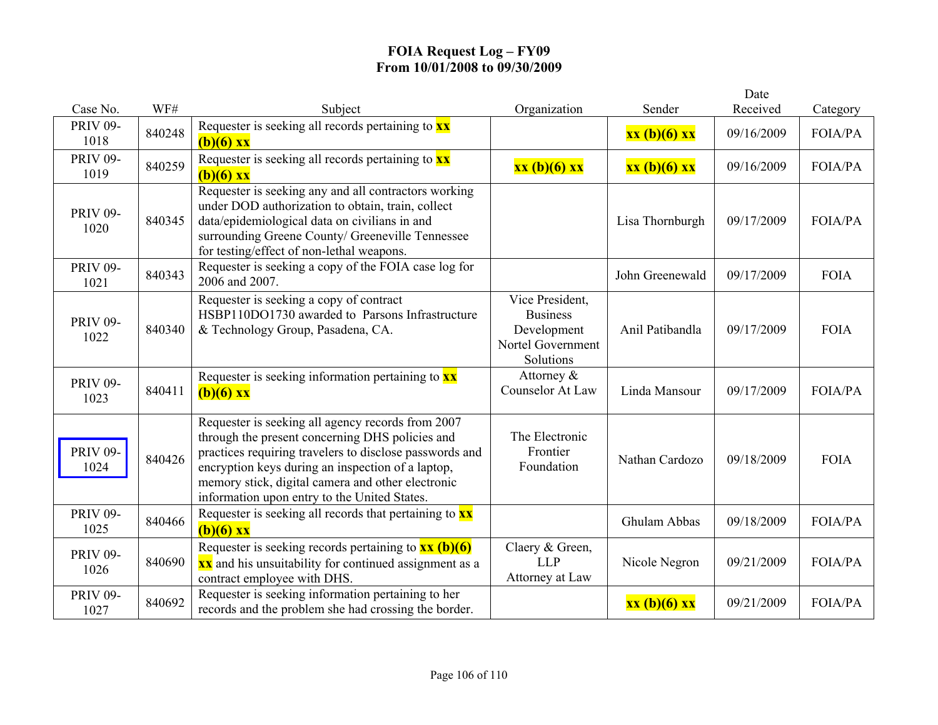|                         |        |                                                                                                                                                                                                                                                                                                                           |                                                                                     |                 | Date       |                |
|-------------------------|--------|---------------------------------------------------------------------------------------------------------------------------------------------------------------------------------------------------------------------------------------------------------------------------------------------------------------------------|-------------------------------------------------------------------------------------|-----------------|------------|----------------|
| Case No.                | WF#    | Subject                                                                                                                                                                                                                                                                                                                   | Organization                                                                        | Sender          | Received   | Category       |
| <b>PRIV 09-</b><br>1018 | 840248 | Requester is seeking all records pertaining to <b>xx</b><br>$(b)(6)$ xx                                                                                                                                                                                                                                                   |                                                                                     | xx (b)(6) xx    | 09/16/2009 | FOIA/PA        |
| <b>PRIV 09-</b><br>1019 | 840259 | Requester is seeking all records pertaining to $\mathbf{x}\mathbf{x}$<br>$(b)(6)$ xx                                                                                                                                                                                                                                      | xx (b)(6) xx                                                                        | xx (b)(6) xx    | 09/16/2009 | <b>FOIA/PA</b> |
| <b>PRIV 09-</b><br>1020 | 840345 | Requester is seeking any and all contractors working<br>under DOD authorization to obtain, train, collect<br>data/epidemiological data on civilians in and<br>surrounding Greene County/ Greeneville Tennessee<br>for testing/effect of non-lethal weapons.                                                               |                                                                                     | Lisa Thornburgh | 09/17/2009 | <b>FOIA/PA</b> |
| <b>PRIV 09-</b><br>1021 | 840343 | Requester is seeking a copy of the FOIA case log for<br>2006 and 2007.                                                                                                                                                                                                                                                    |                                                                                     | John Greenewald | 09/17/2009 | <b>FOIA</b>    |
| <b>PRIV 09-</b><br>1022 | 840340 | Requester is seeking a copy of contract<br>HSBP110DO1730 awarded to Parsons Infrastructure<br>& Technology Group, Pasadena, CA.                                                                                                                                                                                           | Vice President,<br><b>Business</b><br>Development<br>Nortel Government<br>Solutions | Anil Patibandla | 09/17/2009 | <b>FOIA</b>    |
| <b>PRIV 09-</b><br>1023 | 840411 | Requester is seeking information pertaining to $\mathbf{x}\mathbf{x}$<br>$(b)(6)$ XX                                                                                                                                                                                                                                      | Attorney &<br><b>Counselor At Law</b>                                               | Linda Mansour   | 09/17/2009 | <b>FOIA/PA</b> |
| <b>PRIV 09-</b><br>1024 | 840426 | Requester is seeking all agency records from 2007<br>through the present concerning DHS policies and<br>practices requiring travelers to disclose passwords and<br>encryption keys during an inspection of a laptop,<br>memory stick, digital camera and other electronic<br>information upon entry to the United States. | The Electronic<br>Frontier<br>Foundation                                            | Nathan Cardozo  | 09/18/2009 | <b>FOIA</b>    |
| <b>PRIV 09-</b><br>1025 | 840466 | Requester is seeking all records that pertaining to $\mathbf{x} \mathbf{x}$<br>$(b)(6)$ xx                                                                                                                                                                                                                                |                                                                                     | Ghulam Abbas    | 09/18/2009 | <b>FOIA/PA</b> |
| <b>PRIV 09-</b><br>1026 | 840690 | Requester is seeking records pertaining to $\frac{xx}{(b)(6)}$<br><b>xx</b> and his unsuitability for continued assignment as a<br>contract employee with DHS.                                                                                                                                                            | Claery & Green,<br><b>LLP</b><br>Attorney at Law                                    | Nicole Negron   | 09/21/2009 | <b>FOIA/PA</b> |
| <b>PRIV 09-</b><br>1027 | 840692 | Requester is seeking information pertaining to her<br>records and the problem she had crossing the border.                                                                                                                                                                                                                |                                                                                     | xx (b)(6) xx    | 09/21/2009 | FOIA/PA        |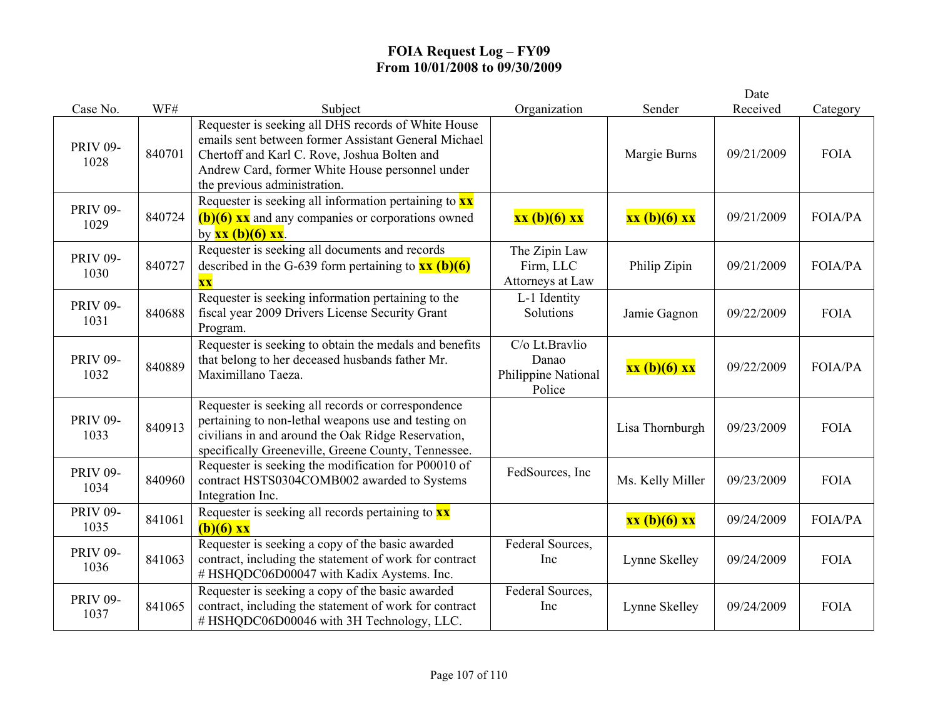|                         |        |                                                                                                                                                                                                                                                |                                                          |                  | Date       |                |
|-------------------------|--------|------------------------------------------------------------------------------------------------------------------------------------------------------------------------------------------------------------------------------------------------|----------------------------------------------------------|------------------|------------|----------------|
| Case No.                | WF#    | Subject                                                                                                                                                                                                                                        | Organization                                             | Sender           | Received   | Category       |
| <b>PRIV 09-</b><br>1028 | 840701 | Requester is seeking all DHS records of White House<br>emails sent between former Assistant General Michael<br>Chertoff and Karl C. Rove, Joshua Bolten and<br>Andrew Card, former White House personnel under<br>the previous administration. |                                                          | Margie Burns     | 09/21/2009 | <b>FOIA</b>    |
| <b>PRIV 09-</b><br>1029 | 840724 | Requester is seeking all information pertaining to $\mathbf{x}\mathbf{x}$<br>$(b)(6)$ xx and any companies or corporations owned<br>by $xx (b)(6) xx$ .                                                                                        | xx (b)(6) xx                                             | xx (b)(6) xx     | 09/21/2009 | <b>FOIA/PA</b> |
| <b>PRIV 09-</b><br>1030 | 840727 | Requester is seeking all documents and records<br>described in the G-639 form pertaining to $\frac{\text{xx (b)(6)}}{}$<br>$\overline{\mathbf{X}}\overline{\mathbf{X}}$                                                                        | The Zipin Law<br>Firm, LLC<br>Attorneys at Law           | Philip Zipin     | 09/21/2009 | <b>FOIA/PA</b> |
| <b>PRIV 09-</b><br>1031 | 840688 | Requester is seeking information pertaining to the<br>fiscal year 2009 Drivers License Security Grant<br>Program.                                                                                                                              | L-1 Identity<br>Solutions                                | Jamie Gagnon     | 09/22/2009 | <b>FOIA</b>    |
| <b>PRIV 09-</b><br>1032 | 840889 | Requester is seeking to obtain the medals and benefits<br>that belong to her deceased husbands father Mr.<br>Maximillano Taeza.                                                                                                                | C/o Lt.Bravlio<br>Danao<br>Philippine National<br>Police | xx (b)(6) xx     | 09/22/2009 | <b>FOIA/PA</b> |
| <b>PRIV 09-</b><br>1033 | 840913 | Requester is seeking all records or correspondence<br>pertaining to non-lethal weapons use and testing on<br>civilians in and around the Oak Ridge Reservation,<br>specifically Greeneville, Greene County, Tennessee.                         |                                                          | Lisa Thornburgh  | 09/23/2009 | <b>FOIA</b>    |
| <b>PRIV 09-</b><br>1034 | 840960 | Requester is seeking the modification for P00010 of<br>contract HSTS0304COMB002 awarded to Systems<br>Integration Inc.                                                                                                                         | FedSources, Inc.                                         | Ms. Kelly Miller | 09/23/2009 | <b>FOIA</b>    |
| <b>PRIV 09-</b><br>1035 | 841061 | Requester is seeking all records pertaining to $\frac{xx}{ }$<br>$(b)(6)$ xx                                                                                                                                                                   |                                                          | xx (b)(6) xx     | 09/24/2009 | <b>FOIA/PA</b> |
| <b>PRIV 09-</b><br>1036 | 841063 | Requester is seeking a copy of the basic awarded<br>contract, including the statement of work for contract<br>#HSHQDC06D00047 with Kadix Aystems. Inc.                                                                                         | Federal Sources,<br>Inc                                  | Lynne Skelley    | 09/24/2009 | <b>FOIA</b>    |
| <b>PRIV 09-</b><br>1037 | 841065 | Requester is seeking a copy of the basic awarded<br>contract, including the statement of work for contract<br># HSHQDC06D00046 with 3H Technology, LLC.                                                                                        | Federal Sources,<br>Inc                                  | Lynne Skelley    | 09/24/2009 | <b>FOIA</b>    |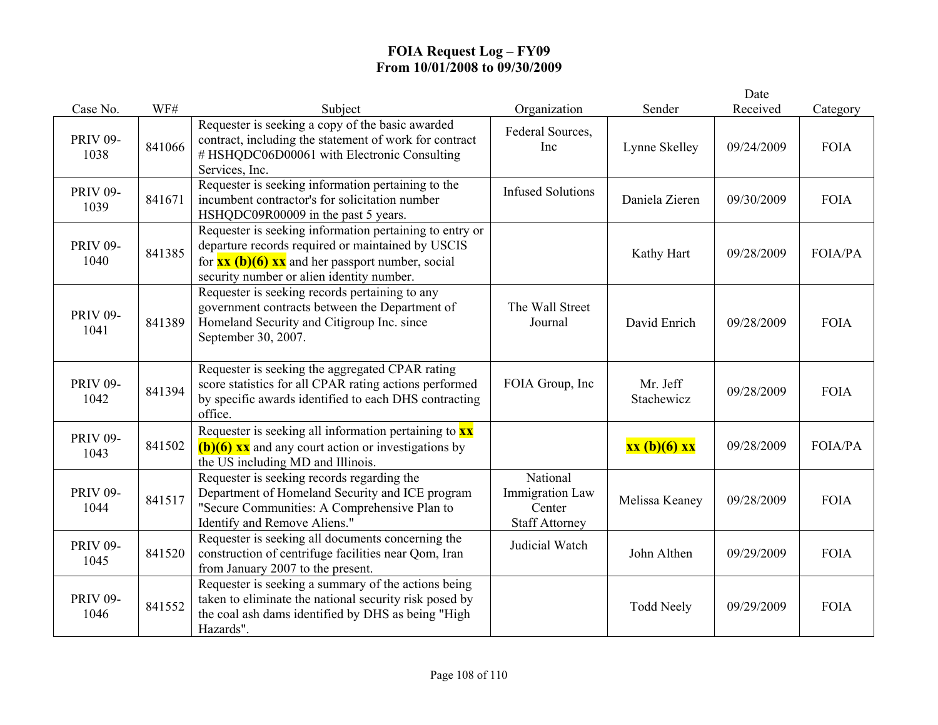|                         |        |                                                                                                                                                                                                                                          |                                                                       |                        | Date       |             |
|-------------------------|--------|------------------------------------------------------------------------------------------------------------------------------------------------------------------------------------------------------------------------------------------|-----------------------------------------------------------------------|------------------------|------------|-------------|
| Case No.                | WF#    | Subject                                                                                                                                                                                                                                  | Organization                                                          | Sender                 | Received   | Category    |
| <b>PRIV 09-</b><br>1038 | 841066 | Requester is seeking a copy of the basic awarded<br>contract, including the statement of work for contract<br># HSHQDC06D00061 with Electronic Consulting<br>Services, Inc.                                                              | Federal Sources,<br>Inc                                               | Lynne Skelley          | 09/24/2009 | <b>FOIA</b> |
| <b>PRIV 09-</b><br>1039 | 841671 | Requester is seeking information pertaining to the<br>incumbent contractor's for solicitation number<br>HSHQDC09R00009 in the past 5 years.                                                                                              | <b>Infused Solutions</b>                                              | Daniela Zieren         | 09/30/2009 | <b>FOIA</b> |
| <b>PRIV 09-</b><br>1040 | 841385 | Requester is seeking information pertaining to entry or<br>departure records required or maintained by USCIS<br>for $\overline{\text{xx (b)(6)} \text{xx}}$ and her passport number, social<br>security number or alien identity number. |                                                                       | Kathy Hart             | 09/28/2009 | FOIA/PA     |
| <b>PRIV 09-</b><br>1041 | 841389 | Requester is seeking records pertaining to any<br>government contracts between the Department of<br>Homeland Security and Citigroup Inc. since<br>September 30, 2007.                                                                    | The Wall Street<br>Journal                                            | David Enrich           | 09/28/2009 | <b>FOIA</b> |
| <b>PRIV 09-</b><br>1042 | 841394 | Requester is seeking the aggregated CPAR rating<br>score statistics for all CPAR rating actions performed<br>by specific awards identified to each DHS contracting<br>office.                                                            | FOIA Group, Inc                                                       | Mr. Jeff<br>Stachewicz | 09/28/2009 | <b>FOIA</b> |
| <b>PRIV 09-</b><br>1043 | 841502 | Requester is seeking all information pertaining to $\mathbf{x}\mathbf{x}$<br>$(b)(6)$ xx and any court action or investigations by<br>the US including MD and Illinois.                                                                  |                                                                       | xx (b)(6) xx           | 09/28/2009 | FOIA/PA     |
| <b>PRIV 09-</b><br>1044 | 841517 | Requester is seeking records regarding the<br>Department of Homeland Security and ICE program<br>"Secure Communities: A Comprehensive Plan to<br>Identify and Remove Aliens."                                                            | National<br><b>Immigration Law</b><br>Center<br><b>Staff Attorney</b> | Melissa Keaney         | 09/28/2009 | <b>FOIA</b> |
| <b>PRIV 09-</b><br>1045 | 841520 | Requester is seeking all documents concerning the<br>construction of centrifuge facilities near Qom, Iran<br>from January 2007 to the present.                                                                                           | Judicial Watch                                                        | John Althen            | 09/29/2009 | <b>FOIA</b> |
| <b>PRIV 09-</b><br>1046 | 841552 | Requester is seeking a summary of the actions being<br>taken to eliminate the national security risk posed by<br>the coal ash dams identified by DHS as being "High<br>Hazards".                                                         |                                                                       | <b>Todd Neely</b>      | 09/29/2009 | <b>FOIA</b> |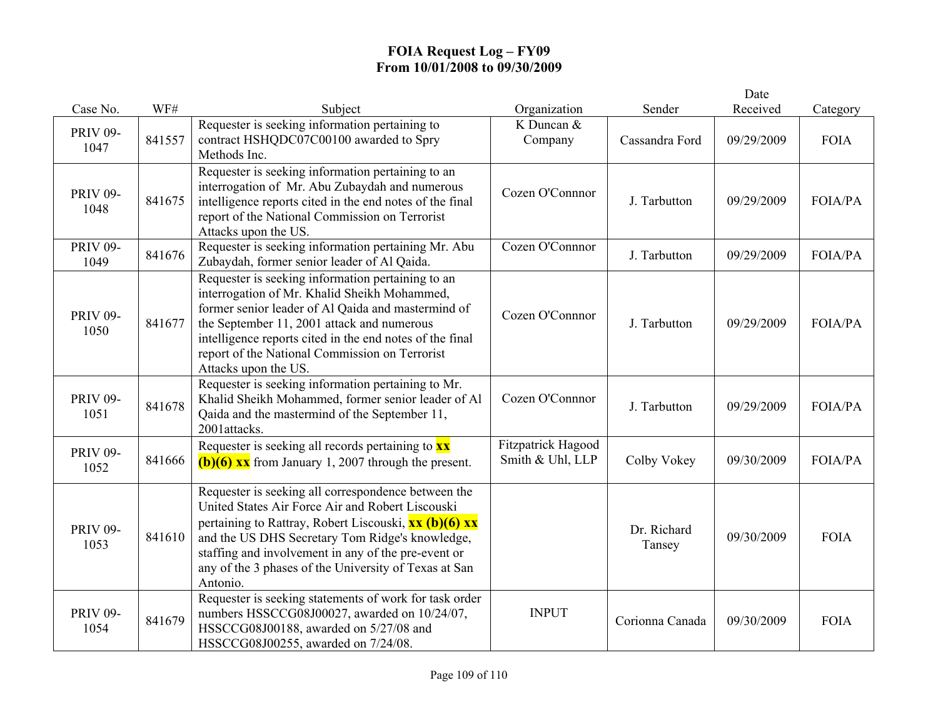## **FOIA Request Log – FY09 From 10/01/2008 to 09/30/2009**

|                         |        |                                                                                                                                                                                                                                                                                                                                                        |                                               |                       | Date       |                |
|-------------------------|--------|--------------------------------------------------------------------------------------------------------------------------------------------------------------------------------------------------------------------------------------------------------------------------------------------------------------------------------------------------------|-----------------------------------------------|-----------------------|------------|----------------|
| Case No.                | WF#    | Subject                                                                                                                                                                                                                                                                                                                                                | Organization                                  | Sender                | Received   | Category       |
| <b>PRIV 09-</b><br>1047 | 841557 | Requester is seeking information pertaining to<br>contract HSHQDC07C00100 awarded to Spry<br>Methods Inc.                                                                                                                                                                                                                                              | K Duncan &<br>Company                         | Cassandra Ford        | 09/29/2009 | <b>FOIA</b>    |
| <b>PRIV 09-</b><br>1048 | 841675 | Requester is seeking information pertaining to an<br>interrogation of Mr. Abu Zubaydah and numerous<br>intelligence reports cited in the end notes of the final<br>report of the National Commission on Terrorist<br>Attacks upon the US.                                                                                                              | Cozen O'Connnor                               | J. Tarbutton          | 09/29/2009 | <b>FOIA/PA</b> |
| <b>PRIV 09-</b><br>1049 | 841676 | Requester is seeking information pertaining Mr. Abu<br>Zubaydah, former senior leader of Al Qaida.                                                                                                                                                                                                                                                     | Cozen O'Connnor                               | J. Tarbutton          | 09/29/2009 | FOIA/PA        |
| <b>PRIV 09-</b><br>1050 | 841677 | Requester is seeking information pertaining to an<br>interrogation of Mr. Khalid Sheikh Mohammed,<br>former senior leader of Al Qaida and mastermind of<br>the September 11, 2001 attack and numerous<br>intelligence reports cited in the end notes of the final<br>report of the National Commission on Terrorist<br>Attacks upon the US.            | Cozen O'Connnor                               | J. Tarbutton          | 09/29/2009 | <b>FOIA/PA</b> |
| <b>PRIV 09-</b><br>1051 | 841678 | Requester is seeking information pertaining to Mr.<br>Khalid Sheikh Mohammed, former senior leader of Al<br>Qaida and the mastermind of the September 11,<br>2001attacks.                                                                                                                                                                              | Cozen O'Connnor                               | J. Tarbutton          | 09/29/2009 | <b>FOIA/PA</b> |
| <b>PRIV 09-</b><br>1052 | 841666 | Requester is seeking all records pertaining to <b>xx</b><br>$(b)(6)$ xx from January 1, 2007 through the present.                                                                                                                                                                                                                                      | <b>Fitzpatrick Hagood</b><br>Smith & Uhl, LLP | Colby Vokey           | 09/30/2009 | <b>FOIA/PA</b> |
| <b>PRIV 09-</b><br>1053 | 841610 | Requester is seeking all correspondence between the<br>United States Air Force Air and Robert Liscouski<br>pertaining to Rattray, Robert Liscouski, <b>xx (b)(6) xx</b><br>and the US DHS Secretary Tom Ridge's knowledge,<br>staffing and involvement in any of the pre-event or<br>any of the 3 phases of the University of Texas at San<br>Antonio. |                                               | Dr. Richard<br>Tansey | 09/30/2009 | <b>FOIA</b>    |
| <b>PRIV 09-</b><br>1054 | 841679 | Requester is seeking statements of work for task order<br>numbers HSSCCG08J00027, awarded on 10/24/07,<br>HSSCCG08J00188, awarded on 5/27/08 and<br>HSSCCG08J00255, awarded on 7/24/08.                                                                                                                                                                | <b>INPUT</b>                                  | Corionna Canada       | 09/30/2009 | <b>FOIA</b>    |